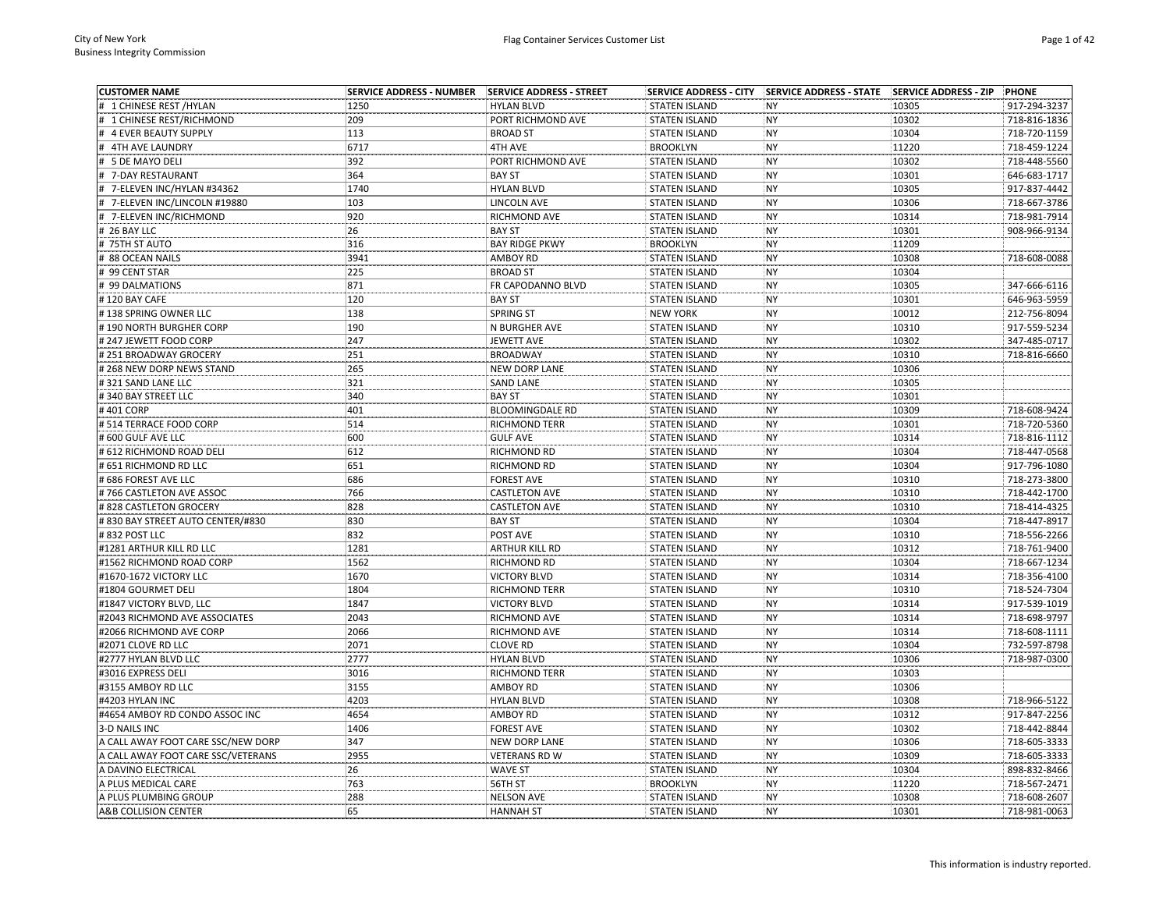| <b>CUSTOMER NAME</b>                      | <b>SERVICE ADDRESS - NUMBER</b> | SERVICE ADDRESS - STREET | <b>SERVICE ADDRESS - CITY</b> | SERVICE ADDRESS - STATE SERVICE ADDRESS - ZIP |                | PHONE                        |
|-------------------------------------------|---------------------------------|--------------------------|-------------------------------|-----------------------------------------------|----------------|------------------------------|
| # 1 CHINESE REST /HYLAN                   | 1250                            | <b>HYLAN BLVD</b>        | <b>STATEN ISLAND</b>          | <b>NY</b>                                     | 10305          | 917-294-3237                 |
| 1 CHINESE REST/RICHMOND                   | 209                             | PORT RICHMOND AVE        | <b>STATEN ISLAND</b>          | <b>NY</b>                                     | 10302          | 718-816-1836                 |
| <b>4 EVER BEAUTY SUPPLY</b>               | 113                             | <b>BROAD ST</b>          | <b>STATEN ISLAND</b>          | <b>NY</b>                                     | 10304          | 718-720-1159                 |
| # 4TH AVE LAUNDRY                         | 6717                            | 4TH AVE                  | <b>BROOKLYN</b>               | <b>NY</b>                                     | 11220          | 718-459-1224                 |
| 5 DE MAYO DELI                            | 392                             | PORT RICHMOND AVE        | <b>STATEN ISLAND</b>          | NY                                            | 10302          | 718-448-5560                 |
| 7-DAY RESTAURANT                          | 364                             | <b>BAY ST</b>            | <b>STATEN ISLAND</b>          | <b>NY</b>                                     | 10301          | 646-683-1717                 |
| 7-ELEVEN INC/HYLAN #34362                 | 1740                            | <b>HYLAN BLVD</b>        | <b>STATEN ISLAND</b>          | <b>NY</b>                                     | 10305          | 917-837-4442                 |
| 7-ELEVEN INC/LINCOLN #19880               | 103                             | LINCOLN AVE              | <b>STATEN ISLAND</b>          | <b>NY</b>                                     | 10306          | 718-667-3786                 |
| 7-ELEVEN INC/RICHMOND                     | 920                             | RICHMOND AVE             | <b>STATEN ISLAND</b>          | <b>NY</b>                                     | 10314          | 718-981-7914                 |
| # 26 BAY LLC                              | 26                              | <b>BAY ST</b>            | <b>STATEN ISLAND</b>          | <b>NY</b>                                     | 10301          | 908-966-9134                 |
| # 75TH ST AUTO                            | 316                             | <b>BAY RIDGE PKWY</b>    | <b>BROOKLYN</b>               | <b>NY</b>                                     | 11209          |                              |
| 88 OCEAN NAILS                            | 3941                            | <b>AMBOY RD</b>          | <b>STATEN ISLAND</b>          | <b>NY</b>                                     | 10308          | 718-608-0088                 |
| # 99 CENT STAR                            | 225                             | <b>BROAD ST</b>          | <b>STATEN ISLAND</b>          | <b>NY</b>                                     | 10304          |                              |
| # 99 DALMATIONS                           | 871                             | FR CAPODANNO BLVD        | <b>STATEN ISLAND</b>          | <b>NY</b>                                     | 10305          | 347-666-6116                 |
| #120 BAY CAFE                             | 120                             | <b>BAY ST</b>            | <b>STATEN ISLAND</b>          | <b>NY</b>                                     | 10301          | 646-963-5959                 |
| #138 SPRING OWNER LLC                     | 138                             | SPRING ST                | <b>NEW YORK</b>               | <b>NY</b>                                     | 10012          | 212-756-8094                 |
| #190 NORTH BURGHER CORP                   | 190                             | N BURGHER AVE            | <b>STATEN ISLAND</b>          | <b>NY</b>                                     | 10310          | 917-559-5234                 |
| # 247 JEWETT FOOD CORP                    | 247                             | JEWETT AVE               | <b>STATEN ISLAND</b>          | <b>NY</b>                                     | 10302          | 347-485-0717                 |
| # 251 BROADWAY GROCERY                    | 251                             | <b>BROADWAY</b>          | <b>STATEN ISLAND</b>          | <b>NY</b>                                     | 10310          | 718-816-6660                 |
| # 268 NEW DORP NEWS STAND                 | 265                             | NEW DORP LANE            | <b>STATEN ISLAND</b>          | <b>NY</b>                                     | 10306          |                              |
| # 321 SAND LANE LLC                       | 321                             | <b>SAND LANE</b>         | <b>STATEN ISLAND</b>          | <b>NY</b>                                     | 10305          |                              |
| #340 BAY STREET LLC                       | 340                             | <b>BAY ST</b>            | <b>STATEN ISLAND</b>          | <b>NY</b>                                     | 10301          |                              |
| #401 CORP                                 | 401                             | <b>BLOOMINGDALE RD</b>   | <b>STATEN ISLAND</b>          | <b>NY</b>                                     | 10309          | 718-608-9424                 |
| # 514 TERRACE FOOD CORP                   | 514                             | RICHMOND TERR            | <b>STATEN ISLAND</b>          | <b>NY</b>                                     | 10301          | 718-720-5360                 |
| #600 GULF AVE LLC                         | 600                             | <b>GULF AVE</b>          | <b>STATEN ISLAND</b>          | <b>NY</b>                                     | 10314          | 718-816-1112                 |
| # 612 RICHMOND ROAD DELI                  | 612                             | RICHMOND RD              | <b>STATEN ISLAND</b>          | NY                                            | 10304          | 718-447-0568                 |
| # 651 RICHMOND RD LLC                     | 651                             | RICHMOND RD              | <b>STATEN ISLAND</b>          | <b>NY</b>                                     | 10304          | 917-796-1080                 |
| # 686 FOREST AVE LLC                      | 686                             | <b>FOREST AVE</b>        | <b>STATEN ISLAND</b>          | <b>NY</b>                                     | 10310          | 718-273-3800                 |
| #766 CASTLETON AVE ASSOC                  | 766                             | <b>CASTLETON AVE</b>     | <b>STATEN ISLAND</b>          | <b>NY</b>                                     | 10310          | 718-442-1700                 |
|                                           | 828                             |                          |                               | <b>NY</b>                                     | 10310          | 718-414-4325                 |
| # 828 CASTLETON GROCERY                   |                                 | <b>CASTLETON AVE</b>     | <b>STATEN ISLAND</b>          |                                               |                |                              |
| # 830 BAY STREET AUTO CENTER/#830         | 830<br>832                      | <b>BAY ST</b>            | <b>STATEN ISLAND</b>          | <b>NY</b><br>NY                               | 10304          | 718-447-8917                 |
| #832 POST LLC<br>#1281 ARTHUR KILL RD LLC | 1281                            | POST AVE                 | <b>STATEN ISLAND</b>          | <b>NY</b>                                     | 10310<br>10312 | 718-556-2266<br>718-761-9400 |
|                                           |                                 | <b>ARTHUR KILL RD</b>    | <b>STATEN ISLAND</b>          |                                               |                |                              |
| #1562 RICHMOND ROAD CORP                  | 1562                            | RICHMOND RD              | <b>STATEN ISLAND</b>          | <b>NY</b>                                     | 10304          | 718-667-1234                 |
| #1670-1672 VICTORY LLC                    | 1670                            | <b>VICTORY BLVD</b>      | <b>STATEN ISLAND</b>          | <b>NY</b>                                     | 10314          | 718-356-4100                 |
| #1804 GOURMET DELI                        | 1804                            | <b>RICHMOND TERR</b>     | <b>STATEN ISLAND</b>          | <b>NY</b>                                     | 10310          | 718-524-7304                 |
| #1847 VICTORY BLVD, LLC                   | 1847                            | <b>VICTORY BLVD</b>      | <b>STATEN ISLAND</b>          | <b>NY</b>                                     | 10314          | 917-539-1019                 |
| #2043 RICHMOND AVE ASSOCIATES             | 2043                            | RICHMOND AVE             | <b>STATEN ISLAND</b>          | <b>NY</b>                                     | 10314          | 718-698-9797                 |
| #2066 RICHMOND AVE CORP                   | 2066                            | RICHMOND AVE             | <b>STATEN ISLAND</b>          | <b>NY</b>                                     | 10314          | 718-608-1111                 |
| #2071 CLOVE RD LLC                        | 2071                            | <b>CLOVE RD</b>          | <b>STATEN ISLAND</b>          | <b>NY</b>                                     | 10304          | 732-597-8798                 |
| #2777 HYLAN BLVD LLC                      | 2777                            | <b>HYLAN BLVD</b>        | <b>STATEN ISLAND</b>          | <b>NY</b>                                     | 10306          | 718-987-0300                 |
| #3016 EXPRESS DELI                        | 3016                            | RICHMOND TERR            | <b>STATEN ISLAND</b>          | <b>NY</b>                                     | 10303          |                              |
| #3155 AMBOY RD LLC                        | 3155                            | <b>AMBOY RD</b>          | <b>STATEN ISLAND</b>          | <b>NY</b>                                     | 10306          |                              |
| #4203 HYLAN INC                           | 4203                            | <b>HYLAN BLVD</b>        | <b>STATEN ISLAND</b>          | NY                                            | 10308          | 718-966-5122                 |
| #4654 AMBOY RD CONDO ASSOC INC            | 4654                            | AMBOY RD                 | <b>STATEN ISLAND</b>          | <b>NY</b>                                     | 10312          | 917-847-2256                 |
| 3-D NAILS INC                             | 1406                            | <b>FOREST AVE</b>        | <b>STATEN ISLAND</b>          | <b>NY</b>                                     | 10302          | 718-442-8844                 |
| A CALL AWAY FOOT CARE SSC/NEW DORP        | 347                             | <b>NEW DORP LANE</b>     | <b>STATEN ISLAND</b>          | <b>NY</b>                                     | 10306          | 718-605-3333                 |
| A CALL AWAY FOOT CARE SSC/VETERANS        | 2955                            | <b>VETERANS RD W</b>     | <b>STATEN ISLAND</b>          | <b>NY</b>                                     | 10309          | 718-605-3333                 |
| A DAVINO ELECTRICAL                       | 26                              | <b>WAVE ST</b>           | <b>STATEN ISLAND</b>          | <b>NY</b>                                     | 10304          | 898-832-8466                 |
| A PLUS MEDICAL CARE                       | 763                             | 56TH ST                  | <b>BROOKLYN</b>               | <b>NY</b>                                     | 11220          | 718-567-2471                 |
| A PLUS PLUMBING GROUP                     | 288                             | <b>NELSON AVE</b>        | <b>STATEN ISLAND</b>          | <b>NY</b>                                     | 10308          | 718-608-2607                 |
| A&B COLLISION CENTER                      | 65                              | <b>HANNAH ST</b>         | <b>STATEN ISLAND</b>          | <b>NY</b>                                     | 10301          | 718-981-0063                 |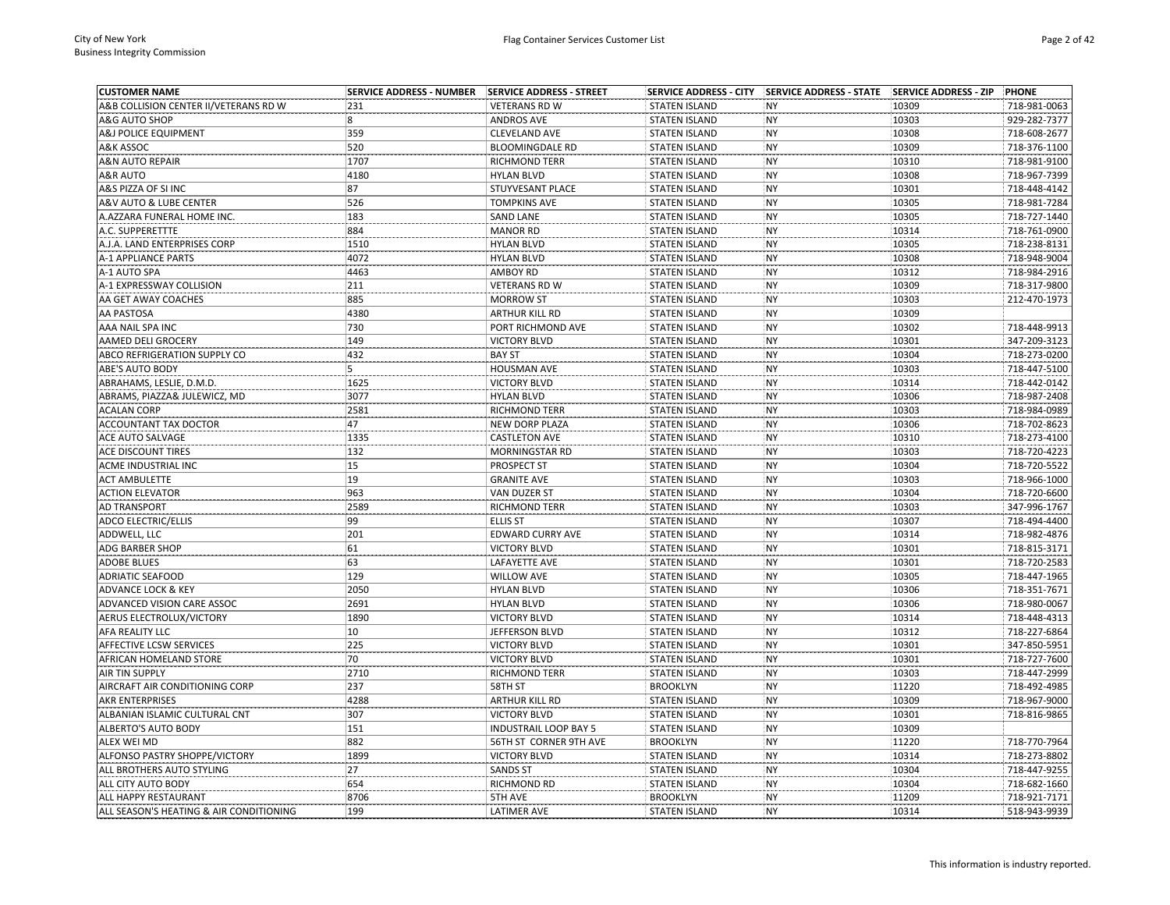| <b>CUSTOMER NAME</b>                           | <b>SERVICE ADDRESS - NUMBER</b> | SERVICE ADDRESS - STREET     | <b>SERVICE ADDRESS - CITY</b>                | SERVICE ADDRESS - STATE SERVICE ADDRESS - ZIP |       | PHONE        |
|------------------------------------------------|---------------------------------|------------------------------|----------------------------------------------|-----------------------------------------------|-------|--------------|
| A&B COLLISION CENTER II/VETERANS RD W          | 231                             | <b>VETERANS RD W</b>         | <b>STATEN ISLAND</b>                         | <b>NY</b>                                     | 10309 | 718-981-0063 |
| A&G AUTO SHOP                                  | $\overline{\mathbf{8}}$         | <b>ANDROS AVE</b>            | <b>STATEN ISLAND</b>                         | <b>NY</b>                                     | 10303 | 929-282-7377 |
| <b>A&amp;J POLICE EQUIPMENT</b>                | 359                             | <b>CLEVELAND AVE</b>         | <b>STATEN ISLAND</b>                         | <b>NY</b>                                     | 10308 | 718-608-2677 |
| A&K ASSOC                                      | 520                             | <b>BLOOMINGDALE RD</b>       | <b>STATEN ISLAND</b>                         | <b>NY</b>                                     | 10309 | 718-376-1100 |
| <b>A&amp;N AUTO REPAIR</b>                     | 1707                            | <b>RICHMOND TERR</b>         | <b>STATEN ISLAND</b>                         | <b>NY</b>                                     | 10310 | 718-981-9100 |
| A&R AUTO                                       | 4180                            | <b>HYLAN BLVD</b>            | <b>STATEN ISLAND</b>                         | <b>NY</b>                                     | 10308 | 718-967-7399 |
| A&S PIZZA OF SI INC                            | 87                              | STUYVESANT PLACE             | <b>STATEN ISLAND</b>                         | <b>NY</b>                                     | 10301 | 718-448-4142 |
| A&V AUTO & LUBE CENTER                         | 526                             | <b>TOMPKINS AVE</b>          | <b>STATEN ISLAND</b>                         | NY                                            | 10305 | 718-981-7284 |
| A.AZZARA FUNERAL HOME INC.                     | 183                             | <b>SAND LANE</b>             | <b>STATEN ISLAND</b>                         | NY                                            | 10305 | 718-727-1440 |
| A.C. SUPPERETTTE                               | 884                             | <b>MANOR RD</b>              | <b>STATEN ISLAND</b>                         | NY                                            | 10314 | 718-761-0900 |
| A.J.A. LAND ENTERPRISES CORP                   | 1510                            | <b>HYLAN BLVD</b>            | <b>STATEN ISLAND</b>                         | <b>NY</b>                                     | 10305 | 718-238-8131 |
| <b>A-1 APPLIANCE PARTS</b>                     | 4072                            | <b>HYLAN BLVD</b>            | <b>STATEN ISLAND</b>                         | <b>NY</b>                                     | 10308 | 718-948-9004 |
| A-1 AUTO SPA                                   | 4463                            | <b>AMBOY RD</b>              | <b>STATEN ISLAND</b>                         | NY                                            | 10312 | 718-984-2916 |
| A-1 EXPRESSWAY COLLISION                       | 211                             | <b>VETERANS RD W</b>         | <b>STATEN ISLAND</b>                         | NY                                            | 10309 | 718-317-9800 |
| AA GET AWAY COACHES                            | 885                             | <b>MORROW ST</b>             | <b>STATEN ISLAND</b>                         | <b>NY</b>                                     | 10303 | 212-470-1973 |
| <b>AA PASTOSA</b>                              | 4380                            | <b>ARTHUR KILL RD</b>        | <b>STATEN ISLAND</b>                         | <b>NY</b>                                     | 10309 |              |
| AAA NAIL SPA INC                               | 730                             | PORT RICHMOND AVE            | <b>STATEN ISLAND</b>                         | <b>NY</b>                                     | 10302 | 718-448-9913 |
| AAMED DELI GROCERY                             | 149                             | <b>VICTORY BLVD</b>          | <b>STATEN ISLAND</b>                         | <b>NY</b>                                     | 10301 | 347-209-3123 |
| ABCO REFRIGERATION SUPPLY CO                   | 432                             | <b>BAY ST</b>                | <b>STATEN ISLAND</b>                         | <b>NY</b>                                     | 10304 | 718-273-0200 |
| ABE'S AUTO BODY                                | 5                               | <b>HOUSMAN AVE</b>           | <b>STATEN ISLAND</b>                         | <b>NY</b>                                     | 10303 | 718-447-5100 |
| ABRAHAMS, LESLIE, D.M.D.                       | 1625                            | <b>VICTORY BLVD</b>          | <b>STATEN ISLAND</b>                         | <b>NY</b>                                     | 10314 | 718-442-0142 |
| ABRAMS, PIAZZA& JULEWICZ, MD                   | 3077                            | <b>HYLAN BLVD</b>            | <b>STATEN ISLAND</b>                         | <b>NY</b>                                     | 10306 | 718-987-2408 |
| <b>ACALAN CORP</b>                             | 2581                            | RICHMOND TERR                | <b>STATEN ISLAND</b>                         | <b>NY</b>                                     | 10303 | 718-984-0989 |
| ACCOUNTANT TAX DOCTOR                          | 47                              | <b>NEW DORP PLAZA</b>        | <b>STATEN ISLAND</b>                         | <b>NY</b>                                     | 10306 | 718-702-8623 |
| <b>ACE AUTO SALVAGE</b>                        | 1335                            | <b>CASTLETON AVE</b>         | <b>STATEN ISLAND</b>                         | <b>NY</b>                                     | 10310 | 718-273-4100 |
| ACE DISCOUNT TIRES                             | 132                             | MORNINGSTAR RD               | <b>STATEN ISLAND</b>                         | <b>NY</b>                                     | 10303 | 718-720-4223 |
| <b>ACME INDUSTRIAL INC</b>                     | 15                              | PROSPECT ST                  |                                              | <b>NY</b>                                     | 10304 | 718-720-5522 |
|                                                | 19                              | <b>GRANITE AVE</b>           | <b>STATEN ISLAND</b>                         | <b>NY</b>                                     | 10303 | 718-966-1000 |
| <b>ACT AMBULETTE</b><br><b>ACTION ELEVATOR</b> | 963                             | VAN DUZER ST                 | <b>STATEN ISLAND</b><br><b>STATEN ISLAND</b> | <b>NY</b>                                     | 10304 | 718-720-6600 |
|                                                | 2589                            |                              |                                              | NY                                            |       | 347-996-1767 |
| <b>AD TRANSPORT</b>                            |                                 | RICHMOND TERR                | <b>STATEN ISLAND</b>                         |                                               | 10303 |              |
| <b>ADCO ELECTRIC/ELLIS</b>                     | 99                              | <b>ELLIS ST</b>              | <b>STATEN ISLAND</b>                         | NY                                            | 10307 | 718-494-4400 |
| ADDWELL, LLC                                   | 201                             | <b>EDWARD CURRY AVE</b>      | <b>STATEN ISLAND</b>                         | NY                                            | 10314 | 718-982-4876 |
| <b>ADG BARBER SHOP</b>                         | 61                              | <b>VICTORY BLVD</b>          | <b>STATEN ISLAND</b>                         | <b>NY</b>                                     | 10301 | 718-815-3171 |
| <b>ADOBE BLUES</b>                             | 63                              | LAFAYETTE AVE                | <b>STATEN ISLAND</b>                         | <b>NY</b>                                     | 10301 | 718-720-2583 |
| <b>ADRIATIC SEAFOOD</b>                        | 129                             | <b>WILLOW AVE</b>            | <b>STATEN ISLAND</b>                         | <b>NY</b>                                     | 10305 | 718-447-1965 |
| <b>ADVANCE LOCK &amp; KEY</b>                  | 2050                            | <b>HYLAN BLVD</b>            | <b>STATEN ISLAND</b>                         | NY                                            | 10306 | 718-351-7671 |
| ADVANCED VISION CARE ASSOC                     | 2691                            | <b>HYLAN BLVD</b>            | <b>STATEN ISLAND</b>                         | NY                                            | 10306 | 718-980-0067 |
| AERUS ELECTROLUX/VICTORY                       | 1890                            | <b>VICTORY BLVD</b>          | <b>STATEN ISLAND</b>                         | <b>NY</b>                                     | 10314 | 718-448-4313 |
| AFA REALITY LLC                                | 10                              | JEFFERSON BLVD               | <b>STATEN ISLAND</b>                         | <b>NY</b>                                     | 10312 | 718-227-6864 |
| AFFECTIVE LCSW SERVICES                        | 225                             | <b>VICTORY BLVD</b>          | <b>STATEN ISLAND</b>                         | <b>NY</b>                                     | 10301 | 347-850-5951 |
| AFRICAN HOMELAND STORE                         | 70                              | <b>VICTORY BLVD</b>          | <b>STATEN ISLAND</b>                         | <b>NY</b>                                     | 10301 | 718-727-7600 |
| <b>AIR TIN SUPPLY</b>                          | 2710                            | RICHMOND TERR                | <b>STATEN ISLAND</b>                         | <b>NY</b>                                     | 10303 | 718-447-2999 |
| AIRCRAFT AIR CONDITIONING CORP                 | 237                             | 58TH ST                      | <b>BROOKLYN</b>                              | <b>NY</b>                                     | 11220 | 718-492-4985 |
| AKR ENTERPRISES                                | 4288                            | ARTHUR KILL RD               | STATEN ISLAND                                | <b>NY</b>                                     | 10309 | 718-967-9000 |
| ALBANIAN ISLAMIC CULTURAL CNT                  | 307                             | <b>VICTORY BLVD</b>          | <b>STATEN ISLAND</b>                         | <b>NY</b>                                     | 10301 | 718-816-9865 |
| ALBERTO'S AUTO BODY                            | 151                             | <b>INDUSTRAIL LOOP BAY 5</b> | <b>STATEN ISLAND</b>                         | <b>NY</b>                                     | 10309 |              |
| <b>ALEX WEI MD</b>                             | 882                             | 56TH ST CORNER 9TH AVE       | <b>BROOKLYN</b>                              | <b>NY</b>                                     | 11220 | 718-770-7964 |
| ALFONSO PASTRY SHOPPE/VICTORY                  | 1899                            | <b>VICTORY BLVD</b>          | <b>STATEN ISLAND</b>                         | <b>NY</b>                                     | 10314 | 718-273-8802 |
| ALL BROTHERS AUTO STYLING                      | 27                              | <b>SANDS ST</b>              | <b>STATEN ISLAND</b>                         | <b>NY</b>                                     | 10304 | 718-447-9255 |
| ALL CITY AUTO BODY                             | 654                             | RICHMOND RD                  | <b>STATEN ISLAND</b>                         | NY                                            | 10304 | 718-682-1660 |
| ALL HAPPY RESTAURANT                           | 8706                            | 5TH AVE                      | <b>BROOKLYN</b>                              | <b>NY</b>                                     | 11209 | 718-921-7171 |
| ALL SEASON'S HEATING & AIR CONDITIONING        | 199                             | <b>LATIMER AVE</b>           | <b>STATEN ISLAND</b>                         | <b>NY</b>                                     | 10314 | 518-943-9939 |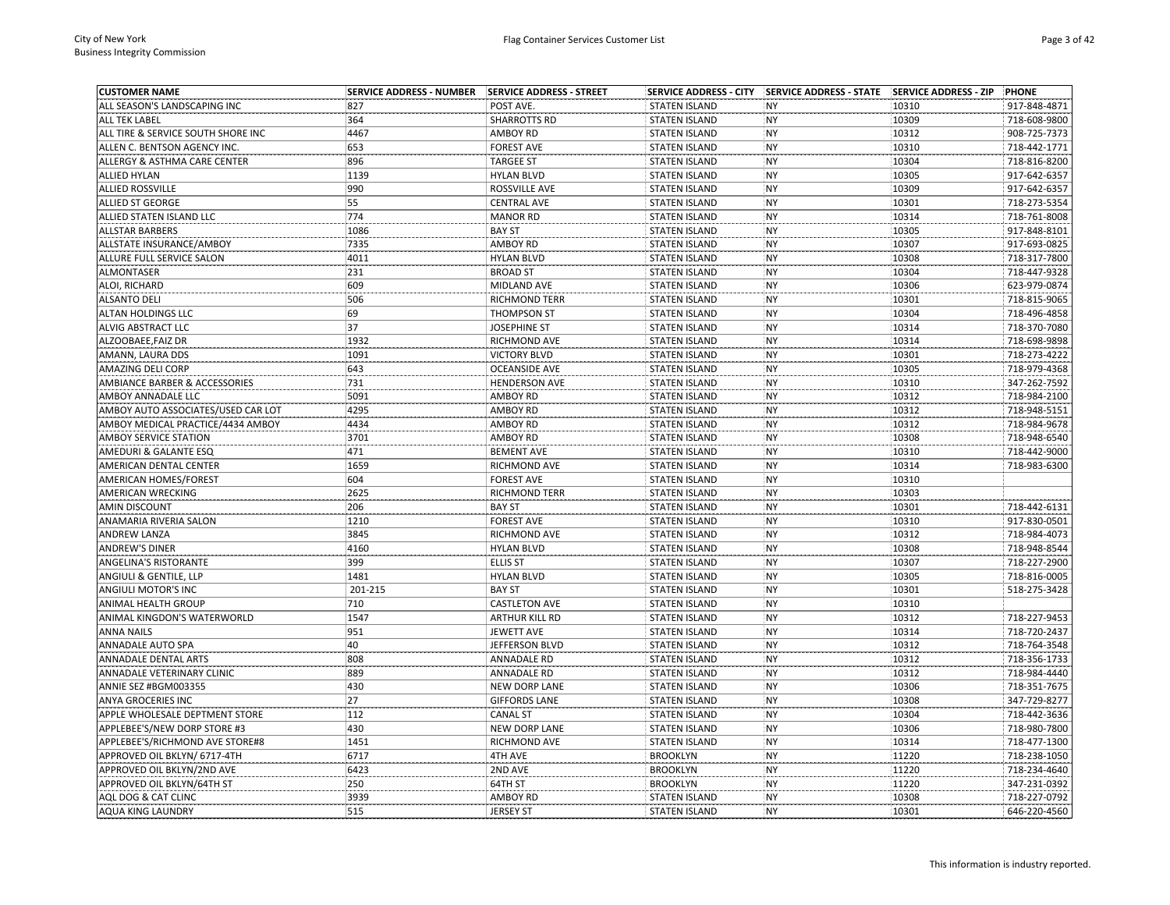| <b>CUSTOMER NAME</b>               | <b>SERVICE ADDRESS - NUMBER</b> | <b>SERVICE ADDRESS - STREET</b> |                      |           |       | PHONE        |
|------------------------------------|---------------------------------|---------------------------------|----------------------|-----------|-------|--------------|
| ALL SEASON'S LANDSCAPING INC       | 827                             | POST AVE.                       | <b>STATEN ISLAND</b> | <b>NY</b> | 10310 | 917-848-4871 |
| <b>ALL TEK LABEL</b>               | 364                             | <b>SHARROTTS RD</b>             | <b>STATEN ISLAND</b> | <b>NY</b> | 10309 | 718-608-9800 |
| ALL TIRE & SERVICE SOUTH SHORE INC | 4467                            | <b>AMBOY RD</b>                 | <b>STATEN ISLAND</b> | <b>NY</b> | 10312 | 908-725-7373 |
| ALLEN C. BENTSON AGENCY INC.       | 653                             | <b>FOREST AVE</b>               | <b>STATEN ISLAND</b> | <b>NY</b> | 10310 | 718-442-1771 |
| ALLERGY & ASTHMA CARE CENTER       | 896                             | <b>TARGEE ST</b>                | <b>STATEN ISLAND</b> | <b>NY</b> | 10304 | 718-816-8200 |
| <b>ALLIED HYLAN</b>                | 1139                            | <b>HYLAN BLVD</b>               | <b>STATEN ISLAND</b> | NY        | 10305 | 917-642-6357 |
| <b>ALLIED ROSSVILLE</b>            | 990                             | ROSSVILLE AVE                   | <b>STATEN ISLAND</b> | NY        | 10309 | 917-642-6357 |
| <b>ALLIED ST GEORGE</b>            | 55                              | <b>CENTRAL AVE</b>              | <b>STATEN ISLAND</b> | <b>NY</b> | 10301 | 718-273-5354 |
| ALLIED STATEN ISLAND LLC           | 774                             | <b>MANOR RD</b>                 | <b>STATEN ISLAND</b> | NY        | 10314 | 718-761-8008 |
| <b>ALLSTAR BARBERS</b>             | 1086                            | <b>BAY ST</b>                   | <b>STATEN ISLAND</b> | <b>NY</b> | 10305 | 917-848-8101 |
| ALLSTATE INSURANCE/AMBOY           | 7335                            | AMBOY RD                        | <b>STATEN ISLAND</b> | <b>NY</b> | 10307 | 917-693-0825 |
| ALLURE FULL SERVICE SALON          | 4011                            | <b>HYLAN BLVD</b>               | <b>STATEN ISLAND</b> | NY        | 10308 | 718-317-7800 |
| <b>ALMONTASER</b>                  | 231                             | <b>BROAD ST</b>                 | <b>STATEN ISLAND</b> | NY        | 10304 | 718-447-9328 |
| ALOI, RICHARD                      | 609                             | MIDLAND AVE                     | <b>STATEN ISLAND</b> | NY        | 10306 | 623-979-0874 |
| <b>ALSANTO DELI</b>                | 506                             | <b>RICHMOND TERR</b>            | <b>STATEN ISLAND</b> | <b>NY</b> | 10301 | 718-815-9065 |
| <b>ALTAN HOLDINGS LLC</b>          | 69                              | <b>THOMPSON ST</b>              | <b>STATEN ISLAND</b> | <b>NY</b> | 10304 | 718-496-4858 |
| ALVIG ABSTRACT LLC                 | 37                              | <b>JOSEPHINE ST</b>             | <b>STATEN ISLAND</b> | <b>NY</b> | 10314 | 718-370-7080 |
| ALZOOBAEE, FAIZ DR                 | 1932                            | RICHMOND AVE                    | <b>STATEN ISLAND</b> | <b>NY</b> | 10314 | 718-698-9898 |
| AMANN, LAURA DDS                   | 1091                            | <b>VICTORY BLVD</b>             | <b>STATEN ISLAND</b> | <b>NY</b> | 10301 | 718-273-4222 |
| <b>AMAZING DELI CORP</b>           | 643                             | <b>OCEANSIDE AVE</b>            | <b>STATEN ISLAND</b> | <b>NY</b> | 10305 | 718-979-4368 |
| AMBIANCE BARBER & ACCESSORIES      | 731                             | <b>HENDERSON AVE</b>            | <b>STATEN ISLAND</b> | <b>NY</b> | 10310 | 347-262-7592 |
| AMBOY ANNADALE LLC                 | 5091                            | <b>AMBOY RD</b>                 | <b>STATEN ISLAND</b> | <b>NY</b> | 10312 | 718-984-2100 |
| AMBOY AUTO ASSOCIATES/USED CAR LOT | 4295                            | AMBOY RD                        | <b>STATEN ISLAND</b> | NY        | 10312 | 718-948-5151 |
|                                    |                                 |                                 |                      |           |       |              |
| AMBOY MEDICAL PRACTICE/4434 AMBOY  | 4434                            | <b>AMBOY RD</b>                 | <b>STATEN ISLAND</b> | <b>NY</b> | 10312 | 718-984-9678 |
| <b>AMBOY SERVICE STATION</b>       | 3701                            | <b>AMBOY RD</b>                 | <b>STATEN ISLAND</b> | NY        | 10308 | 718-948-6540 |
| AMEDURI & GALANTE ESQ              | 471                             | <b>BEMENT AVE</b>               | <b>STATEN ISLAND</b> | <b>NY</b> | 10310 | 718-442-9000 |
| AMERICAN DENTAL CENTER             | 1659                            | RICHMOND AVE                    | <b>STATEN ISLAND</b> | <b>NY</b> | 10314 | 718-983-6300 |
| <b>AMERICAN HOMES/FOREST</b>       | 604                             | <b>FOREST AVE</b>               | <b>STATEN ISLAND</b> | <b>NY</b> | 10310 |              |
| AMERICAN WRECKING                  | 2625                            | <b>RICHMOND TERR</b>            | <b>STATEN ISLAND</b> | <b>NY</b> | 10303 |              |
| <b>AMIN DISCOUNT</b>               | 206                             | <b>BAY ST</b>                   | <b>STATEN ISLAND</b> | NY        | 10301 | 718-442-6131 |
| ANAMARIA RIVERIA SALON             | 1210                            | <b>FOREST AVE</b>               | <b>STATEN ISLAND</b> | NY        | 10310 | 917-830-0501 |
| ANDREW LANZA                       | 3845                            | RICHMOND AVE                    | <b>STATEN ISLAND</b> | NY        | 10312 | 718-984-4073 |
| <b>ANDREW'S DINER</b>              | 4160                            | <b>HYLAN BLVD</b>               | <b>STATEN ISLAND</b> | <b>NY</b> | 10308 | 718-948-8544 |
| ANGELINA'S RISTORANTE              | 399                             | <b>ELLIS ST</b>                 | <b>STATEN ISLAND</b> | <b>NY</b> | 10307 | 718-227-2900 |
| ANGIULI & GENTILE, LLP             | 1481                            | <b>HYLAN BLVD</b>               | <b>STATEN ISLAND</b> | NY        | 10305 | 718-816-0005 |
| ANGIULI MOTOR'S INC                | 201-215                         | <b>BAY ST</b>                   | <b>STATEN ISLAND</b> | NY        | 10301 | 518-275-3428 |
| <b>ANIMAL HEALTH GROUP</b>         | 710                             | <b>CASTLETON AVE</b>            | <b>STATEN ISLAND</b> | <b>NY</b> | 10310 |              |
| ANIMAL KINGDON'S WATERWORLD        | 1547                            | <b>ARTHUR KILL RD</b>           | <b>STATEN ISLAND</b> | <b>NY</b> | 10312 | 718-227-9453 |
| <b>ANNA NAILS</b>                  | 951                             | <b>JEWETT AVE</b>               | <b>STATEN ISLAND</b> | <b>NY</b> | 10314 | 718-720-2437 |
| <b>ANNADALE AUTO SPA</b>           | 40                              | JEFFERSON BLVD                  | <b>STATEN ISLAND</b> | <b>NY</b> | 10312 | 718-764-3548 |
| ANNADALE DENTAL ARTS               | 808                             | <b>ANNADALE RD</b>              | <b>STATEN ISLAND</b> | NY        | 10312 | 718-356-1733 |
| ANNADALE VETERINARY CLINIC         | 889                             | <b>ANNADALE RD</b>              | <b>STATEN ISLAND</b> | NY        | 10312 | 718-984-4440 |
| ANNIE SEZ #BGM003355               | 430                             | <b>NEW DORP LANE</b>            | <b>STATEN ISLAND</b> | <b>NY</b> | 10306 | 718-351-7675 |
| ANYA GROCERIES INC                 | 27                              | <b>GIFFORDS LANE</b>            | <b>STATEN ISLAND</b> | <b>NY</b> | 10308 | 347-729-8277 |
| APPLE WHOLESALE DEPTMENT STORE     | 112                             | <b>CANAL ST</b>                 | <b>STATEN ISLAND</b> | <b>NY</b> | 10304 | 718-442-3636 |
| APPLEBEE'S/NEW DORP STORE #3       | 430                             | <b>NEW DORP LANE</b>            | <b>STATEN ISLAND</b> | <b>NY</b> | 10306 | 718-980-7800 |
| APPLEBEE'S/RICHMOND AVE STORE#8    | 1451                            | RICHMOND AVE                    | <b>STATEN ISLAND</b> | <b>NY</b> | 10314 | 718-477-1300 |
| APPROVED OIL BKLYN/ 6717-4TH       | 6717                            | 4TH AVE                         | <b>BROOKLYN</b>      | <b>NY</b> | 11220 | 718-238-1050 |
| APPROVED OIL BKLYN/2ND AVE         | 6423                            | 2ND AVE                         | <b>BROOKLYN</b>      | NY        | 11220 | 718-234-4640 |
| APPROVED OIL BKLYN/64TH ST         | 250                             | 64TH ST                         | <b>BROOKLYN</b>      | <b>NY</b> | 11220 | 347-231-0392 |
| AQL DOG & CAT CLINC                | 3939                            | <b>AMBOY RD</b>                 | <b>STATEN ISLAND</b> | <b>NY</b> | 10308 | 718-227-0792 |
| <b>AQUA KING LAUNDRY</b>           | 515                             | <b>JERSEY ST</b>                | <b>STATEN ISLAND</b> | <b>NY</b> | 10301 | 646-220-4560 |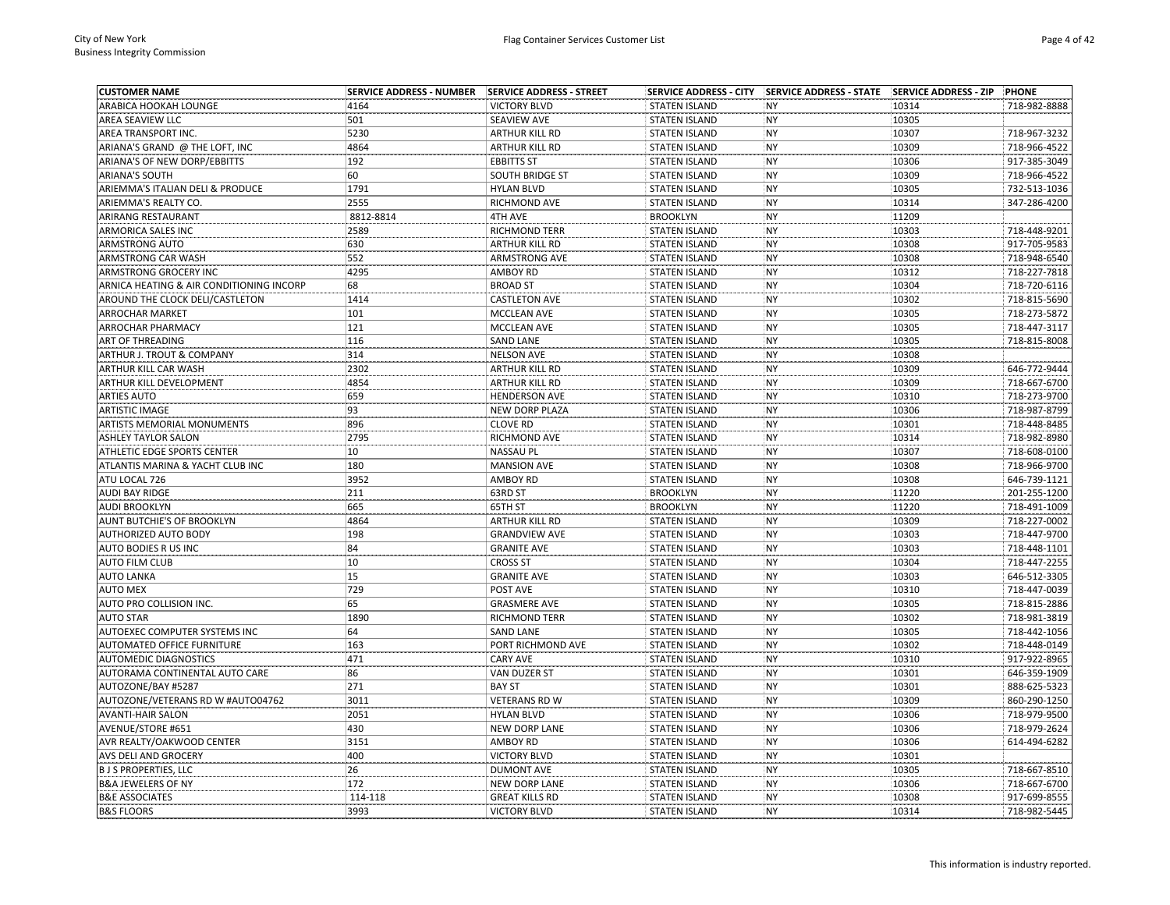| <b>CUSTOMER NAME</b>                     | <b>SERVICE ADDRESS - NUMBER</b> | <b>SERVICE ADDRESS - STREET</b> | <b>SERVICE ADDRESS - CITY</b> | SERVICE ADDRESS - STATE SERVICE ADDRESS - ZIP |       | <b>PHONE</b> |
|------------------------------------------|---------------------------------|---------------------------------|-------------------------------|-----------------------------------------------|-------|--------------|
| ARABICA HOOKAH LOUNGE                    | 4164                            | <b>VICTORY BLVD</b>             | <b>STATEN ISLAND</b>          | <b>NY</b>                                     | 10314 | 718-982-8888 |
| AREA SEAVIEW LLC                         | 501                             | SEAVIEW AVE                     | <b>STATEN ISLAND</b>          | <b>NY</b>                                     | 10305 |              |
| AREA TRANSPORT INC.                      | 5230                            | <b>ARTHUR KILL RD</b>           | <b>STATEN ISLAND</b>          | <b>NY</b>                                     | 10307 | 718-967-3232 |
| ARIANA'S GRAND @ THE LOFT, INC           | 4864                            | <b>ARTHUR KILL RD</b>           | <b>STATEN ISLAND</b>          | <b>NY</b>                                     | 10309 | 718-966-4522 |
| ARIANA'S OF NEW DORP/EBBITTS             | 192                             | <b>EBBITTS ST</b>               | <b>STATEN ISLAND</b>          | <b>NY</b>                                     | 10306 | 917-385-3049 |
| <b>ARIANA'S SOUTH</b>                    | 60                              | <b>SOUTH BRIDGE ST</b>          | <b>STATEN ISLAND</b>          | <b>NY</b>                                     | 10309 | 718-966-4522 |
| ARIEMMA'S ITALIAN DELI & PRODUCE         | 1791                            | <b>HYLAN BLVD</b>               | <b>STATEN ISLAND</b>          | <b>NY</b>                                     | 10305 | 732-513-1036 |
| ARIEMMA'S REALTY CO.                     | 2555                            | RICHMOND AVE                    | <b>STATEN ISLAND</b>          | <b>NY</b>                                     | 10314 | 347-286-4200 |
| ARIRANG RESTAURANT                       | 8812-8814                       | 4TH AVE                         | <b>BROOKLYN</b>               | <b>NY</b>                                     | 11209 |              |
| ARMORICA SALES INC                       | 2589                            | RICHMOND TERR                   | <b>STATEN ISLAND</b>          | <b>NY</b>                                     | 10303 | 718-448-9201 |
| <b>ARMSTRONG AUTO</b>                    | 630                             | <b>ARTHUR KILL RD</b>           | <b>STATEN ISLAND</b>          | <b>NY</b>                                     | 10308 | 917-705-9583 |
| ARMSTRONG CAR WASH                       | 552                             | <b>ARMSTRONG AVE</b>            | <b>STATEN ISLAND</b>          | <b>NY</b>                                     | 10308 | 718-948-6540 |
| ARMSTRONG GROCERY INC                    | 4295                            | <b>AMBOY RD</b>                 | <b>STATEN ISLAND</b>          | <b>NY</b>                                     | 10312 | 718-227-7818 |
| ARNICA HEATING & AIR CONDITIONING INCORP | 68                              | <b>BROAD ST</b>                 | <b>STATEN ISLAND</b>          | <b>NY</b>                                     | 10304 | 718-720-6116 |
| AROUND THE CLOCK DELI/CASTLETON          | 1414                            | <b>CASTLETON AVE</b>            | <b>STATEN ISLAND</b>          | <b>NY</b>                                     | 10302 | 718-815-5690 |
| <b>ARROCHAR MARKET</b>                   | 101                             | <b>MCCLEAN AVE</b>              | <b>STATEN ISLAND</b>          | <b>NY</b>                                     | 10305 | 718-273-5872 |
| <b>ARROCHAR PHARMACY</b>                 | 121                             | MCCLEAN AVE                     | <b>STATEN ISLAND</b>          | <b>NY</b>                                     | 10305 | 718-447-3117 |
| ART OF THREADING                         | 116                             | <b>SAND LANE</b>                | <b>STATEN ISLAND</b>          | <b>NY</b>                                     | 10305 | 718-815-8008 |
| ARTHUR J. TROUT & COMPANY                | 314                             | <b>NELSON AVE</b>               | <b>STATEN ISLAND</b>          | <b>NY</b>                                     | 10308 |              |
| ARTHUR KILL CAR WASH                     | 2302                            | <b>ARTHUR KILL RD</b>           | <b>STATEN ISLAND</b>          | <b>NY</b>                                     | 10309 | 646-772-9444 |
| ARTHUR KILL DEVELOPMENT                  | 4854                            | <b>ARTHUR KILL RD</b>           | <b>STATEN ISLAND</b>          | <b>NY</b>                                     | 10309 | 718-667-6700 |
| <b>ARTIES AUTO</b>                       | 659                             | <b>HENDERSON AVE</b>            | <b>STATEN ISLAND</b>          | <b>NY</b>                                     | 10310 | 718-273-9700 |
| <b>ARTISTIC IMAGE</b>                    | 93                              | NEW DORP PLAZA                  | <b>STATEN ISLAND</b>          | <b>NY</b>                                     | 10306 | 718-987-8799 |
| ARTISTS MEMORIAL MONUMENTS               | 896                             | <b>CLOVE RD</b>                 | <b>STATEN ISLAND</b>          | <b>NY</b>                                     | 10301 | 718-448-8485 |
| <b>ASHLEY TAYLOR SALON</b>               | 2795                            | RICHMOND AVE                    | <b>STATEN ISLAND</b>          | <b>NY</b>                                     | 10314 | 718-982-8980 |
| ATHLETIC EDGE SPORTS CENTER              | 10                              | <b>NASSAU PL</b>                | <b>STATEN ISLAND</b>          | <b>NY</b>                                     | 10307 | 718-608-0100 |
| ATLANTIS MARINA & YACHT CLUB INC         | 180                             | <b>MANSION AVE</b>              | <b>STATEN ISLAND</b>          | <b>NY</b>                                     | 10308 | 718-966-9700 |
| ATU LOCAL 726                            | 3952                            | AMBOY RD                        | <b>STATEN ISLAND</b>          | <b>NY</b>                                     | 10308 | 646-739-1121 |
| AUDI BAY RIDGE                           | 211                             | 63RD ST                         | <b>BROOKLYN</b>               | <b>NY</b>                                     | 11220 | 201-255-1200 |
| <b>AUDI BROOKLYN</b>                     | 665                             | 65TH ST                         | <b>BROOKLYN</b>               | <b>NY</b>                                     | 11220 | 718-491-1009 |
| AUNT BUTCHIE'S OF BROOKLYN               | 4864                            | <b>ARTHUR KILL RD</b>           | <b>STATEN ISLAND</b>          | <b>NY</b>                                     | 10309 | 718-227-0002 |
| <b>AUTHORIZED AUTO BODY</b>              | 198                             | <b>GRANDVIEW AVE</b>            | <b>STATEN ISLAND</b>          | <b>NY</b>                                     | 10303 | 718-447-9700 |
| AUTO BODIES R US INC                     | 84                              | <b>GRANITE AVE</b>              | <b>STATEN ISLAND</b>          | <b>NY</b>                                     | 10303 | 718-448-1101 |
| AUTO FILM CLUB                           | 10                              | <b>CROSS ST</b>                 | <b>STATEN ISLAND</b>          | <b>NY</b>                                     | 10304 | 718-447-2255 |
| <b>AUTO LANKA</b>                        | 15                              | <b>GRANITE AVE</b>              | <b>STATEN ISLAND</b>          | <b>NY</b>                                     | 10303 | 646-512-3305 |
| <b>AUTO MEX</b>                          | 729                             | POST AVE                        | <b>STATEN ISLAND</b>          | <b>NY</b>                                     | 10310 | 718-447-0039 |
| AUTO PRO COLLISION INC.                  | 65                              | <b>GRASMERE AVE</b>             | <b>STATEN ISLAND</b>          | <b>NY</b>                                     | 10305 | 718-815-2886 |
| <b>AUTO STAR</b>                         | 1890                            | RICHMOND TERR                   | <b>STATEN ISLAND</b>          | <b>NY</b>                                     | 10302 | 718-981-3819 |
| AUTOEXEC COMPUTER SYSTEMS INC            | 64                              | <b>SAND LANE</b>                | <b>STATEN ISLAND</b>          | <b>NY</b>                                     | 10305 | 718-442-1056 |
| AUTOMATED OFFICE FURNITURE               | 163                             | PORT RICHMOND AVE               | <b>STATEN ISLAND</b>          | <b>NY</b>                                     | 10302 | 718-448-0149 |
| AUTOMEDIC DIAGNOSTICS                    | 471                             | <b>CARY AVE</b>                 | <b>STATEN ISLAND</b>          | <b>NY</b>                                     | 10310 | 917-922-8965 |
| AUTORAMA CONTINENTAL AUTO CARE           | 86                              | <b>VAN DUZER ST</b>             | <b>STATEN ISLAND</b>          | <b>NY</b>                                     | 10301 | 646-359-1909 |
| AUTOZONE/BAY #5287                       | 271                             | <b>BAY ST</b>                   | <b>STATEN ISLAND</b>          | <b>NY</b>                                     | 10301 | 888-625-5323 |
| AUTOZONE/VETERANS RD W #AUTO04762        | 3011                            | <b>VETERANS RD W</b>            | <b>STATEN ISLAND</b>          | <b>NY</b>                                     | 10309 | 860-290-1250 |
| <b>AVANTI-HAIR SALON</b>                 | 2051                            | <b>HYLAN BLVD</b>               | <b>STATEN ISLAND</b>          | <b>NY</b>                                     | 10306 | 718-979-9500 |
| AVENUE/STORE #651                        | 430                             | <b>NEW DORP LANE</b>            | <b>STATEN ISLAND</b>          | <b>NY</b>                                     | 10306 | 718-979-2624 |
| AVR REALTY/OAKWOOD CENTER                | 3151                            | <b>AMBOY RD</b>                 | <b>STATEN ISLAND</b>          | <b>NY</b>                                     | 10306 | 614-494-6282 |
| AVS DELI AND GROCERY                     | 400                             | <b>VICTORY BLVD</b>             | <b>STATEN ISLAND</b>          | <b>NY</b>                                     | 10301 |              |
| <b>B J S PROPERTIES, LLC</b>             | 26                              | <b>DUMONT AVE</b>               | <b>STATEN ISLAND</b>          | <b>NY</b>                                     | 10305 | 718-667-8510 |
| <b>B&amp;A JEWELERS OF NY</b>            | 172                             | <b>NEW DORP LANE</b>            | <b>STATEN ISLAND</b>          | <b>NY</b>                                     | 10306 | 718-667-6700 |
| <b>B&amp;E ASSOCIATES</b>                | 114-118                         | <b>GREAT KILLS RD</b>           | <b>STATEN ISLAND</b>          | <b>NY</b>                                     | 10308 | 917-699-8555 |
| <b>B&amp;S FLOORS</b>                    | 3993                            | <b>VICTORY BLVD</b>             | <b>STATEN ISLAND</b>          | <b>NY</b>                                     | 10314 | 718-982-5445 |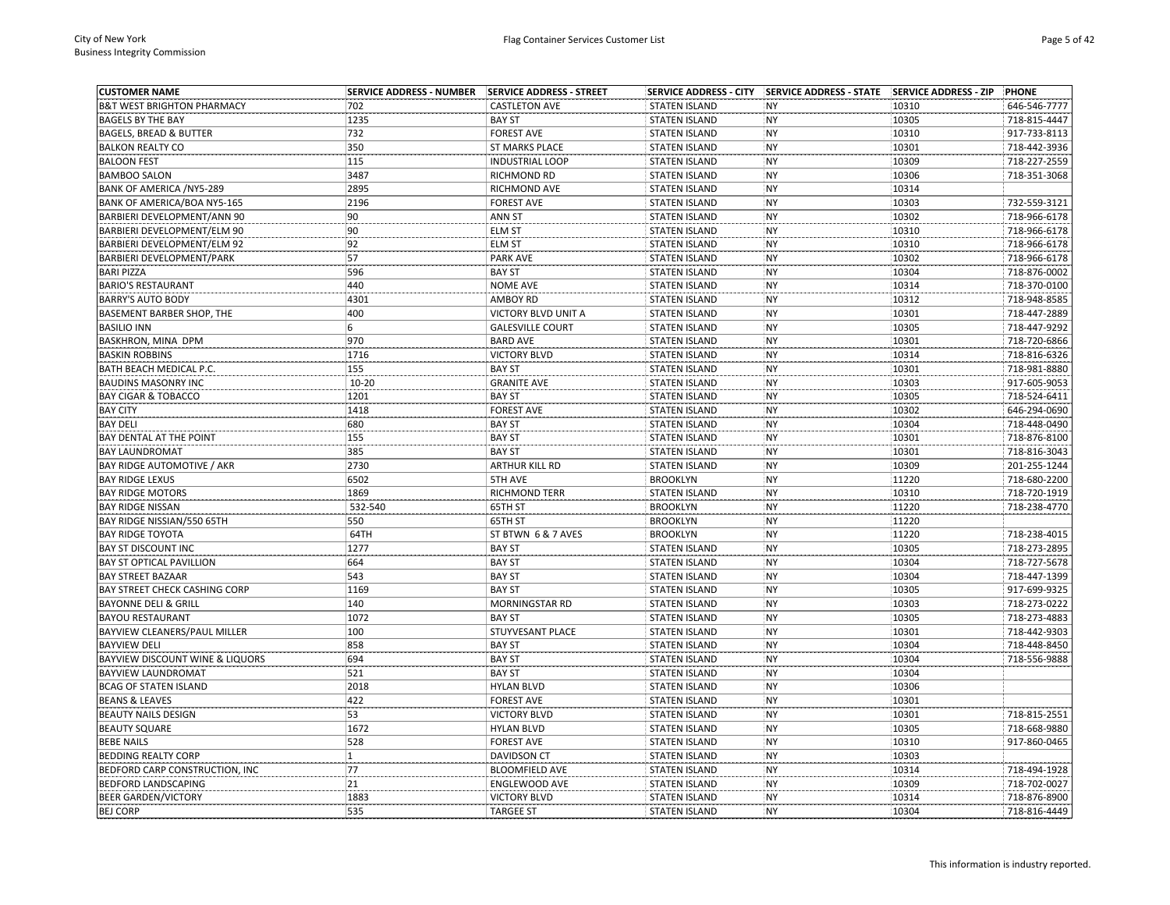| <b>CUSTOMER NAME</b>                       | <b>SERVICE ADDRESS - NUMBER</b> | <b>SERVICE ADDRESS - STREET</b> |                      |           |       | <b>PHONE</b> |
|--------------------------------------------|---------------------------------|---------------------------------|----------------------|-----------|-------|--------------|
| <b>B&amp;T WEST BRIGHTON PHARMACY</b>      | 702                             | <b>CASTLETON AVE</b>            | <b>STATEN ISLAND</b> | <b>NY</b> | 10310 | 646-546-7777 |
| <b>BAGELS BY THE BAY</b>                   | 1235                            | <b>BAY ST</b>                   | <b>STATEN ISLAND</b> | <b>NY</b> | 10305 | 718-815-4447 |
| <b>BAGELS, BREAD &amp; BUTTER</b>          | 732                             | <b>FOREST AVE</b>               | <b>STATEN ISLAND</b> | <b>NY</b> | 10310 | 917-733-8113 |
| <b>BALKON REALTY CO</b>                    | 350                             | <b>ST MARKS PLACE</b>           | <b>STATEN ISLAND</b> | <b>NY</b> | 10301 | 718-442-3936 |
| <b>BALOON FEST</b>                         | 115                             | <b>INDUSTRIAL LOOP</b>          | <b>STATEN ISLAND</b> | <b>NY</b> | 10309 | 718-227-2559 |
| <b>BAMBOO SALON</b>                        | 3487                            | RICHMOND RD                     | <b>STATEN ISLAND</b> | <b>NY</b> | 10306 | 718-351-3068 |
| BANK OF AMERICA /NY5-289                   | 2895                            | RICHMOND AVE                    | <b>STATEN ISLAND</b> | <b>NY</b> | 10314 |              |
| BANK OF AMERICA/BOA NY5-165                | 2196                            | <b>FOREST AVE</b>               | <b>STATEN ISLAND</b> | <b>NY</b> | 10303 | 732-559-3121 |
| BARBIERI DEVELOPMENT/ANN 90                | 90                              | ANN ST                          | <b>STATEN ISLAND</b> | <b>NY</b> | 10302 | 718-966-6178 |
| BARBIERI DEVELOPMENT/ELM 90                | 90                              | <b>ELM ST</b>                   | <b>STATEN ISLAND</b> | <b>NY</b> | 10310 | 718-966-6178 |
| BARBIERI DEVELOPMENT/ELM 92                | 92                              | <b>ELM ST</b>                   | <b>STATEN ISLAND</b> | <b>NY</b> | 10310 | 718-966-6178 |
| BARBIERI DEVELOPMENT/PARK                  | 57                              | <b>PARK AVE</b>                 | <b>STATEN ISLAND</b> | <b>NY</b> | 10302 | 718-966-6178 |
| <b>BARI PIZZA</b>                          | 596                             | <b>BAY ST</b>                   | <b>STATEN ISLAND</b> | <b>NY</b> | 10304 | 718-876-0002 |
| <b>BARIO'S RESTAURANT</b>                  | 440                             | <b>NOME AVE</b>                 | <b>STATEN ISLAND</b> | <b>NY</b> | 10314 | 718-370-0100 |
| <b>BARRY'S AUTO BODY</b>                   | 4301                            | <b>AMBOY RD</b>                 | <b>STATEN ISLAND</b> | <b>NY</b> | 10312 | 718-948-8585 |
| BASEMENT BARBER SHOP, THE                  | 400                             | VICTORY BLVD UNIT A             | <b>STATEN ISLAND</b> | <b>NY</b> | 10301 | 718-447-2889 |
| <b>BASILIO INN</b>                         | 6                               | <b>GALESVILLE COURT</b>         | <b>STATEN ISLAND</b> | <b>NY</b> | 10305 | 718-447-9292 |
| BASKHRON, MINA DPM                         | 970                             | <b>BARD AVE</b>                 | <b>STATEN ISLAND</b> | <b>NY</b> | 10301 | 718-720-6866 |
| <b>BASKIN ROBBINS</b>                      | 1716                            | <b>VICTORY BLVD</b>             | <b>STATEN ISLAND</b> | <b>NY</b> | 10314 | 718-816-6326 |
| BATH BEACH MEDICAL P.C.                    | 155                             | <b>BAY ST</b>                   | <b>STATEN ISLAND</b> | <b>NY</b> | 10301 | 718-981-8880 |
| <b>BAUDINS MASONRY INC</b>                 | $10 - 20$                       | <b>GRANITE AVE</b>              | <b>STATEN ISLAND</b> | <b>NY</b> | 10303 | 917-605-9053 |
| <b>BAY CIGAR &amp; TOBACCO</b>             | 1201                            | <b>BAY ST</b>                   | <b>STATEN ISLAND</b> | <b>NY</b> | 10305 | 718-524-6411 |
| <b>BAY CITY</b>                            | 1418                            | <b>FOREST AVE</b>               | <b>STATEN ISLAND</b> | <b>NY</b> | 10302 | 646-294-0690 |
| <b>BAY DELI</b>                            | 680                             | <b>BAY ST</b>                   | <b>STATEN ISLAND</b> | <b>NY</b> | 10304 | 718-448-0490 |
| BAY DENTAL AT THE POINT                    | 155                             | <b>BAY ST</b>                   | <b>STATEN ISLAND</b> | <b>NY</b> | 10301 | 718-876-8100 |
| <b>BAY LAUNDROMAT</b>                      | 385                             | <b>BAY ST</b>                   | <b>STATEN ISLAND</b> | <b>NY</b> | 10301 | 718-816-3043 |
| BAY RIDGE AUTOMOTIVE / AKR                 | 2730                            | <b>ARTHUR KILL RD</b>           | <b>STATEN ISLAND</b> | <b>NY</b> | 10309 | 201-255-1244 |
| <b>BAY RIDGE LEXUS</b>                     | 6502                            | 5TH AVE                         | <b>BROOKLYN</b>      | <b>NY</b> | 11220 | 718-680-2200 |
| <b>BAY RIDGE MOTORS</b>                    | 1869                            | RICHMOND TERR                   | <b>STATEN ISLAND</b> | <b>NY</b> | 10310 | 718-720-1919 |
| <b>BAY RIDGE NISSAN</b>                    | 532-540                         | 65TH ST                         | <b>BROOKLYN</b>      | <b>NY</b> | 11220 | 718-238-4770 |
| BAY RIDGE NISSIAN/550 65TH                 | 550                             | 65TH ST                         | <b>BROOKLYN</b>      | <b>NY</b> | 11220 |              |
| <b>BAY RIDGE TOYOTA</b>                    | 64TH                            | ST BTWN 6 & 7 AVES              | <b>BROOKLYN</b>      | <b>NY</b> | 11220 | 718-238-4015 |
| <b>BAY ST DISCOUNT INC</b>                 | 1277                            | <b>BAY ST</b>                   | <b>STATEN ISLAND</b> | <b>NY</b> | 10305 | 718-273-2895 |
| <b>BAY ST OPTICAL PAVILLION</b>            | 664                             | <b>BAY ST</b>                   | <b>STATEN ISLAND</b> | <b>NY</b> | 10304 | 718-727-5678 |
| <b>BAY STREET BAZAAR</b>                   | 543                             | <b>BAY ST</b>                   | <b>STATEN ISLAND</b> | <b>NY</b> | 10304 | 718-447-1399 |
| BAY STREET CHECK CASHING CORP              | 1169                            | <b>BAY ST</b>                   | <b>STATEN ISLAND</b> | <b>NY</b> | 10305 | 917-699-9325 |
| <b>BAYONNE DELI &amp; GRILL</b>            | 140                             | <b>MORNINGSTAR RD</b>           | <b>STATEN ISLAND</b> | <b>NY</b> | 10303 | 718-273-0222 |
| <b>BAYOU RESTAURANT</b>                    | 1072                            | <b>BAY ST</b>                   | <b>STATEN ISLAND</b> | <b>NY</b> | 10305 | 718-273-4883 |
| BAYVIEW CLEANERS/PAUL MILLER               | 100                             | STUYVESANT PLACE                | <b>STATEN ISLAND</b> | <b>NY</b> | 10301 | 718-442-9303 |
| <b>BAYVIEW DELI</b>                        | 858                             | <b>BAY ST</b>                   | <b>STATEN ISLAND</b> | <b>NY</b> | 10304 | 718-448-8450 |
| <b>BAYVIEW DISCOUNT WINE &amp; LIQUORS</b> | 694                             | <b>BAY ST</b>                   | <b>STATEN ISLAND</b> | <b>NY</b> | 10304 | 718-556-9888 |
| <b>BAYVIEW LAUNDROMAT</b>                  | 521                             | <b>BAY ST</b>                   | <b>STATEN ISLAND</b> | <b>NY</b> | 10304 |              |
| <b>BCAG OF STATEN ISLAND</b>               | 2018                            | <b>HYLAN BLVD</b>               | <b>STATEN ISLAND</b> | <b>NY</b> | 10306 |              |
| <b>BEANS &amp; LEAVES</b>                  | 422                             | <b>FOREST AVE</b>               | <b>STATEN ISLAND</b> | <b>NY</b> | 10301 |              |
| <b>BEAUTY NAILS DESIGN</b>                 | 53                              | <b>VICTORY BLVD</b>             | <b>STATEN ISLAND</b> | <b>NY</b> | 10301 | 718-815-2551 |
| <b>BEAUTY SQUARE</b>                       | 1672                            | <b>HYLAN BLVD</b>               | <b>STATEN ISLAND</b> | <b>NY</b> | 10305 | 718-668-9880 |
| <b>BEBE NAILS</b>                          | 528                             | <b>FOREST AVE</b>               | <b>STATEN ISLAND</b> | <b>NY</b> | 10310 | 917-860-0465 |
| <b>BEDDING REALTY CORP</b>                 | $\mathbf{1}$                    | DAVIDSON CT                     | <b>STATEN ISLAND</b> | <b>NY</b> | 10303 |              |
| BEDFORD CARP CONSTRUCTION, INC             | 77                              | <b>BLOOMFIELD AVE</b>           | <b>STATEN ISLAND</b> | <b>NY</b> | 10314 | 718-494-1928 |
| <b>BEDFORD LANDSCAPING</b>                 | 21                              | ENGLEWOOD AVE                   | <b>STATEN ISLAND</b> | <b>NY</b> | 10309 | 718-702-0027 |
| <b>BEER GARDEN/VICTORY</b>                 | 1883                            | <b>VICTORY BLVD</b>             | <b>STATEN ISLAND</b> | <b>NY</b> | 10314 | 718-876-8900 |
| <b>BEJ CORP</b>                            | 535                             | <b>TARGEE ST</b>                | <b>STATEN ISLAND</b> | <b>NY</b> | 10304 | 718-816-4449 |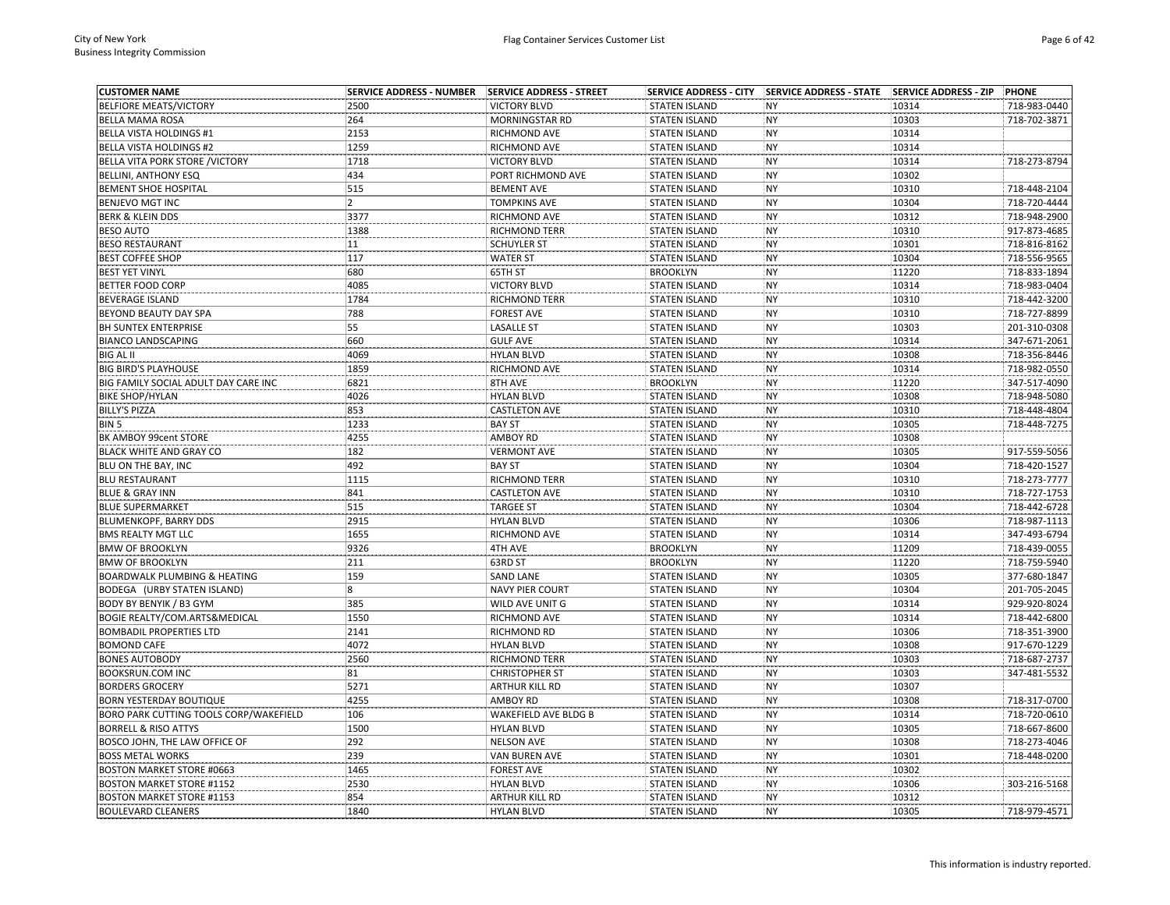| <b>CUSTOMER NAME</b>                          | <b>SERVICE ADDRESS - NUMBER</b> | <b>SERVICE ADDRESS - STREET</b> |                      |           |       | <b>PHONE</b> |
|-----------------------------------------------|---------------------------------|---------------------------------|----------------------|-----------|-------|--------------|
| <b>BELFIORE MEATS/VICTORY</b>                 | 2500                            | <b>VICTORY BLVD</b>             | <b>STATEN ISLAND</b> | <b>NY</b> | 10314 | 718-983-0440 |
| <b>BELLA MAMA ROSA</b>                        | 264                             | MORNINGSTAR RD                  | <b>STATEN ISLAND</b> | <b>NY</b> | 10303 | 718-702-3871 |
| <b>BELLA VISTA HOLDINGS #1</b>                | 2153                            | RICHMOND AVE                    | <b>STATEN ISLAND</b> | <b>NY</b> | 10314 |              |
| <b>BELLA VISTA HOLDINGS #2</b>                | 1259                            | <b>RICHMOND AVE</b>             | <b>STATEN ISLAND</b> | <b>NY</b> | 10314 |              |
| BELLA VITA PORK STORE / VICTORY               | 1718                            | <b>VICTORY BLVD</b>             | <b>STATEN ISLAND</b> | <b>NY</b> | 10314 | 718-273-8794 |
| <b>BELLINI, ANTHONY ESQ</b>                   | 434                             | PORT RICHMOND AVE               | <b>STATEN ISLAND</b> | <b>NY</b> | 10302 |              |
| <b>BEMENT SHOE HOSPITAL</b>                   | 515                             | <b>BEMENT AVE</b>               | <b>STATEN ISLAND</b> | <b>NY</b> | 10310 | 718-448-2104 |
| <b>BENJEVO MGT INC</b>                        | 2                               | <b>TOMPKINS AVE</b>             | <b>STATEN ISLAND</b> | <b>NY</b> | 10304 | 718-720-4444 |
| <b>BERK &amp; KLEIN DDS</b>                   | 3377                            | RICHMOND AVE                    | <b>STATEN ISLAND</b> | <b>NY</b> | 10312 | 718-948-2900 |
| <b>BESO AUTO</b>                              | 1388                            | RICHMOND TERR                   | <b>STATEN ISLAND</b> | <b>NY</b> | 10310 | 917-873-4685 |
| <b>BESO RESTAURANT</b>                        | 11                              | <b>SCHUYLER ST</b>              | <b>STATEN ISLAND</b> | <b>NY</b> | 10301 | 718-816-8162 |
| <b>BEST COFFEE SHOP</b>                       | 117                             | <b>WATER ST</b>                 | <b>STATEN ISLAND</b> | <b>NY</b> | 10304 | 718-556-9565 |
| <b>BEST YET VINYL</b>                         | 680                             | 65TH ST                         | <b>BROOKLYN</b>      | <b>NY</b> | 11220 | 718-833-1894 |
| <b>BETTER FOOD CORP</b>                       | 4085                            | <b>VICTORY BLVD</b>             | <b>STATEN ISLAND</b> | NY        | 10314 | 718-983-0404 |
| <b>BEVERAGE ISLAND</b>                        | 1784                            | <b>RICHMOND TERR</b>            | <b>STATEN ISLAND</b> | <b>NY</b> | 10310 | 718-442-3200 |
| <b>BEYOND BEAUTY DAY SPA</b>                  | 788                             | <b>FOREST AVE</b>               | <b>STATEN ISLAND</b> | <b>NY</b> | 10310 | 718-727-8899 |
| <b>BH SUNTEX ENTERPRISE</b>                   | 55                              | <b>LASALLE ST</b>               | <b>STATEN ISLAND</b> | <b>NY</b> | 10303 | 201-310-0308 |
| <b>BIANCO LANDSCAPING</b>                     | 660                             | <b>GULF AVE</b>                 | <b>STATEN ISLAND</b> | <b>NY</b> | 10314 | 347-671-2061 |
| <b>BIG AL II</b>                              | 4069                            | <b>HYLAN BLVD</b>               | <b>STATEN ISLAND</b> | <b>NY</b> | 10308 | 718-356-8446 |
| <b>BIG BIRD'S PLAYHOUSE</b>                   | 1859                            | RICHMOND AVE                    | <b>STATEN ISLAND</b> | <b>NY</b> | 10314 | 718-982-0550 |
| BIG FAMILY SOCIAL ADULT DAY CARE INC          | 6821                            | 8TH AVE                         | <b>BROOKLYN</b>      | <b>NY</b> | 11220 | 347-517-4090 |
| <b>BIKE SHOP/HYLAN</b>                        | 4026                            | <b>HYLAN BLVD</b>               | <b>STATEN ISLAND</b> | <b>NY</b> | 10308 | 718-948-5080 |
| <b>BILLY'S PIZZA</b>                          | 853                             | <b>CASTLETON AVE</b>            | <b>STATEN ISLAND</b> | <b>NY</b> | 10310 | 718-448-4804 |
| BIN <sub>5</sub>                              | 1233                            | <b>BAY ST</b>                   | <b>STATEN ISLAND</b> | <b>NY</b> | 10305 | 718-448-7275 |
| BK AMBOY 99cent STORE                         | 4255                            | AMBOY RD                        | <b>STATEN ISLAND</b> | <b>NY</b> | 10308 |              |
| BLACK WHITE AND GRAY CO                       | 182                             | <b>VERMONT AVE</b>              | <b>STATEN ISLAND</b> | <b>NY</b> | 10305 | 917-559-5056 |
| BLU ON THE BAY, INC                           | 492                             | <b>BAY ST</b>                   | <b>STATEN ISLAND</b> | <b>NY</b> | 10304 | 718-420-1527 |
| <b>BLU RESTAURANT</b>                         | 1115                            | <b>RICHMOND TERR</b>            | <b>STATEN ISLAND</b> | <b>NY</b> | 10310 | 718-273-7777 |
| <b>BLUE &amp; GRAY INN</b>                    | 841                             | <b>CASTLETON AVE</b>            | <b>STATEN ISLAND</b> | <b>NY</b> | 10310 | 718-727-1753 |
| <b>BLUE SUPERMARKET</b>                       | 515                             | <b>TARGEE ST</b>                | <b>STATEN ISLAND</b> | <b>NY</b> | 10304 | 718-442-6728 |
| <b>BLUMENKOPF, BARRY DDS</b>                  | 2915                            | <b>HYLAN BLVD</b>               | <b>STATEN ISLAND</b> | <b>NY</b> | 10306 | 718-987-1113 |
| <b>BMS REALTY MGT LLC</b>                     | 1655                            | RICHMOND AVE                    | <b>STATEN ISLAND</b> | <b>NY</b> | 10314 | 347-493-6794 |
| <b>BMW OF BROOKLYN</b>                        | 9326                            | 4TH AVE                         | <b>BROOKLYN</b>      | <b>NY</b> | 11209 | 718-439-0055 |
| <b>BMW OF BROOKLYN</b>                        | 211                             | 63RD ST                         | <b>BROOKLYN</b>      | <b>NY</b> | 11220 | 718-759-5940 |
| <b>BOARDWALK PLUMBING &amp; HEATING</b>       | 159                             | <b>SAND LANE</b>                | <b>STATEN ISLAND</b> | <b>NY</b> | 10305 | 377-680-1847 |
| BODEGA (URBY STATEN ISLAND)                   | $\overline{\mathbf{8}}$         | <b>NAVY PIER COURT</b>          | <b>STATEN ISLAND</b> | <b>NY</b> | 10304 | 201-705-2045 |
| BODY BY BENYIK / B3 GYM                       | 385                             | WILD AVE UNIT G                 | <b>STATEN ISLAND</b> | <b>NY</b> | 10314 | 929-920-8024 |
| BOGIE REALTY/COM.ARTS&MEDICAL                 | 1550                            | RICHMOND AVE                    | STATEN ISLAND        | <b>NY</b> | 10314 | 718-442-6800 |
| <b>BOMBADIL PROPERTIES LTD</b>                | 2141                            | RICHMOND RD                     | <b>STATEN ISLAND</b> | <b>NY</b> | 10306 | 718-351-3900 |
| <b>BOMOND CAFE</b>                            | 4072                            | <b>HYLAN BLVD</b>               | <b>STATEN ISLAND</b> | <b>NY</b> | 10308 | 917-670-1229 |
| <b>BONES AUTOBODY</b>                         | 2560                            | <b>RICHMOND TERR</b>            | <b>STATEN ISLAND</b> | <b>NY</b> | 10303 | 718-687-2737 |
| <b>BOOKSRUN.COM INC</b>                       | 81                              | <b>CHRISTOPHER ST</b>           | <b>STATEN ISLAND</b> | <b>NY</b> | 10303 | 347-481-5532 |
| <b>BORDERS GROCERY</b>                        | 5271                            | <b>ARTHUR KILL RD</b>           | <b>STATEN ISLAND</b> | <b>NY</b> | 10307 |              |
| <b>BORN YESTERDAY BOUTIQUE</b>                | 4255                            | <b>AMBOY RD</b>                 | <b>STATEN ISLAND</b> | <b>NY</b> | 10308 | 718-317-0700 |
| <b>BORO PARK CUTTING TOOLS CORP/WAKEFIELD</b> | 106                             | WAKEFIELD AVE BLDG B            | <b>STATEN ISLAND</b> | <b>NY</b> | 10314 | 718-720-0610 |
| <b>BORRELL &amp; RISO ATTYS</b>               | 1500                            | <b>HYLAN BLVD</b>               | <b>STATEN ISLAND</b> | <b>NY</b> | 10305 | 718-667-8600 |
| BOSCO JOHN, THE LAW OFFICE OF                 | 292                             | <b>NELSON AVE</b>               | <b>STATEN ISLAND</b> | <b>NY</b> | 10308 | 718-273-4046 |
| <b>BOSS METAL WORKS</b>                       | 239                             | VAN BUREN AVE                   | <b>STATEN ISLAND</b> | <b>NY</b> | 10301 | 718-448-0200 |
| <b>BOSTON MARKET STORE #0663</b>              | 1465                            | <b>FOREST AVE</b>               | <b>STATEN ISLAND</b> | <b>NY</b> | 10302 |              |
| <b>BOSTON MARKET STORE #1152</b>              | 2530                            | <b>HYLAN BLVD</b>               | <b>STATEN ISLAND</b> | <b>NY</b> | 10306 | 303-216-5168 |
| <b>BOSTON MARKET STORE #1153</b>              | 854                             | <b>ARTHUR KILL RD</b>           | <b>STATEN ISLAND</b> | <b>NY</b> | 10312 |              |
| <b>BOULEVARD CLEANERS</b>                     | 1840                            | <b>HYLAN BLVD</b>               | <b>STATEN ISLAND</b> | <b>NY</b> | 10305 | 718-979-4571 |
|                                               |                                 |                                 |                      |           |       |              |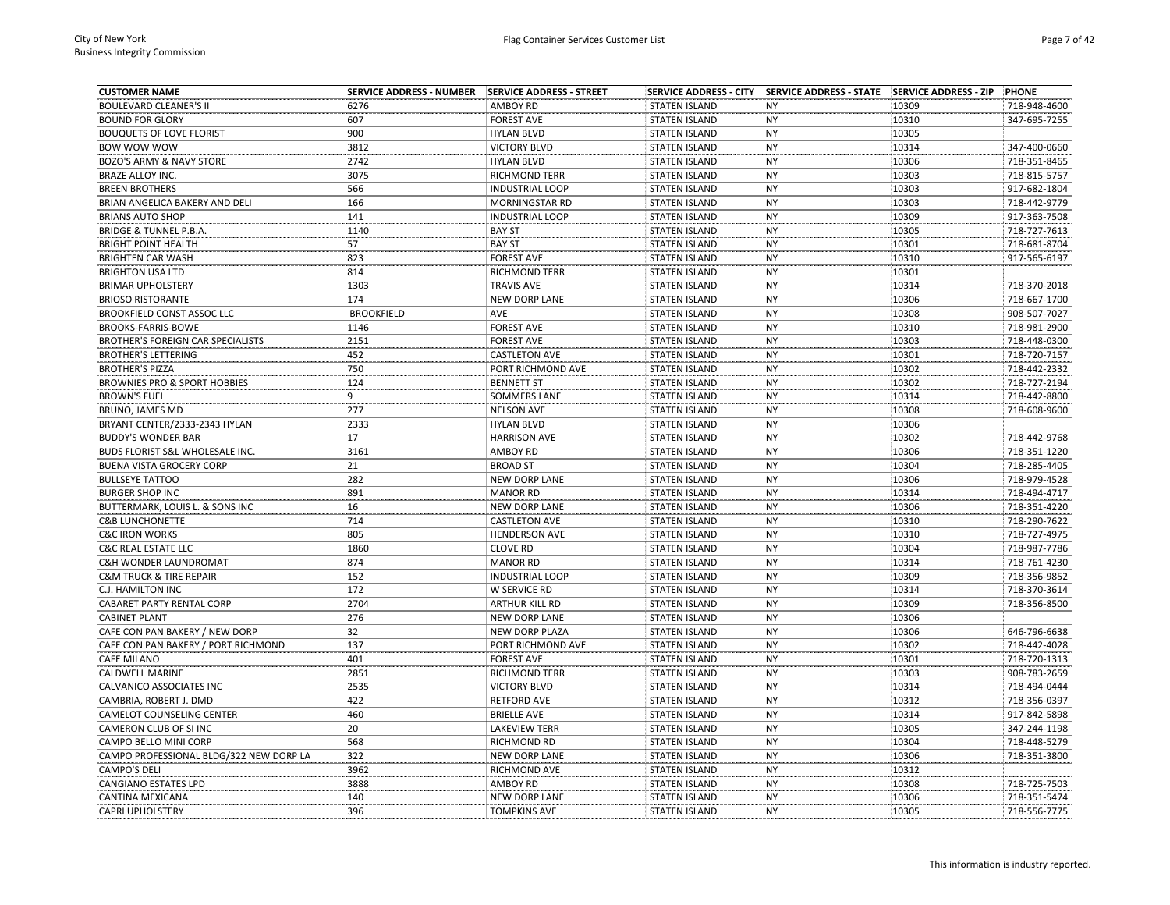| <b>CUSTOMER NAME</b>                               | <b>SERVICE ADDRESS - NUMBER</b> | SERVICE ADDRESS - STREET        |                                              |           |       | <b>PHONE</b>                 |
|----------------------------------------------------|---------------------------------|---------------------------------|----------------------------------------------|-----------|-------|------------------------------|
| <b>BOULEVARD CLEANER'S II</b>                      | 6276                            | <b>AMBOY RD</b>                 | <b>STATEN ISLAND</b>                         | <b>NY</b> | 10309 | 718-948-4600                 |
| <b>BOUND FOR GLORY</b>                             | 607                             | <b>FOREST AVE</b>               | <b>STATEN ISLAND</b>                         | <b>NY</b> | 10310 | 347-695-7255                 |
| <b>BOUQUETS OF LOVE FLORIST</b>                    | 900                             | <b>HYLAN BLVD</b>               | <b>STATEN ISLAND</b>                         | <b>NY</b> | 10305 |                              |
| <b>BOW WOW WOW</b>                                 | 3812                            | <b>VICTORY BLVD</b>             | <b>STATEN ISLAND</b>                         | <b>NY</b> | 10314 | 347-400-0660                 |
| BOZO'S ARMY & NAVY STORE                           | 2742                            | <b>HYLAN BLVD</b>               | <b>STATEN ISLAND</b>                         | NY        | 10306 | 718-351-8465                 |
| <b>BRAZE ALLOY INC.</b>                            | 3075                            | RICHMOND TERR                   | <b>STATEN ISLAND</b>                         | <b>NY</b> | 10303 | 718-815-5757                 |
| <b>BREEN BROTHERS</b>                              | 566                             | <b>INDUSTRIAL LOOP</b>          | <b>STATEN ISLAND</b>                         | <b>NY</b> | 10303 | 917-682-1804                 |
| BRIAN ANGELICA BAKERY AND DELI                     | 166                             | MORNINGSTAR RD                  | <b>STATEN ISLAND</b>                         | <b>NY</b> | 10303 | 718-442-9779                 |
| <b>BRIANS AUTO SHOP</b>                            | 141                             | <b>INDUSTRIAL LOOP</b>          | <b>STATEN ISLAND</b>                         | <b>NY</b> | 10309 | 917-363-7508                 |
| <b>BRIDGE &amp; TUNNEL P.B.A.</b>                  | 1140                            | <b>BAY ST</b>                   | <b>STATEN ISLAND</b>                         | <b>NY</b> | 10305 | 718-727-7613                 |
| <b>BRIGHT POINT HEALTH</b>                         | 57                              | <b>BAY ST</b>                   | <b>STATEN ISLAND</b>                         | <b>NY</b> | 10301 | 718-681-8704                 |
| <b>BRIGHTEN CAR WASH</b>                           | 823                             | <b>FOREST AVE</b>               | <b>STATEN ISLAND</b>                         | <b>NY</b> | 10310 | 917-565-6197                 |
| <b>BRIGHTON USA LTD</b>                            | 814                             | <b>RICHMOND TERR</b>            | <b>STATEN ISLAND</b>                         | <b>NY</b> | 10301 |                              |
| <b>BRIMAR UPHOLSTERY</b>                           | 1303                            | <b>TRAVIS AVE</b>               | <b>STATEN ISLAND</b>                         | NY        | 10314 | 718-370-2018                 |
| <b>BRIOSO RISTORANTE</b>                           | 174                             | <b>NEW DORP LANE</b>            | <b>STATEN ISLAND</b>                         | <b>NY</b> | 10306 | 718-667-1700                 |
| <b>BROOKFIELD CONST ASSOC LLC</b>                  | <b>BROOKFIELD</b>               | AVE                             | <b>STATEN ISLAND</b>                         | <b>NY</b> | 10308 | 908-507-7027                 |
| BROOKS-FARRIS-BOWE                                 | 1146                            | <b>FOREST AVE</b>               | <b>STATEN ISLAND</b>                         | <b>NY</b> | 10310 | 718-981-2900                 |
| <b>BROTHER'S FOREIGN CAR SPECIALISTS</b>           | 2151                            | <b>FOREST AVE</b>               | <b>STATEN ISLAND</b>                         | NY        | 10303 | 718-448-0300                 |
| <b>BROTHER'S LETTERING</b>                         | 452                             | <b>CASTLETON AVE</b>            | <b>STATEN ISLAND</b>                         | <b>NY</b> | 10301 | 718-720-7157                 |
| <b>BROTHER'S PIZZA</b>                             | 750                             | PORT RICHMOND AVE               | <b>STATEN ISLAND</b>                         | <b>NY</b> | 10302 | 718-442-2332                 |
| <b>BROWNIES PRO &amp; SPORT HOBBIES</b>            | 124                             | <b>BENNETT ST</b>               | <b>STATEN ISLAND</b>                         | <b>NY</b> | 10302 | 718-727-2194                 |
| <b>BROWN'S FUEL</b>                                | 9                               | <b>SOMMERS LANE</b>             | <b>STATEN ISLAND</b>                         | <b>NY</b> | 10314 | 718-442-8800                 |
| <b>BRUNO, JAMES MD</b>                             | 277                             | <b>NELSON AVE</b>               | <b>STATEN ISLAND</b>                         | <b>NY</b> | 10308 | 718-608-9600                 |
| BRYANT CENTER/2333-2343 HYLAN                      | 2333                            | <b>HYLAN BLVD</b>               | <b>STATEN ISLAND</b>                         | <b>NY</b> | 10306 |                              |
| <b>BUDDY'S WONDER BAR</b>                          | 17                              | <b>HARRISON AVE</b>             | <b>STATEN ISLAND</b>                         | NY        | 10302 | 718-442-9768                 |
| BUDS FLORIST S&L WHOLESALE INC.                    | 3161                            | <b>AMBOY RD</b>                 | <b>STATEN ISLAND</b>                         | <b>NY</b> | 10306 | 718-351-1220                 |
| <b>BUENA VISTA GROCERY CORP</b>                    | 21                              | <b>BROAD ST</b>                 | <b>STATEN ISLAND</b>                         | <b>NY</b> | 10304 | 718-285-4405                 |
| <b>BULLSEYE TATTOO</b>                             | 282                             | <b>NEW DORP LANE</b>            | <b>STATEN ISLAND</b>                         | <b>NY</b> | 10306 | 718-979-4528                 |
| <b>BURGER SHOP INC</b>                             | 891                             | <b>MANOR RD</b>                 | <b>STATEN ISLAND</b>                         | <b>NY</b> | 10314 | 718-494-4717                 |
| BUTTERMARK, LOUIS L. & SONS INC                    | 16                              | <b>NEW DORP LANE</b>            | <b>STATEN ISLAND</b>                         | NY        | 10306 | 718-351-4220                 |
| <b>C&amp;B LUNCHONETTE</b>                         | 714                             | <b>CASTLETON AVE</b>            | <b>STATEN ISLAND</b>                         | <b>NY</b> | 10310 | 718-290-7622                 |
| <b>C&amp;C IRON WORKS</b>                          | 805                             | <b>HENDERSON AVE</b>            | <b>STATEN ISLAND</b>                         | <b>NY</b> | 10310 | 718-727-4975                 |
| <b>C&amp;C REAL ESTATE LLC</b>                     | 1860                            | <b>CLOVE RD</b>                 | <b>STATEN ISLAND</b>                         | <b>NY</b> | 10304 | 718-987-7786                 |
| C&H WONDER LAUNDROMAT                              | 874                             | <b>MANOR RD</b>                 | <b>STATEN ISLAND</b>                         | <b>NY</b> | 10314 | 718-761-4230                 |
| <b>C&amp;M TRUCK &amp; TIRE REPAIR</b>             | 152                             | <b>INDUSTRIAL LOOP</b>          | <b>STATEN ISLAND</b>                         | <b>NY</b> | 10309 | 718-356-9852                 |
| <b>C.J. HAMILTON INC</b>                           | 172                             | W SERVICE RD                    | <b>STATEN ISLAND</b>                         | NY        | 10314 | 718-370-3614                 |
| <b>CABARET PARTY RENTAL CORP</b>                   | 2704                            | <b>ARTHUR KILL RD</b>           | <b>STATEN ISLAND</b>                         | NY        | 10309 | 718-356-8500                 |
| <b>CABINET PLANT</b>                               | 276                             | <b>NEW DORP LANE</b>            | <b>STATEN ISLAND</b>                         | <b>NY</b> | 10306 |                              |
| CAFE CON PAN BAKERY / NEW DORP                     | 32                              | <b>NEW DORP PLAZA</b>           | <b>STATEN ISLAND</b>                         | <b>NY</b> | 10306 | 646-796-6638                 |
| CAFE CON PAN BAKERY / PORT RICHMOND                | 137                             | PORT RICHMOND AVE               | <b>STATEN ISLAND</b>                         | <b>NY</b> | 10302 | 718-442-4028                 |
| <b>CAFE MILANO</b>                                 | 401                             | <b>FOREST AVE</b>               | <b>STATEN ISLAND</b>                         | <b>NY</b> | 10301 | 718-720-1313                 |
| <b>CALDWELL MARINE</b>                             | 2851                            | <b>RICHMOND TERR</b>            | <b>STATEN ISLAND</b>                         | NY        | 10303 | 908-783-2659                 |
| CALVANICO ASSOCIATES INC                           | 2535                            | <b>VICTORY BLVD</b>             | <b>STATEN ISLAND</b>                         | NY        | 10314 | 718-494-0444                 |
| CAMBRIA, ROBERT J. DMD                             | 422                             | <b>RETFORD AVE</b>              | <b>STATEN ISLAND</b>                         | <b>NY</b> | 10312 | 718-356-0397                 |
| <b>CAMELOT COUNSELING CENTER</b>                   | 460                             | <b>BRIELLE AVE</b>              | <b>STATEN ISLAND</b>                         | <b>NY</b> | 10314 | 917-842-5898                 |
| CAMERON CLUB OF SI INC                             | 20                              | <b>LAKEVIEW TERR</b>            | <b>STATEN ISLAND</b>                         | <b>NY</b> | 10305 | 347-244-1198                 |
| CAMPO BELLO MINI CORP                              | 568                             | <b>RICHMOND RD</b>              | <b>STATEN ISLAND</b>                         | <b>NY</b> | 10304 | 718-448-5279                 |
| CAMPO PROFESSIONAL BLDG/322 NEW DORP LA            | 322                             | <b>NEW DORP LANE</b>            | <b>STATEN ISLAND</b>                         | <b>NY</b> | 10306 | 718-351-3800                 |
|                                                    | 3962                            |                                 |                                              | <b>NY</b> | 10312 |                              |
| <b>CAMPO'S DELI</b><br><b>CANGIANO ESTATES LPD</b> | 3888                            | RICHMOND AVE<br><b>AMBOY RD</b> | <b>STATEN ISLAND</b>                         | <b>NY</b> | 10308 |                              |
| CANTINA MEXICANA                                   | 140                             | <b>NEW DORP LANE</b>            | <b>STATEN ISLAND</b><br><b>STATEN ISLAND</b> | <b>NY</b> | 10306 | 718-725-7503<br>718-351-5474 |
| <b>CAPRI UPHOLSTERY</b>                            | 396                             | <b>TOMPKINS AVE</b>             | <b>STATEN ISLAND</b>                         | <b>NY</b> | 10305 | 718-556-7775                 |
|                                                    |                                 |                                 |                                              |           |       |                              |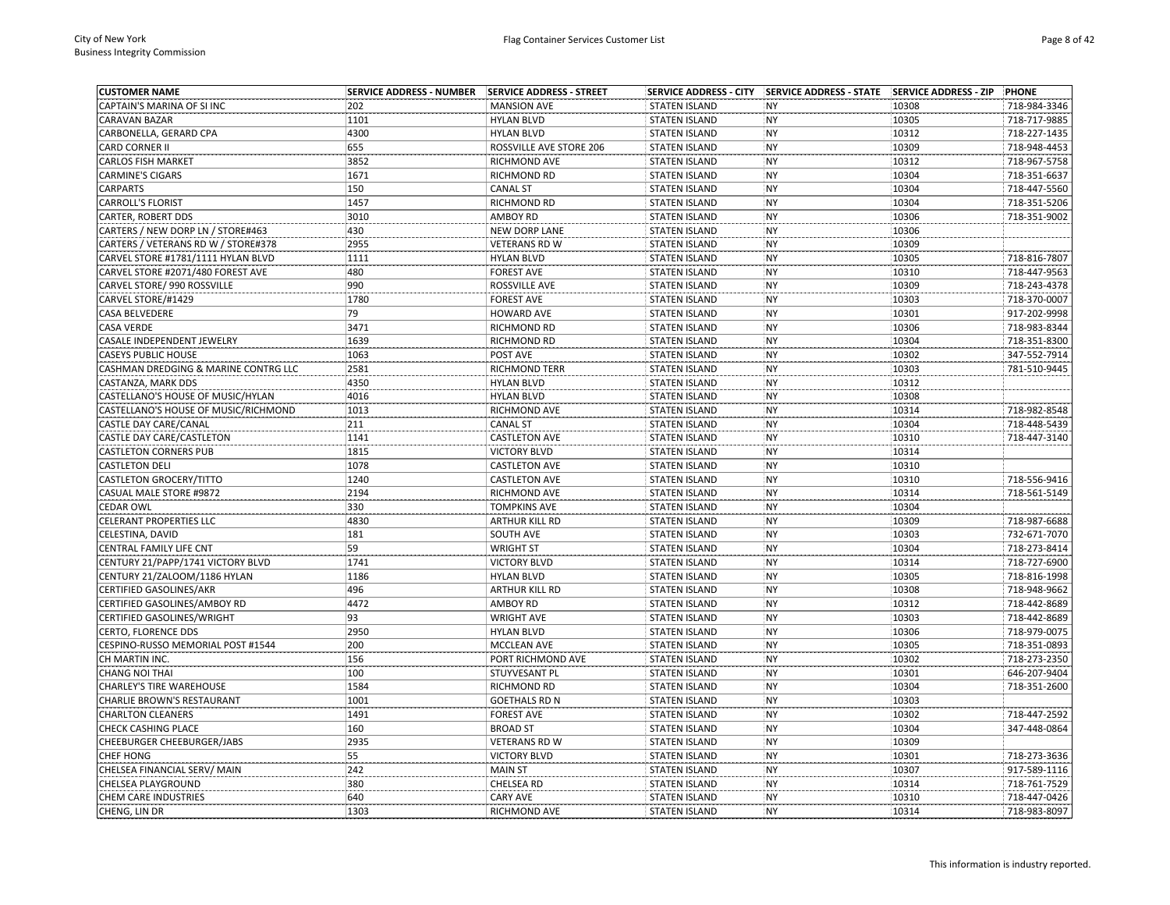| <b>CUSTOMER NAME</b>                 | <b>SERVICE ADDRESS - NUMBER</b> | SERVICE ADDRESS - STREET |                      | SERVICE ADDRESS - CITY SERVICE ADDRESS - STATE SERVICE ADDRESS - ZIP |       | PHONE        |
|--------------------------------------|---------------------------------|--------------------------|----------------------|----------------------------------------------------------------------|-------|--------------|
| CAPTAIN'S MARINA OF SI INC           | 202                             | <b>MANSION AVE</b>       | <b>STATEN ISLAND</b> | <b>NY</b>                                                            | 10308 | 718-984-3346 |
| CARAVAN BAZAR                        | 1101                            | <b>HYLAN BLVD</b>        | <b>STATEN ISLAND</b> | <b>NY</b>                                                            | 10305 | 718-717-9885 |
| CARBONELLA, GERARD CPA               | 4300                            | <b>HYLAN BLVD</b>        | <b>STATEN ISLAND</b> | <b>NY</b>                                                            | 10312 | 718-227-1435 |
| CARD CORNER II                       | 655                             | ROSSVILLE AVE STORE 206  | <b>STATEN ISLAND</b> | <b>NY</b>                                                            | 10309 | 718-948-4453 |
| CARLOS FISH MARKET                   | 3852                            | RICHMOND AVE             | <b>STATEN ISLAND</b> | <b>NY</b>                                                            | 10312 | 718-967-5758 |
| <b>CARMINE'S CIGARS</b>              | 1671                            | RICHMOND RD              | <b>STATEN ISLAND</b> | <b>NY</b>                                                            | 10304 | 718-351-6637 |
| <b>CARPARTS</b>                      | 150                             | <b>CANAL ST</b>          | <b>STATEN ISLAND</b> | <b>NY</b>                                                            | 10304 | 718-447-5560 |
| CARROLL'S FLORIST                    | 1457                            | RICHMOND RD              | <b>STATEN ISLAND</b> | <b>NY</b>                                                            | 10304 | 718-351-5206 |
| CARTER, ROBERT DDS                   | 3010                            | <b>AMBOY RD</b>          | <b>STATEN ISLAND</b> | <b>NY</b>                                                            | 10306 | 718-351-9002 |
| CARTERS / NEW DORP LN / STORE#463    | 430                             | NEW DORP LANE            | <b>STATEN ISLAND</b> | <b>NY</b>                                                            | 10306 |              |
| CARTERS / VETERANS RD W / STORE#378  | 2955                            | <b>VETERANS RD W</b>     | <b>STATEN ISLAND</b> | <b>NY</b>                                                            | 10309 |              |
| CARVEL STORE #1781/1111 HYLAN BLVD   | 1111                            | <b>HYLAN BLVD</b>        | <b>STATEN ISLAND</b> | <b>NY</b>                                                            | 10305 | 718-816-7807 |
| CARVEL STORE #2071/480 FOREST AVE    | 480                             | <b>FOREST AVE</b>        | <b>STATEN ISLAND</b> | <b>NY</b>                                                            | 10310 | 718-447-9563 |
| CARVEL STORE/ 990 ROSSVILLE          | 990                             | ROSSVILLE AVE            | <b>STATEN ISLAND</b> | NY                                                                   | 10309 | 718-243-4378 |
| CARVEL STORE/#1429                   | 1780                            | <b>FOREST AVE</b>        | <b>STATEN ISLAND</b> | <b>NY</b>                                                            | 10303 | 718-370-0007 |
| CASA BELVEDERE                       | 79                              | HOWARD AVE               | <b>STATEN ISLAND</b> | <b>NY</b>                                                            | 10301 | 917-202-9998 |
| <b>CASA VERDE</b>                    | 3471                            | RICHMOND RD              | <b>STATEN ISLAND</b> | <b>NY</b>                                                            | 10306 | 718-983-8344 |
| CASALE INDEPENDENT JEWELRY           | 1639                            | RICHMOND RD              | <b>STATEN ISLAND</b> | <b>NY</b>                                                            | 10304 | 718-351-8300 |
| CASEYS PUBLIC HOUSE                  | 1063                            | POST AVE                 | <b>STATEN ISLAND</b> | <b>NY</b>                                                            | 10302 | 347-552-7914 |
| CASHMAN DREDGING & MARINE CONTRG LLC | 2581                            | RICHMOND TERR            | <b>STATEN ISLAND</b> | <b>NY</b>                                                            | 10303 | 781-510-9445 |
| CASTANZA, MARK DDS                   | 4350                            | <b>HYLAN BLVD</b>        | <b>STATEN ISLAND</b> | <b>NY</b>                                                            | 10312 |              |
| CASTELLANO'S HOUSE OF MUSIC/HYLAN    | 4016                            | <b>HYLAN BLVD</b>        | <b>STATEN ISLAND</b> | <b>NY</b>                                                            | 10308 |              |
| CASTELLANO'S HOUSE OF MUSIC/RICHMOND | 1013                            | RICHMOND AVE             | <b>STATEN ISLAND</b> | <b>NY</b>                                                            | 10314 | 718-982-8548 |
| CASTLE DAY CARE/CANAL                | 211                             | <b>CANAL ST</b>          | <b>STATEN ISLAND</b> | <b>NY</b>                                                            | 10304 | 718-448-5439 |
| CASTLE DAY CARE/CASTLETON            | 1141                            | <b>CASTLETON AVE</b>     | <b>STATEN ISLAND</b> | NY                                                                   | 10310 | 718-447-3140 |
| <b>CASTLETON CORNERS PUB</b>         | 1815                            | <b>VICTORY BLVD</b>      | <b>STATEN ISLAND</b> | <b>NY</b>                                                            | 10314 |              |
| <b>CASTLETON DELI</b>                | 1078                            | <b>CASTLETON AVE</b>     | <b>STATEN ISLAND</b> | <b>NY</b>                                                            | 10310 |              |
| CASTLETON GROCERY/TITTO              | 1240                            | <b>CASTLETON AVE</b>     | <b>STATEN ISLAND</b> | <b>NY</b>                                                            | 10310 | 718-556-9416 |
| CASUAL MALE STORE #9872              | 2194                            | RICHMOND AVE             | <b>STATEN ISLAND</b> | <b>NY</b>                                                            | 10314 | 718-561-5149 |
| <b>CEDAR OWL</b>                     | 330                             | <b>TOMPKINS AVE</b>      | <b>STATEN ISLAND</b> | <b>NY</b>                                                            | 10304 |              |
| CELERANT PROPERTIES LLC              | 4830                            | ARTHUR KILL RD           | <b>STATEN ISLAND</b> | <b>NY</b>                                                            | 10309 | 718-987-6688 |
| CELESTINA, DAVID                     | 181                             | SOUTH AVE                | <b>STATEN ISLAND</b> | <b>NY</b>                                                            | 10303 | 732-671-7070 |
| CENTRAL FAMILY LIFE CNT              | 59                              | <b>WRIGHT ST</b>         | <b>STATEN ISLAND</b> | <b>NY</b>                                                            | 10304 | 718-273-8414 |
| CENTURY 21/PAPP/1741 VICTORY BLVD    | 1741                            | <b>VICTORY BLVD</b>      | <b>STATEN ISLAND</b> | <b>NY</b>                                                            | 10314 | 718-727-6900 |
| CENTURY 21/ZALOOM/1186 HYLAN         | 1186                            | <b>HYLAN BLVD</b>        | <b>STATEN ISLAND</b> | <b>NY</b>                                                            | 10305 | 718-816-1998 |
| CERTIFIED GASOLINES/AKR              | 496                             | <b>ARTHUR KILL RD</b>    | <b>STATEN ISLAND</b> | <b>NY</b>                                                            | 10308 | 718-948-9662 |
| CERTIFIED GASOLINES/AMBOY RD         | 4472                            | <b>AMBOY RD</b>          | <b>STATEN ISLAND</b> | <b>NY</b>                                                            | 10312 | 718-442-8689 |
| CERTIFIED GASOLINES/WRIGHT           | 93                              | <b>WRIGHT AVE</b>        | <b>STATEN ISLAND</b> | <b>NY</b>                                                            | 10303 | 718-442-8689 |
| CERTO, FLORENCE DDS                  | 2950                            | <b>HYLAN BLVD</b>        | <b>STATEN ISLAND</b> | <b>NY</b>                                                            | 10306 | 718-979-0075 |
| CESPINO-RUSSO MEMORIAL POST #1544    | 200                             | <b>MCCLEAN AVE</b>       | <b>STATEN ISLAND</b> | <b>NY</b>                                                            | 10305 | 718-351-0893 |
| CH MARTIN INC.                       | 156                             | PORT RICHMOND AVE        | <b>STATEN ISLAND</b> | <b>NY</b>                                                            | 10302 | 718-273-2350 |
| <b>CHANG NOI THAI</b>                | 100                             | STUYVESANT PL            | <b>STATEN ISLAND</b> | <b>NY</b>                                                            | 10301 | 646-207-9404 |
| <b>CHARLEY'S TIRE WAREHOUSE</b>      | 1584                            | RICHMOND RD              | <b>STATEN ISLAND</b> | <b>NY</b>                                                            | 10304 | 718-351-2600 |
| CHARLIE BROWN'S RESTAURANT           | 1001                            | <b>GOETHALS RD N</b>     | <b>STATEN ISLAND</b> | NY                                                                   | 10303 |              |
| <b>CHARLTON CLEANERS</b>             | 1491                            | <b>FOREST AVE</b>        | <b>STATEN ISLAND</b> | <b>NY</b>                                                            | 10302 | 718-447-2592 |
| CHECK CASHING PLACE                  | 160                             | <b>BROAD ST</b>          | <b>STATEN ISLAND</b> | <b>NY</b>                                                            | 10304 | 347-448-0864 |
| CHEEBURGER CHEEBURGER/JABS           | 2935                            | <b>VETERANS RD W</b>     | <b>STATEN ISLAND</b> | <b>NY</b>                                                            | 10309 |              |
| <b>CHEF HONG</b>                     | 55                              | <b>VICTORY BLVD</b>      | <b>STATEN ISLAND</b> | <b>NY</b>                                                            | 10301 | 718-273-3636 |
| CHELSEA FINANCIAL SERV/ MAIN         | 242                             | <b>MAIN ST</b>           | <b>STATEN ISLAND</b> | <b>NY</b>                                                            | 10307 | 917-589-1116 |
| CHELSEA PLAYGROUND                   | 380                             | CHELSEA RD               | <b>STATEN ISLAND</b> | <b>NY</b>                                                            | 10314 | 718-761-7529 |
| <b>CHEM CARE INDUSTRIES</b>          | 640                             | <b>CARY AVE</b>          | <b>STATEN ISLAND</b> | <b>NY</b>                                                            | 10310 | 718-447-0426 |
| CHENG. LIN DR                        | 1303                            | RICHMOND AVE             | <b>STATEN ISLAND</b> | <b>NY</b>                                                            | 10314 | 718-983-8097 |
|                                      |                                 |                          |                      |                                                                      |       |              |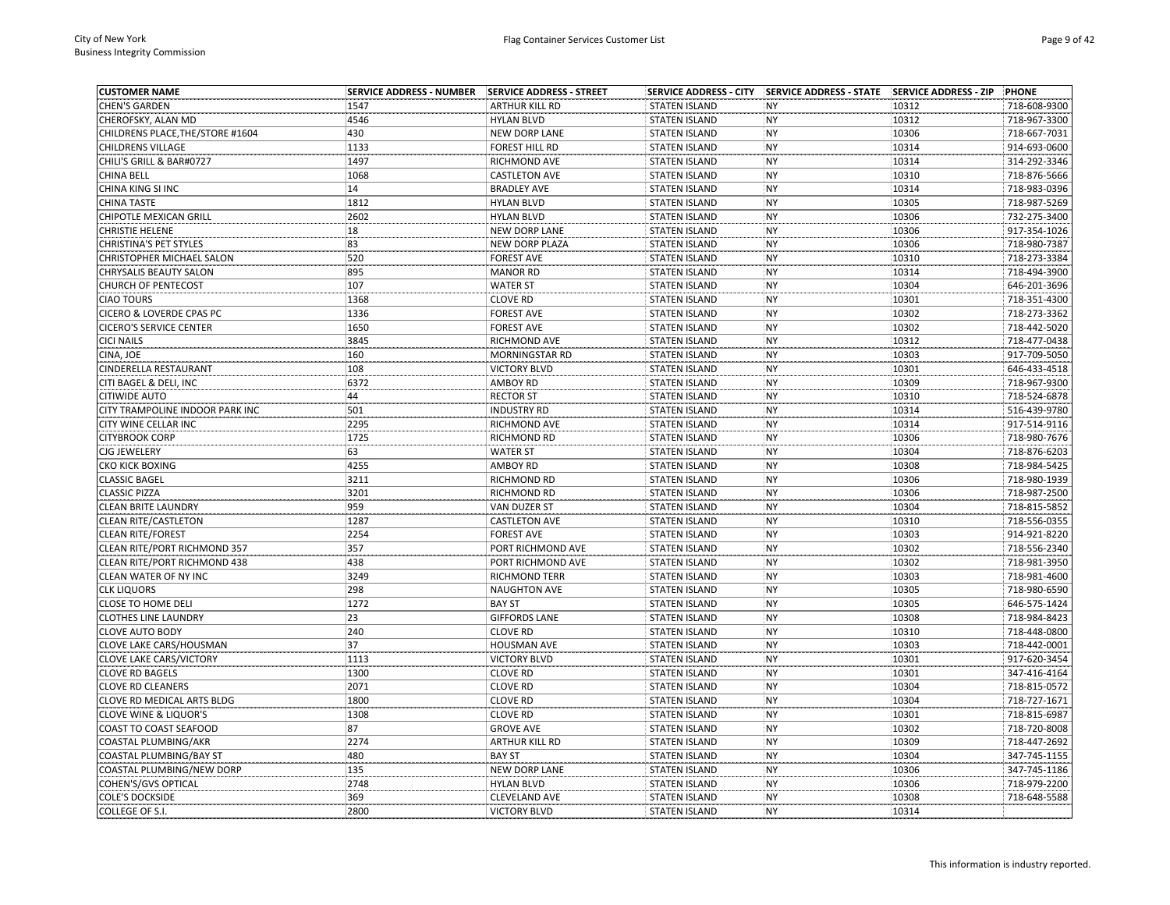| <b>CUSTOMER NAME</b>             | <b>SERVICE ADDRESS - NUMBER</b> | SERVICE ADDRESS - STREET | <b>SERVICE ADDRESS - CITY</b> | SERVICE ADDRESS - STATE SERVICE ADDRESS - ZIP |       | PHONE        |
|----------------------------------|---------------------------------|--------------------------|-------------------------------|-----------------------------------------------|-------|--------------|
| <b>CHEN'S GARDEN</b>             | 1547                            | <b>ARTHUR KILL RD</b>    | <b>STATEN ISLAND</b>          | <b>NY</b>                                     | 10312 | 718-608-9300 |
| CHEROFSKY, ALAN MD               | 4546                            | <b>HYLAN BLVD</b>        | <b>STATEN ISLAND</b>          | <b>NY</b>                                     | 10312 | 718-967-3300 |
| CHILDRENS PLACE, THE/STORE #1604 | 430                             | <b>NEW DORP LANE</b>     | <b>STATEN ISLAND</b>          | <b>NY</b>                                     | 10306 | 718-667-7031 |
| CHILDRENS VILLAGE                | 1133                            | FOREST HILL RD           | <b>STATEN ISLAND</b>          | <b>NY</b>                                     | 10314 | 914-693-0600 |
| CHILI'S GRILL & BAR#0727         | 1497                            | RICHMOND AVE             | <b>STATEN ISLAND</b>          | NY                                            | 10314 | 314-292-3346 |
| CHINA BELL                       | 1068                            | <b>CASTLETON AVE</b>     | <b>STATEN ISLAND</b>          | <b>NY</b>                                     | 10310 | 718-876-5666 |
| CHINA KING SI INC                | 14                              | <b>BRADLEY AVE</b>       | <b>STATEN ISLAND</b>          | <b>NY</b>                                     | 10314 | 718-983-0396 |
| <b>CHINA TASTE</b>               | 1812                            | <b>HYLAN BLVD</b>        | <b>STATEN ISLAND</b>          | <b>NY</b>                                     | 10305 | 718-987-5269 |
| CHIPOTLE MEXICAN GRILL           | 2602                            | <b>HYLAN BLVD</b>        | <b>STATEN ISLAND</b>          | <b>NY</b>                                     | 10306 | 732-275-3400 |
| <b>CHRISTIE HELENE</b>           | 18                              | <b>NEW DORP LANE</b>     | <b>STATEN ISLAND</b>          | <b>NY</b>                                     | 10306 | 917-354-1026 |
| CHRISTINA'S PET STYLES           | 83                              | <b>NEW DORP PLAZA</b>    | <b>STATEN ISLAND</b>          | <b>NY</b>                                     | 10306 | 718-980-7387 |
| <b>CHRISTOPHER MICHAEL SALON</b> | 520                             | <b>FOREST AVE</b>        | <b>STATEN ISLAND</b>          | <b>NY</b>                                     | 10310 | 718-273-3384 |
| CHRYSALIS BEAUTY SALON           | 895                             | <b>MANOR RD</b>          | <b>STATEN ISLAND</b>          | <b>NY</b>                                     | 10314 | 718-494-3900 |
| <b>CHURCH OF PENTECOST</b>       | 107                             | <b>WATER ST</b>          | <b>STATEN ISLAND</b>          | <b>NY</b>                                     | 10304 | 646-201-3696 |
| <b>CIAO TOURS</b>                | 1368                            | <b>CLOVE RD</b>          | <b>STATEN ISLAND</b>          | <b>NY</b>                                     | 10301 | 718-351-4300 |
| CICERO & LOVERDE CPAS PC         | 1336                            | <b>FOREST AVE</b>        | <b>STATEN ISLAND</b>          | <b>NY</b>                                     | 10302 | 718-273-3362 |
| <b>CICERO'S SERVICE CENTER</b>   | 1650                            | <b>FOREST AVE</b>        | <b>STATEN ISLAND</b>          | <b>NY</b>                                     | 10302 | 718-442-5020 |
| <b>CICI NAILS</b>                | 3845                            | RICHMOND AVE             | <b>STATEN ISLAND</b>          | <b>NY</b>                                     | 10312 | 718-477-0438 |
| CINA, JOE                        | 160                             | <b>MORNINGSTAR RD</b>    | <b>STATEN ISLAND</b>          | <b>NY</b>                                     | 10303 | 917-709-5050 |
| CINDERELLA RESTAURANT            | 108                             | <b>VICTORY BLVD</b>      | <b>STATEN ISLAND</b>          | <b>NY</b>                                     | 10301 | 646-433-4518 |
| CITI BAGEL & DELI, INC           | 6372                            | AMBOY RD                 | <b>STATEN ISLAND</b>          | <b>NY</b>                                     | 10309 | 718-967-9300 |
| CITIWIDE AUTO                    | 44                              | <b>RECTOR ST</b>         | <b>STATEN ISLAND</b>          | <b>NY</b>                                     | 10310 | 718-524-6878 |
|                                  |                                 |                          |                               |                                               |       |              |
| CITY TRAMPOLINE INDOOR PARK INC  | 501                             | <b>INDUSTRY RD</b>       | <b>STATEN ISLAND</b>          | <b>NY</b>                                     | 10314 | 516-439-9780 |
| CITY WINE CELLAR INC             | 2295                            | RICHMOND AVE             | <b>STATEN ISLAND</b>          | <b>NY</b>                                     | 10314 | 917-514-9116 |
| <b>CITYBROOK CORP</b>            | 1725                            | RICHMOND RD              | <b>STATEN ISLAND</b>          | <b>NY</b>                                     | 10306 | 718-980-7676 |
| CJG JEWELERY                     | 63                              | <b>WATER ST</b>          | <b>STATEN ISLAND</b>          | NY                                            | 10304 | 718-876-6203 |
| CKO KICK BOXING                  | 4255                            | <b>AMBOY RD</b>          | <b>STATEN ISLAND</b>          | <b>NY</b>                                     | 10308 | 718-984-5425 |
| <b>CLASSIC BAGEL</b>             | 3211                            | RICHMOND RD              | <b>STATEN ISLAND</b>          | <b>NY</b>                                     | 10306 | 718-980-1939 |
| <b>CLASSIC PIZZA</b>             | 3201                            | RICHMOND RD              | <b>STATEN ISLAND</b>          | <b>NY</b>                                     | 10306 | 718-987-2500 |
| <b>CLEAN BRITE LAUNDRY</b>       | 959                             | VAN DUZER ST             | <b>STATEN ISLAND</b>          | <b>NY</b>                                     | 10304 | 718-815-5852 |
| <b>CLEAN RITE/CASTLETON</b>      | 1287                            | <b>CASTLETON AVE</b>     | <b>STATEN ISLAND</b>          | <b>NY</b>                                     | 10310 | 718-556-0355 |
| <b>CLEAN RITE/FOREST</b>         | 2254                            | <b>FOREST AVE</b>        | <b>STATEN ISLAND</b>          | NY                                            | 10303 | 914-921-8220 |
| CLEAN RITE/PORT RICHMOND 357     | 357                             | PORT RICHMOND AVE        | <b>STATEN ISLAND</b>          | <b>NY</b>                                     | 10302 | 718-556-2340 |
| CLEAN RITE/PORT RICHMOND 438     | 438                             | PORT RICHMOND AVE        | <b>STATEN ISLAND</b>          | <b>NY</b>                                     | 10302 | 718-981-3950 |
| CLEAN WATER OF NY INC            | 3249                            | RICHMOND TERR            | <b>STATEN ISLAND</b>          | <b>NY</b>                                     | 10303 | 718-981-4600 |
| <b>CLK LIQUORS</b>               | 298                             | <b>NAUGHTON AVE</b>      | <b>STATEN ISLAND</b>          | <b>NY</b>                                     | 10305 | 718-980-6590 |
| CLOSE TO HOME DELI               | 1272                            | <b>BAY ST</b>            | <b>STATEN ISLAND</b>          | <b>NY</b>                                     | 10305 | 646-575-1424 |
| <b>CLOTHES LINE LAUNDRY</b>      | 23                              | <b>GIFFORDS LANE</b>     | <b>STATEN ISLAND</b>          | <b>NY</b>                                     | 10308 | 718-984-8423 |
| <b>CLOVE AUTO BODY</b>           | 240                             | <b>CLOVE RD</b>          | <b>STATEN ISLAND</b>          | <b>NY</b>                                     | 10310 | 718-448-0800 |
| CLOVE LAKE CARS/HOUSMAN          | 37                              | <b>HOUSMAN AVE</b>       | <b>STATEN ISLAND</b>          | <b>NY</b>                                     | 10303 | 718-442-0001 |
| <b>CLOVE LAKE CARS/VICTORY</b>   | 1113                            | <b>VICTORY BLVD</b>      | <b>STATEN ISLAND</b>          | <b>NY</b>                                     | 10301 | 917-620-3454 |
| <b>CLOVE RD BAGELS</b>           | 1300                            | <b>CLOVE RD</b>          | <b>STATEN ISLAND</b>          | <b>NY</b>                                     | 10301 | 347-416-4164 |
| <b>CLOVE RD CLEANERS</b>         | 2071                            | <b>CLOVE RD</b>          | <b>STATEN ISLAND</b>          | <b>NY</b>                                     | 10304 | 718-815-0572 |
| CLOVE RD MEDICAL ARTS BLDG       | 1800                            | <b>CLOVE RD</b>          | <b>STATEN ISLAND</b>          | NY                                            | 10304 | 718-727-1671 |
| <b>CLOVE WINE &amp; LIQUOR'S</b> | 1308                            | <b>CLOVE RD</b>          | <b>STATEN ISLAND</b>          | <b>NY</b>                                     | 10301 | 718-815-6987 |
| COAST TO COAST SEAFOOD           | 87                              | <b>GROVE AVE</b>         | <b>STATEN ISLAND</b>          | NY                                            | 10302 | 718-720-8008 |
| COASTAL PLUMBING/AKR             | 2274                            | ARTHUR KILL RD           | <b>STATEN ISLAND</b>          | <b>NY</b>                                     | 10309 | 718-447-2692 |
| COASTAL PLUMBING/BAY ST          | 480                             | <b>BAY ST</b>            | <b>STATEN ISLAND</b>          | <b>NY</b>                                     | 10304 | 347-745-1155 |
| COASTAL PLUMBING/NEW DORP        | 135                             | <b>NEW DORP LANE</b>     | <b>STATEN ISLAND</b>          | <b>NY</b>                                     | 10306 | 347-745-1186 |
| COHEN'S/GVS OPTICAL              | 2748                            | <b>HYLAN BLVD</b>        | <b>STATEN ISLAND</b>          | <b>NY</b>                                     | 10306 | 718-979-2200 |
| <b>COLE'S DOCKSIDE</b>           | 369                             | <b>CLEVELAND AVE</b>     | <b>STATEN ISLAND</b>          | <b>NY</b>                                     | 10308 | 718-648-5588 |
| COLLEGE OF S.I.                  | 2800                            | <b>VICTORY BLVD</b>      | <b>STATEN ISLAND</b>          | <b>NY</b>                                     | 10314 |              |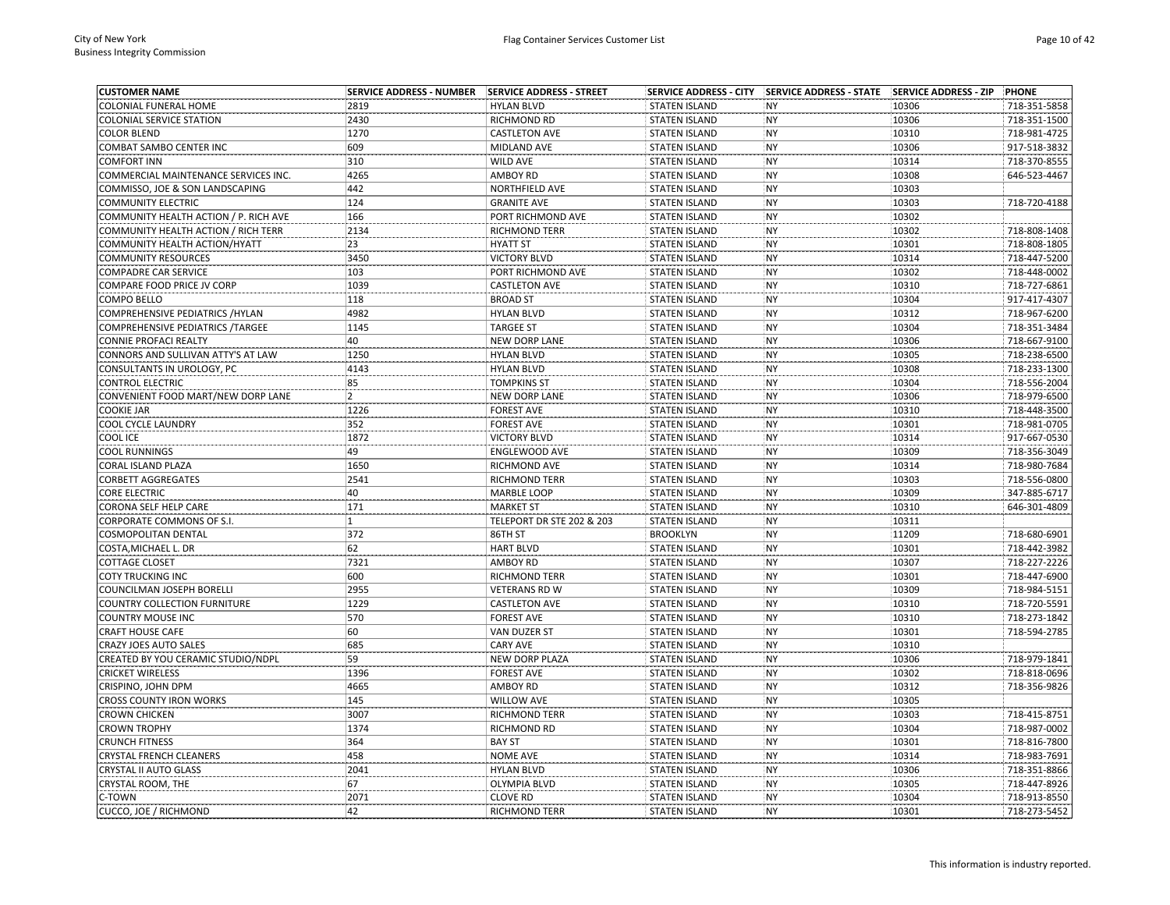| <b>CUSTOMER NAME</b>                  | <b>SERVICE ADDRESS - NUMBER</b> | SERVICE ADDRESS - STREET  | <b>SERVICE ADDRESS - CITY</b> | SERVICE ADDRESS - STATE SERVICE ADDRESS - ZIP |       | PHONE        |
|---------------------------------------|---------------------------------|---------------------------|-------------------------------|-----------------------------------------------|-------|--------------|
| COLONIAL FUNERAL HOME                 | 2819                            | <b>HYLAN BLVD</b>         | <b>STATEN ISLAND</b>          | <b>NY</b>                                     | 10306 | 718-351-5858 |
| <b>COLONIAL SERVICE STATION</b>       | 2430                            | RICHMOND RD               | <b>STATEN ISLAND</b>          | <b>NY</b>                                     | 10306 | 718-351-1500 |
| <b>COLOR BLEND</b>                    | 1270                            | <b>CASTLETON AVE</b>      | <b>STATEN ISLAND</b>          | <b>NY</b>                                     | 10310 | 718-981-4725 |
| COMBAT SAMBO CENTER INC               | 609                             | MIDLAND AVE               | <b>STATEN ISLAND</b>          | <b>NY</b>                                     | 10306 | 917-518-3832 |
| <b>COMFORT INN</b>                    | 310                             | WILD AVE                  | <b>STATEN ISLAND</b>          | NY                                            | 10314 | 718-370-8555 |
| COMMERCIAL MAINTENANCE SERVICES INC.  | 4265                            | AMBOY RD                  | <b>STATEN ISLAND</b>          | <b>NY</b>                                     | 10308 | 646-523-4467 |
| COMMISSO, JOE & SON LANDSCAPING       | 442                             | NORTHFIELD AVE            | <b>STATEN ISLAND</b>          | <b>NY</b>                                     | 10303 |              |
| <b>COMMUNITY ELECTRIC</b>             | 124                             | <b>GRANITE AVE</b>        | <b>STATEN ISLAND</b>          | <b>NY</b>                                     | 10303 | 718-720-4188 |
| COMMUNITY HEALTH ACTION / P. RICH AVE | 166                             | PORT RICHMOND AVE         | <b>STATEN ISLAND</b>          | <b>NY</b>                                     | 10302 |              |
| COMMUNITY HEALTH ACTION / RICH TERR   | 2134                            | RICHMOND TERR             | <b>STATEN ISLAND</b>          | <b>NY</b>                                     | 10302 | 718-808-1408 |
| COMMUNITY HEALTH ACTION/HYATT         | 23                              | <b>HYATT ST</b>           | <b>STATEN ISLAND</b>          | <b>NY</b>                                     | 10301 | 718-808-1805 |
| <b>COMMUNITY RESOURCES</b>            | 3450                            | <b>VICTORY BLVD</b>       | <b>STATEN ISLAND</b>          | <b>NY</b>                                     | 10314 | 718-447-5200 |
| COMPADRE CAR SERVICE                  | 103                             | PORT RICHMOND AVE         | <b>STATEN ISLAND</b>          | <b>NY</b>                                     | 10302 | 718-448-0002 |
| COMPARE FOOD PRICE JV CORP            | 1039                            | <b>CASTLETON AVE</b>      | <b>STATEN ISLAND</b>          | <b>NY</b>                                     | 10310 | 718-727-6861 |
| COMPO BELLO                           | 118                             | <b>BROAD ST</b>           | <b>STATEN ISLAND</b>          | <b>NY</b>                                     | 10304 | 917-417-4307 |
| COMPREHENSIVE PEDIATRICS / HYLAN      | 4982                            | <b>HYLAN BLVD</b>         | <b>STATEN ISLAND</b>          | <b>NY</b>                                     | 10312 | 718-967-6200 |
| COMPREHENSIVE PEDIATRICS / TARGEE     | 1145                            | <b>TARGEE ST</b>          | <b>STATEN ISLAND</b>          | <b>NY</b>                                     | 10304 | 718-351-3484 |
| CONNIE PROFACI REALTY                 | 40                              | <b>NEW DORP LANE</b>      | <b>STATEN ISLAND</b>          | <b>NY</b>                                     | 10306 | 718-667-9100 |
| CONNORS AND SULLIVAN ATTY'S AT LAW    | 1250                            | <b>HYLAN BLVD</b>         | <b>STATEN ISLAND</b>          | <b>NY</b>                                     | 10305 | 718-238-6500 |
| CONSULTANTS IN UROLOGY, PC            | 4143                            | <b>HYLAN BLVD</b>         | <b>STATEN ISLAND</b>          | <b>NY</b>                                     | 10308 | 718-233-1300 |
| <b>CONTROL ELECTRIC</b>               | 85                              | <b>TOMPKINS ST</b>        | <b>STATEN ISLAND</b>          | <b>NY</b>                                     | 10304 | 718-556-2004 |
| CONVENIENT FOOD MART/NEW DORP LANE    | $\overline{2}$                  | <b>NEW DORP LANE</b>      | <b>STATEN ISLAND</b>          | <b>NY</b>                                     | 10306 | 718-979-6500 |
| <b>COOKIE JAR</b>                     | 1226                            | <b>FOREST AVE</b>         | <b>STATEN ISLAND</b>          | <b>NY</b>                                     | 10310 | 718-448-3500 |
| COOL CYCLE LAUNDRY                    | 352                             | <b>FOREST AVE</b>         | <b>STATEN ISLAND</b>          | <b>NY</b>                                     | 10301 | 718-981-0705 |
| COOL ICE                              | 1872                            | <b>VICTORY BLVD</b>       | <b>STATEN ISLAND</b>          | <b>NY</b>                                     | 10314 | 917-667-0530 |
| COOL RUNNINGS                         | 49                              | ENGLEWOOD AVE             | <b>STATEN ISLAND</b>          | NY                                            | 10309 | 718-356-3049 |
| CORAL ISLAND PLAZA                    | 1650                            | RICHMOND AVE              | <b>STATEN ISLAND</b>          | <b>NY</b>                                     | 10314 | 718-980-7684 |
| <b>CORBETT AGGREGATES</b>             | 2541                            | RICHMOND TERR             | <b>STATEN ISLAND</b>          | <b>NY</b>                                     | 10303 | 718-556-0800 |
| CORE ELECTRIC                         | 40                              | <b>MARBLE LOOP</b>        | <b>STATEN ISLAND</b>          | <b>NY</b>                                     | 10309 | 347-885-6717 |
|                                       | 171                             | <b>MARKET ST</b>          |                               | <b>NY</b>                                     | 10310 | 646-301-4809 |
| CORONA SELF HELP CARE                 | $\mathbf{1}$                    |                           | <b>STATEN ISLAND</b>          |                                               |       |              |
| CORPORATE COMMONS OF S.I.             | 372                             | TELEPORT DR STE 202 & 203 | <b>STATEN ISLAND</b>          | <b>NY</b><br>NY                               | 10311 | 718-680-6901 |
| COSMOPOLITAN DENTAL                   | 62                              | 86TH ST                   | <b>BROOKLYN</b>               | <b>NY</b>                                     | 11209 |              |
| COSTA, MICHAEL L. DR                  |                                 | <b>HART BLVD</b>          | <b>STATEN ISLAND</b>          |                                               | 10301 | 718-442-3982 |
| COTTAGE CLOSET                        | 7321                            | AMBOY RD                  | <b>STATEN ISLAND</b>          | <b>NY</b>                                     | 10307 | 718-227-2226 |
| COTY TRUCKING INC                     | 600                             | <b>RICHMOND TERR</b>      | <b>STATEN ISLAND</b>          | <b>NY</b>                                     | 10301 | 718-447-6900 |
| COUNCILMAN JOSEPH BORELLI             | 2955                            | <b>VETERANS RD W</b>      | <b>STATEN ISLAND</b>          | <b>NY</b>                                     | 10309 | 718-984-5151 |
| COUNTRY COLLECTION FURNITURE          | 1229                            | <b>CASTLETON AVE</b>      | <b>STATEN ISLAND</b>          | <b>NY</b>                                     | 10310 | 718-720-5591 |
| <b>COUNTRY MOUSE INC</b>              | 570                             | <b>FOREST AVE</b>         | <b>STATEN ISLAND</b>          | <b>NY</b>                                     | 10310 | 718-273-1842 |
| <b>CRAFT HOUSE CAFE</b>               | 60                              | VAN DUZER ST              | <b>STATEN ISLAND</b>          | <b>NY</b>                                     | 10301 | 718-594-2785 |
| CRAZY JOES AUTO SALES                 | 685                             | <b>CARY AVE</b>           | <b>STATEN ISLAND</b>          | <b>NY</b>                                     | 10310 |              |
| CREATED BY YOU CERAMIC STUDIO/NDPL    | 59                              | <b>NEW DORP PLAZA</b>     | <b>STATEN ISLAND</b>          | <b>NY</b>                                     | 10306 | 718-979-1841 |
| <b>CRICKET WIRELESS</b>               | 1396                            | <b>FOREST AVE</b>         | <b>STATEN ISLAND</b>          | <b>NY</b>                                     | 10302 | 718-818-0696 |
| CRISPINO, JOHN DPM                    | 4665                            | <b>AMBOY RD</b>           | <b>STATEN ISLAND</b>          | <b>NY</b>                                     | 10312 | 718-356-9826 |
| <b>CROSS COUNTY IRON WORKS</b>        | 145                             | <b>WILLOW AVE</b>         | <b>STATEN ISLAND</b>          | NY                                            | 10305 |              |
| <b>CROWN CHICKEN</b>                  | 3007                            | <b>RICHMOND TERR</b>      | <b>STATEN ISLAND</b>          | <b>NY</b>                                     | 10303 | 718-415-8751 |
| <b>CROWN TROPHY</b>                   | 1374                            | RICHMOND RD               | <b>STATEN ISLAND</b>          | <b>NY</b>                                     | 10304 | 718-987-0002 |
| <b>CRUNCH FITNESS</b>                 | 364                             | <b>BAY ST</b>             | <b>STATEN ISLAND</b>          | <b>NY</b>                                     | 10301 | 718-816-7800 |
| CRYSTAL FRENCH CLEANERS               | 458                             | <b>NOME AVE</b>           | <b>STATEN ISLAND</b>          | <b>NY</b>                                     | 10314 | 718-983-7691 |
| CRYSTAL II AUTO GLASS                 | 2041                            | <b>HYLAN BLVD</b>         | <b>STATEN ISLAND</b>          | <b>NY</b>                                     | 10306 | 718-351-8866 |
| CRYSTAL ROOM, THE                     | 67                              | <b>OLYMPIA BLVD</b>       | <b>STATEN ISLAND</b>          | <b>NY</b>                                     | 10305 | 718-447-8926 |
| C-TOWN                                | 2071                            | <b>CLOVE RD</b>           | <b>STATEN ISLAND</b>          | <b>NY</b>                                     | 10304 | 718-913-8550 |
| CUCCO, JOE / RICHMOND                 | 42                              | <b>RICHMOND TERR</b>      | <b>STATEN ISLAND</b>          | <b>NY</b>                                     | 10301 | 718-273-5452 |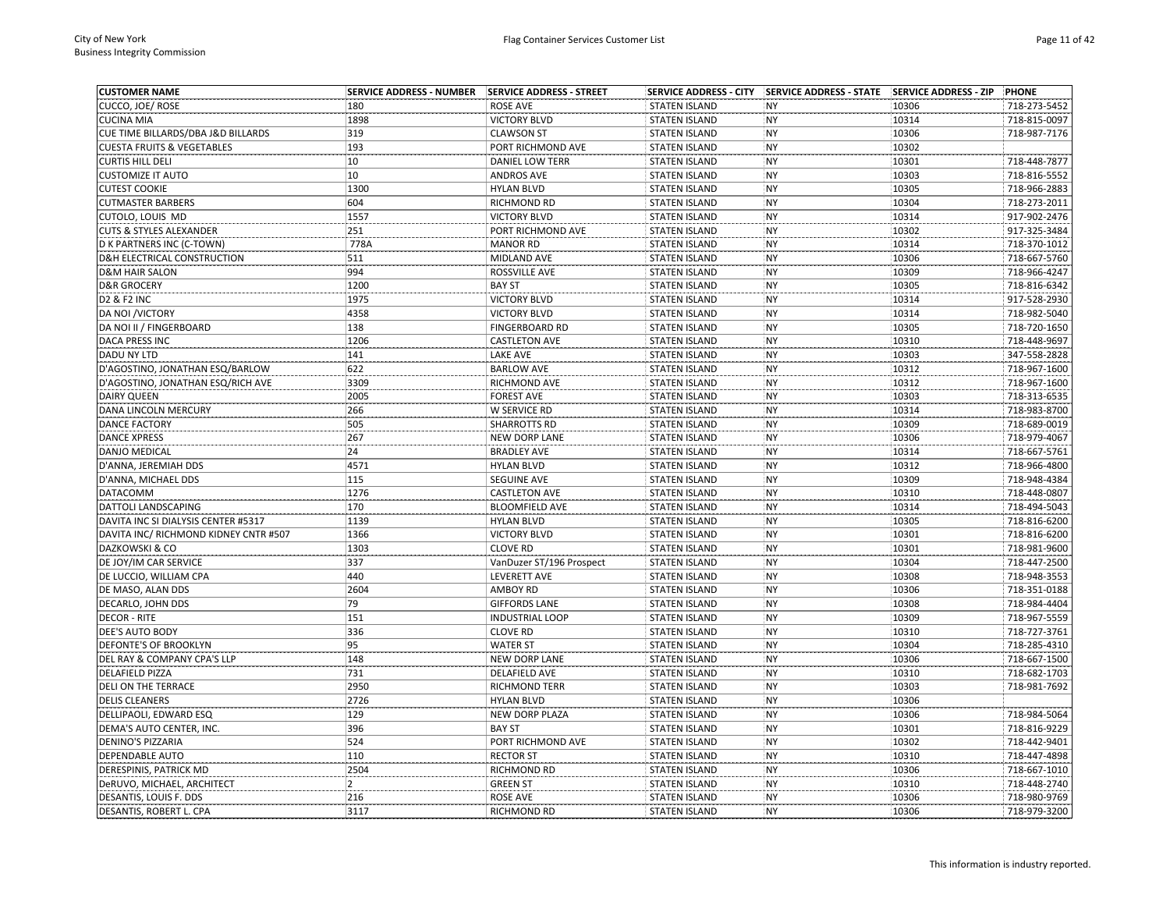| <b>CUSTOMER NAME</b>                   | <b>SERVICE ADDRESS - NUMBER</b> | SERVICE ADDRESS - STREET |                      | SERVICE ADDRESS - CITY SERVICE ADDRESS - STATE | <b>SERVICE ADDRESS - ZIP</b> | <b>PHONE</b> |
|----------------------------------------|---------------------------------|--------------------------|----------------------|------------------------------------------------|------------------------------|--------------|
| CUCCO, JOE/ROSE                        | 180                             | <b>ROSE AVE</b>          | <b>STATEN ISLAND</b> | <b>NY</b>                                      | 10306                        | 718-273-5452 |
| CUCINA MIA                             | 1898                            | <b>VICTORY BLVD</b>      | <b>STATEN ISLAND</b> | <b>NY</b>                                      | 10314                        | 718-815-0097 |
| CUE TIME BILLARDS/DBA J&D BILLARDS     | 319                             | <b>CLAWSON ST</b>        | <b>STATEN ISLAND</b> | <b>NY</b>                                      | 10306                        | 718-987-7176 |
| <b>CUESTA FRUITS &amp; VEGETABLES</b>  | 193                             | PORT RICHMOND AVE        | <b>STATEN ISLAND</b> | <b>NY</b>                                      | 10302                        |              |
| <b>CURTIS HILL DELI</b>                | 10                              | <b>DANIEL LOW TERR</b>   | <b>STATEN ISLAND</b> | NY                                             | 10301                        | 718-448-7877 |
| <b>CUSTOMIZE IT AUTO</b>               | 10                              | <b>ANDROS AVE</b>        | <b>STATEN ISLAND</b> | <b>NY</b>                                      | 10303                        | 718-816-5552 |
| <b>CUTEST COOKIE</b>                   | 1300                            | <b>HYLAN BLVD</b>        | <b>STATEN ISLAND</b> | <b>NY</b>                                      | 10305                        | 718-966-2883 |
| <b>CUTMASTER BARBERS</b>               | 604                             | RICHMOND RD              | <b>STATEN ISLAND</b> | <b>NY</b>                                      | 10304                        | 718-273-2011 |
| CUTOLO, LOUIS MD                       | 1557                            | <b>VICTORY BLVD</b>      | <b>STATEN ISLAND</b> | <b>NY</b>                                      | 10314                        | 917-902-2476 |
| <b>CUTS &amp; STYLES ALEXANDER</b>     | 251                             | PORT RICHMOND AVE        | <b>STATEN ISLAND</b> | <b>NY</b>                                      | 10302                        | 917-325-3484 |
| D K PARTNERS INC (C-TOWN)              | 778A                            | <b>MANOR RD</b>          | <b>STATEN ISLAND</b> | <b>NY</b>                                      | 10314                        | 718-370-1012 |
| <b>D&amp;H ELECTRICAL CONSTRUCTION</b> | 511                             | MIDLAND AVE              | <b>STATEN ISLAND</b> | <b>NY</b>                                      | 10306                        | 718-667-5760 |
| <b>D&amp;M HAIR SALON</b>              | 994                             | ROSSVILLE AVE            | <b>STATEN ISLAND</b> | <b>NY</b>                                      | 10309                        | 718-966-4247 |
| <b>D&amp;R GROCERY</b>                 | 1200                            | <b>BAY ST</b>            | <b>STATEN ISLAND</b> | <b>NY</b>                                      | 10305                        | 718-816-6342 |
| <b>D2 &amp; F2 INC</b>                 | 1975                            | <b>VICTORY BLVD</b>      | <b>STATEN ISLAND</b> | <b>NY</b>                                      | 10314                        | 917-528-2930 |
| <b>DA NOI /VICTORY</b>                 | 4358                            | <b>VICTORY BLVD</b>      | <b>STATEN ISLAND</b> | <b>NY</b>                                      | 10314                        | 718-982-5040 |
| DA NOI II / FINGERBOARD                | 138                             | FINGERBOARD RD           | <b>STATEN ISLAND</b> | <b>NY</b>                                      | 10305                        | 718-720-1650 |
| <b>DACA PRESS INC</b>                  | 1206                            | <b>CASTLETON AVE</b>     | <b>STATEN ISLAND</b> | <b>NY</b>                                      | 10310                        | 718-448-9697 |
| <b>DADU NY LTD</b>                     | 141                             | <b>LAKE AVE</b>          | <b>STATEN ISLAND</b> | <b>NY</b>                                      | 10303                        | 347-558-2828 |
| D'AGOSTINO, JONATHAN ESQ/BARLOW        | 622                             | <b>BARLOW AVE</b>        | <b>STATEN ISLAND</b> | <b>NY</b>                                      | 10312                        | 718-967-1600 |
| D'AGOSTINO, JONATHAN ESQ/RICH AVE      | 3309                            | RICHMOND AVE             | <b>STATEN ISLAND</b> | <b>NY</b>                                      | 10312                        | 718-967-1600 |
| <b>DAIRY QUEEN</b>                     | 2005                            | <b>FOREST AVE</b>        | <b>STATEN ISLAND</b> | <b>NY</b>                                      | 10303                        | 718-313-6535 |
| DANA LINCOLN MERCURY                   | 266                             | W SERVICE RD             | <b>STATEN ISLAND</b> | <b>NY</b>                                      | 10314                        | 718-983-8700 |
| <b>DANCE FACTORY</b>                   | 505                             | <b>SHARROTTS RD</b>      | <b>STATEN ISLAND</b> | <b>NY</b>                                      | 10309                        | 718-689-0019 |
| <b>DANCE XPRESS</b>                    | 267                             | <b>NEW DORP LANE</b>     | <b>STATEN ISLAND</b> | <b>NY</b>                                      | 10306                        | 718-979-4067 |
| <b>DANJO MEDICAL</b>                   | 24                              | <b>BRADLEY AVE</b>       | <b>STATEN ISLAND</b> | <b>NY</b>                                      | 10314                        | 718-667-5761 |
| D'ANNA, JEREMIAH DDS                   | 4571                            | <b>HYLAN BLVD</b>        | <b>STATEN ISLAND</b> | <b>NY</b>                                      | 10312                        | 718-966-4800 |
| D'ANNA, MICHAEL DDS                    | 115                             | <b>SEGUINE AVE</b>       | <b>STATEN ISLAND</b> | <b>NY</b>                                      | 10309                        | 718-948-4384 |
| <b>DATACOMM</b>                        | 1276                            | <b>CASTLETON AVE</b>     | <b>STATEN ISLAND</b> | <b>NY</b>                                      | 10310                        | 718-448-0807 |
| DATTOLI LANDSCAPING                    | 170                             | <b>BLOOMFIELD AVE</b>    | <b>STATEN ISLAND</b> | <b>NY</b>                                      | 10314                        | 718-494-5043 |
| DAVITA INC SI DIALYSIS CENTER #5317    | 1139                            | <b>HYLAN BLVD</b>        | <b>STATEN ISLAND</b> | <b>NY</b>                                      | 10305                        | 718-816-6200 |
| DAVITA INC/ RICHMOND KIDNEY CNTR #507  | 1366                            | <b>VICTORY BLVD</b>      | <b>STATEN ISLAND</b> | <b>NY</b>                                      | 10301                        | 718-816-6200 |
| DAZKOWSKI & CO                         | 1303                            | <b>CLOVE RD</b>          | <b>STATEN ISLAND</b> | <b>NY</b>                                      | 10301                        | 718-981-9600 |
| DE JOY/IM CAR SERVICE                  | 337                             | VanDuzer ST/196 Prospect | <b>STATEN ISLAND</b> | <b>NY</b>                                      | 10304                        | 718-447-2500 |
| DE LUCCIO, WILLIAM CPA                 | 440                             | LEVERETT AVE             | <b>STATEN ISLAND</b> | <b>NY</b>                                      | 10308                        | 718-948-3553 |
| DE MASO, ALAN DDS                      | 2604                            | <b>AMBOY RD</b>          | <b>STATEN ISLAND</b> | <b>NY</b>                                      | 10306                        | 718-351-0188 |
| DECARLO, JOHN DDS                      | 79                              | <b>GIFFORDS LANE</b>     | <b>STATEN ISLAND</b> | <b>NY</b>                                      | 10308                        | 718-984-4404 |
| <b>DECOR - RITE</b>                    | 151                             | <b>INDUSTRIAL LOOP</b>   | <b>STATEN ISLAND</b> | <b>NY</b>                                      | 10309                        | 718-967-5559 |
| <b>DEE'S AUTO BODY</b>                 | 336                             | <b>CLOVE RD</b>          | <b>STATEN ISLAND</b> | <b>NY</b>                                      | 10310                        | 718-727-3761 |
| <b>DEFONTE'S OF BROOKLYN</b>           | 95                              | <b>WATER ST</b>          | <b>STATEN ISLAND</b> | <b>NY</b>                                      | 10304                        | 718-285-4310 |
| DEL RAY & COMPANY CPA'S LLP            | 148                             | <b>NEW DORP LANE</b>     | <b>STATEN ISLAND</b> | <b>NY</b>                                      | 10306                        | 718-667-1500 |
| <b>DELAFIELD PIZZA</b>                 | 731                             | <b>DELAFIELD AVE</b>     | <b>STATEN ISLAND</b> | <b>NY</b>                                      | 10310                        | 718-682-1703 |
| DELI ON THE TERRACE                    | 2950                            | RICHMOND TERR            | <b>STATEN ISLAND</b> | <b>NY</b>                                      | 10303                        | 718-981-7692 |
| <b>DELIS CLEANERS</b>                  | 2726                            | <b>HYLAN BLVD</b>        | <b>STATEN ISLAND</b> | <b>NY</b>                                      | 10306                        |              |
| DELLIPAOLI, EDWARD ESQ                 | 129                             | NEW DORP PLAZA           | <b>STATEN ISLAND</b> | <b>NY</b>                                      | 10306                        | 718-984-5064 |
| DEMA'S AUTO CENTER, INC.               | 396                             | <b>BAY ST</b>            | <b>STATEN ISLAND</b> | NY                                             | 10301                        | 718-816-9229 |
| <b>DENINO'S PIZZARIA</b>               | 524                             | PORT RICHMOND AVE        | <b>STATEN ISLAND</b> | <b>NY</b>                                      | 10302                        | 718-442-9401 |
| DEPENDABLE AUTO                        | 110                             | <b>RECTOR ST</b>         | <b>STATEN ISLAND</b> | <b>NY</b>                                      | 10310                        | 718-447-4898 |
| DERESPINIS, PATRICK MD                 | 2504                            | RICHMOND RD              | <b>STATEN ISLAND</b> | <b>NY</b>                                      | 10306                        | 718-667-1010 |
| DeRUVO, MICHAEL, ARCHITECT             | $\overline{2}$                  | <b>GREEN ST</b>          | <b>STATEN ISLAND</b> | <b>NY</b>                                      | 10310                        | 718-448-2740 |
| DESANTIS, LOUIS F. DDS                 | 216                             | <b>ROSE AVE</b>          | <b>STATEN ISLAND</b> | <b>NY</b>                                      | 10306                        | 718-980-9769 |
| DESANTIS, ROBERT L. CPA                | 3117                            | <b>RICHMOND RD</b>       | <b>STATEN ISLAND</b> | <b>NY</b>                                      | 10306                        | 718-979-3200 |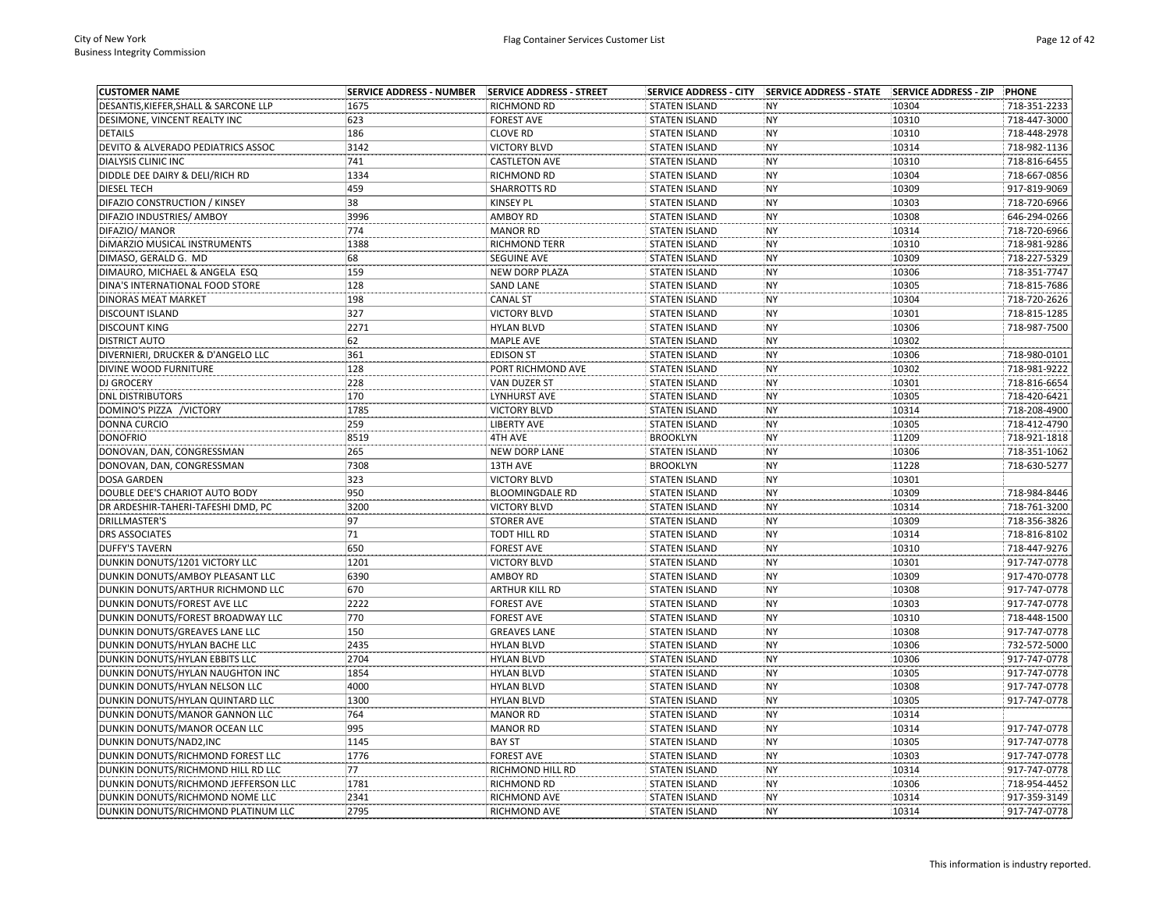| <b>CUSTOMER NAME</b>                  | <b>SERVICE ADDRESS - NUMBER</b> | SERVICE ADDRESS - STREET |                      | SERVICE ADDRESS - CITY SERVICE ADDRESS - STATE | <b>SERVICE ADDRESS - ZIP</b> | PHONE        |
|---------------------------------------|---------------------------------|--------------------------|----------------------|------------------------------------------------|------------------------------|--------------|
| DESANTIS, KIEFER, SHALL & SARCONE LLP | 1675                            | RICHMOND RD              | <b>STATEN ISLAND</b> | <b>NY</b>                                      | 10304                        | 718-351-2233 |
| DESIMONE, VINCENT REALTY INC          | 623                             | <b>FOREST AVE</b>        | <b>STATEN ISLAND</b> | <b>NY</b>                                      | 10310                        | 718-447-3000 |
| <b>DETAILS</b>                        | 186                             | <b>CLOVE RD</b>          | <b>STATEN ISLAND</b> | <b>NY</b>                                      | 10310                        | 718-448-2978 |
| DEVITO & ALVERADO PEDIATRICS ASSOC    | 3142                            | <b>VICTORY BLVD</b>      | <b>STATEN ISLAND</b> | <b>NY</b>                                      | 10314                        | 718-982-1136 |
| <b>DIALYSIS CLINIC INC</b>            | 741                             | <b>CASTLETON AVE</b>     | <b>STATEN ISLAND</b> | NY                                             | 10310                        | 718-816-6455 |
| DIDDLE DEE DAIRY & DELI/RICH RD       | 1334                            | RICHMOND RD              | <b>STATEN ISLAND</b> | <b>NY</b>                                      | 10304                        | 718-667-0856 |
| <b>DIESEL TECH</b>                    | 459                             | <b>SHARROTTS RD</b>      | <b>STATEN ISLAND</b> | <b>NY</b>                                      | 10309                        | 917-819-9069 |
| DIFAZIO CONSTRUCTION / KINSEY         | 38                              | KINSEY PL                | <b>STATEN ISLAND</b> | <b>NY</b>                                      | 10303                        | 718-720-6966 |
| DIFAZIO INDUSTRIES/ AMBOY             | 3996                            | <b>AMBOY RD</b>          | <b>STATEN ISLAND</b> | <b>NY</b>                                      | 10308                        | 646-294-0266 |
| DIFAZIO/ MANOR                        | 774                             | <b>MANOR RD</b>          | <b>STATEN ISLAND</b> | <b>NY</b>                                      | 10314                        | 718-720-6966 |
| DIMARZIO MUSICAL INSTRUMENTS          | 1388                            | RICHMOND TERR            | <b>STATEN ISLAND</b> | <b>NY</b>                                      | 10310                        | 718-981-9286 |
| DIMASO, GERALD G. MD                  | 68                              | <b>SEGUINE AVE</b>       | <b>STATEN ISLAND</b> | NY                                             | 10309                        | 718-227-5329 |
| DIMAURO, MICHAEL & ANGELA ESQ         | 159                             | <b>NEW DORP PLAZA</b>    | <b>STATEN ISLAND</b> | <b>NY</b>                                      | 10306                        | 718-351-7747 |
| DINA'S INTERNATIONAL FOOD STORE       | 128                             | <b>SAND LANE</b>         | <b>STATEN ISLAND</b> | <b>NY</b>                                      | 10305                        | 718-815-7686 |
| DINORAS MEAT MARKET                   | 198                             | <b>CANAL ST</b>          | <b>STATEN ISLAND</b> | <b>NY</b>                                      | 10304                        | 718-720-2626 |
| <b>DISCOUNT ISLAND</b>                | 327                             | <b>VICTORY BLVD</b>      | <b>STATEN ISLAND</b> | <b>NY</b>                                      | 10301                        | 718-815-1285 |
| <b>DISCOUNT KING</b>                  | 2271                            | <b>HYLAN BLVD</b>        | <b>STATEN ISLAND</b> | <b>NY</b>                                      | 10306                        | 718-987-7500 |
| <b>DISTRICT AUTO</b>                  | 62                              | MAPLE AVE                | <b>STATEN ISLAND</b> | <b>NY</b>                                      | 10302                        |              |
| DIVERNIERI, DRUCKER & D'ANGELO LLC    | 361                             | <b>EDISON ST</b>         | <b>STATEN ISLAND</b> | <b>NY</b>                                      | 10306                        | 718-980-0101 |
| DIVINE WOOD FURNITURE                 | 128                             | PORT RICHMOND AVE        | <b>STATEN ISLAND</b> | <b>NY</b>                                      | 10302                        | 718-981-9222 |
| <b>DJ GROCERY</b>                     | 228                             | VAN DUZER ST             | <b>STATEN ISLAND</b> | <b>NY</b>                                      | 10301                        | 718-816-6654 |
| <b>DNL DISTRIBUTORS</b>               | 170                             | LYNHURST AVE             | <b>STATEN ISLAND</b> | <b>NY</b>                                      | 10305                        | 718-420-6421 |
| DOMINO'S PIZZA /VICTORY               | 1785                            | <b>VICTORY BLVD</b>      | <b>STATEN ISLAND</b> | <b>NY</b>                                      | 10314                        | 718-208-4900 |
| <b>DONNA CURCIO</b>                   | 259                             | <b>LIBERTY AVE</b>       | <b>STATEN ISLAND</b> | <b>NY</b>                                      | 10305                        | 718-412-4790 |
| <b>DONOFRIO</b>                       | 8519                            | 4TH AVE                  | <b>BROOKLYN</b>      | NY                                             | 11209                        | 718-921-1818 |
|                                       | 265                             | <b>NEW DORP LANE</b>     | <b>STATEN ISLAND</b> | NY                                             | 10306                        | 718-351-1062 |
| DONOVAN, DAN, CONGRESSMAN             | 7308                            |                          |                      | <b>NY</b>                                      | 11228                        |              |
| DONOVAN, DAN, CONGRESSMAN             |                                 | 13TH AVE                 | <b>BROOKLYN</b>      |                                                |                              | 718-630-5277 |
| <b>DOSA GARDEN</b>                    | 323                             | <b>VICTORY BLVD</b>      | <b>STATEN ISLAND</b> | <b>NY</b><br>NY                                | 10301                        |              |
| DOUBLE DEE'S CHARIOT AUTO BODY        | 950                             | <b>BLOOMINGDALE RD</b>   | <b>STATEN ISLAND</b> |                                                | 10309                        | 718-984-8446 |
| DR ARDESHIR-TAHERI-TAFESHI DMD, PC    | 3200                            | <b>VICTORY BLVD</b>      | <b>STATEN ISLAND</b> | <b>NY</b>                                      | 10314                        | 718-761-3200 |
| <b>DRILLMASTER'S</b>                  | 97                              | <b>STORER AVE</b>        | <b>STATEN ISLAND</b> | <b>NY</b>                                      | 10309                        | 718-356-3826 |
| <b>DRS ASSOCIATES</b>                 | 71                              | <b>TODT HILL RD</b>      | <b>STATEN ISLAND</b> | <b>NY</b>                                      | 10314                        | 718-816-8102 |
| <b>DUFFY'S TAVERN</b>                 | 650                             | <b>FOREST AVE</b>        | STATEN ISLAND        | <b>NY</b>                                      | 10310                        | 718-447-9276 |
| DUNKIN DONUTS/1201 VICTORY LLC        | 1201                            | <b>VICTORY BLVD</b>      | <b>STATEN ISLAND</b> | <b>NY</b>                                      | 10301                        | 917-747-0778 |
| DUNKIN DONUTS/AMBOY PLEASANT LLC      | 6390                            | <b>AMBOY RD</b>          | <b>STATEN ISLAND</b> | <b>NY</b>                                      | 10309                        | 917-470-0778 |
| DUNKIN DONUTS/ARTHUR RICHMOND LLC     | 670                             | <b>ARTHUR KILL RD</b>    | <b>STATEN ISLAND</b> | <b>NY</b>                                      | 10308                        | 917-747-0778 |
| DUNKIN DONUTS/FOREST AVE LLC          | 2222                            | <b>FOREST AVE</b>        | <b>STATEN ISLAND</b> | <b>NY</b>                                      | 10303                        | 917-747-0778 |
| DUNKIN DONUTS/FOREST BROADWAY LLC     | 770                             | <b>FOREST AVE</b>        | <b>STATEN ISLAND</b> | <b>NY</b>                                      | 10310                        | 718-448-1500 |
| DUNKIN DONUTS/GREAVES LANE LLC        | 150                             | <b>GREAVES LANE</b>      | <b>STATEN ISLAND</b> | <b>NY</b>                                      | 10308                        | 917-747-0778 |
| DUNKIN DONUTS/HYLAN BACHE LLC         | 2435                            | <b>HYLAN BLVD</b>        | <b>STATEN ISLAND</b> | <b>NY</b>                                      | 10306                        | 732-572-5000 |
| DUNKIN DONUTS/HYLAN EBBITS LLC        | 2704                            | <b>HYLAN BLVD</b>        | <b>STATEN ISLAND</b> | NY                                             | 10306                        | 917-747-0778 |
| DUNKIN DONUTS/HYLAN NAUGHTON INC      | 1854                            | <b>HYLAN BLVD</b>        | <b>STATEN ISLAND</b> | <b>NY</b>                                      | 10305                        | 917-747-0778 |
| DUNKIN DONUTS/HYLAN NELSON LLC        | 4000                            | <b>HYLAN BLVD</b>        | <b>STATEN ISLAND</b> | <b>NY</b>                                      | 10308                        | 917-747-0778 |
| DUNKIN DONUTS/HYLAN QUINTARD LLC      | 1300                            | <b>HYLAN BLVD</b>        | <b>STATEN ISLAND</b> | NY                                             | 10305                        | 917-747-0778 |
| DUNKIN DONUTS/MANOR GANNON LLC        | 764                             | <b>MANOR RD</b>          | <b>STATEN ISLAND</b> | <b>NY</b>                                      | 10314                        |              |
| DUNKIN DONUTS/MANOR OCEAN LLC         | 995                             | <b>MANOR RD</b>          | <b>STATEN ISLAND</b> | <b>NY</b>                                      | 10314                        | 917-747-0778 |
| DUNKIN DONUTS/NAD2, INC               | 1145                            | <b>BAY ST</b>            | <b>STATEN ISLAND</b> | NY                                             | 10305                        | 917-747-0778 |
| DUNKIN DONUTS/RICHMOND FOREST LLC     | 1776                            | <b>FOREST AVE</b>        | <b>STATEN ISLAND</b> | <b>NY</b>                                      | 10303                        | 917-747-0778 |
| DUNKIN DONUTS/RICHMOND HILL RD LLC    | 77                              | RICHMOND HILL RD         | <b>STATEN ISLAND</b> | <b>NY</b>                                      | 10314                        | 917-747-0778 |
| DUNKIN DONUTS/RICHMOND JEFFERSON LLC  | 1781                            | RICHMOND RD              | <b>STATEN ISLAND</b> | <b>NY</b>                                      | 10306                        | 718-954-4452 |
| DUNKIN DONUTS/RICHMOND NOME LLC       | 2341                            | RICHMOND AVE             | <b>STATEN ISLAND</b> | <b>NY</b>                                      | 10314                        | 917-359-3149 |
| DUNKIN DONUTS/RICHMOND PLATINUM LLC   | 2795                            | <b>RICHMOND AVE</b>      | <b>STATEN ISLAND</b> | <b>NY</b>                                      | 10314                        | 917-747-0778 |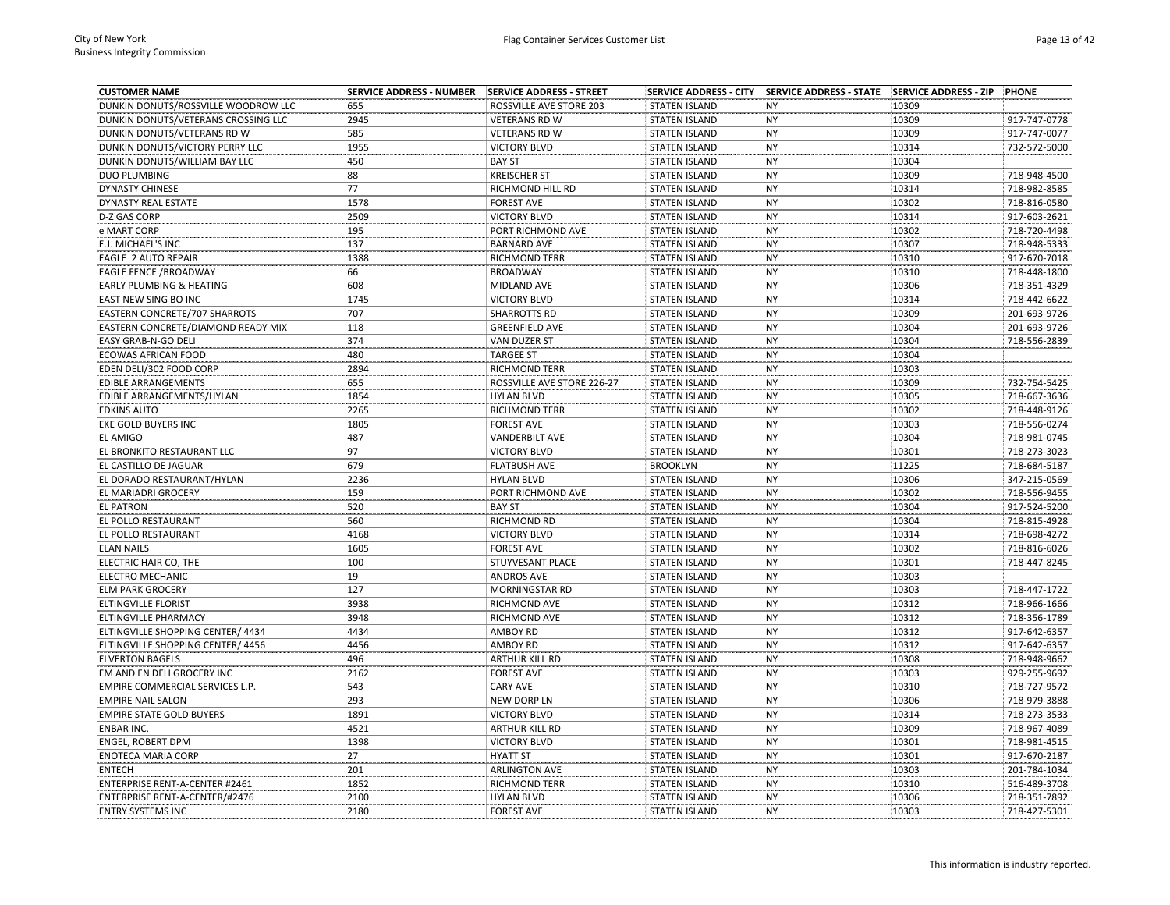| <b>CUSTOMER NAME</b>                 | <b>SERVICE ADDRESS - NUMBER</b> | SERVICE ADDRESS - STREET   |                      | SERVICE ADDRESS - CITY SERVICE ADDRESS - STATE | <b>SERVICE ADDRESS - ZIP</b> | PHONE        |
|--------------------------------------|---------------------------------|----------------------------|----------------------|------------------------------------------------|------------------------------|--------------|
| DUNKIN DONUTS/ROSSVILLE WOODROW LLC  | 655                             | ROSSVILLE AVE STORE 203    | <b>STATEN ISLAND</b> | <b>NY</b>                                      | 10309                        |              |
| DUNKIN DONUTS/VETERANS CROSSING LLC  | 2945                            | <b>VETERANS RD W</b>       | <b>STATEN ISLAND</b> | <b>NY</b>                                      | 10309                        | 917-747-0778 |
| DUNKIN DONUTS/VETERANS RD W          | 585                             | <b>VETERANS RD W</b>       | <b>STATEN ISLAND</b> | <b>NY</b>                                      | 10309                        | 917-747-0077 |
| DUNKIN DONUTS/VICTORY PERRY LLC      | 1955                            | <b>VICTORY BLVD</b>        | <b>STATEN ISLAND</b> | <b>NY</b>                                      | 10314                        | 732-572-5000 |
| DUNKIN DONUTS/WILLIAM BAY LLC        | 450                             | <b>BAY ST</b>              | <b>STATEN ISLAND</b> | <b>NY</b>                                      | 10304                        |              |
| <b>DUO PLUMBING</b>                  | 88                              | <b>KREISCHER ST</b>        | <b>STATEN ISLAND</b> | <b>NY</b>                                      | 10309                        | 718-948-4500 |
| <b>DYNASTY CHINESE</b>               | 77                              | RICHMOND HILL RD           | <b>STATEN ISLAND</b> | <b>NY</b>                                      | 10314                        | 718-982-8585 |
| <b>DYNASTY REAL ESTATE</b>           | 1578                            | <b>FOREST AVE</b>          | <b>STATEN ISLAND</b> | NY                                             | 10302                        | 718-816-0580 |
| <b>D-Z GAS CORP</b>                  | 2509                            | <b>VICTORY BLVD</b>        | <b>STATEN ISLAND</b> | <b>NY</b>                                      | 10314                        | 917-603-2621 |
| e MART CORP                          | 195                             | PORT RICHMOND AVE          | <b>STATEN ISLAND</b> | <b>NY</b>                                      | 10302                        | 718-720-4498 |
| E.J. MICHAEL'S INC                   | 137                             | <b>BARNARD AVE</b>         | <b>STATEN ISLAND</b> | <b>NY</b>                                      | 10307                        | 718-948-5333 |
| EAGLE 2 AUTO REPAIR                  | 1388                            | <b>RICHMOND TERR</b>       | <b>STATEN ISLAND</b> | <b>NY</b>                                      | 10310                        | 917-670-7018 |
| <b>EAGLE FENCE /BROADWAY</b>         | 66                              | <b>BROADWAY</b>            | <b>STATEN ISLAND</b> | <b>NY</b>                                      | 10310                        | 718-448-1800 |
| <b>EARLY PLUMBING &amp; HEATING</b>  | 608                             | MIDLAND AVE                | <b>STATEN ISLAND</b> | <b>NY</b>                                      | 10306                        | 718-351-4329 |
| EAST NEW SING BO INC                 | 1745                            | <b>VICTORY BLVD</b>        | <b>STATEN ISLAND</b> | <b>NY</b>                                      | 10314                        | 718-442-6622 |
| <b>EASTERN CONCRETE/707 SHARROTS</b> | 707                             | <b>SHARROTTS RD</b>        | <b>STATEN ISLAND</b> | <b>NY</b>                                      | 10309                        | 201-693-9726 |
| EASTERN CONCRETE/DIAMOND READY MIX   | 118                             | <b>GREENFIELD AVE</b>      | <b>STATEN ISLAND</b> | <b>NY</b>                                      | 10304                        | 201-693-9726 |
| EASY GRAB-N-GO DELI                  | 374                             | VAN DUZER ST               | <b>STATEN ISLAND</b> | <b>NY</b>                                      | 10304                        | 718-556-2839 |
| <b>ECOWAS AFRICAN FOOD</b>           | 480                             | <b>TARGEE ST</b>           | <b>STATEN ISLAND</b> | <b>NY</b>                                      | 10304                        |              |
| EDEN DELI/302 FOOD CORP              | 2894                            | RICHMOND TERR              | <b>STATEN ISLAND</b> | <b>NY</b>                                      | 10303                        |              |
| EDIBLE ARRANGEMENTS                  | 655                             | ROSSVILLE AVE STORE 226-27 | <b>STATEN ISLAND</b> | <b>NY</b>                                      | 10309                        | 732-754-5425 |
| EDIBLE ARRANGEMENTS/HYLAN            | 1854                            | <b>HYLAN BLVD</b>          | <b>STATEN ISLAND</b> | <b>NY</b>                                      | 10305                        | 718-667-3636 |
| <b>EDKINS AUTO</b>                   | 2265                            | RICHMOND TERR              | <b>STATEN ISLAND</b> | <b>NY</b>                                      | 10302                        | 718-448-9126 |
| EKE GOLD BUYERS INC                  | 1805                            | <b>FOREST AVE</b>          | <b>STATEN ISLAND</b> | <b>NY</b>                                      | 10303                        | 718-556-0274 |
| <b>EL AMIGO</b>                      | 487                             | <b>VANDERBILT AVE</b>      | <b>STATEN ISLAND</b> | <b>NY</b>                                      | 10304                        | 718-981-0745 |
| EL BRONKITO RESTAURANT LLC           | 97                              | <b>VICTORY BLVD</b>        | <b>STATEN ISLAND</b> | <b>NY</b>                                      | 10301                        | 718-273-3023 |
| EL CASTILLO DE JAGUAR                | 679                             | <b>FLATBUSH AVE</b>        | <b>BROOKLYN</b>      | <b>NY</b>                                      | 11225                        | 718-684-5187 |
| EL DORADO RESTAURANT/HYLAN           | 2236                            | <b>HYLAN BLVD</b>          | <b>STATEN ISLAND</b> | <b>NY</b>                                      | 10306                        | 347-215-0569 |
| EL MARIADRI GROCERY                  | 159                             | PORT RICHMOND AVE          | <b>STATEN ISLAND</b> | <b>NY</b>                                      | 10302                        | 718-556-9455 |
| <b>EL PATRON</b>                     | 520                             | <b>BAY ST</b>              | <b>STATEN ISLAND</b> | <b>NY</b>                                      | 10304                        | 917-524-5200 |
| EL POLLO RESTAURANT                  | 560                             | RICHMOND RD                | <b>STATEN ISLAND</b> | <b>NY</b>                                      | 10304                        | 718-815-4928 |
| EL POLLO RESTAURANT                  | 4168                            | <b>VICTORY BLVD</b>        | <b>STATEN ISLAND</b> | <b>NY</b>                                      | 10314                        | 718-698-4272 |
| <b>ELAN NAILS</b>                    | 1605                            | <b>FOREST AVE</b>          | <b>STATEN ISLAND</b> | <b>NY</b>                                      | 10302                        | 718-816-6026 |
| ELECTRIC HAIR CO, THE                | 100                             | STUYVESANT PLACE           | <b>STATEN ISLAND</b> | <b>NY</b>                                      | 10301                        | 718-447-8245 |
| ELECTRO MECHANIC                     | 19                              | <b>ANDROS AVE</b>          | <b>STATEN ISLAND</b> | <b>NY</b>                                      | 10303                        |              |
| <b>ELM PARK GROCERY</b>              | 127                             | <b>MORNINGSTAR RD</b>      | <b>STATEN ISLAND</b> | <b>NY</b>                                      | 10303                        | 718-447-1722 |
| ELTINGVILLE FLORIST                  | 3938                            | RICHMOND AVE               | <b>STATEN ISLAND</b> | <b>NY</b>                                      | 10312                        | 718-966-1666 |
| ELTINGVILLE PHARMACY                 | 3948                            | RICHMOND AVE               | <b>STATEN ISLAND</b> | <b>NY</b>                                      | 10312                        | 718-356-1789 |
| ELTINGVILLE SHOPPING CENTER/ 4434    | 4434                            | <b>AMBOY RD</b>            | <b>STATEN ISLAND</b> | <b>NY</b>                                      | 10312                        | 917-642-6357 |
| ELTINGVILLE SHOPPING CENTER/ 4456    | 4456                            | <b>AMBOY RD</b>            | <b>STATEN ISLAND</b> | <b>NY</b>                                      | 10312                        | 917-642-6357 |
| <b>ELVERTON BAGELS</b>               | 496                             | <b>ARTHUR KILL RD</b>      | <b>STATEN ISLAND</b> | <b>NY</b>                                      | 10308                        | 718-948-9662 |
| EM AND EN DELI GROCERY INC           | 2162                            | <b>FOREST AVE</b>          | <b>STATEN ISLAND</b> | <b>NY</b>                                      | 10303                        | 929-255-9692 |
| EMPIRE COMMERCIAL SERVICES L.P.      | 543                             | <b>CARY AVE</b>            | <b>STATEN ISLAND</b> | <b>NY</b>                                      | 10310                        | 718-727-9572 |
| <b>EMPIRE NAIL SALON</b>             | 293                             | NEW DORP LN                | <b>STATEN ISLAND</b> | <b>NY</b>                                      | 10306                        | 718-979-3888 |
| <b>EMPIRE STATE GOLD BUYERS</b>      | 1891                            | <b>VICTORY BLVD</b>        | <b>STATEN ISLAND</b> | <b>NY</b>                                      | 10314                        | 718-273-3533 |
| ENBAR INC.                           | 4521                            | <b>ARTHUR KILL RD</b>      | <b>STATEN ISLAND</b> | <b>NY</b>                                      | 10309                        | 718-967-4089 |
| ENGEL, ROBERT DPM                    | 1398                            | <b>VICTORY BLVD</b>        | <b>STATEN ISLAND</b> | <b>NY</b>                                      | 10301                        | 718-981-4515 |
| <b>ENOTECA MARIA CORP</b>            | 27                              | <b>HYATT ST</b>            | <b>STATEN ISLAND</b> | <b>NY</b>                                      | 10301                        | 917-670-2187 |
| <b>ENTECH</b>                        | 201                             | <b>ARLINGTON AVE</b>       | <b>STATEN ISLAND</b> | <b>NY</b>                                      | 10303                        | 201-784-1034 |
| ENTERPRISE RENT-A-CENTER #2461       | 1852                            | <b>RICHMOND TERR</b>       | <b>STATEN ISLAND</b> | <b>NY</b>                                      | 10310                        | 516-489-3708 |
| ENTERPRISE RENT-A-CENTER/#2476       | 2100                            | <b>HYLAN BLVD</b>          | <b>STATEN ISLAND</b> | <b>NY</b>                                      | 10306                        | 718-351-7892 |
| <b>ENTRY SYSTEMS INC</b>             | 2180                            | <b>FOREST AVE</b>          | <b>STATEN ISLAND</b> | <b>NY</b>                                      | 10303                        | 718-427-5301 |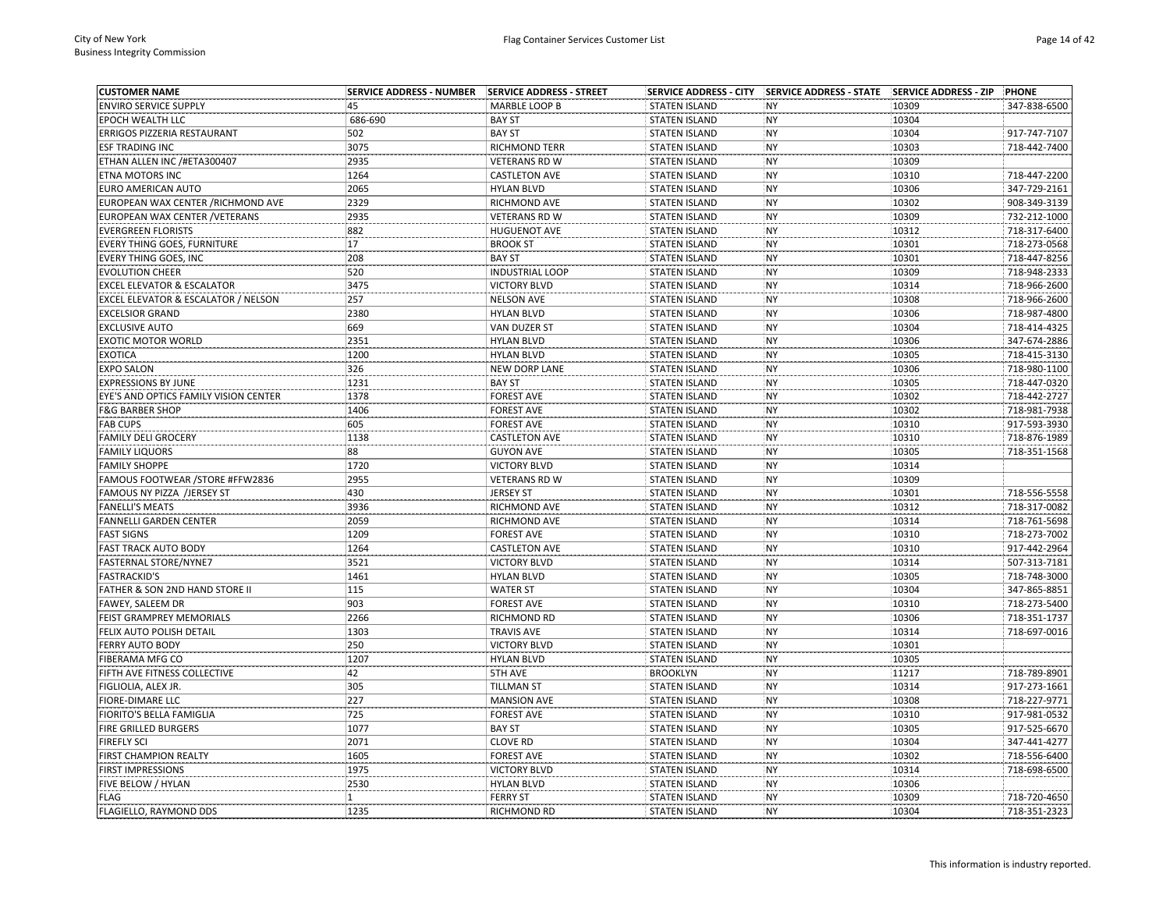| <b>CUSTOMER NAME</b>                  | <b>SERVICE ADDRESS - NUMBER</b> | <b>SERVICE ADDRESS - STREET</b> | <b>SERVICE ADDRESS - CITY</b> | <b>SERVICE ADDRESS - STATE</b> | <b>SERVICE ADDRESS - ZIP</b> | <b>PHONE</b> |
|---------------------------------------|---------------------------------|---------------------------------|-------------------------------|--------------------------------|------------------------------|--------------|
| <b>ENVIRO SERVICE SUPPLY</b>          | 45                              | MARBLE LOOP B                   | <b>STATEN ISLAND</b>          | <b>NY</b>                      | 10309                        | 347-838-6500 |
| EPOCH WEALTH LLC                      | 686-690                         | <b>BAY ST</b>                   | <b>STATEN ISLAND</b>          | <b>NY</b>                      | 10304                        |              |
| ERRIGOS PIZZERIA RESTAURANT           | 502                             | <b>BAY ST</b>                   | <b>STATEN ISLAND</b>          | <b>NY</b>                      | 10304                        | 917-747-7107 |
| <b>ESF TRADING INC</b>                | 3075                            | <b>RICHMOND TERR</b>            | <b>STATEN ISLAND</b>          | <b>NY</b>                      | 10303                        | 718-442-7400 |
| ETHAN ALLEN INC /#ETA300407           | 2935                            | <b>VETERANS RD W</b>            | <b>STATEN ISLAND</b>          | NY                             | 10309                        |              |
| ETNA MOTORS INC                       | 1264                            | <b>CASTLETON AVE</b>            | <b>STATEN ISLAND</b>          | <b>NY</b>                      | 10310                        | 718-447-2200 |
| EURO AMERICAN AUTO                    | 2065                            | <b>HYLAN BLVD</b>               | <b>STATEN ISLAND</b>          | <b>NY</b>                      | 10306                        | 347-729-2161 |
| EUROPEAN WAX CENTER / RICHMOND AVE    | 2329                            | RICHMOND AVE                    | <b>STATEN ISLAND</b>          | <b>NY</b>                      | 10302                        | 908-349-3139 |
| EUROPEAN WAX CENTER / VETERANS        | 2935                            | <b>VETERANS RD W</b>            | <b>STATEN ISLAND</b>          | <b>NY</b>                      | 10309                        | 732-212-1000 |
| <b>EVERGREEN FLORISTS</b>             | 882                             | <b>HUGUENOT AVE</b>             | <b>STATEN ISLAND</b>          | <b>NY</b>                      | 10312                        | 718-317-6400 |
| EVERY THING GOES, FURNITURE           | 17                              | <b>BROOK ST</b>                 | <b>STATEN ISLAND</b>          | <b>NY</b>                      | 10301                        | 718-273-0568 |
| EVERY THING GOES, INC                 | 208                             | <b>BAY ST</b>                   | <b>STATEN ISLAND</b>          | <b>NY</b>                      | 10301                        | 718-447-8256 |
| <b>EVOLUTION CHEER</b>                | 520                             | <b>INDUSTRIAL LOOP</b>          | <b>STATEN ISLAND</b>          | <b>NY</b>                      | 10309                        | 718-948-2333 |
| <b>EXCEL ELEVATOR &amp; ESCALATOR</b> | 3475                            | <b>VICTORY BLVD</b>             | <b>STATEN ISLAND</b>          | <b>NY</b>                      | 10314                        | 718-966-2600 |
| EXCEL ELEVATOR & ESCALATOR / NELSON   | 257                             | <b>NELSON AVE</b>               | <b>STATEN ISLAND</b>          | <b>NY</b>                      | 10308                        | 718-966-2600 |
| <b>EXCELSIOR GRAND</b>                | 2380                            | <b>HYLAN BLVD</b>               | <b>STATEN ISLAND</b>          | <b>NY</b>                      | 10306                        | 718-987-4800 |
| <b>EXCLUSIVE AUTO</b>                 | 669                             | VAN DUZER ST                    | <b>STATEN ISLAND</b>          | <b>NY</b>                      | 10304                        | 718-414-4325 |
| <b>EXOTIC MOTOR WORLD</b>             | 2351                            | <b>HYLAN BLVD</b>               | <b>STATEN ISLAND</b>          | <b>NY</b>                      | 10306                        | 347-674-2886 |
| <b>EXOTICA</b>                        | 1200                            | <b>HYLAN BLVD</b>               | <b>STATEN ISLAND</b>          | <b>NY</b>                      | 10305                        | 718-415-3130 |
| <b>EXPO SALON</b>                     | 326                             | <b>NEW DORP LANE</b>            | <b>STATEN ISLAND</b>          | <b>NY</b>                      | 10306                        | 718-980-1100 |
| <b>EXPRESSIONS BY JUNE</b>            | 1231                            | <b>BAY ST</b>                   | <b>STATEN ISLAND</b>          | <b>NY</b>                      | 10305                        | 718-447-0320 |
| EYE'S AND OPTICS FAMILY VISION CENTER | 1378                            | <b>FOREST AVE</b>               | <b>STATEN ISLAND</b>          | <b>NY</b>                      | 10302                        | 718-442-2727 |
| <b>F&amp;G BARBER SHOP</b>            | 1406                            | <b>FOREST AVE</b>               | <b>STATEN ISLAND</b>          | NY                             | 10302                        | 718-981-7938 |
| <b>FAB CUPS</b>                       | 605                             | <b>FOREST AVE</b>               | <b>STATEN ISLAND</b>          | <b>NY</b>                      | 10310                        | 917-593-3930 |
| <b>FAMILY DELI GROCERY</b>            | 1138                            | <b>CASTLETON AVE</b>            | <b>STATEN ISLAND</b>          | <b>NY</b>                      | 10310                        | 718-876-1989 |
| <b>FAMILY LIQUORS</b>                 | 88                              | <b>GUYON AVE</b>                | <b>STATEN ISLAND</b>          | <b>NY</b>                      | 10305                        | 718-351-1568 |
| <b>FAMILY SHOPPE</b>                  | 1720                            | <b>VICTORY BLVD</b>             | <b>STATEN ISLAND</b>          | <b>NY</b>                      | 10314                        |              |
| FAMOUS FOOTWEAR / STORE #FFW2836      | 2955                            | <b>VETERANS RD W</b>            | <b>STATEN ISLAND</b>          | <b>NY</b>                      | 10309                        |              |
| FAMOUS NY PIZZA /JERSEY ST            | 430                             | <b>JERSEY ST</b>                | <b>STATEN ISLAND</b>          | <b>NY</b>                      | 10301                        | 718-556-5558 |
| <b>FANELLI'S MEATS</b>                | 3936                            | RICHMOND AVE                    | <b>STATEN ISLAND</b>          | <b>NY</b>                      | 10312                        | 718-317-0082 |
| FANNELLI GARDEN CENTER                | 2059                            | RICHMOND AVE                    | <b>STATEN ISLAND</b>          | <b>NY</b>                      | 10314                        | 718-761-5698 |
| <b>FAST SIGNS</b>                     | 1209                            | <b>FOREST AVE</b>               | <b>STATEN ISLAND</b>          | <b>NY</b>                      | 10310                        | 718-273-7002 |
| <b>FAST TRACK AUTO BODY</b>           | 1264                            | <b>CASTLETON AVE</b>            | <b>STATEN ISLAND</b>          | <b>NY</b>                      | 10310                        | 917-442-2964 |
| FASTERNAL STORE/NYNE7                 | 3521                            | <b>VICTORY BLVD</b>             | <b>STATEN ISLAND</b>          | <b>NY</b>                      | 10314                        | 507-313-7181 |
| <b>FASTRACKID'S</b>                   | 1461                            | <b>HYLAN BLVD</b>               | <b>STATEN ISLAND</b>          | <b>NY</b>                      | 10305                        | 718-748-3000 |
| FATHER & SON 2ND HAND STORE II        | 115                             | <b>WATER ST</b>                 | <b>STATEN ISLAND</b>          | <b>NY</b>                      | 10304                        | 347-865-8851 |
| FAWEY, SALEEM DR                      | 903                             | <b>FOREST AVE</b>               | <b>STATEN ISLAND</b>          | <b>NY</b>                      | 10310                        | 718-273-5400 |
| FEIST GRAMPREY MEMORIALS              | 2266                            | RICHMOND RD                     | <b>STATEN ISLAND</b>          | <b>NY</b>                      | 10306                        | 718-351-1737 |
| FELIX AUTO POLISH DETAIL              | 1303                            | <b>TRAVIS AVE</b>               | <b>STATEN ISLAND</b>          | <b>NY</b>                      | 10314                        | 718-697-0016 |
| <b>FERRY AUTO BODY</b>                | 250                             | <b>VICTORY BLVD</b>             | <b>STATEN ISLAND</b>          | <b>NY</b>                      | 10301                        |              |
| FIBERAMA MFG CO                       | 1207                            | <b>HYLAN BLVD</b>               | <b>STATEN ISLAND</b>          | <b>NY</b>                      | 10305                        |              |
| FIFTH AVE FITNESS COLLECTIVE          | 42                              | <b>5TH AVE</b>                  | <b>BROOKLYN</b>               | <b>NY</b>                      | 11217                        | 718-789-8901 |
| FIGLIOLIA, ALEX JR.                   | 305                             | <b>TILLMAN ST</b>               | <b>STATEN ISLAND</b>          | <b>NY</b>                      | 10314                        | 917-273-1661 |
| <b>FIORE-DIMARE LLC</b>               | 227                             | <b>MANSION AVE</b>              | <b>STATEN ISLAND</b>          | <b>NY</b>                      | 10308                        | 718-227-9771 |
| FIORITO'S BELLA FAMIGLIA              | 725                             | <b>FOREST AVE</b>               | <b>STATEN ISLAND</b>          | <b>NY</b>                      | 10310                        | 917-981-0532 |
| FIRE GRILLED BURGERS                  | 1077                            | <b>BAY ST</b>                   | <b>STATEN ISLAND</b>          | <b>NY</b>                      | 10305                        | 917-525-6670 |
| FIREFLY SCI                           | 2071                            | <b>CLOVE RD</b>                 | <b>STATEN ISLAND</b>          | <b>NY</b>                      | 10304                        | 347-441-4277 |
| FIRST CHAMPION REALTY                 | 1605                            | <b>FOREST AVE</b>               | <b>STATEN ISLAND</b>          | <b>NY</b>                      | 10302                        | 718-556-6400 |
| <b>FIRST IMPRESSIONS</b>              | 1975                            | <b>VICTORY BLVD</b>             | <b>STATEN ISLAND</b>          | <b>NY</b>                      | 10314                        | 718-698-6500 |
| FIVE BELOW / HYLAN                    | 2530                            | <b>HYLAN BLVD</b>               | <b>STATEN ISLAND</b>          | <b>NY</b>                      | 10306                        |              |
| <b>FLAG</b>                           | $\mathbf{1}$                    | <b>FERRY ST</b>                 | <b>STATEN ISLAND</b>          | <b>NY</b>                      | 10309                        | 718-720-4650 |
| FLAGIELLO, RAYMOND DDS                | 1235                            | <b>RICHMOND RD</b>              | <b>STATEN ISLAND</b>          | <b>NY</b>                      | 10304                        | 718-351-2323 |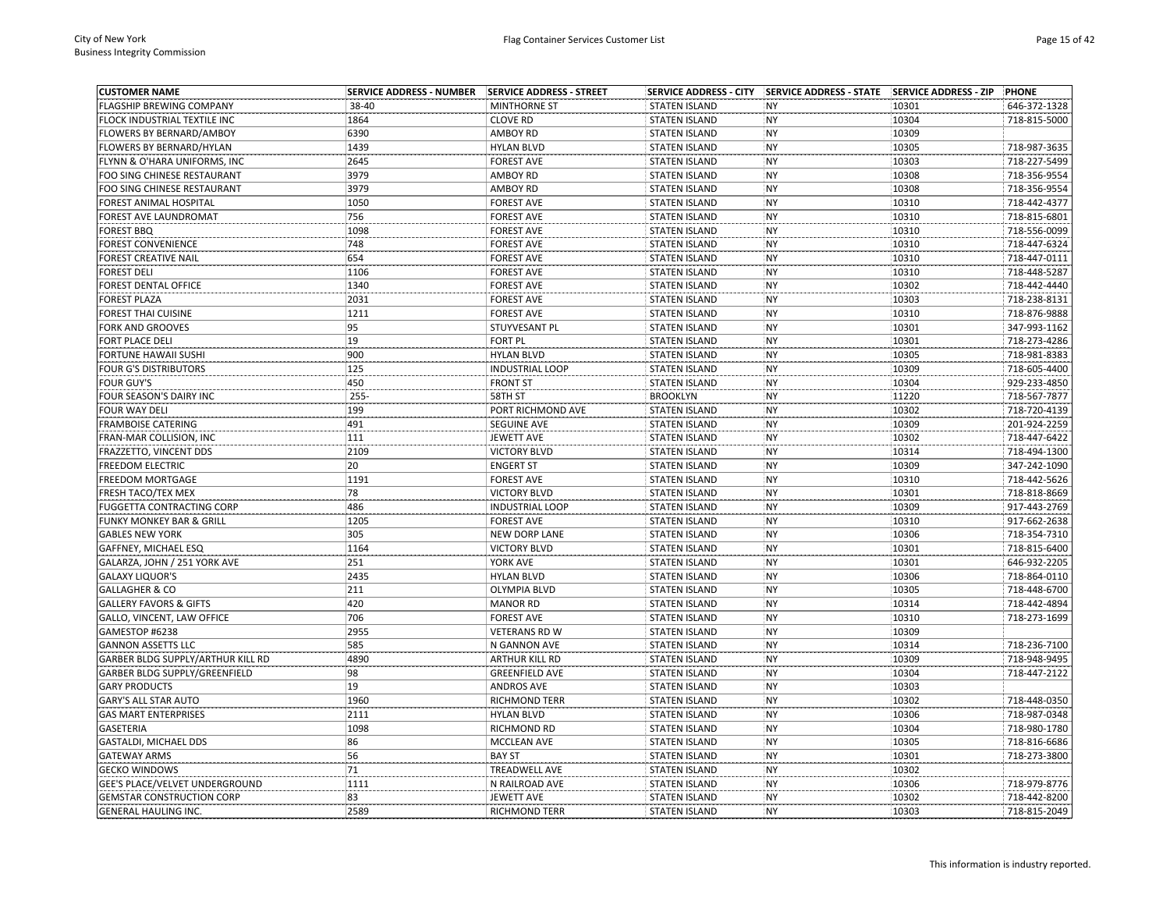| <b>CUSTOMER NAME</b>              | <b>SERVICE ADDRESS - NUMBER</b> | <b>SERVICE ADDRESS - STREET</b> |                      | SERVICE ADDRESS - CITY   SERVICE ADDRESS - STATE   SERVICE ADDRESS - ZIP |                | <b>PHONE</b>                 |
|-----------------------------------|---------------------------------|---------------------------------|----------------------|--------------------------------------------------------------------------|----------------|------------------------------|
| FLAGSHIP BREWING COMPANY          | 38-40                           | <b>MINTHORNE ST</b>             | <b>STATEN ISLAND</b> | <b>NY</b>                                                                | 10301          | 646-372-1328                 |
| FLOCK INDUSTRIAL TEXTILE INC      | 1864                            | <b>CLOVE RD</b>                 | <b>STATEN ISLAND</b> | <b>NY</b>                                                                | 10304          | 718-815-5000                 |
| FLOWERS BY BERNARD/AMBOY          | 6390                            | <b>AMBOY RD</b>                 | <b>STATEN ISLAND</b> | <b>NY</b>                                                                | 10309          |                              |
| FLOWERS BY BERNARD/HYLAN          | 1439                            | <b>HYLAN BLVD</b>               | <b>STATEN ISLAND</b> | <b>NY</b>                                                                | 10305          | 718-987-3635                 |
| FLYNN & O'HARA UNIFORMS, INC      | 2645                            | <b>FOREST AVE</b>               | <b>STATEN ISLAND</b> | NY                                                                       | 10303          | 718-227-5499                 |
| FOO SING CHINESE RESTAURANT       | 3979                            | AMBOY RD                        | <b>STATEN ISLAND</b> | <b>NY</b>                                                                | 10308          | 718-356-9554                 |
| FOO SING CHINESE RESTAURANT       | 3979                            | AMBOY RD                        | <b>STATEN ISLAND</b> | NY                                                                       | 10308          | 718-356-9554                 |
| FOREST ANIMAL HOSPITAL            | 1050                            | <b>FOREST AVE</b>               | <b>STATEN ISLAND</b> | <b>NY</b>                                                                | 10310          | 718-442-4377                 |
| FOREST AVE LAUNDROMAT             | 756                             | <b>FOREST AVE</b>               | <b>STATEN ISLAND</b> | NY                                                                       | 10310          | 718-815-6801                 |
| <b>FOREST BBQ</b>                 | 1098                            | <b>FOREST AVE</b>               | <b>STATEN ISLAND</b> | NY                                                                       | 10310          | 718-556-0099                 |
| FOREST CONVENIENCE                | 748                             | <b>FOREST AVE</b>               | <b>STATEN ISLAND</b> | <b>NY</b>                                                                | 10310          | 718-447-6324                 |
| FOREST CREATIVE NAIL              | 654                             | <b>FOREST AVE</b>               | <b>STATEN ISLAND</b> | <b>NY</b>                                                                | 10310          | 718-447-0111                 |
| <b>FOREST DELI</b>                | 1106                            | <b>FOREST AVE</b>               | <b>STATEN ISLAND</b> | <b>NY</b>                                                                | 10310          | 718-448-5287                 |
| FOREST DENTAL OFFICE              | 1340                            | <b>FOREST AVE</b>               | <b>STATEN ISLAND</b> | NY                                                                       | 10302          | 718-442-4440                 |
| <b>FOREST PLAZA</b>               | 2031                            | <b>FOREST AVE</b>               | <b>STATEN ISLAND</b> | NY                                                                       | 10303          | 718-238-8131                 |
| FOREST THAI CUISINE               | 1211                            | <b>FOREST AVE</b>               | <b>STATEN ISLAND</b> | <b>NY</b>                                                                | 10310          | 718-876-9888                 |
| FORK AND GROOVES                  | 95                              | STUYVESANT PL                   | <b>STATEN ISLAND</b> | NY                                                                       | 10301          | 347-993-1162                 |
| FORT PLACE DELI                   | 19                              | <b>FORT PL</b>                  | <b>STATEN ISLAND</b> | <b>NY</b>                                                                | 10301          | 718-273-4286                 |
| FORTUNE HAWAII SUSHI              | 900                             | <b>HYLAN BLVD</b>               | <b>STATEN ISLAND</b> | <b>NY</b>                                                                | 10305          | 718-981-8383                 |
| FOUR G'S DISTRIBUTORS             | 125                             | <b>INDUSTRIAL LOOP</b>          | <b>STATEN ISLAND</b> | <b>NY</b>                                                                | 10309          | 718-605-4400                 |
| <b>FOUR GUY'S</b>                 | 450                             | <b>FRONT ST</b>                 | <b>STATEN ISLAND</b> | NY                                                                       | 10304          | 929-233-4850                 |
| FOUR SEASON'S DAIRY INC           | $255 -$                         | 58TH ST                         | <b>BROOKLYN</b>      | NY                                                                       | 11220          | 718-567-7877                 |
| <b>FOUR WAY DELI</b>              | 199                             | PORT RICHMOND AVE               | <b>STATEN ISLAND</b> | NY                                                                       | 10302          | 718-720-4139                 |
| FRAMBOISE CATERING                | 491                             | <b>SEGUINE AVE</b>              | <b>STATEN ISLAND</b> | <b>NY</b>                                                                | 10309          | 201-924-2259                 |
| FRAN-MAR COLLISION, INC           | 111                             | <b>JEWETT AVE</b>               | <b>STATEN ISLAND</b> | NY                                                                       | 10302          | 718-447-6422                 |
| FRAZZETTO, VINCENT DDS            | 2109                            | <b>VICTORY BLVD</b>             | <b>STATEN ISLAND</b> | <b>NY</b>                                                                | 10314          | 718-494-1300                 |
| FREEDOM ELECTRIC                  | 20                              | <b>ENGERT ST</b>                | <b>STATEN ISLAND</b> | NY                                                                       | 10309          | 347-242-1090                 |
| <b>FREEDOM MORTGAGE</b>           | 1191                            | <b>FOREST AVE</b>               | <b>STATEN ISLAND</b> | <b>NY</b>                                                                | 10310          | 718-442-5626                 |
| FRESH TACO/TEX MEX                | 78                              | <b>VICTORY BLVD</b>             | <b>STATEN ISLAND</b> | <b>NY</b>                                                                | 10301          | 718-818-8669                 |
| <b>FUGGETTA CONTRACTING CORP</b>  | 486                             | <b>INDUSTRIAL LOOP</b>          | <b>STATEN ISLAND</b> | NY                                                                       | 10309          | 917-443-2769                 |
|                                   | 1205                            |                                 |                      | NY                                                                       | 10310          | 917-662-2638                 |
| FUNKY MONKEY BAR & GRILL          |                                 | <b>FOREST AVE</b>               | <b>STATEN ISLAND</b> |                                                                          |                |                              |
| <b>GABLES NEW YORK</b>            | 305<br>1164                     | <b>NEW DORP LANE</b>            | <b>STATEN ISLAND</b> | NY                                                                       | 10306          | 718-354-7310                 |
| GAFFNEY, MICHAEL ESQ              | 251                             | <b>VICTORY BLVD</b>             | <b>STATEN ISLAND</b> | <b>NY</b>                                                                | 10301<br>10301 | 718-815-6400<br>646-932-2205 |
| GALARZA, JOHN / 251 YORK AVE      |                                 | YORK AVE                        | <b>STATEN ISLAND</b> | <b>NY</b>                                                                |                |                              |
| <b>GALAXY LIQUOR'S</b>            | 2435                            | <b>HYLAN BLVD</b>               | <b>STATEN ISLAND</b> | NY                                                                       | 10306          | 718-864-0110                 |
| <b>GALLAGHER &amp; CO</b>         | 211                             | <b>OLYMPIA BLVD</b>             | <b>STATEN ISLAND</b> | NY                                                                       | 10305          | 718-448-6700                 |
| <b>GALLERY FAVORS &amp; GIFTS</b> | 420                             | <b>MANOR RD</b>                 | <b>STATEN ISLAND</b> | <b>NY</b>                                                                | 10314          | 718-442-4894                 |
| GALLO, VINCENT, LAW OFFICE        | 706                             | <b>FOREST AVE</b>               | <b>STATEN ISLAND</b> | <b>NY</b>                                                                | 10310          | 718-273-1699                 |
| GAMESTOP #6238                    | 2955                            | <b>VETERANS RD W</b>            | <b>STATEN ISLAND</b> | NY                                                                       | 10309          |                              |
| <b>GANNON ASSETTS LLC</b>         | 585                             | N GANNON AVE                    | <b>STATEN ISLAND</b> | NY                                                                       | 10314          | 718-236-7100                 |
| GARBER BLDG SUPPLY/ARTHUR KILL RD | 4890                            | ARTHUR KILL RD                  | <b>STATEN ISLAND</b> | <b>NY</b>                                                                | 10309          | 718-948-9495                 |
| GARBER BLDG SUPPLY/GREENFIELD     | 98                              | <b>GREENFIELD AVE</b>           | <b>STATEN ISLAND</b> | <b>NY</b>                                                                | 10304          | 718-447-2122                 |
| <b>GARY PRODUCTS</b>              | 19                              | <b>ANDROS AVE</b>               | <b>STATEN ISLAND</b> | NY                                                                       | 10303          |                              |
| <b>GARY'S ALL STAR AUTO</b>       | 1960                            | RICHMOND TERR                   | <b>STATEN ISLAND</b> | NY                                                                       | 10302          | 718-448-0350                 |
| <b>GAS MART ENTERPRISES</b>       | 2111                            | <b>HYLAN BLVD</b>               | <b>STATEN ISLAND</b> | NY                                                                       | 10306          | 718-987-0348                 |
| GASETERIA                         | 1098                            | RICHMOND RD                     | <b>STATEN ISLAND</b> | <b>NY</b>                                                                | 10304          | 718-980-1780                 |
| GASTALDI, MICHAEL DDS             | 86                              | MCCLEAN AVE                     | <b>STATEN ISLAND</b> | <b>NY</b>                                                                | 10305          | 718-816-6686                 |
| <b>GATEWAY ARMS</b>               | 56                              | <b>BAY ST</b>                   | <b>STATEN ISLAND</b> | NY                                                                       | 10301          | 718-273-3800                 |
| <b>GECKO WINDOWS</b>              | 71                              | <b>TREADWELL AVE</b>            | <b>STATEN ISLAND</b> | NY                                                                       | 10302          |                              |
| GEE'S PLACE/VELVET UNDERGROUND    | 1111                            | N RAILROAD AVE                  | <b>STATEN ISLAND</b> | NY                                                                       | 10306          | 718-979-8776                 |
| <b>GEMSTAR CONSTRUCTION CORP</b>  | 83                              | <b>JEWETT AVE</b>               | <b>STATEN ISLAND</b> | <b>NY</b>                                                                | 10302          | 718-442-8200                 |
| <b>GENERAL HAULING INC.</b>       | 2589                            | <b>RICHMOND TERR</b>            | <b>STATEN ISLAND</b> | <b>NY</b>                                                                | 10303          | 718-815-2049                 |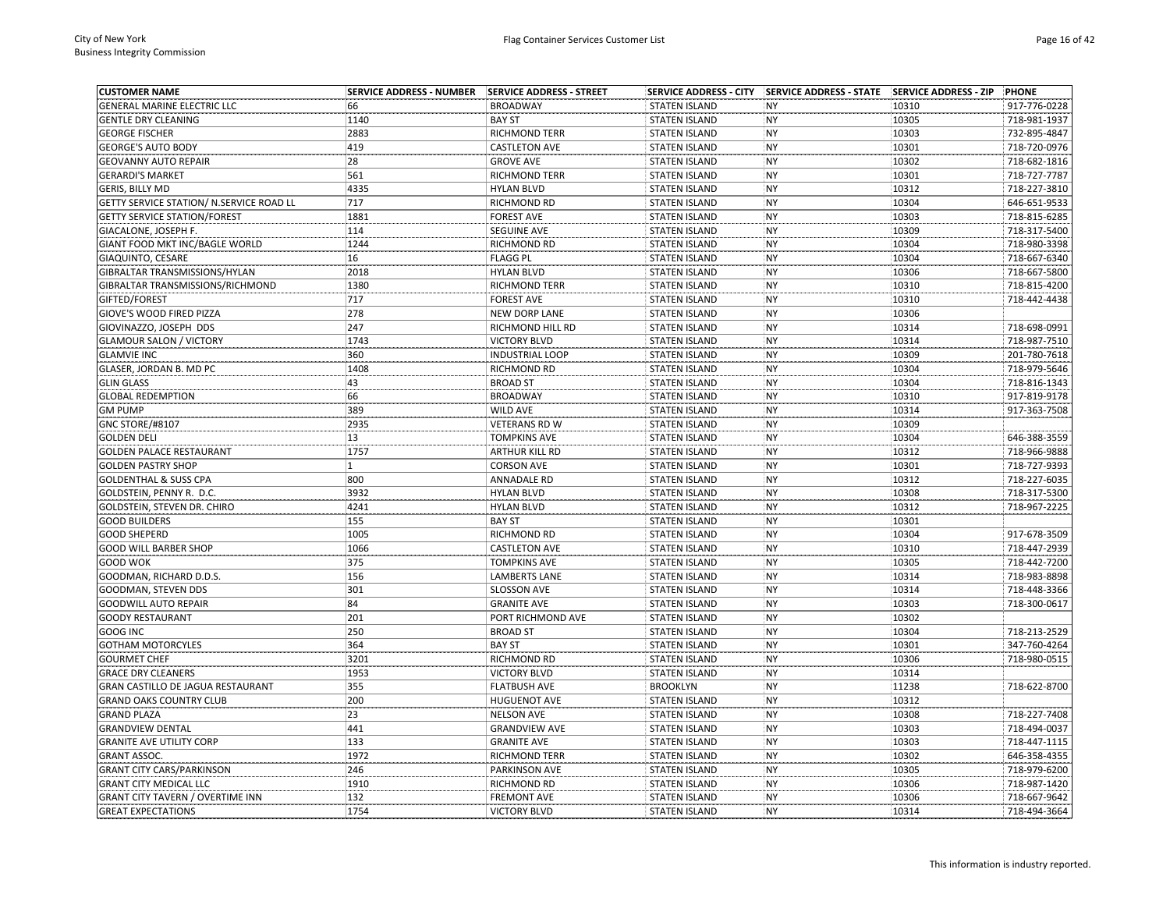| <b>CUSTOMER NAME</b>                     | <b>SERVICE ADDRESS - NUMBER</b> | SERVICE ADDRESS - STREET | <b>SERVICE ADDRESS - CITY</b> | SERVICE ADDRESS - STATE SERVICE ADDRESS - ZIP |       | <b>PHONE</b> |
|------------------------------------------|---------------------------------|--------------------------|-------------------------------|-----------------------------------------------|-------|--------------|
| GENERAL MARINE ELECTRIC LLC              | 66                              | <b>BROADWAY</b>          | <b>STATEN ISLAND</b>          | <b>NY</b>                                     | 10310 | 917-776-0228 |
| <b>GENTLE DRY CLEANING</b>               | 1140                            | <b>BAY ST</b>            | <b>STATEN ISLAND</b>          | <b>NY</b>                                     | 10305 | 718-981-1937 |
| <b>GEORGE FISCHER</b>                    | 2883                            | <b>RICHMOND TERR</b>     | <b>STATEN ISLAND</b>          | <b>NY</b>                                     | 10303 | 732-895-4847 |
| <b>GEORGE'S AUTO BODY</b>                | 419                             | <b>CASTLETON AVE</b>     | <b>STATEN ISLAND</b>          | <b>NY</b>                                     | 10301 | 718-720-0976 |
| <b>GEOVANNY AUTO REPAIR</b>              | 28                              | <b>GROVE AVE</b>         | <b>STATEN ISLAND</b>          | <b>NY</b>                                     | 10302 | 718-682-1816 |
| <b>GERARDI'S MARKET</b>                  | 561                             | RICHMOND TERR            | <b>STATEN ISLAND</b>          | <b>NY</b>                                     | 10301 | 718-727-7787 |
| GERIS, BILLY MD                          | 4335                            | <b>HYLAN BLVD</b>        | <b>STATEN ISLAND</b>          | <b>NY</b>                                     | 10312 | 718-227-3810 |
| GETTY SERVICE STATION/ N.SERVICE ROAD LL | 717                             | RICHMOND RD              | <b>STATEN ISLAND</b>          | <b>NY</b>                                     | 10304 | 646-651-9533 |
| <b>GETTY SERVICE STATION/FOREST</b>      | 1881                            | <b>FOREST AVE</b>        | <b>STATEN ISLAND</b>          | <b>NY</b>                                     | 10303 | 718-815-6285 |
| GIACALONE, JOSEPH F.                     | 114                             | <b>SEGUINE AVE</b>       | <b>STATEN ISLAND</b>          | <b>NY</b>                                     | 10309 | 718-317-5400 |
| GIANT FOOD MKT INC/BAGLE WORLD           | 1244                            | RICHMOND RD              | <b>STATEN ISLAND</b>          | <b>NY</b>                                     | 10304 | 718-980-3398 |
| GIAQUINTO, CESARE                        | 16                              | <b>FLAGG PL</b>          | <b>STATEN ISLAND</b>          | <b>NY</b>                                     | 10304 | 718-667-6340 |
| GIBRALTAR TRANSMISSIONS/HYLAN            | 2018                            | <b>HYLAN BLVD</b>        | <b>STATEN ISLAND</b>          | <b>NY</b>                                     | 10306 | 718-667-5800 |
| GIBRALTAR TRANSMISSIONS/RICHMOND         | 1380                            | <b>RICHMOND TERR</b>     | <b>STATEN ISLAND</b>          | <b>NY</b>                                     | 10310 | 718-815-4200 |
| GIFTED/FOREST                            | 717                             | <b>FOREST AVE</b>        | <b>STATEN ISLAND</b>          | <b>NY</b>                                     | 10310 | 718-442-4438 |
| GIOVE'S WOOD FIRED PIZZA                 | 278                             | <b>NEW DORP LANE</b>     | <b>STATEN ISLAND</b>          | <b>NY</b>                                     | 10306 |              |
| GIOVINAZZO, JOSEPH DDS                   | 247                             | RICHMOND HILL RD         | <b>STATEN ISLAND</b>          | <b>NY</b>                                     | 10314 | 718-698-0991 |
| <b>GLAMOUR SALON / VICTORY</b>           | 1743                            | <b>VICTORY BLVD</b>      | <b>STATEN ISLAND</b>          | <b>NY</b>                                     | 10314 | 718-987-7510 |
| <b>GLAMVIE INC</b>                       | 360                             | <b>INDUSTRIAL LOOP</b>   | <b>STATEN ISLAND</b>          | <b>NY</b>                                     | 10309 | 201-780-7618 |
| GLASER, JORDAN B. MD PC                  | 1408                            | RICHMOND RD              | <b>STATEN ISLAND</b>          | <b>NY</b>                                     | 10304 | 718-979-5646 |
| <b>GLIN GLASS</b>                        | 43                              | <b>BROAD ST</b>          | <b>STATEN ISLAND</b>          | <b>NY</b>                                     | 10304 | 718-816-1343 |
| <b>GLOBAL REDEMPTION</b>                 | 66                              | <b>BROADWAY</b>          | <b>STATEN ISLAND</b>          | <b>NY</b>                                     | 10310 | 917-819-9178 |
| <b>GM PUMP</b>                           | 389                             | <b>WILD AVE</b>          | <b>STATEN ISLAND</b>          | <b>NY</b>                                     | 10314 | 917-363-7508 |
| GNC STORE/#8107                          | 2935                            | <b>VETERANS RD W</b>     | <b>STATEN ISLAND</b>          | <b>NY</b>                                     | 10309 |              |
| <b>GOLDEN DELI</b>                       | 13                              | <b>TOMPKINS AVE</b>      | <b>STATEN ISLAND</b>          | <b>NY</b>                                     | 10304 | 646-388-3559 |
| <b>GOLDEN PALACE RESTAURANT</b>          | 1757                            | ARTHUR KILL RD           | <b>STATEN ISLAND</b>          | <b>NY</b>                                     | 10312 | 718-966-9888 |
| <b>GOLDEN PASTRY SHOP</b>                | 1                               | <b>CORSON AVE</b>        | <b>STATEN ISLAND</b>          | <b>NY</b>                                     | 10301 | 718-727-9393 |
| <b>GOLDENTHAL &amp; SUSS CPA</b>         | 800                             | <b>ANNADALE RD</b>       | <b>STATEN ISLAND</b>          | <b>NY</b>                                     | 10312 | 718-227-6035 |
| GOLDSTEIN, PENNY R. D.C.                 | 3932                            | <b>HYLAN BLVD</b>        | <b>STATEN ISLAND</b>          | <b>NY</b>                                     | 10308 | 718-317-5300 |
| GOLDSTEIN, STEVEN DR. CHIRO              | 4241                            | <b>HYLAN BLVD</b>        | <b>STATEN ISLAND</b>          | <b>NY</b>                                     | 10312 | 718-967-2225 |
| <b>GOOD BUILDERS</b>                     | 155                             | <b>BAY ST</b>            | <b>STATEN ISLAND</b>          | <b>NY</b>                                     | 10301 |              |
| <b>GOOD SHEPERD</b>                      | 1005                            | RICHMOND RD              | <b>STATEN ISLAND</b>          | <b>NY</b>                                     | 10304 | 917-678-3509 |
| GOOD WILL BARBER SHOP                    | 1066                            | <b>CASTLETON AVE</b>     | <b>STATEN ISLAND</b>          | <b>NY</b>                                     | 10310 | 718-447-2939 |
| GOOD WOK                                 | 375                             | <b>TOMPKINS AVE</b>      | <b>STATEN ISLAND</b>          | <b>NY</b>                                     | 10305 | 718-442-7200 |
| GOODMAN, RICHARD D.D.S.                  | 156                             | <b>LAMBERTS LANE</b>     | <b>STATEN ISLAND</b>          | <b>NY</b>                                     | 10314 | 718-983-8898 |
| GOODMAN, STEVEN DDS                      | 301                             | <b>SLOSSON AVE</b>       | <b>STATEN ISLAND</b>          | <b>NY</b>                                     | 10314 | 718-448-3366 |
| <b>GOODWILL AUTO REPAIR</b>              | 84                              | <b>GRANITE AVE</b>       | <b>STATEN ISLAND</b>          | <b>NY</b>                                     | 10303 | 718-300-0617 |
| <b>GOODY RESTAURANT</b>                  | 201                             | PORT RICHMOND AVE        | <b>STATEN ISLAND</b>          | <b>NY</b>                                     | 10302 |              |
| GOOG INC                                 | 250                             | <b>BROAD ST</b>          | <b>STATEN ISLAND</b>          | <b>NY</b>                                     | 10304 | 718-213-2529 |
| <b>GOTHAM MOTORCYLES</b>                 | 364                             | <b>BAY ST</b>            | <b>STATEN ISLAND</b>          | <b>NY</b>                                     | 10301 | 347-760-4264 |
| <b>GOURMET CHEF</b>                      | 3201                            | RICHMOND RD              | <b>STATEN ISLAND</b>          | <b>NY</b>                                     | 10306 | 718-980-0515 |
| <b>GRACE DRY CLEANERS</b>                | 1953                            | <b>VICTORY BLVD</b>      | <b>STATEN ISLAND</b>          | <b>NY</b>                                     | 10314 |              |
| GRAN CASTILLO DE JAGUA RESTAURANT        | 355                             | <b>FLATBUSH AVE</b>      | <b>BROOKLYN</b>               | <b>NY</b>                                     | 11238 | 718-622-8700 |
| <b>GRAND OAKS COUNTRY CLUB</b>           | 200                             | <b>HUGUENOT AVE</b>      | <b>STATEN ISLAND</b>          | <b>NY</b>                                     | 10312 |              |
| <b>GRAND PLAZA</b>                       | 23                              | <b>NELSON AVE</b>        | <b>STATEN ISLAND</b>          | <b>NY</b>                                     | 10308 | 718-227-7408 |
| <b>GRANDVIEW DENTAL</b>                  | 441                             | <b>GRANDVIEW AVE</b>     | <b>STATEN ISLAND</b>          | <b>NY</b>                                     | 10303 | 718-494-0037 |
| <b>GRANITE AVE UTILITY CORP</b>          | 133                             | <b>GRANITE AVE</b>       | <b>STATEN ISLAND</b>          | <b>NY</b>                                     | 10303 | 718-447-1115 |
| <b>GRANT ASSOC.</b>                      | 1972                            | RICHMOND TERR            | <b>STATEN ISLAND</b>          | <b>NY</b>                                     | 10302 | 646-358-4355 |
| <b>GRANT CITY CARS/PARKINSON</b>         | 246                             | PARKINSON AVE            | <b>STATEN ISLAND</b>          | <b>NY</b>                                     | 10305 | 718-979-6200 |
| <b>GRANT CITY MEDICAL LLC</b>            | 1910                            | RICHMOND RD              | <b>STATEN ISLAND</b>          | <b>NY</b>                                     | 10306 | 718-987-1420 |
| <b>GRANT CITY TAVERN / OVERTIME INN</b>  | 132                             | <b>FREMONT AVE</b>       | <b>STATEN ISLAND</b>          | <b>NY</b>                                     | 10306 | 718-667-9642 |
| <b>GREAT EXPECTATIONS</b>                | 1754                            | <b>VICTORY BLVD</b>      | <b>STATEN ISLAND</b>          | <b>NY</b>                                     | 10314 | 718-494-3664 |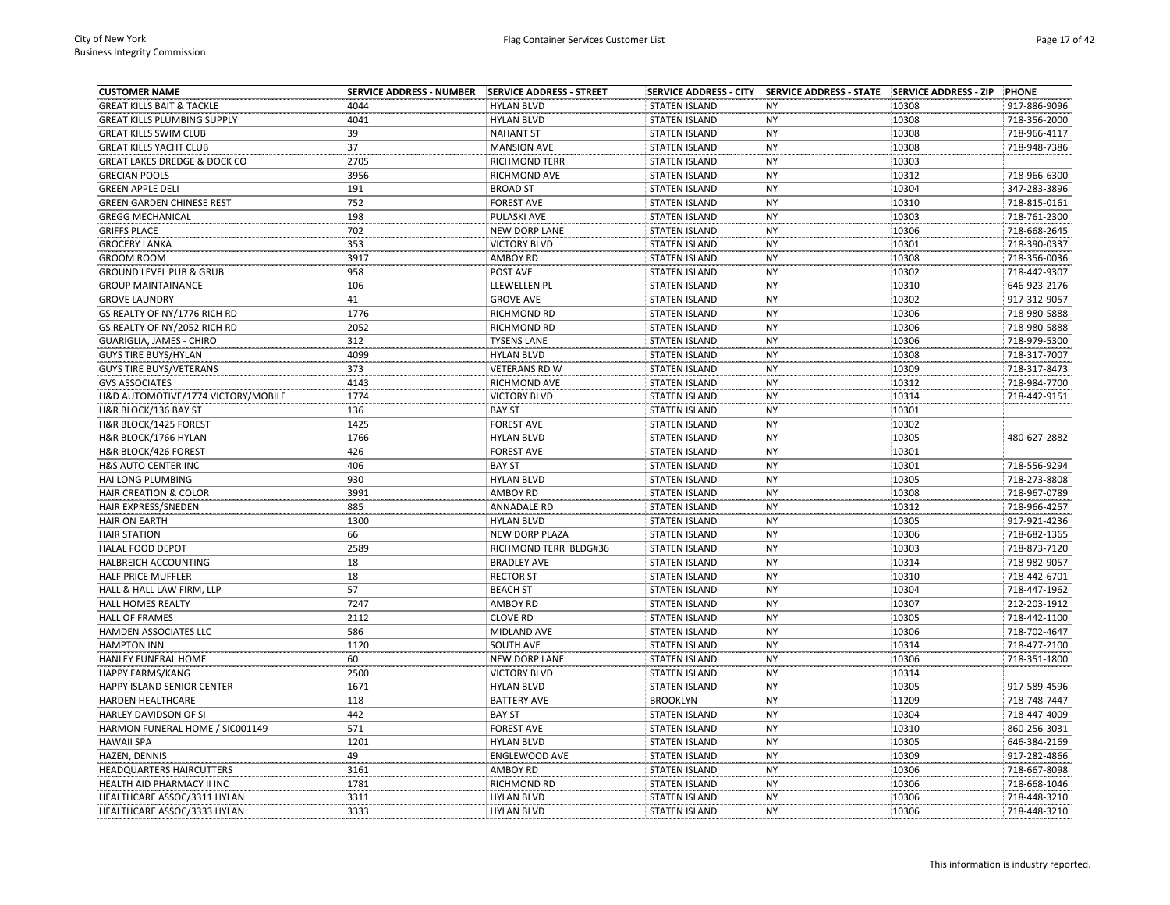| <b>CUSTOMER NAME</b>                    |      |                       |                      | SERVICE ADDRESS - CITY SERVICE ADDRESS - STATE | <b>SERVICE ADDRESS - ZIP</b> | PHONE        |
|-----------------------------------------|------|-----------------------|----------------------|------------------------------------------------|------------------------------|--------------|
| <b>GREAT KILLS BAIT &amp; TACKLE</b>    | 4044 | <b>HYLAN BLVD</b>     | <b>STATEN ISLAND</b> | <b>NY</b>                                      | 10308                        | 917-886-9096 |
| <b>GREAT KILLS PLUMBING SUPPLY</b>      | 4041 | <b>HYLAN BLVD</b>     | <b>STATEN ISLAND</b> | <b>NY</b>                                      | 10308                        | 718-356-2000 |
| <b>GREAT KILLS SWIM CLUB</b>            | 39   | <b>NAHANT ST</b>      | <b>STATEN ISLAND</b> | <b>NY</b>                                      | 10308                        | 718-966-4117 |
| <b>GREAT KILLS YACHT CLUB</b>           | 37   | <b>MANSION AVE</b>    | <b>STATEN ISLAND</b> | <b>NY</b>                                      | 10308                        | 718-948-7386 |
| <b>GREAT LAKES DREDGE &amp; DOCK CO</b> | 2705 | <b>RICHMOND TERR</b>  | <b>STATEN ISLAND</b> | NY                                             | 10303                        |              |
| <b>GRECIAN POOLS</b>                    | 3956 | RICHMOND AVE          | <b>STATEN ISLAND</b> | <b>NY</b>                                      | 10312                        | 718-966-6300 |
| <b>GREEN APPLE DELI</b>                 | 191  | <b>BROAD ST</b>       | <b>STATEN ISLAND</b> | <b>NY</b>                                      | 10304                        | 347-283-3896 |
| <b>GREEN GARDEN CHINESE REST</b>        | 752  | <b>FOREST AVE</b>     | <b>STATEN ISLAND</b> | <b>NY</b>                                      | 10310                        | 718-815-0161 |
| <b>GREGG MECHANICAL</b>                 | 198  | PULASKI AVE           | <b>STATEN ISLAND</b> | <b>NY</b>                                      | 10303                        | 718-761-2300 |
| <b>GRIFFS PLACE</b>                     | 702  | <b>NEW DORP LANE</b>  | <b>STATEN ISLAND</b> | <b>NY</b>                                      | 10306                        | 718-668-2645 |
| <b>GROCERY LANKA</b>                    | 353  | <b>VICTORY BLVD</b>   | <b>STATEN ISLAND</b> | <b>NY</b>                                      | 10301                        | 718-390-0337 |
| <b>GROOM ROOM</b>                       | 3917 | AMBOY RD              | <b>STATEN ISLAND</b> | <b>NY</b>                                      | 10308                        | 718-356-0036 |
| <b>GROUND LEVEL PUB &amp; GRUB</b>      | 958  | POST AVE              | <b>STATEN ISLAND</b> | <b>NY</b>                                      | 10302                        | 718-442-9307 |
| <b>GROUP MAINTAINANCE</b>               | 106  | LLEWELLEN PL          | <b>STATEN ISLAND</b> | NY                                             | 10310                        | 646-923-2176 |
| <b>GROVE LAUNDRY</b>                    | 41   | <b>GROVE AVE</b>      | <b>STATEN ISLAND</b> | <b>NY</b>                                      | 10302                        | 917-312-9057 |
| GS REALTY OF NY/1776 RICH RD            | 1776 | RICHMOND RD           | <b>STATEN ISLAND</b> | NY                                             | 10306                        | 718-980-5888 |
| GS REALTY OF NY/2052 RICH RD            | 2052 | RICHMOND RD           | <b>STATEN ISLAND</b> | <b>NY</b>                                      | 10306                        | 718-980-5888 |
| <b>GUARIGLIA, JAMES - CHIRO</b>         | 312  | <b>TYSENS LANE</b>    | <b>STATEN ISLAND</b> | <b>NY</b>                                      | 10306                        | 718-979-5300 |
| <b>GUYS TIRE BUYS/HYLAN</b>             | 4099 | <b>HYLAN BLVD</b>     | <b>STATEN ISLAND</b> | <b>NY</b>                                      | 10308                        | 718-317-7007 |
| <b>GUYS TIRE BUYS/VETERANS</b>          | 373  | <b>VETERANS RD W</b>  | <b>STATEN ISLAND</b> | <b>NY</b>                                      | 10309                        | 718-317-8473 |
| <b>GVS ASSOCIATES</b>                   | 4143 | RICHMOND AVE          | <b>STATEN ISLAND</b> | <b>NY</b>                                      | 10312                        | 718-984-7700 |
| H&D AUTOMOTIVE/1774 VICTORY/MOBILE      | 1774 | <b>VICTORY BLVD</b>   | <b>STATEN ISLAND</b> | <b>NY</b>                                      | 10314                        | 718-442-9151 |
| H&R BLOCK/136 BAY ST                    | 136  | <b>BAY ST</b>         | <b>STATEN ISLAND</b> | <b>NY</b>                                      | 10301                        |              |
| H&R BLOCK/1425 FOREST                   | 1425 | <b>FOREST AVE</b>     | <b>STATEN ISLAND</b> | <b>NY</b>                                      | 10302                        |              |
| H&R BLOCK/1766 HYLAN                    | 1766 | <b>HYLAN BLVD</b>     | <b>STATEN ISLAND</b> | NY                                             | 10305                        | 480-627-2882 |
| <b>H&amp;R BLOCK/426 FOREST</b>         | 426  | <b>FOREST AVE</b>     | <b>STATEN ISLAND</b> | <b>NY</b>                                      | 10301                        |              |
| <b>H&amp;S AUTO CENTER INC</b>          | 406  | <b>BAY ST</b>         | <b>STATEN ISLAND</b> | <b>NY</b>                                      | 10301                        | 718-556-9294 |
| HAI LONG PLUMBING                       | 930  | <b>HYLAN BLVD</b>     | <b>STATEN ISLAND</b> | <b>NY</b>                                      | 10305                        | 718-273-8808 |
| <b>HAIR CREATION &amp; COLOR</b>        | 3991 | <b>AMBOY RD</b>       | <b>STATEN ISLAND</b> | <b>NY</b>                                      | 10308                        | 718-967-0789 |
| HAIR EXPRESS/SNEDEN                     | 885  | <b>ANNADALE RD</b>    | <b>STATEN ISLAND</b> | <b>NY</b>                                      | 10312                        | 718-966-4257 |
| <b>HAIR ON EARTH</b>                    | 1300 | <b>HYLAN BLVD</b>     | <b>STATEN ISLAND</b> | <b>NY</b>                                      | 10305                        | 917-921-4236 |
| <b>HAIR STATION</b>                     | 66   | <b>NEW DORP PLAZA</b> | <b>STATEN ISLAND</b> | <b>NY</b>                                      | 10306                        | 718-682-1365 |
| HALAL FOOD DEPOT                        | 2589 | RICHMOND TERR BLDG#36 | <b>STATEN ISLAND</b> | <b>NY</b>                                      | 10303                        | 718-873-7120 |
| HALBREICH ACCOUNTING                    | 18   | <b>BRADLEY AVE</b>    | <b>STATEN ISLAND</b> | <b>NY</b>                                      | 10314                        | 718-982-9057 |
| <b>HALF PRICE MUFFLER</b>               | 18   | <b>RECTOR ST</b>      | <b>STATEN ISLAND</b> | NY                                             | 10310                        | 718-442-6701 |
| HALL & HALL LAW FIRM, LLP               | 57   | <b>BEACH ST</b>       | <b>STATEN ISLAND</b> | <b>NY</b>                                      | 10304                        | 718-447-1962 |
| <b>HALL HOMES REALTY</b>                | 7247 | <b>AMBOY RD</b>       | <b>STATEN ISLAND</b> | NY                                             | 10307                        | 212-203-1912 |
| <b>HALL OF FRAMES</b>                   | 2112 | <b>CLOVE RD</b>       | <b>STATEN ISLAND</b> | <b>NY</b>                                      | 10305                        | 718-442-1100 |
| HAMDEN ASSOCIATES LLC                   | 586  | MIDLAND AVE           | <b>STATEN ISLAND</b> | <b>NY</b>                                      | 10306                        | 718-702-4647 |
|                                         | 1120 |                       |                      |                                                |                              |              |
| <b>HAMPTON INN</b>                      | 60   | SOUTH AVE             | <b>STATEN ISLAND</b> | <b>NY</b><br><b>NY</b>                         | 10314                        | 718-477-2100 |
| HANLEY FUNERAL HOME                     |      | <b>NEW DORP LANE</b>  | <b>STATEN ISLAND</b> |                                                | 10306                        | 718-351-1800 |
| HAPPY FARMS/KANG                        | 2500 | <b>VICTORY BLVD</b>   | <b>STATEN ISLAND</b> | <b>NY</b>                                      | 10314                        |              |
| HAPPY ISLAND SENIOR CENTER              | 1671 | <b>HYLAN BLVD</b>     | <b>STATEN ISLAND</b> | <b>NY</b>                                      | 10305                        | 917-589-4596 |
| HARDEN HEALTHCARE                       | 118  | <b>BATTERY AVE</b>    | <b>BROOKLYN</b>      | <b>NY</b>                                      | 11209                        | 718-748-7447 |
| HARLEY DAVIDSON OF SI                   | 442  | <b>BAY ST</b>         | <b>STATEN ISLAND</b> | <b>NY</b>                                      | 10304                        | 718-447-4009 |
| HARMON FUNERAL HOME / SIC001149         | 571  | <b>FOREST AVE</b>     | <b>STATEN ISLAND</b> | <b>NY</b>                                      | 10310                        | 860-256-3031 |
| <b>HAWAII SPA</b>                       | 1201 | <b>HYLAN BLVD</b>     | <b>STATEN ISLAND</b> | <b>NY</b>                                      | 10305                        | 646-384-2169 |
| HAZEN, DENNIS                           | 49   | ENGLEWOOD AVE         | <b>STATEN ISLAND</b> | NY                                             | 10309                        | 917-282-4866 |
| <b>HEADQUARTERS HAIRCUTTERS</b>         | 3161 | <b>AMBOY RD</b>       | <b>STATEN ISLAND</b> | <b>NY</b>                                      | 10306                        | 718-667-8098 |
| HEALTH AID PHARMACY II INC              | 1781 | RICHMOND RD           | <b>STATEN ISLAND</b> | <b>NY</b>                                      | 10306                        | 718-668-1046 |
| HEALTHCARE ASSOC/3311 HYLAN             | 3311 | <b>HYLAN BLVD</b>     | <b>STATEN ISLAND</b> | <b>NY</b>                                      | 10306                        | 718-448-3210 |
| <b>HEALTHCARE ASSOC/3333 HYLAN</b>      | 3333 | <b>HYLAN BLVD</b>     | <b>STATEN ISLAND</b> | <b>NY</b>                                      | 10306                        | 718-448-3210 |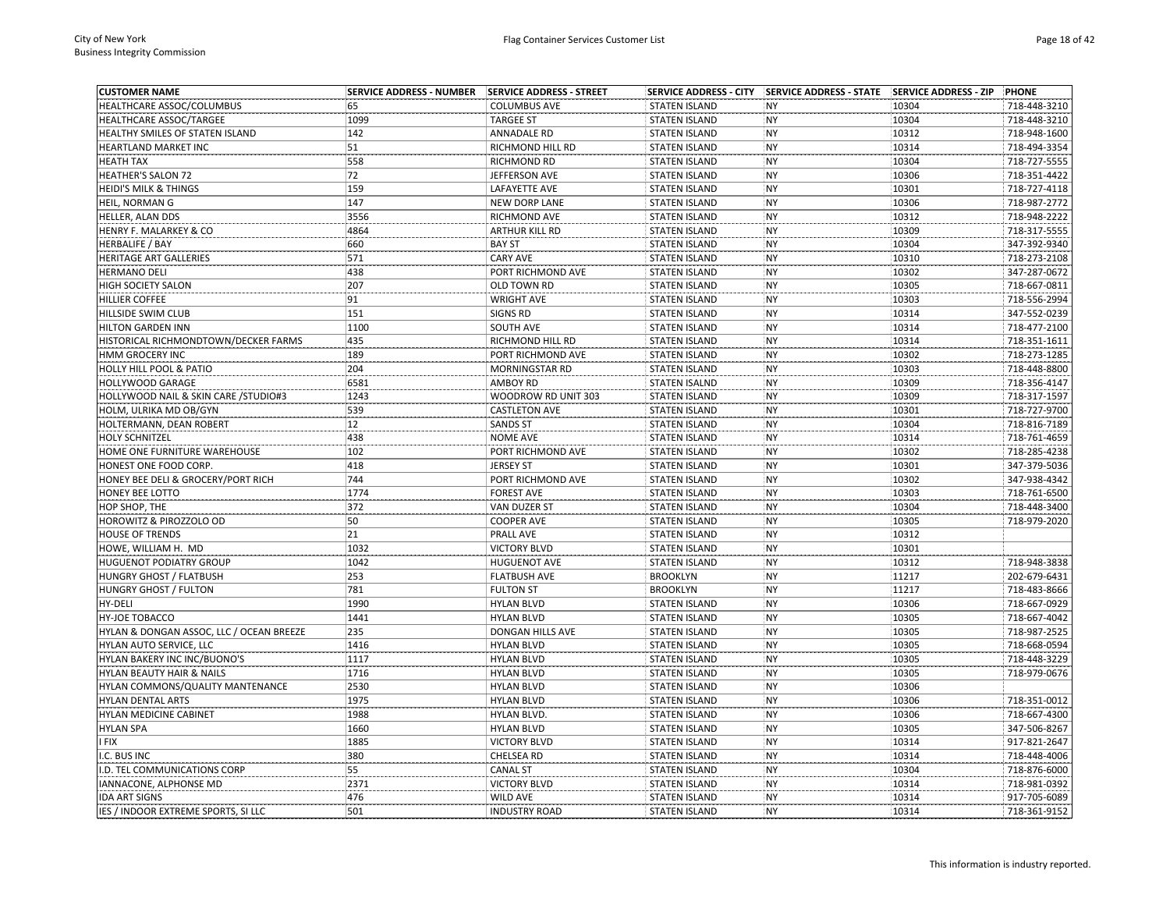| <b>CUSTOMER NAME</b>                     | <b>SERVICE ADDRESS - NUMBER</b> | SERVICE ADDRESS - STREET |                      | SERVICE ADDRESS - CITY   SERVICE ADDRESS - STATE   SERVICE ADDRESS - ZIP |       | PHONE        |
|------------------------------------------|---------------------------------|--------------------------|----------------------|--------------------------------------------------------------------------|-------|--------------|
| HEALTHCARE ASSOC/COLUMBUS                | 65                              | <b>COLUMBUS AVE</b>      | <b>STATEN ISLAND</b> | <b>NY</b>                                                                | 10304 | 718-448-3210 |
| HEALTHCARE ASSOC/TARGEE                  | 1099                            | <b>TARGEE ST</b>         | <b>STATEN ISLAND</b> | <b>NY</b>                                                                | 10304 | 718-448-3210 |
| HEALTHY SMILES OF STATEN ISLAND          | 142                             | <b>ANNADALE RD</b>       | <b>STATEN ISLAND</b> | <b>NY</b>                                                                | 10312 | 718-948-1600 |
| <b>HEARTLAND MARKET INC</b>              | 51                              | RICHMOND HILL RD         | <b>STATEN ISLAND</b> | <b>NY</b>                                                                | 10314 | 718-494-3354 |
| HEATH TAX                                | 558                             | RICHMOND RD              | <b>STATEN ISLAND</b> | <b>NY</b>                                                                | 10304 | 718-727-5555 |
| <b>HEATHER'S SALON 72</b>                | 72                              | JEFFERSON AVE            | <b>STATEN ISLAND</b> | <b>NY</b>                                                                | 10306 | 718-351-4422 |
| HEIDI'S MILK & THINGS                    | 159                             | <b>LAFAYETTE AVE</b>     | <b>STATEN ISLAND</b> | <b>NY</b>                                                                | 10301 | 718-727-4118 |
| HEIL, NORMAN G                           | 147                             | <b>NEW DORP LANE</b>     | <b>STATEN ISLAND</b> | <b>NY</b>                                                                | 10306 | 718-987-2772 |
| HELLER, ALAN DDS                         | 3556                            | RICHMOND AVE             | <b>STATEN ISLAND</b> | <b>NY</b>                                                                | 10312 | 718-948-2222 |
| HENRY F. MALARKEY & CO                   | 4864                            | ARTHUR KILL RD           | <b>STATEN ISLAND</b> | <b>NY</b>                                                                | 10309 | 718-317-5555 |
| <b>HERBALIFE / BAY</b>                   | 660                             | <b>BAY ST</b>            | <b>STATEN ISLAND</b> | <b>NY</b>                                                                | 10304 | 347-392-9340 |
| HERITAGE ART GALLERIES                   | 571                             | <b>CARY AVE</b>          | <b>STATEN ISLAND</b> | <b>NY</b>                                                                | 10310 | 718-273-2108 |
| <b>HERMANO DELI</b>                      | 438                             | PORT RICHMOND AVE        | <b>STATEN ISLAND</b> | <b>NY</b>                                                                | 10302 | 347-287-0672 |
| HIGH SOCIETY SALON                       | 207                             | OLD TOWN RD              | <b>STATEN ISLAND</b> | <b>NY</b>                                                                | 10305 | 718-667-0811 |
| <b>HILLIER COFFEE</b>                    | 91                              | <b>WRIGHT AVE</b>        | <b>STATEN ISLAND</b> | <b>NY</b>                                                                | 10303 | 718-556-2994 |
| HILLSIDE SWIM CLUB                       | 151                             | <b>SIGNS RD</b>          | <b>STATEN ISLAND</b> | <b>NY</b>                                                                | 10314 | 347-552-0239 |
| <b>HILTON GARDEN INN</b>                 | 1100                            | SOUTH AVE                | <b>STATEN ISLAND</b> | <b>NY</b>                                                                | 10314 | 718-477-2100 |
| HISTORICAL RICHMONDTOWN/DECKER FARMS     | 435                             | RICHMOND HILL RD         | <b>STATEN ISLAND</b> | <b>NY</b>                                                                | 10314 | 718-351-1611 |
| HMM GROCERY INC                          | 189                             | PORT RICHMOND AVE        | <b>STATEN ISLAND</b> | <b>NY</b>                                                                | 10302 | 718-273-1285 |
| HOLLY HILL POOL & PATIO                  | 204                             | <b>MORNINGSTAR RD</b>    | <b>STATEN ISLAND</b> | <b>NY</b>                                                                | 10303 | 718-448-8800 |
| HOLLYWOOD GARAGE                         | 6581                            | <b>AMBOY RD</b>          | <b>STATEN ISALND</b> | <b>NY</b>                                                                | 10309 | 718-356-4147 |
| HOLLYWOOD NAIL & SKIN CARE / STUDIO#3    | 1243                            | WOODROW RD UNIT 303      | <b>STATEN ISLAND</b> | <b>NY</b>                                                                | 10309 | 718-317-1597 |
| HOLM, ULRIKA MD OB/GYN                   | 539                             | <b>CASTLETON AVE</b>     | <b>STATEN ISLAND</b> | <b>NY</b>                                                                | 10301 | 718-727-9700 |
|                                          | 12                              | <b>SANDS ST</b>          |                      | <b>NY</b>                                                                |       | 718-816-7189 |
| HOLTERMANN, DEAN ROBERT                  |                                 |                          | <b>STATEN ISLAND</b> |                                                                          | 10304 |              |
| <b>HOLY SCHNITZEL</b>                    | 438                             | NOME AVE                 | <b>STATEN ISLAND</b> | <b>NY</b>                                                                | 10314 | 718-761-4659 |
| HOME ONE FURNITURE WAREHOUSE             | 102                             | PORT RICHMOND AVE        | <b>STATEN ISLAND</b> | <b>NY</b>                                                                | 10302 | 718-285-4238 |
| HONEST ONE FOOD CORP.                    | 418                             | <b>JERSEY ST</b>         | <b>STATEN ISLAND</b> | <b>NY</b>                                                                | 10301 | 347-379-5036 |
| HONEY BEE DELI & GROCERY/PORT RICH       | 744                             | PORT RICHMOND AVE        | <b>STATEN ISLAND</b> | <b>NY</b>                                                                | 10302 | 347-938-4342 |
| HONEY BEE LOTTO                          | 1774                            | <b>FOREST AVE</b>        | <b>STATEN ISLAND</b> | <b>NY</b>                                                                | 10303 | 718-761-6500 |
| HOP SHOP, THE                            | 372                             | VAN DUZER ST             | <b>STATEN ISLAND</b> | <b>NY</b>                                                                | 10304 | 718-448-3400 |
| HOROWITZ & PIROZZOLO OD                  | 50                              | <b>COOPER AVE</b>        | <b>STATEN ISLAND</b> | <b>NY</b>                                                                | 10305 | 718-979-2020 |
| <b>HOUSE OF TRENDS</b>                   | 21                              | PRALL AVE                | <b>STATEN ISLAND</b> | <b>NY</b>                                                                | 10312 |              |
| HOWE, WILLIAM H. MD                      | 1032                            | <b>VICTORY BLVD</b>      | <b>STATEN ISLAND</b> | <b>NY</b>                                                                | 10301 |              |
| <b>HUGUENOT PODIATRY GROUP</b>           | 1042                            | <b>HUGUENOT AVE</b>      | <b>STATEN ISLAND</b> | <b>NY</b>                                                                | 10312 | 718-948-3838 |
| HUNGRY GHOST / FLATBUSH                  | 253                             | <b>FLATBUSH AVE</b>      | <b>BROOKLYN</b>      | <b>NY</b>                                                                | 11217 | 202-679-6431 |
| <b>HUNGRY GHOST / FULTON</b>             | 781                             | <b>FULTON ST</b>         | <b>BROOKLYN</b>      | <b>NY</b>                                                                | 11217 | 718-483-8666 |
| HY-DELI                                  | 1990                            | <b>HYLAN BLVD</b>        | <b>STATEN ISLAND</b> | <b>NY</b>                                                                | 10306 | 718-667-0929 |
| <b>HY-JOE TOBACCO</b>                    | 1441                            | <b>HYLAN BLVD</b>        | <b>STATEN ISLAND</b> | <b>NY</b>                                                                | 10305 | 718-667-4042 |
| HYLAN & DONGAN ASSOC, LLC / OCEAN BREEZE | 235                             | DONGAN HILLS AVE         | <b>STATEN ISLAND</b> | <b>NY</b>                                                                | 10305 | 718-987-2525 |
| HYLAN AUTO SERVICE, LLC                  | 1416                            | <b>HYLAN BLVD</b>        | <b>STATEN ISLAND</b> | <b>NY</b>                                                                | 10305 | 718-668-0594 |
| HYLAN BAKERY INC INC/BUONO'S             | 1117                            | <b>HYLAN BLVD</b>        | <b>STATEN ISLAND</b> | <b>NY</b>                                                                | 10305 | 718-448-3229 |
| HYLAN BEAUTY HAIR & NAILS                | 1716                            | <b>HYLAN BLVD</b>        | <b>STATEN ISLAND</b> | <b>NY</b>                                                                | 10305 | 718-979-0676 |
| HYLAN COMMONS/QUALITY MANTENANCE         | 2530                            | <b>HYLAN BLVD</b>        | <b>STATEN ISLAND</b> | <b>NY</b>                                                                | 10306 |              |
| HYLAN DENTAL ARTS                        | 1975                            | <b>HYLAN BLVD</b>        | <b>STATEN ISLAND</b> | <b>NY</b>                                                                | 10306 | 718-351-0012 |
| HYLAN MEDICINE CABINET                   | 1988                            | <b>HYLAN BLVD.</b>       | <b>STATEN ISLAND</b> | <b>NY</b>                                                                | 10306 | 718-667-4300 |
| <b>HYLAN SPA</b>                         | 1660                            | <b>HYLAN BLVD</b>        | <b>STATEN ISLAND</b> | <b>NY</b>                                                                | 10305 | 347-506-8267 |
| I FIX                                    | 1885                            | <b>VICTORY BLVD</b>      | <b>STATEN ISLAND</b> | <b>NY</b>                                                                | 10314 | 917-821-2647 |
| I.C. BUS INC                             | 380                             | CHELSEA RD               | <b>STATEN ISLAND</b> | <b>NY</b>                                                                | 10314 | 718-448-4006 |
| .D. TEL COMMUNICATIONS CORP              | 55                              | <b>CANAL ST</b>          | <b>STATEN ISLAND</b> | <b>NY</b>                                                                | 10304 | 718-876-6000 |
| IANNACONE, ALPHONSE MD                   | 2371                            | <b>VICTORY BLVD</b>      | <b>STATEN ISLAND</b> | <b>NY</b>                                                                | 10314 | 718-981-0392 |
| <b>IDA ART SIGNS</b>                     | 476                             | <b>WILD AVE</b>          | <b>STATEN ISLAND</b> | <b>NY</b>                                                                | 10314 | 917-705-6089 |
| IES / INDOOR EXTREME SPORTS. SI LLC      | 501                             | <b>INDUSTRY ROAD</b>     | <b>STATEN ISLAND</b> | <b>NY</b>                                                                | 10314 | 718-361-9152 |
|                                          |                                 |                          |                      |                                                                          |       |              |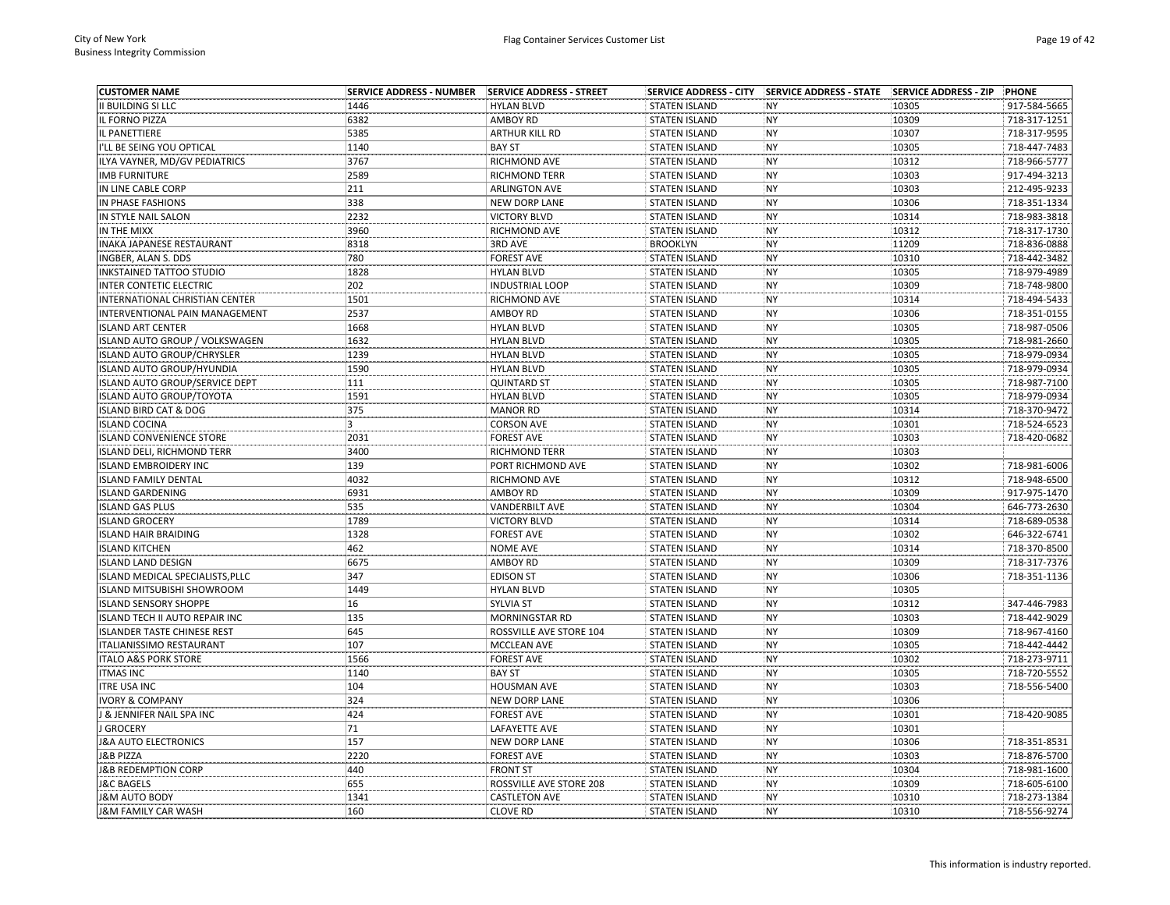| <b>CUSTOMER NAME</b>                  | <b>SERVICE ADDRESS - NUMBER</b> | SERVICE ADDRESS - STREET |                      | SERVICE ADDRESS - CITY SERVICE ADDRESS - STATE SERVICE ADDRESS - ZIP |       | PHONE        |
|---------------------------------------|---------------------------------|--------------------------|----------------------|----------------------------------------------------------------------|-------|--------------|
| II BUILDING SI LLC                    | 1446                            | <b>HYLAN BLVD</b>        | <b>STATEN ISLAND</b> | <b>NY</b>                                                            | 10305 | 917-584-5665 |
| IL FORNO PIZZA                        | 6382                            | AMBOY RD                 | <b>STATEN ISLAND</b> | <b>NY</b>                                                            | 10309 | 718-317-1251 |
| IL PANETTIERE                         | 5385                            | ARTHUR KILL RD           | <b>STATEN ISLAND</b> | <b>NY</b>                                                            | 10307 | 718-317-9595 |
| I'LL BE SEING YOU OPTICAL             | 1140                            | <b>BAY ST</b>            | <b>STATEN ISLAND</b> | <b>NY</b>                                                            | 10305 | 718-447-7483 |
| ILYA VAYNER, MD/GV PEDIATRICS         | 3767                            | RICHMOND AVE             | <b>STATEN ISLAND</b> | <b>NY</b>                                                            | 10312 | 718-966-5777 |
| <b>IMB FURNITURE</b>                  | 2589                            | <b>RICHMOND TERR</b>     | <b>STATEN ISLAND</b> | <b>NY</b>                                                            | 10303 | 917-494-3213 |
| IN LINE CABLE CORP                    | 211                             | <b>ARLINGTON AVE</b>     | <b>STATEN ISLAND</b> | <b>NY</b>                                                            | 10303 | 212-495-9233 |
| IN PHASE FASHIONS                     | 338                             | <b>NEW DORP LANE</b>     | <b>STATEN ISLAND</b> | <b>NY</b>                                                            | 10306 | 718-351-1334 |
| IN STYLE NAIL SALON                   | 2232                            | <b>VICTORY BLVD</b>      | <b>STATEN ISLAND</b> | <b>NY</b>                                                            | 10314 | 718-983-3818 |
| IN THE MIXX                           | 3960                            | RICHMOND AVE             | <b>STATEN ISLAND</b> | <b>NY</b>                                                            | 10312 | 718-317-1730 |
| INAKA JAPANESE RESTAURANT             | 8318                            | 3RD AVE                  | <b>BROOKLYN</b>      | <b>NY</b>                                                            | 11209 | 718-836-0888 |
| INGBER, ALAN S. DDS                   | 780                             | <b>FOREST AVE</b>        | <b>STATEN ISLAND</b> | <b>NY</b>                                                            | 10310 | 718-442-3482 |
| <b>INKSTAINED TATTOO STUDIO</b>       | 1828                            | <b>HYLAN BLVD</b>        | <b>STATEN ISLAND</b> | <b>NY</b>                                                            | 10305 | 718-979-4989 |
| INTER CONTETIC ELECTRIC               | 202                             | <b>INDUSTRIAL LOOP</b>   | <b>STATEN ISLAND</b> | NY                                                                   | 10309 | 718-748-9800 |
| INTERNATIONAL CHRISTIAN CENTER        | 1501                            | RICHMOND AVE             | <b>STATEN ISLAND</b> | <b>NY</b>                                                            | 10314 | 718-494-5433 |
| INTERVENTIONAL PAIN MANAGEMENT        | 2537                            | AMBOY RD                 | <b>STATEN ISLAND</b> | <b>NY</b>                                                            | 10306 | 718-351-0155 |
| <b>ISLAND ART CENTER</b>              | 1668                            | <b>HYLAN BLVD</b>        | <b>STATEN ISLAND</b> | <b>NY</b>                                                            | 10305 | 718-987-0506 |
| ISLAND AUTO GROUP / VOLKSWAGEN        | 1632                            | <b>HYLAN BLVD</b>        | <b>STATEN ISLAND</b> | <b>NY</b>                                                            | 10305 | 718-981-2660 |
| ISLAND AUTO GROUP/CHRYSLER            | 1239                            | <b>HYLAN BLVD</b>        | <b>STATEN ISLAND</b> | <b>NY</b>                                                            | 10305 | 718-979-0934 |
| ISLAND AUTO GROUP/HYUNDIA             | 1590                            | <b>HYLAN BLVD</b>        | <b>STATEN ISLAND</b> | <b>NY</b>                                                            | 10305 | 718-979-0934 |
| <b>ISLAND AUTO GROUP/SERVICE DEPT</b> | 111                             | <b>QUINTARD ST</b>       | <b>STATEN ISLAND</b> | <b>NY</b>                                                            | 10305 | 718-987-7100 |
| <b>ISLAND AUTO GROUP/TOYOTA</b>       | 1591                            | <b>HYLAN BLVD</b>        | <b>STATEN ISLAND</b> | <b>NY</b>                                                            | 10305 | 718-979-0934 |
| ISLAND BIRD CAT & DOG                 | 375                             | <b>MANOR RD</b>          | <b>STATEN ISLAND</b> | <b>NY</b>                                                            | 10314 | 718-370-9472 |
| <b>ISLAND COCINA</b>                  | 3                               | <b>CORSON AVE</b>        | <b>STATEN ISLAND</b> | <b>NY</b>                                                            | 10301 | 718-524-6523 |
| <b>ISLAND CONVENIENCE STORE</b>       | 2031                            | <b>FOREST AVE</b>        | <b>STATEN ISLAND</b> | NY                                                                   | 10303 | 718-420-0682 |
| ISLAND DELI, RICHMOND TERR            | 3400                            | RICHMOND TERR            | <b>STATEN ISLAND</b> | <b>NY</b>                                                            | 10303 |              |
| <b>ISLAND EMBROIDERY INC</b>          | 139                             | PORT RICHMOND AVE        | <b>STATEN ISLAND</b> | <b>NY</b>                                                            | 10302 | 718-981-6006 |
| <b>ISLAND FAMILY DENTAL</b>           | 4032                            | RICHMOND AVE             | <b>STATEN ISLAND</b> | <b>NY</b>                                                            | 10312 | 718-948-6500 |
| <b>ISLAND GARDENING</b>               | 6931                            | <b>AMBOY RD</b>          | <b>STATEN ISLAND</b> | <b>NY</b>                                                            | 10309 | 917-975-1470 |
| <b>ISLAND GAS PLUS</b>                | 535                             | <b>VANDERBILT AVE</b>    | <b>STATEN ISLAND</b> | <b>NY</b>                                                            | 10304 | 646-773-2630 |
| <b>ISLAND GROCERY</b>                 | 1789                            | <b>VICTORY BLVD</b>      | <b>STATEN ISLAND</b> | <b>NY</b>                                                            | 10314 | 718-689-0538 |
| <b>ISLAND HAIR BRAIDING</b>           | 1328                            | <b>FOREST AVE</b>        | <b>STATEN ISLAND</b> | <b>NY</b>                                                            | 10302 | 646-322-6741 |
| <b>ISLAND KITCHEN</b>                 | 462                             | NOME AVE                 | <b>STATEN ISLAND</b> | <b>NY</b>                                                            | 10314 | 718-370-8500 |
| <b>ISLAND LAND DESIGN</b>             | 6675                            | AMBOY RD                 | <b>STATEN ISLAND</b> | <b>NY</b>                                                            | 10309 | 718-317-7376 |
| ISLAND MEDICAL SPECIALISTS, PLLC      | 347                             | <b>EDISON ST</b>         | <b>STATEN ISLAND</b> | <b>NY</b>                                                            | 10306 | 718-351-1136 |
| ISLAND MITSUBISHI SHOWROOM            | 1449                            | <b>HYLAN BLVD</b>        | <b>STATEN ISLAND</b> | <b>NY</b>                                                            | 10305 |              |
| <b>ISLAND SENSORY SHOPPE</b>          | 16                              | <b>SYLVIA ST</b>         | <b>STATEN ISLAND</b> | <b>NY</b>                                                            | 10312 | 347-446-7983 |
| ISLAND TECH II AUTO REPAIR INC        | 135                             | <b>MORNINGSTAR RD</b>    | <b>STATEN ISLAND</b> | <b>NY</b>                                                            | 10303 | 718-442-9029 |
| <b>ISLANDER TASTE CHINESE REST</b>    | 645                             | ROSSVILLE AVE STORE 104  | <b>STATEN ISLAND</b> | <b>NY</b>                                                            | 10309 | 718-967-4160 |
| <b>ITALIANISSIMO RESTAURANT</b>       | 107                             | MCCLEAN AVE              | <b>STATEN ISLAND</b> | <b>NY</b>                                                            | 10305 | 718-442-4442 |
| <b>ITALO A&amp;S PORK STORE</b>       | 1566                            | <b>FOREST AVE</b>        | <b>STATEN ISLAND</b> | <b>NY</b>                                                            | 10302 | 718-273-9711 |
| <b>ITMAS INC</b>                      | 1140                            | <b>BAY ST</b>            | <b>STATEN ISLAND</b> | <b>NY</b>                                                            | 10305 | 718-720-5552 |
| <b>ITRE USA INC</b>                   | 104                             | <b>HOUSMAN AVE</b>       | <b>STATEN ISLAND</b> | <b>NY</b>                                                            | 10303 | 718-556-5400 |
| <b>IVORY &amp; COMPANY</b>            | 324                             | NEW DORP LANE            | <b>STATEN ISLAND</b> | NY                                                                   | 10306 |              |
| <b>J &amp; JENNIFER NAIL SPA INC</b>  | 424                             | <b>FOREST AVE</b>        | <b>STATEN ISLAND</b> | <b>NY</b>                                                            | 10301 | 718-420-9085 |
| <b>GROCERY</b>                        | 71                              | LAFAYETTE AVE            | <b>STATEN ISLAND</b> | <b>NY</b>                                                            | 10301 |              |
| <b>J&amp;A AUTO ELECTRONICS</b>       | 157                             | NEW DORP LANE            | <b>STATEN ISLAND</b> | <b>NY</b>                                                            | 10306 | 718-351-8531 |
| <b>J&amp;B PIZZA</b>                  | 2220                            | <b>FOREST AVE</b>        | <b>STATEN ISLAND</b> | <b>NY</b>                                                            | 10303 | 718-876-5700 |
| <b>J&amp;B REDEMPTION CORP</b>        | 440                             | <b>FRONT ST</b>          | <b>STATEN ISLAND</b> | <b>NY</b>                                                            | 10304 | 718-981-1600 |
| <b>J&amp;C BAGELS</b>                 | 655                             | ROSSVILLE AVE STORE 208  | <b>STATEN ISLAND</b> | <b>NY</b>                                                            | 10309 | 718-605-6100 |
| <b>J&amp;M AUTO BODY</b>              | 1341                            | <b>CASTLETON AVE</b>     | <b>STATEN ISLAND</b> | <b>NY</b>                                                            | 10310 | 718-273-1384 |
| <b>J&amp;M FAMILY CAR WASH</b>        | 160                             | <b>CLOVE RD</b>          | <b>STATEN ISLAND</b> | <b>NY</b>                                                            | 10310 | 718-556-9274 |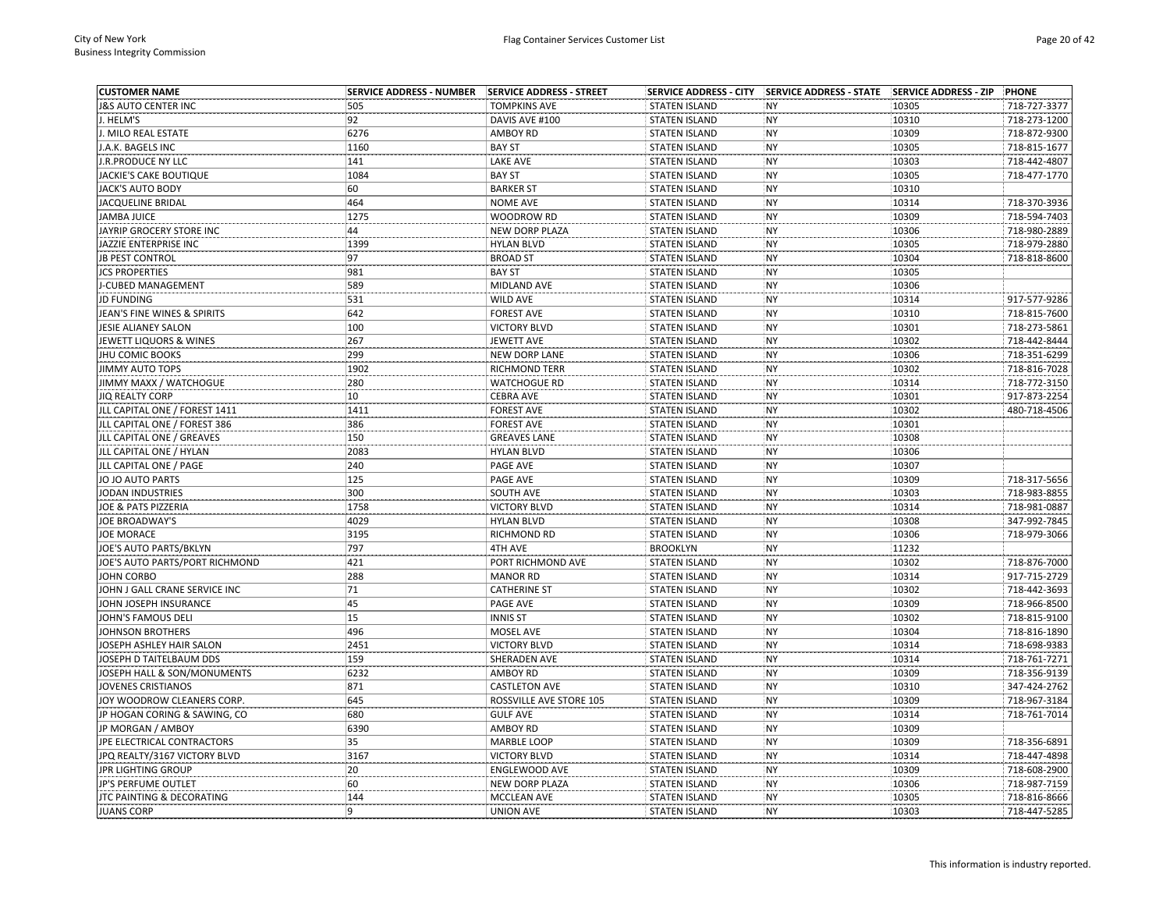| <b>CUSTOMER NAME</b>                 | <b>SERVICE ADDRESS - NUMBER</b> | SERVICE ADDRESS - STREET |                      |           |                | PHONE        |
|--------------------------------------|---------------------------------|--------------------------|----------------------|-----------|----------------|--------------|
| <b>8S AUTO CENTER INC</b>            | 505                             | <b>TOMPKINS AVE</b>      | <b>STATEN ISLAND</b> | <b>NY</b> | 10305          | 718-727-3377 |
| . HELM'S                             | 92                              | DAVIS AVE #100           | <b>STATEN ISLAND</b> | <b>NY</b> | 10310          | 718-273-1200 |
| J. MILO REAL ESTATE                  | 6276                            | <b>AMBOY RD</b>          | <b>STATEN ISLAND</b> | <b>NY</b> | 10309          | 718-872-9300 |
| J.A.K. BAGELS INC                    | 1160                            | <b>BAY ST</b>            | <b>STATEN ISLAND</b> | <b>NY</b> | 10305          | 718-815-1677 |
| J.R.PRODUCE NY LLC                   | 141                             | LAKE AVE                 | <b>STATEN ISLAND</b> | <b>NY</b> | 10303          | 718-442-4807 |
| <b>JACKIE'S CAKE BOUTIQUE</b>        | 1084                            | <b>BAY ST</b>            | <b>STATEN ISLAND</b> | <b>NY</b> | 10305          | 718-477-1770 |
| <b>IACK'S AUTO BODY</b>              | 60                              | <b>BARKER ST</b>         | <b>STATEN ISLAND</b> | <b>NY</b> | 10310          |              |
| JACQUELINE BRIDAL                    | 464                             | <b>NOME AVE</b>          | <b>STATEN ISLAND</b> | <b>NY</b> | 10314          | 718-370-3936 |
| JAMBA JUICE                          | 1275                            | WOODROW RD               | <b>STATEN ISLAND</b> | <b>NY</b> | 10309          | 718-594-7403 |
| JAYRIP GROCERY STORE INC             | 44                              | <b>NEW DORP PLAZA</b>    | <b>STATEN ISLAND</b> | <b>NY</b> | 10306          | 718-980-2889 |
| JAZZIE ENTERPRISE INC                | 1399                            | <b>HYLAN BLVD</b>        | <b>STATEN ISLAND</b> | <b>NY</b> | 10305          | 718-979-2880 |
| <b>JB PEST CONTROL</b>               | 97                              | <b>BROAD ST</b>          | <b>STATEN ISLAND</b> | <b>NY</b> | 10304          | 718-818-8600 |
| <b>JCS PROPERTIES</b>                | 981                             | <b>BAY ST</b>            | <b>STATEN ISLAND</b> | <b>NY</b> | 10305          |              |
| <b>-CUBED MANAGEMENT</b>             | 589                             | MIDLAND AVE              | <b>STATEN ISLAND</b> | <b>NY</b> | 10306          |              |
| <b>JD FUNDING</b>                    | 531                             | <b>WILD AVE</b>          | <b>STATEN ISLAND</b> | <b>NY</b> | 10314          | 917-577-9286 |
| JEAN'S FINE WINES & SPIRITS          | 642                             | <b>FOREST AVE</b>        | <b>STATEN ISLAND</b> | <b>NY</b> | 10310          | 718-815-7600 |
| JESIE ALIANEY SALON                  | 100                             | <b>VICTORY BLVD</b>      | <b>STATEN ISLAND</b> | <b>NY</b> | 10301          | 718-273-5861 |
| JEWETT LIQUORS & WINES               | 267                             | JEWETT AVE               | <b>STATEN ISLAND</b> | <b>NY</b> | 10302          | 718-442-8444 |
| JHU COMIC BOOKS                      | 299                             | <b>NEW DORP LANE</b>     | <b>STATEN ISLAND</b> | <b>NY</b> | 10306          | 718-351-6299 |
| JIMMY AUTO TOPS                      | 1902                            | <b>RICHMOND TERR</b>     | <b>STATEN ISLAND</b> | <b>NY</b> | 10302          | 718-816-7028 |
| JIMMY MAXX / WATCHOGUE               | 280                             | <b>WATCHOGUE RD</b>      | <b>STATEN ISLAND</b> | <b>NY</b> | 10314          | 718-772-3150 |
| JIQ REALTY CORP                      | 10                              | <b>CEBRA AVE</b>         | <b>STATEN ISLAND</b> | <b>NY</b> | 10301          | 917-873-2254 |
| JLL CAPITAL ONE / FOREST 1411        | 1411                            | <b>FOREST AVE</b>        | <b>STATEN ISLAND</b> | <b>NY</b> | 10302          | 480-718-4506 |
| JLL CAPITAL ONE / FOREST 386         | 386                             | <b>FOREST AVE</b>        | <b>STATEN ISLAND</b> | <b>NY</b> | 10301          |              |
| JLL CAPITAL ONE / GREAVES            | 150                             | <b>GREAVES LANE</b>      | <b>STATEN ISLAND</b> | <b>NY</b> | 10308          |              |
| JLL CAPITAL ONE / HYLAN              | 2083                            | <b>HYLAN BLVD</b>        | <b>STATEN ISLAND</b> | <b>NY</b> | 10306          |              |
| JLL CAPITAL ONE / PAGE               | 240                             | PAGE AVE                 | <b>STATEN ISLAND</b> | <b>NY</b> | 10307          |              |
| JO JO AUTO PARTS                     | 125                             | PAGE AVE                 | <b>STATEN ISLAND</b> | <b>NY</b> | 10309          | 718-317-5656 |
| <b>IODAN INDUSTRIES</b>              | 300                             | SOUTH AVE                | <b>STATEN ISLAND</b> | <b>NY</b> | 10303          | 718-983-8855 |
| JOE & PATS PIZZERIA                  | 1758                            | <b>VICTORY BLVD</b>      | <b>STATEN ISLAND</b> | <b>NY</b> | 10314          | 718-981-0887 |
| <b>JOE BROADWAY'S</b>                | 4029                            | <b>HYLAN BLVD</b>        | <b>STATEN ISLAND</b> | <b>NY</b> | 10308          | 347-992-7845 |
| JOE MORACE                           | 3195                            | RICHMOND RD              | <b>STATEN ISLAND</b> | <b>NY</b> | 10306          | 718-979-3066 |
| <b>IOE'S AUTO PARTS/BKLYN</b>        | 797                             | 4TH AVE                  | <b>BROOKLYN</b>      | <b>NY</b> | 11232          |              |
| IOE'S AUTO PARTS/PORT RICHMOND       | 421                             | PORT RICHMOND AVE        | <b>STATEN ISLAND</b> | <b>NY</b> | 10302          | 718-876-7000 |
| <b>JOHN CORBO</b>                    | 288                             | <b>MANOR RD</b>          | <b>STATEN ISLAND</b> | <b>NY</b> | 10314          | 917-715-2729 |
| <b>JOHN J GALL CRANE SERVICE INC</b> | 71                              | <b>CATHERINE ST</b>      | <b>STATEN ISLAND</b> | <b>NY</b> | 10302          | 718-442-3693 |
| IOHN JOSEPH INSURANCE                | 45                              | PAGE AVE                 | <b>STATEN ISLAND</b> | <b>NY</b> | 10309          | 718-966-8500 |
| <b>IOHN'S FAMOUS DELI</b>            | 15                              | <b>INNIS ST</b>          | <b>STATEN ISLAND</b> | <b>NY</b> | 10302          | 718-815-9100 |
| <b>IOHNSON BROTHERS</b>              | 496                             | MOSEL AVE                | <b>STATEN ISLAND</b> | <b>NY</b> | 10304          | 718-816-1890 |
| <b>JOSEPH ASHLEY HAIR SALON</b>      | 2451                            | <b>VICTORY BLVD</b>      | <b>STATEN ISLAND</b> | <b>NY</b> | 10314          | 718-698-9383 |
| <b>IOSEPH D TAITELBAUM DDS</b>       | 159                             | SHERADEN AVE             | <b>STATEN ISLAND</b> | <b>NY</b> | 10314          | 718-761-7271 |
|                                      | 6232                            |                          |                      | <b>NY</b> |                |              |
| JOSEPH HALL & SON/MONUMENTS          | 871                             | AMBOY RD                 | <b>STATEN ISLAND</b> | <b>NY</b> | 10309<br>10310 | 718-356-9139 |
| <b>JOVENES CRISTIANOS</b>            |                                 | <b>CASTLETON AVE</b>     | <b>STATEN ISLAND</b> |           |                | 347-424-2762 |
| JOY WOODROW CLEANERS CORP.           | 645                             | ROSSVILLE AVE STORE 105  | <b>STATEN ISLAND</b> | <b>NY</b> | 10309          | 718-967-3184 |
| JP HOGAN CORING & SAWING, CO         | 680                             | <b>GULF AVE</b>          | <b>STATEN ISLAND</b> | <b>NY</b> | 10314          | 718-761-7014 |
| JP MORGAN / AMBOY                    | 6390                            | <b>AMBOY RD</b>          | <b>STATEN ISLAND</b> | <b>NY</b> | 10309          |              |
| JPE ELECTRICAL CONTRACTORS           | 35                              | <b>MARBLE LOOP</b>       | <b>STATEN ISLAND</b> | <b>NY</b> | 10309          | 718-356-6891 |
| JPQ REALTY/3167 VICTORY BLVD         | 3167                            | <b>VICTORY BLVD</b>      | <b>STATEN ISLAND</b> | <b>NY</b> | 10314          | 718-447-4898 |
| JPR LIGHTING GROUP                   | 20                              | <b>ENGLEWOOD AVE</b>     | <b>STATEN ISLAND</b> | <b>NY</b> | 10309          | 718-608-2900 |
| <b>IP'S PERFUME OUTLET</b>           | 60                              | NEW DORP PLAZA           | <b>STATEN ISLAND</b> | <b>NY</b> | 10306          | 718-987-7159 |
| JTC PAINTING & DECORATING            | 144                             | <b>MCCLEAN AVE</b>       | <b>STATEN ISLAND</b> | <b>NY</b> | 10305          | 718-816-8666 |
| <b>JUANS CORP</b>                    | l 9                             | <b>UNION AVE</b>         | <b>STATEN ISLAND</b> | <b>NY</b> | 10303          | 718-447-5285 |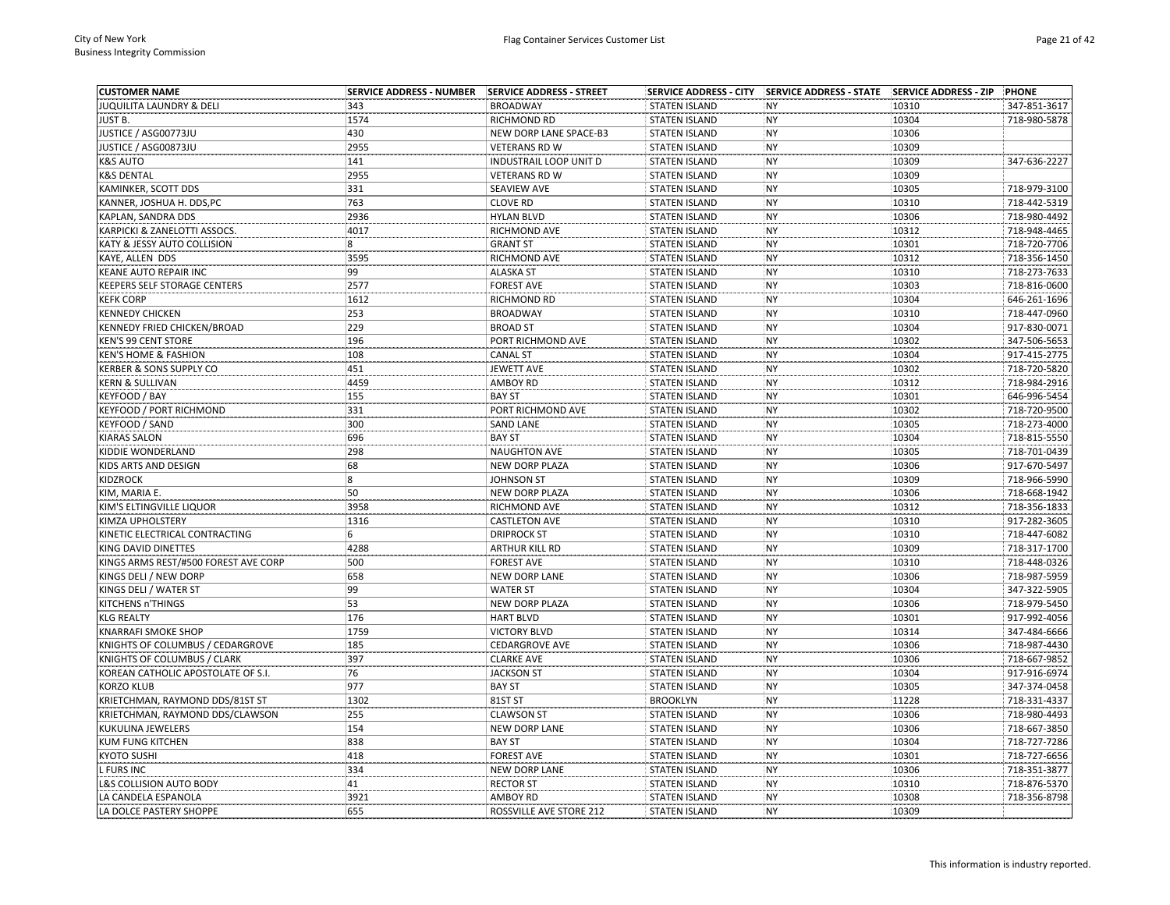| <b>CUSTOMER NAME</b>                 | <b>SERVICE ADDRESS - NUMBER</b> | SERVICE ADDRESS - STREET      |                      |           |       | <b>PHONE</b> |
|--------------------------------------|---------------------------------|-------------------------------|----------------------|-----------|-------|--------------|
| <b>JUQUILITA LAUNDRY &amp; DELI</b>  | 343                             | <b>BROADWAY</b>               | <b>STATEN ISLAND</b> | <b>NY</b> | 10310 | 347-851-3617 |
| JUST B.                              | 1574                            | RICHMOND RD                   | <b>STATEN ISLAND</b> | NY        | 10304 | 718-980-5878 |
| JUSTICE / ASG00773JU                 | 430                             | NEW DORP LANE SPACE-B3        | <b>STATEN ISLAND</b> | NY        | 10306 |              |
| JUSTICE / ASG00873JU                 | 2955                            | <b>VETERANS RD W</b>          | <b>STATEN ISLAND</b> | NY        | 10309 |              |
| <b>K&amp;S AUTO</b>                  | 141                             | <b>INDUSTRAIL LOOP UNIT D</b> | <b>STATEN ISLAND</b> | <b>NY</b> | 10309 | 347-636-2227 |
| <b>K&amp;S DENTAL</b>                | 2955                            | <b>VETERANS RD W</b>          | <b>STATEN ISLAND</b> | <b>NY</b> | 10309 |              |
| KAMINKER, SCOTT DDS                  | 331                             | <b>SEAVIEW AVE</b>            | <b>STATEN ISLAND</b> | NY        | 10305 | 718-979-3100 |
| KANNER, JOSHUA H. DDS, PC            | 763                             | <b>CLOVE RD</b>               | <b>STATEN ISLAND</b> | <b>NY</b> | 10310 | 718-442-5319 |
| KAPLAN, SANDRA DDS                   | 2936                            | <b>HYLAN BLVD</b>             | <b>STATEN ISLAND</b> | <b>NY</b> | 10306 | 718-980-4492 |
| KARPICKI & ZANELOTTI ASSOCS.         | 4017                            | RICHMOND AVE                  | <b>STATEN ISLAND</b> | <b>NY</b> | 10312 | 718-948-4465 |
| KATY & JESSY AUTO COLLISION          | $\overline{\mathbf{8}}$         | <b>GRANT ST</b>               | <b>STATEN ISLAND</b> | NY        | 10301 | 718-720-7706 |
| KAYE, ALLEN DDS                      | 3595                            | RICHMOND AVE                  | <b>STATEN ISLAND</b> | NY        | 10312 | 718-356-1450 |
| KEANE AUTO REPAIR INC                | 99                              | <b>ALASKA ST</b>              | <b>STATEN ISLAND</b> | <b>NY</b> | 10310 | 718-273-7633 |
| KEEPERS SELF STORAGE CENTERS         | 2577                            | <b>FOREST AVE</b>             | <b>STATEN ISLAND</b> | NY        | 10303 | 718-816-0600 |
| <b>KEFK CORP</b>                     | 1612                            | RICHMOND RD                   | <b>STATEN ISLAND</b> | NY        | 10304 | 646-261-1696 |
| <b>KENNEDY CHICKEN</b>               | 253                             | <b>BROADWAY</b>               | <b>STATEN ISLAND</b> | NY        | 10310 | 718-447-0960 |
| KENNEDY FRIED CHICKEN/BROAD          | 229                             | <b>BROAD ST</b>               | <b>STATEN ISLAND</b> | NY        | 10304 | 917-830-0071 |
| <b>KEN'S 99 CENT STORE</b>           | 196                             | PORT RICHMOND AVE             | <b>STATEN ISLAND</b> | NY        | 10302 | 347-506-5653 |
| <b>KEN'S HOME &amp; FASHION</b>      | 108                             | <b>CANAL ST</b>               | <b>STATEN ISLAND</b> | NY        | 10304 | 917-415-2775 |
| KERBER & SONS SUPPLY CO              | 451                             | <b>JEWETT AVE</b>             | <b>STATEN ISLAND</b> | NY        | 10302 | 718-720-5820 |
| <b>KERN &amp; SULLIVAN</b>           | 4459                            | AMBOY RD                      | <b>STATEN ISLAND</b> | NY        | 10312 | 718-984-2916 |
| KEYFOOD / BAY                        | 155                             | <b>BAY ST</b>                 | <b>STATEN ISLAND</b> | NY        | 10301 | 646-996-5454 |
| <b>KEYFOOD / PORT RICHMOND</b>       | 331                             | PORT RICHMOND AVE             | <b>STATEN ISLAND</b> | NY        | 10302 | 718-720-9500 |
| KEYFOOD / SAND                       | 300                             | <b>SAND LANE</b>              | <b>STATEN ISLAND</b> | <b>NY</b> | 10305 | 718-273-4000 |
| <b>KIARAS SALON</b>                  | 696                             | <b>BAY ST</b>                 | <b>STATEN ISLAND</b> | NY        | 10304 | 718-815-5550 |
| KIDDIE WONDERLAND                    | 298                             | <b>NAUGHTON AVE</b>           | <b>STATEN ISLAND</b> | NY        | 10305 | 718-701-0439 |
| KIDS ARTS AND DESIGN                 | 68                              | <b>NEW DORP PLAZA</b>         | <b>STATEN ISLAND</b> | NY        | 10306 | 917-670-5497 |
|                                      | $\boldsymbol{8}$                |                               |                      | NY        |       | 718-966-5990 |
| KIDZROCK                             | 50                              | <b>JOHNSON ST</b>             | <b>STATEN ISLAND</b> |           | 10309 |              |
| KIM, MARIA E.                        |                                 | NEW DORP PLAZA                | <b>STATEN ISLAND</b> | <b>NY</b> | 10306 | 718-668-1942 |
| KIM'S ELTINGVILLE LIQUOR             | 3958                            | RICHMOND AVE                  | <b>STATEN ISLAND</b> | NY        | 10312 | 718-356-1833 |
| KIMZA UPHOLSTERY                     | 1316                            | <b>CASTLETON AVE</b>          | <b>STATEN ISLAND</b> | NY        | 10310 | 917-282-3605 |
| KINETIC ELECTRICAL CONTRACTING       | 6                               | <b>DRIPROCK ST</b>            | <b>STATEN ISLAND</b> | <b>NY</b> | 10310 | 718-447-6082 |
| KING DAVID DINETTES                  | 4288                            | ARTHUR KILL RD                | <b>STATEN ISLAND</b> | NY        | 10309 | 718-317-1700 |
| KINGS ARMS REST/#500 FOREST AVE CORP | 500                             | <b>FOREST AVE</b>             | <b>STATEN ISLAND</b> | <b>NY</b> | 10310 | 718-448-0326 |
| KINGS DELI / NEW DORP                | 658                             | NEW DORP LANE                 | <b>STATEN ISLAND</b> | NY        | 10306 | 718-987-5959 |
| KINGS DELI / WATER ST                | 99                              | <b>WATER ST</b>               | <b>STATEN ISLAND</b> | NY        | 10304 | 347-322-5905 |
| KITCHENS n'THINGS                    | 53                              | NEW DORP PLAZA                | <b>STATEN ISLAND</b> | NY        | 10306 | 718-979-5450 |
| <b>KLG REALTY</b>                    | 176                             | <b>HART BLVD</b>              | <b>STATEN ISLAND</b> | <b>NY</b> | 10301 | 917-992-4056 |
| <b>KNARRAFI SMOKE SHOP</b>           | 1759                            | <b>VICTORY BLVD</b>           | <b>STATEN ISLAND</b> | <b>NY</b> | 10314 | 347-484-6666 |
| KNIGHTS OF COLUMBUS / CEDARGROVE     | 185                             | <b>CEDARGROVE AVE</b>         | <b>STATEN ISLAND</b> | NY        | 10306 | 718-987-4430 |
| KNIGHTS OF COLUMBUS / CLARK          | 397                             | <b>CLARKE AVE</b>             | <b>STATEN ISLAND</b> | NY        | 10306 | 718-667-9852 |
| KOREAN CATHOLIC APOSTOLATE OF S.I.   | 76                              | <b>JACKSON ST</b>             | <b>STATEN ISLAND</b> | NY        | 10304 | 917-916-6974 |
| <b>KORZO KLUB</b>                    | 977                             | <b>BAY ST</b>                 | <b>STATEN ISLAND</b> | NY        | 10305 | 347-374-0458 |
| KRIETCHMAN, RAYMOND DDS/81ST ST      | 1302                            | 81ST ST                       | <b>BROOKLYN</b>      | NY        | 11228 | 718-331-4337 |
| KRIETCHMAN, RAYMOND DDS/CLAWSON      | 255                             | <b>CLAWSON ST</b>             | <b>STATEN ISLAND</b> | NY        | 10306 | 718-980-4493 |
| KUKULINA JEWELERS                    | 154                             | <b>NEW DORP LANE</b>          | STATEN ISLAND        | NY        | 10306 | 718-667-3850 |
| KUM FUNG KITCHEN                     | 838                             | <b>BAY ST</b>                 | <b>STATEN ISLAND</b> | <b>NY</b> | 10304 | 718-727-7286 |
| <b>KYOTO SUSHI</b>                   | 418                             | <b>FOREST AVE</b>             | <b>STATEN ISLAND</b> | NY        | 10301 | 718-727-6656 |
| L FURS INC                           | 334                             | <b>NEW DORP LANE</b>          | <b>STATEN ISLAND</b> | <b>NY</b> | 10306 | 718-351-3877 |
| L&S COLLISION AUTO BODY              | 41                              | <b>RECTOR ST</b>              | <b>STATEN ISLAND</b> | NY        | 10310 | 718-876-5370 |
| LA CANDELA ESPANOLA                  | 3921                            | AMBOY RD                      | <b>STATEN ISLAND</b> | <b>NY</b> | 10308 | 718-356-8798 |
| LA DOLCE PASTERY SHOPPE              | 655                             | ROSSVILLE AVE STORE 212       | <b>STATEN ISLAND</b> | NY        | 10309 |              |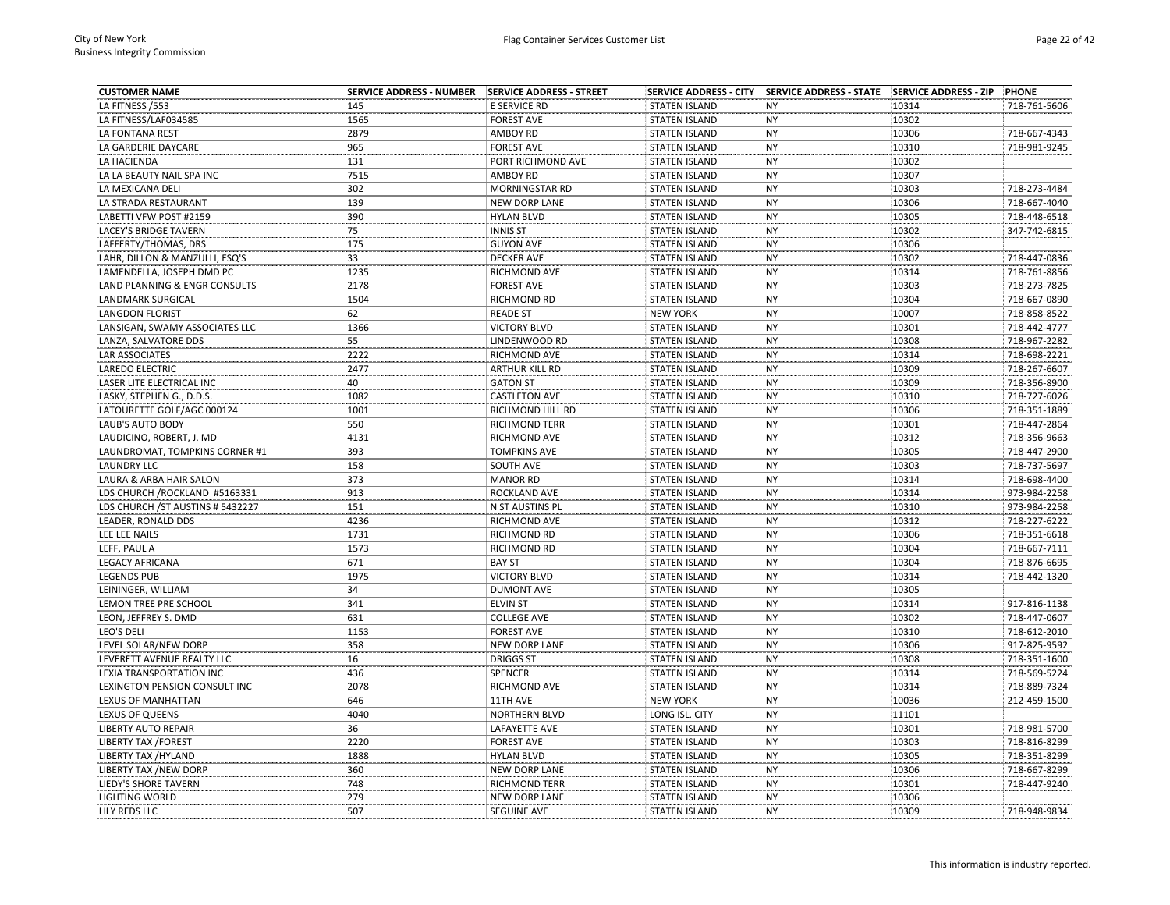| <b>CUSTOMER NAME</b>              | <b>SERVICE ADDRESS - NUMBER</b> | SERVICE ADDRESS - STREET |                      |           |       | PHONE        |
|-----------------------------------|---------------------------------|--------------------------|----------------------|-----------|-------|--------------|
| LA FITNESS /553                   | 145                             | E SERVICE RD             | <b>STATEN ISLAND</b> | <b>NY</b> | 10314 | 718-761-5606 |
| LA FITNESS/LAF034585              | 1565                            | <b>FOREST AVE</b>        | <b>STATEN ISLAND</b> | <b>NY</b> | 10302 |              |
| LA FONTANA REST                   | 2879                            | AMBOY RD                 | <b>STATEN ISLAND</b> | <b>NY</b> | 10306 | 718-667-4343 |
| LA GARDERIE DAYCARE               | 965                             | <b>FOREST AVE</b>        | <b>STATEN ISLAND</b> | <b>NY</b> | 10310 | 718-981-9245 |
| LA HACIENDA                       | 131                             | PORT RICHMOND AVE        | <b>STATEN ISLAND</b> | <b>NY</b> | 10302 |              |
| LA LA BEAUTY NAIL SPA INC         | 7515                            | AMBOY RD                 | <b>STATEN ISLAND</b> | <b>NY</b> | 10307 |              |
| LA MEXICANA DELI                  | 302                             | MORNINGSTAR RD           | <b>STATEN ISLAND</b> | <b>NY</b> | 10303 | 718-273-4484 |
| LA STRADA RESTAURANT              | 139                             | <b>NEW DORP LANE</b>     | <b>STATEN ISLAND</b> | <b>NY</b> | 10306 | 718-667-4040 |
| LABETTI VFW POST #2159            | 390                             | <b>HYLAN BLVD</b>        | <b>STATEN ISLAND</b> | <b>NY</b> | 10305 | 718-448-6518 |
| LACEY'S BRIDGE TAVERN             | 75                              | <b>INNIS ST</b>          | <b>STATEN ISLAND</b> | <b>NY</b> | 10302 | 347-742-6815 |
| LAFFERTY/THOMAS, DRS              | 175                             | <b>GUYON AVE</b>         | <b>STATEN ISLAND</b> | <b>NY</b> | 10306 |              |
| LAHR, DILLON & MANZULLI, ESQ'S    | 33                              | <b>DECKER AVE</b>        | <b>STATEN ISLAND</b> | <b>NY</b> | 10302 | 718-447-0836 |
| LAMENDELLA, JOSEPH DMD PC         | 1235                            | RICHMOND AVE             | <b>STATEN ISLAND</b> | <b>NY</b> | 10314 | 718-761-8856 |
| LAND PLANNING & ENGR CONSULTS     | 2178                            | <b>FOREST AVE</b>        | <b>STATEN ISLAND</b> | <b>NY</b> | 10303 | 718-273-7825 |
| LANDMARK SURGICAL                 | 1504                            | RICHMOND RD              | <b>STATEN ISLAND</b> | <b>NY</b> | 10304 | 718-667-0890 |
| <b>LANGDON FLORIST</b>            | 62                              | <b>READE ST</b>          | <b>NEW YORK</b>      | <b>NY</b> | 10007 | 718-858-8522 |
| LANSIGAN, SWAMY ASSOCIATES LLC    | 1366                            | <b>VICTORY BLVD</b>      | <b>STATEN ISLAND</b> | <b>NY</b> | 10301 | 718-442-4777 |
| LANZA, SALVATORE DDS              | 55                              | LINDENWOOD RD            | <b>STATEN ISLAND</b> | <b>NY</b> | 10308 | 718-967-2282 |
| LAR ASSOCIATES                    | 2222                            | RICHMOND AVE             | <b>STATEN ISLAND</b> | <b>NY</b> | 10314 | 718-698-2221 |
| LAREDO ELECTRIC                   | 2477                            | ARTHUR KILL RD           | <b>STATEN ISLAND</b> | <b>NY</b> | 10309 | 718-267-6607 |
| LASER LITE ELECTRICAL INC         | 40                              | <b>GATON ST</b>          | <b>STATEN ISLAND</b> | <b>NY</b> | 10309 | 718-356-8900 |
| LASKY, STEPHEN G., D.D.S.         | 1082                            | <b>CASTLETON AVE</b>     | <b>STATEN ISLAND</b> | <b>NY</b> | 10310 | 718-727-6026 |
| LATOURETTE GOLF/AGC 000124        | 1001                            | RICHMOND HILL RD         | <b>STATEN ISLAND</b> | <b>NY</b> | 10306 | 718-351-1889 |
| LAUB'S AUTO BODY                  | 550                             | RICHMOND TERR            | <b>STATEN ISLAND</b> | <b>NY</b> | 10301 | 718-447-2864 |
| LAUDICINO, ROBERT, J. MD          | 4131                            | RICHMOND AVE             | <b>STATEN ISLAND</b> | <b>NY</b> | 10312 | 718-356-9663 |
| LAUNDROMAT, TOMPKINS CORNER #1    | 393                             | <b>TOMPKINS AVE</b>      | <b>STATEN ISLAND</b> | <b>NY</b> | 10305 | 718-447-2900 |
| <b>LAUNDRY LLC</b>                | 158                             | SOUTH AVE                | <b>STATEN ISLAND</b> | <b>NY</b> | 10303 | 718-737-5697 |
| LAURA & ARBA HAIR SALON           | 373                             | <b>MANOR RD</b>          | <b>STATEN ISLAND</b> | <b>NY</b> | 10314 | 718-698-4400 |
| LDS CHURCH / ROCKLAND #5163331    | 913                             | ROCKLAND AVE             | <b>STATEN ISLAND</b> | <b>NY</b> | 10314 | 973-984-2258 |
| LDS CHURCH / ST AUSTINS # 5432227 | 151                             | N ST AUSTINS PL          | <b>STATEN ISLAND</b> | <b>NY</b> | 10310 | 973-984-2258 |
| LEADER, RONALD DDS                | 4236                            | RICHMOND AVE             | <b>STATEN ISLAND</b> | <b>NY</b> | 10312 | 718-227-6222 |
| LEE LEE NAILS                     | 1731                            | RICHMOND RD              | <b>STATEN ISLAND</b> | NY        | 10306 | 718-351-6618 |
| LEFF, PAUL A                      | 1573                            | RICHMOND RD              | <b>STATEN ISLAND</b> | <b>NY</b> | 10304 | 718-667-7111 |
| LEGACY AFRICANA                   | 671                             | <b>BAY ST</b>            | <b>STATEN ISLAND</b> | <b>NY</b> | 10304 | 718-876-6695 |
| LEGENDS PUB                       | 1975                            | <b>VICTORY BLVD</b>      | <b>STATEN ISLAND</b> | <b>NY</b> | 10314 | 718-442-1320 |
| LEININGER, WILLIAM                | 34                              | <b>DUMONT AVE</b>        | <b>STATEN ISLAND</b> | <b>NY</b> | 10305 |              |
| LEMON TREE PRE SCHOOL             | 341                             | <b>ELVIN ST</b>          | <b>STATEN ISLAND</b> | <b>NY</b> | 10314 | 917-816-1138 |
| LEON, JEFFREY S. DMD              | 631                             | <b>COLLEGE AVE</b>       | <b>STATEN ISLAND</b> | <b>NY</b> | 10302 | 718-447-0607 |
| LEO'S DELI                        | 1153                            | <b>FOREST AVE</b>        | <b>STATEN ISLAND</b> | <b>NY</b> | 10310 | 718-612-2010 |
| LEVEL SOLAR/NEW DORP              | 358                             | NEW DORP LANE            | <b>STATEN ISLAND</b> | <b>NY</b> | 10306 | 917-825-9592 |
| LEVERETT AVENUE REALTY LLC        | 16                              | <b>DRIGGS ST</b>         | <b>STATEN ISLAND</b> | <b>NY</b> | 10308 | 718-351-1600 |
| LEXIA TRANSPORTATION INC          | 436                             | SPENCER                  | <b>STATEN ISLAND</b> | <b>NY</b> | 10314 | 718-569-5224 |
| LEXINGTON PENSION CONSULT INC     | 2078                            | RICHMOND AVE             | <b>STATEN ISLAND</b> | <b>NY</b> | 10314 | 718-889-7324 |
| LEXUS OF MANHATTAN                | 646                             | 11TH AVE                 | <b>NEW YORK</b>      | NY        | 10036 | 212-459-1500 |
| LEXUS OF QUEENS                   | 4040                            | NORTHERN BLVD            | LONG ISL. CITY       | NY        | 11101 |              |
| LIBERTY AUTO REPAIR               | 36                              | LAFAYETTE AVE            | <b>STATEN ISLAND</b> | <b>NY</b> | 10301 | 718-981-5700 |
| LIBERTY TAX /FOREST               | 2220                            | <b>FOREST AVE</b>        | <b>STATEN ISLAND</b> | <b>NY</b> | 10303 | 718-816-8299 |
| LIBERTY TAX /HYLAND               | 1888                            | <b>HYLAN BLVD</b>        | <b>STATEN ISLAND</b> | <b>NY</b> | 10305 | 718-351-8299 |
| LIBERTY TAX /NEW DORP             | 360                             | <b>NEW DORP LANE</b>     | <b>STATEN ISLAND</b> | <b>NY</b> | 10306 | 718-667-8299 |
| LIEDY'S SHORE TAVERN              | 748                             | RICHMOND TERR            | <b>STATEN ISLAND</b> | <b>NY</b> | 10301 | 718-447-9240 |
| <b>LIGHTING WORLD</b>             | 279                             | <b>NEW DORP LANE</b>     | <b>STATEN ISLAND</b> | <b>NY</b> | 10306 |              |
| LILY REDS LLC                     | 507                             | <b>SEGUINE AVE</b>       | <b>STATEN ISLAND</b> | <b>NY</b> | 10309 | 718-948-9834 |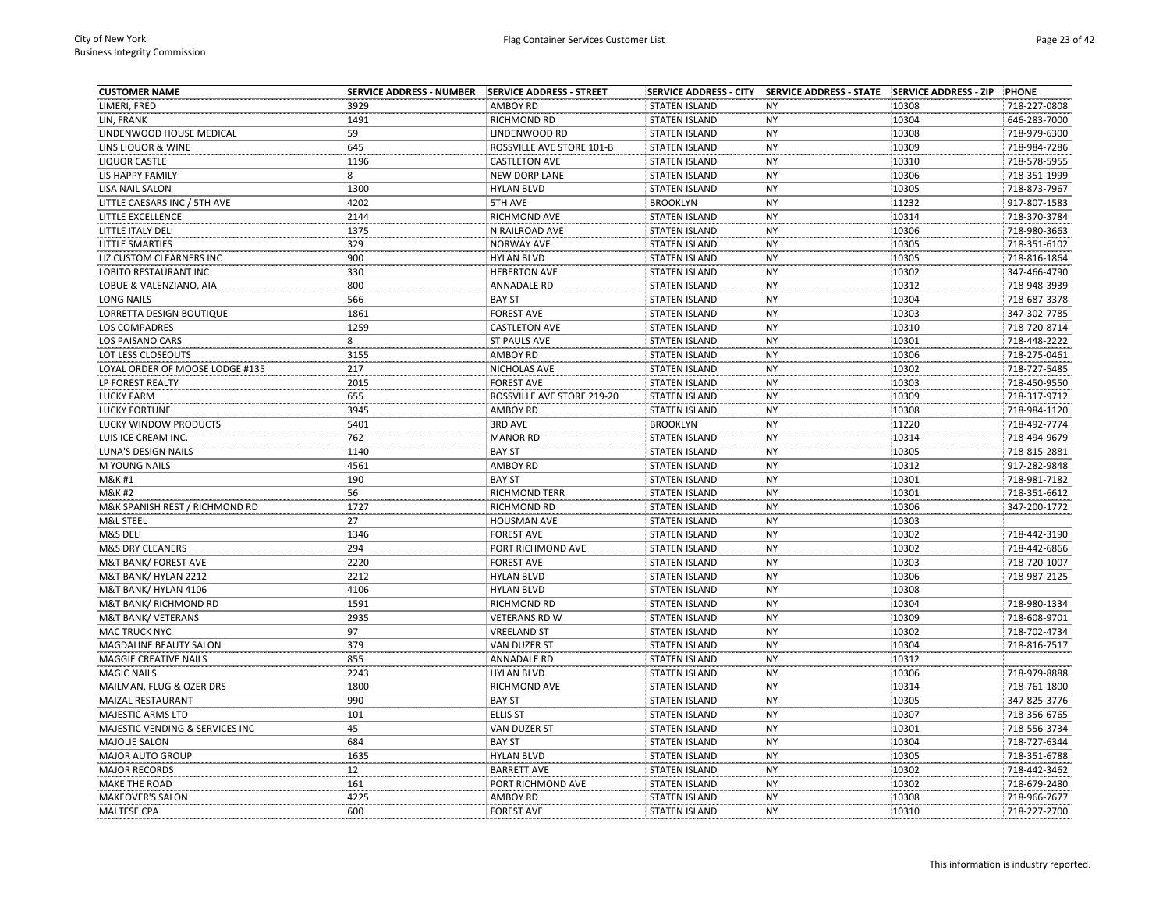| <b>CUSTOMER NAME</b>                  | <b>SERVICE ADDRESS - NUMBER</b> | SERVICE ADDRESS - STREET                |                                              | SERVICE ADDRESS - CITY SERVICE ADDRESS - STATE | <b>SERVICE ADDRESS - ZIP</b> | <b>PHONE</b> |
|---------------------------------------|---------------------------------|-----------------------------------------|----------------------------------------------|------------------------------------------------|------------------------------|--------------|
| LIMERI, FRED                          | 3929                            | <b>AMBOY RD</b>                         | <b>STATEN ISLAND</b>                         | <b>NY</b>                                      | 10308                        | 718-227-0808 |
| LIN, FRANK                            | 1491                            | RICHMOND RD                             | <b>STATEN ISLAND</b>                         | <b>NY</b>                                      | 10304                        | 646-283-7000 |
| LINDENWOOD HOUSE MEDICAL              | 59                              | LINDENWOOD RD                           | <b>STATEN ISLAND</b>                         | <b>NY</b>                                      | 10308                        | 718-979-6300 |
| LINS LIQUOR & WINE                    | 645                             | ROSSVILLE AVE STORE 101-B               | <b>STATEN ISLAND</b>                         | <b>NY</b>                                      | 10309                        | 718-984-7286 |
| <b>LIQUOR CASTLE</b>                  | 1196                            | <b>CASTLETON AVE</b>                    | <b>STATEN ISLAND</b>                         | NY                                             | 10310                        | 718-578-5955 |
| LIS HAPPY FAMILY                      | 8                               | NEW DORP LANE                           | <b>STATEN ISLAND</b>                         | <b>NY</b>                                      | 10306                        | 718-351-1999 |
| <b>LISA NAIL SALON</b>                | 1300                            | <b>HYLAN BLVD</b>                       | <b>STATEN ISLAND</b>                         | <b>NY</b>                                      | 10305                        | 718-873-7967 |
| LITTLE CAESARS INC / 5TH AVE          | 4202                            | 5TH AVE                                 | <b>BROOKLYN</b>                              | <b>NY</b>                                      | 11232                        | 917-807-1583 |
| LITTLE EXCELLENCE                     | 2144                            | RICHMOND AVE                            | <b>STATEN ISLAND</b>                         | <b>NY</b>                                      | 10314                        | 718-370-3784 |
| LITTLE ITALY DELI                     | 1375                            | N RAILROAD AVE                          | <b>STATEN ISLAND</b>                         | <b>NY</b>                                      | 10306                        | 718-980-3663 |
| <b>LITTLE SMARTIES</b>                | 329                             | NORWAY AVE                              | <b>STATEN ISLAND</b>                         | <b>NY</b>                                      | 10305                        | 718-351-6102 |
| LIZ CUSTOM CLEARNERS INC              | 900                             | <b>HYLAN BLVD</b>                       | <b>STATEN ISLAND</b>                         | <b>NY</b>                                      | 10305                        | 718-816-1864 |
| LOBITO RESTAURANT INC                 | 330                             | <b>HEBERTON AVE</b>                     | <b>STATEN ISLAND</b>                         | <b>NY</b>                                      | 10302                        | 347-466-4790 |
| LOBUE & VALENZIANO, AIA               | 800                             | <b>ANNADALE RD</b>                      | <b>STATEN ISLAND</b>                         | NY                                             | 10312                        | 718-948-3939 |
| <b>LONG NAILS</b>                     | 566                             | <b>BAY ST</b>                           | <b>STATEN ISLAND</b>                         | <b>NY</b>                                      | 10304                        | 718-687-3378 |
| LORRETTA DESIGN BOUTIQUE              | 1861                            | <b>FOREST AVE</b>                       | <b>STATEN ISLAND</b>                         | <b>NY</b>                                      | 10303                        | 347-302-7785 |
| LOS COMPADRES                         | 1259                            | <b>CASTLETON AVE</b>                    | <b>STATEN ISLAND</b>                         | <b>NY</b>                                      | 10310                        | 718-720-8714 |
| <b>LOS PAISANO CARS</b>               | 8                               | <b>ST PAULS AVE</b>                     | <b>STATEN ISLAND</b>                         | <b>NY</b>                                      | 10301                        | 718-448-2222 |
| LOT LESS CLOSEOUTS                    | 3155                            | <b>AMBOY RD</b>                         | <b>STATEN ISLAND</b>                         | <b>NY</b>                                      | 10306                        | 718-275-0461 |
| LOYAL ORDER OF MOOSE LODGE #135       | 217                             | NICHOLAS AVE                            | <b>STATEN ISLAND</b>                         | <b>NY</b>                                      | 10302                        | 718-727-5485 |
| LP FOREST REALTY                      | 2015                            | <b>FOREST AVE</b>                       | <b>STATEN ISLAND</b>                         | <b>NY</b>                                      | 10303                        | 718-450-9550 |
| <b>LUCKY FARM</b>                     | 655                             | ROSSVILLE AVE STORE 219-20              | <b>STATEN ISLAND</b>                         | <b>NY</b>                                      | 10309                        | 718-317-9712 |
| <b>LUCKY FORTUNE</b>                  | 3945                            | AMBOY RD                                | <b>STATEN ISLAND</b>                         | NY                                             | 10308                        | 718-984-1120 |
| LUCKY WINDOW PRODUCTS                 | 5401                            | 3RD AVE                                 | <b>BROOKLYN</b>                              | <b>NY</b>                                      | 11220                        | 718-492-7774 |
| LUIS ICE CREAM INC.                   | 762                             | <b>MANOR RD</b>                         | <b>STATEN ISLAND</b>                         | <b>NY</b>                                      | 10314                        | 718-494-9679 |
| LUNA'S DESIGN NAILS                   | 1140                            | <b>BAY ST</b>                           | <b>STATEN ISLAND</b>                         | <b>NY</b>                                      | 10305                        | 718-815-2881 |
| M YOUNG NAILS                         | 4561                            | <b>AMBOY RD</b>                         | <b>STATEN ISLAND</b>                         | <b>NY</b>                                      | 10312                        | 917-282-9848 |
| M&K #1                                | 190                             | <b>BAY ST</b>                           | <b>STATEN ISLAND</b>                         | <b>NY</b>                                      | 10301                        | 718-981-7182 |
| M&K #2                                | 56                              | RICHMOND TERR                           | <b>STATEN ISLAND</b>                         | <b>NY</b>                                      | 10301                        | 718-351-6612 |
| M&K SPANISH REST / RICHMOND RD        | 1727                            | RICHMOND RD                             | <b>STATEN ISLAND</b>                         | <b>NY</b>                                      | 10306                        | 347-200-1772 |
| M&L STEEL                             | 27                              | HOUSMAN AVE                             | <b>STATEN ISLAND</b>                         | <b>NY</b>                                      | 10303                        |              |
| M&S DELI                              | 1346                            | <b>FOREST AVE</b>                       | <b>STATEN ISLAND</b>                         | <b>NY</b>                                      | 10302                        | 718-442-3190 |
| M&S DRY CLEANERS                      | 294                             | PORT RICHMOND AVE                       | <b>STATEN ISLAND</b>                         | <b>NY</b>                                      | 10302                        | 718-442-6866 |
| M&T BANK/ FOREST AVE                  | 2220                            | <b>FOREST AVE</b>                       | <b>STATEN ISLAND</b>                         | <b>NY</b>                                      | 10303                        | 718-720-1007 |
| M&T BANK/ HYLAN 2212                  | 2212                            | <b>HYLAN BLVD</b>                       | <b>STATEN ISLAND</b>                         | <b>NY</b>                                      | 10306                        | 718-987-2125 |
| M&T BANK/ HYLAN 4106                  | 4106                            | <b>HYLAN BLVD</b>                       | <b>STATEN ISLAND</b>                         | <b>NY</b>                                      | 10308                        |              |
| <b>M&amp;T BANK/ RICHMOND RD</b>      | 1591                            | RICHMOND RD                             | <b>STATEN ISLAND</b>                         | <b>NY</b>                                      | 10304                        | 718-980-1334 |
| M&T BANK/VETERANS                     | 2935                            | VETERANS RD W                           | <b>STATEN ISLAND</b>                         | <b>NY</b>                                      | 10309                        | 718-608-9701 |
| <b>MAC TRUCK NYC</b>                  | 97                              | <b>VREELAND ST</b>                      | <b>STATEN ISLAND</b>                         | <b>NY</b>                                      | 10302                        | 718-702-4734 |
| MAGDALINE BEAUTY SALON                | 379                             | VAN DUZER ST                            | <b>STATEN ISLAND</b>                         | <b>NY</b>                                      | 10304                        | 718-816-7517 |
| MAGGIE CREATIVE NAILS                 | 855                             | <b>ANNADALE RD</b>                      | <b>STATEN ISLAND</b>                         | <b>NY</b>                                      | 10312                        |              |
| <b>MAGIC NAILS</b>                    | 2243                            | <b>HYLAN BLVD</b>                       | <b>STATEN ISLAND</b>                         | <b>NY</b>                                      | 10306                        | 718-979-8888 |
| MAILMAN, FLUG & OZER DRS              | 1800                            | RICHMOND AVE                            | <b>STATEN ISLAND</b>                         | <b>NY</b>                                      | 10314                        | 718-761-1800 |
| MAIZAL RESTAURANT                     | 990                             | <b>BAY ST</b>                           | <b>STATEN ISLAND</b>                         | <b>NY</b>                                      | 10305                        | 347-825-3776 |
| MAJESTIC ARMS LTD                     | 101                             | <b>ELLIS ST</b>                         | <b>STATEN ISLAND</b>                         | <b>NY</b>                                      | 10307                        | 718-356-6765 |
| MAJESTIC VENDING & SERVICES INC       | 45                              | VAN DUZER ST                            | <b>STATEN ISLAND</b>                         | NY                                             | 10301                        | 718-556-3734 |
| <b>MAJOLIE SALON</b>                  | 684                             | <b>BAY ST</b>                           | <b>STATEN ISLAND</b>                         | <b>NY</b>                                      | 10304                        | 718-727-6344 |
| MAJOR AUTO GROUP                      | 1635                            | <b>HYLAN BLVD</b>                       | <b>STATEN ISLAND</b>                         | <b>NY</b>                                      | 10305                        | 718-351-6788 |
|                                       | 12                              |                                         |                                              |                                                |                              | 718-442-3462 |
| <b>MAJOR RECORDS</b><br>MAKE THE ROAD | 161                             | <b>BARRETT AVE</b><br>PORT RICHMOND AVE | <b>STATEN ISLAND</b><br><b>STATEN ISLAND</b> | <b>NY</b><br><b>NY</b>                         | 10302<br>10302               | 718-679-2480 |
| <b>MAKEOVER'S SALON</b>               | 4225                            | <b>AMBOY RD</b>                         | <b>STATEN ISLAND</b>                         | <b>NY</b>                                      | 10308                        | 718-966-7677 |
| <b>MALTESE CPA</b>                    | 600                             | <b>FOREST AVE</b>                       | <b>STATEN ISLAND</b>                         | <b>NY</b>                                      | 10310                        | 718-227-2700 |
|                                       |                                 |                                         |                                              |                                                |                              |              |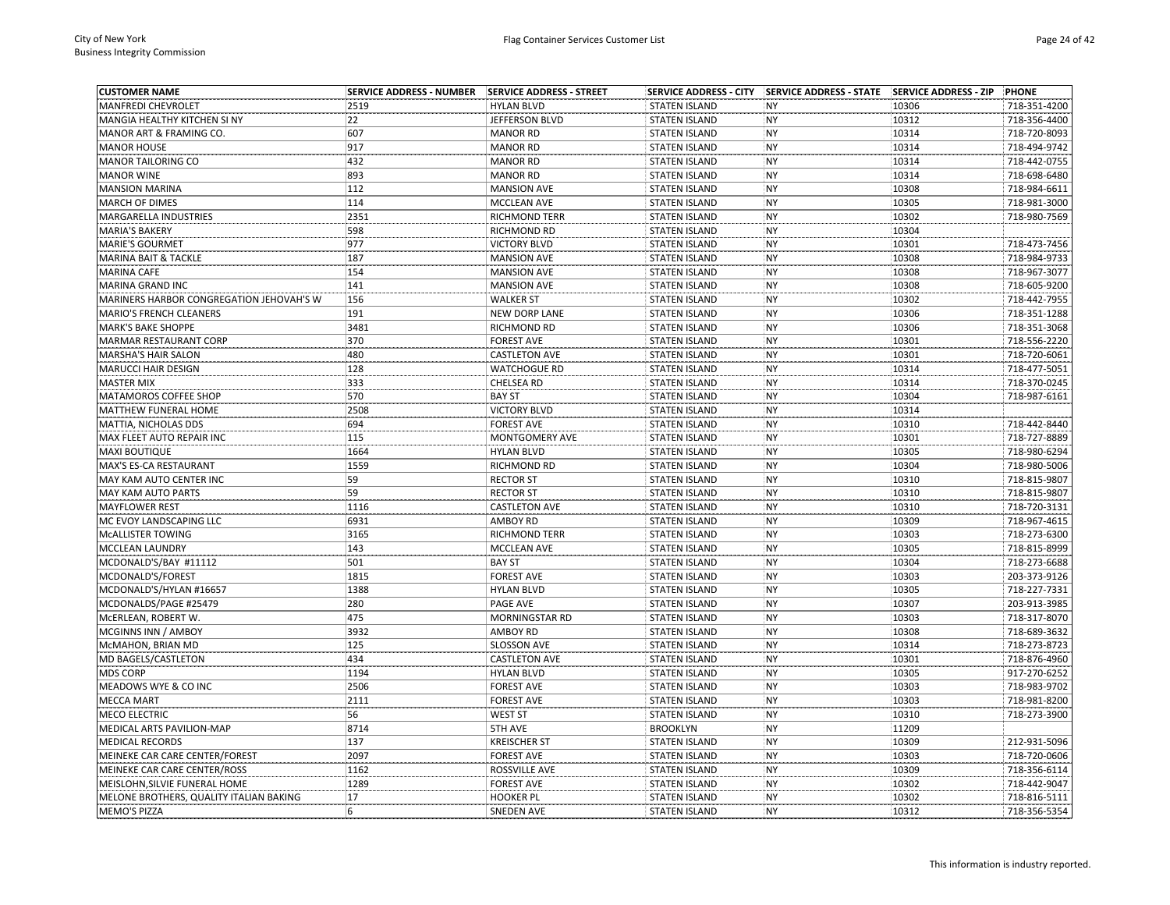| <b>CUSTOMER NAME</b>                     | <b>SERVICE ADDRESS - NUMBER</b> | <b>SERVICE ADDRESS - STREET</b> | <b>SERVICE ADDRESS - CITY</b> | SERVICE ADDRESS - STATE SERVICE ADDRESS - ZIP |       | <b>PHONE</b> |
|------------------------------------------|---------------------------------|---------------------------------|-------------------------------|-----------------------------------------------|-------|--------------|
| MANFREDI CHEVROLET                       | 2519                            | <b>HYLAN BLVD</b>               | <b>STATEN ISLAND</b>          | <b>NY</b>                                     | 10306 | 718-351-4200 |
| MANGIA HEALTHY KITCHEN SI NY             | 22                              | JEFFERSON BLVD                  | <b>STATEN ISLAND</b>          | <b>NY</b>                                     | 10312 | 718-356-4400 |
| MANOR ART & FRAMING CO.                  | 607                             | <b>MANOR RD</b>                 | <b>STATEN ISLAND</b>          | <b>NY</b>                                     | 10314 | 718-720-8093 |
| <b>MANOR HOUSE</b>                       | 917                             | <b>MANOR RD</b>                 | <b>STATEN ISLAND</b>          | <b>NY</b>                                     | 10314 | 718-494-9742 |
| <b>MANOR TAILORING CO</b>                | 432                             | <b>MANOR RD</b>                 | <b>STATEN ISLAND</b>          | <b>NY</b>                                     | 10314 | 718-442-0755 |
| <b>MANOR WINE</b>                        | 893                             | <b>MANOR RD</b>                 | <b>STATEN ISLAND</b>          | <b>NY</b>                                     | 10314 | 718-698-6480 |
| <b>MANSION MARINA</b>                    | 112                             | <b>MANSION AVE</b>              | <b>STATEN ISLAND</b>          | <b>NY</b>                                     | 10308 | 718-984-6611 |
| <b>MARCH OF DIMES</b>                    | 114                             | MCCLEAN AVE                     | <b>STATEN ISLAND</b>          | <b>NY</b>                                     | 10305 | 718-981-3000 |
| MARGARELLA INDUSTRIES                    | 2351                            | <b>RICHMOND TERR</b>            | <b>STATEN ISLAND</b>          | <b>NY</b>                                     | 10302 | 718-980-7569 |
| <b>MARIA'S BAKERY</b>                    | 598                             | RICHMOND RD                     | <b>STATEN ISLAND</b>          | <b>NY</b>                                     | 10304 |              |
| MARIE'S GOURMET                          | 977                             | <b>VICTORY BLVD</b>             | <b>STATEN ISLAND</b>          | <b>NY</b>                                     | 10301 | 718-473-7456 |
| MARINA BAIT & TACKLE                     | 187                             | <b>MANSION AVE</b>              | <b>STATEN ISLAND</b>          | <b>NY</b>                                     | 10308 | 718-984-9733 |
| <b>MARINA CAFE</b>                       | 154                             | <b>MANSION AVE</b>              | <b>STATEN ISLAND</b>          | <b>NY</b>                                     | 10308 | 718-967-3077 |
| MARINA GRAND INC                         | 141                             | <b>MANSION AVE</b>              | <b>STATEN ISLAND</b>          | NY                                            | 10308 | 718-605-9200 |
| MARINERS HARBOR CONGREGATION JEHOVAH'S W | 156                             | <b>WALKER ST</b>                | <b>STATEN ISLAND</b>          | <b>NY</b>                                     | 10302 | 718-442-7955 |
| MARIO'S FRENCH CLEANERS                  | 191                             | <b>NEW DORP LANE</b>            | <b>STATEN ISLAND</b>          | <b>NY</b>                                     | 10306 | 718-351-1288 |
| <b>MARK'S BAKE SHOPPE</b>                | 3481                            | RICHMOND RD                     | <b>STATEN ISLAND</b>          | <b>NY</b>                                     | 10306 | 718-351-3068 |
| MARMAR RESTAURANT CORP                   | 370                             | <b>FOREST AVE</b>               | <b>STATEN ISLAND</b>          | <b>NY</b>                                     | 10301 | 718-556-2220 |
| <b>MARSHA'S HAIR SALON</b>               | 480                             | <b>CASTLETON AVE</b>            | <b>STATEN ISLAND</b>          | <b>NY</b>                                     | 10301 | 718-720-6061 |
| <b>MARUCCI HAIR DESIGN</b>               | 128                             | <b>WATCHOGUE RD</b>             | <b>STATEN ISLAND</b>          | <b>NY</b>                                     | 10314 | 718-477-5051 |
| <b>MASTER MIX</b>                        | 333                             | CHELSEA RD                      | <b>STATEN ISLAND</b>          | <b>NY</b>                                     | 10314 | 718-370-0245 |
| MATAMOROS COFFEE SHOP                    | 570                             | <b>BAY ST</b>                   | <b>STATEN ISLAND</b>          | <b>NY</b>                                     | 10304 | 718-987-6161 |
| MATTHEW FUNERAL HOME                     | 2508                            | <b>VICTORY BLVD</b>             | <b>STATEN ISLAND</b>          | <b>NY</b>                                     | 10314 |              |
| MATTIA, NICHOLAS DDS                     | 694                             | <b>FOREST AVE</b>               | <b>STATEN ISLAND</b>          | <b>NY</b>                                     | 10310 | 718-442-8440 |
| MAX FLEET AUTO REPAIR INC                | 115                             | MONTGOMERY AVE                  | <b>STATEN ISLAND</b>          | <b>NY</b>                                     | 10301 | 718-727-8889 |
| MAXI BOUTIQUE                            | 1664                            | <b>HYLAN BLVD</b>               | <b>STATEN ISLAND</b>          | <b>NY</b>                                     | 10305 | 718-980-6294 |
| MAX'S ES-CA RESTAURANT                   | 1559                            | RICHMOND RD                     | <b>STATEN ISLAND</b>          | <b>NY</b>                                     | 10304 | 718-980-5006 |
| MAY KAM AUTO CENTER INC                  | 59                              | <b>RECTOR ST</b>                | <b>STATEN ISLAND</b>          | <b>NY</b>                                     | 10310 | 718-815-9807 |
| MAY KAM AUTO PARTS                       | 59                              | <b>RECTOR ST</b>                | <b>STATEN ISLAND</b>          | <b>NY</b>                                     | 10310 | 718-815-9807 |
| <b>MAYFLOWER REST</b>                    | 1116                            | <b>CASTLETON AVE</b>            | <b>STATEN ISLAND</b>          | <b>NY</b>                                     | 10310 | 718-720-3131 |
| MC EVOY LANDSCAPING LLC                  | 6931                            | <b>AMBOY RD</b>                 | <b>STATEN ISLAND</b>          | <b>NY</b>                                     | 10309 | 718-967-4615 |
| <b>MCALLISTER TOWING</b>                 | 3165                            | RICHMOND TERR                   | <b>STATEN ISLAND</b>          | <b>NY</b>                                     | 10303 | 718-273-6300 |
| MCCLEAN LAUNDRY                          | 143                             | MCCLEAN AVE                     | <b>STATEN ISLAND</b>          | <b>NY</b>                                     | 10305 | 718-815-8999 |
| MCDONALD'S/BAY #11112                    | 501                             | <b>BAY ST</b>                   | <b>STATEN ISLAND</b>          | <b>NY</b>                                     | 10304 | 718-273-6688 |
| MCDONALD'S/FOREST                        | 1815                            | <b>FOREST AVE</b>               | <b>STATEN ISLAND</b>          | <b>NY</b>                                     | 10303 | 203-373-9126 |
| MCDONALD'S/HYLAN #16657                  | 1388                            | <b>HYLAN BLVD</b>               | <b>STATEN ISLAND</b>          | <b>NY</b>                                     | 10305 | 718-227-7331 |
| MCDONALDS/PAGE #25479                    | 280                             | PAGE AVE                        | <b>STATEN ISLAND</b>          | <b>NY</b>                                     | 10307 | 203-913-3985 |
| MCERLEAN, ROBERT W.                      | 475                             | MORNINGSTAR RD                  | <b>STATEN ISLAND</b>          | <b>NY</b>                                     | 10303 | 718-317-8070 |
| MCGINNS INN / AMBOY                      | 3932                            | AMBOY RD                        | <b>STATEN ISLAND</b>          | <b>NY</b>                                     | 10308 | 718-689-3632 |
| McMAHON, BRIAN MD                        | 125                             | <b>SLOSSON AVE</b>              | <b>STATEN ISLAND</b>          | <b>NY</b>                                     | 10314 | 718-273-8723 |
| MD BAGELS/CASTLETON                      | 434                             | <b>CASTLETON AVE</b>            | <b>STATEN ISLAND</b>          | NY                                            | 10301 | 718-876-4960 |
| <b>MDS CORP</b>                          | 1194                            | <b>HYLAN BLVD</b>               | <b>STATEN ISLAND</b>          | <b>NY</b>                                     | 10305 | 917-270-6252 |
| MEADOWS WYE & CO INC                     | 2506                            | <b>FOREST AVE</b>               | <b>STATEN ISLAND</b>          | <b>NY</b>                                     | 10303 | 718-983-9702 |
| <b>MECCA MART</b>                        | 2111                            | <b>FOREST AVE</b>               | <b>STATEN ISLAND</b>          | <b>NY</b>                                     | 10303 | 718-981-8200 |
| MECO ELECTRIC                            | 56                              | <b>WEST ST</b>                  | <b>STATEN ISLAND</b>          | <b>NY</b>                                     | 10310 | 718-273-3900 |
| MEDICAL ARTS PAVILION-MAP                | 8714                            | 5TH AVE                         | <b>BROOKLYN</b>               | <b>NY</b>                                     | 11209 |              |
| <b>MEDICAL RECORDS</b>                   | 137                             | <b>KREISCHER ST</b>             | <b>STATEN ISLAND</b>          | <b>NY</b>                                     | 10309 | 212-931-5096 |
| MEINEKE CAR CARE CENTER/FOREST           | 2097                            | <b>FOREST AVE</b>               | <b>STATEN ISLAND</b>          | <b>NY</b>                                     | 10303 | 718-720-0606 |
| MEINEKE CAR CARE CENTER/ROSS             | 1162                            | ROSSVILLE AVE                   | <b>STATEN ISLAND</b>          | <b>NY</b>                                     | 10309 | 718-356-6114 |
| MEISLOHN, SILVIE FUNERAL HOME            | 1289                            | <b>FOREST AVE</b>               | <b>STATEN ISLAND</b>          | <b>NY</b>                                     | 10302 | 718-442-9047 |
| MELONE BROTHERS, QUALITY ITALIAN BAKING  | 17                              | <b>HOOKER PL</b>                | <b>STATEN ISLAND</b>          | <b>NY</b>                                     | 10302 | 718-816-5111 |
| <b>MEMO'S PIZZA</b>                      | 6                               | <b>SNEDEN AVE</b>               | <b>STATEN ISLAND</b>          | <b>NY</b>                                     | 10312 | 718-356-5354 |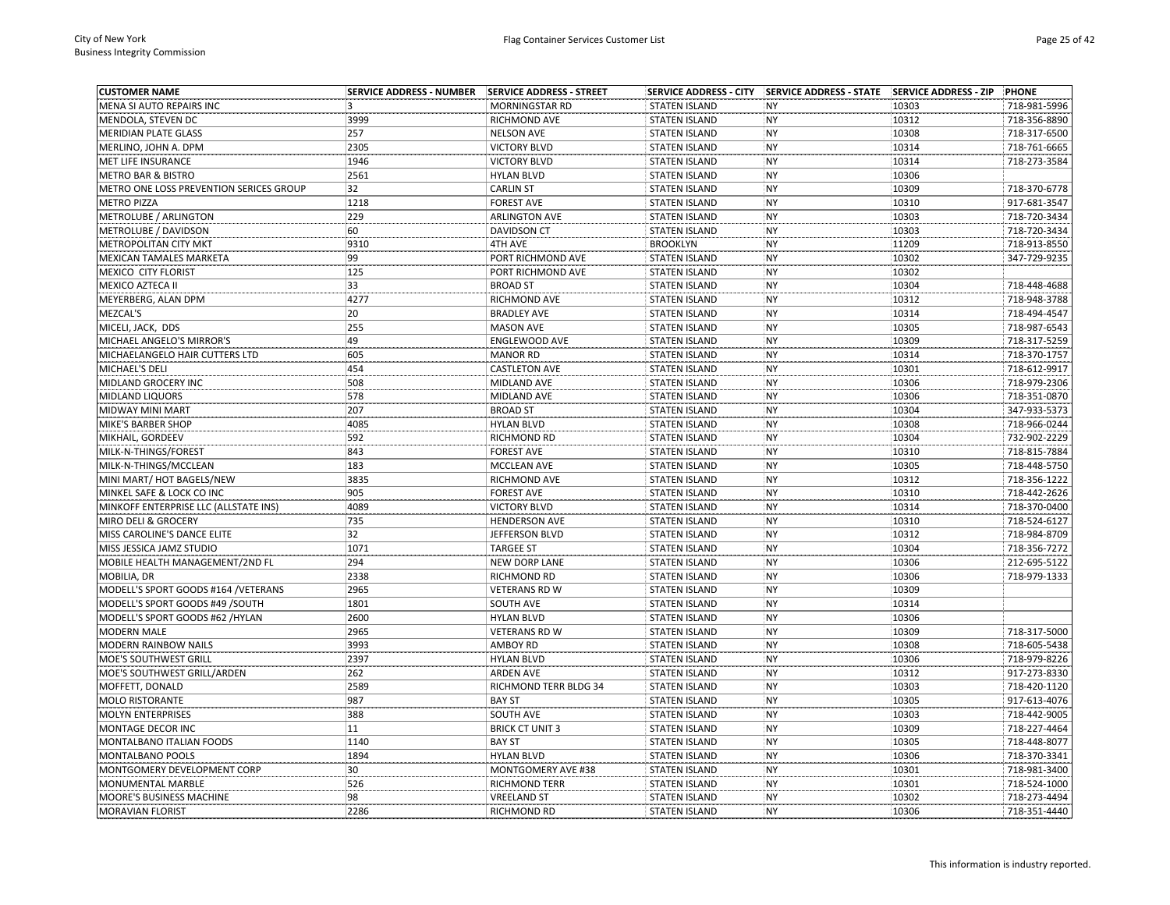| <b>CUSTOMER NAME</b>                    | <b>SERVICE ADDRESS - NUMBER</b> | SERVICE ADDRESS - STREET  | <b>SERVICE ADDRESS - CITY</b> | SERVICE ADDRESS - STATE SERVICE ADDRESS - ZIP |       | <b>PHONE</b> |
|-----------------------------------------|---------------------------------|---------------------------|-------------------------------|-----------------------------------------------|-------|--------------|
| MENA SI AUTO REPAIRS INC                | 3                               | MORNINGSTAR RD            | <b>STATEN ISLAND</b>          | <b>NY</b>                                     | 10303 | 718-981-5996 |
| MENDOLA, STEVEN DC                      | 3999                            | RICHMOND AVE              | <b>STATEN ISLAND</b>          | <b>NY</b>                                     | 10312 | 718-356-8890 |
| <b>MERIDIAN PLATE GLASS</b>             | 257                             | <b>NELSON AVE</b>         | <b>STATEN ISLAND</b>          | <b>NY</b>                                     | 10308 | 718-317-6500 |
| MERLINO, JOHN A. DPM                    | 2305                            | <b>VICTORY BLVD</b>       | <b>STATEN ISLAND</b>          | <b>NY</b>                                     | 10314 | 718-761-6665 |
| MET LIFE INSURANCE                      | 1946                            | <b>VICTORY BLVD</b>       | <b>STATEN ISLAND</b>          | <b>NY</b>                                     | 10314 | 718-273-3584 |
| METRO BAR & BISTRO                      | 2561                            | <b>HYLAN BLVD</b>         | <b>STATEN ISLAND</b>          | <b>NY</b>                                     | 10306 |              |
| METRO ONE LOSS PREVENTION SERICES GROUP | 32                              | <b>CARLIN ST</b>          | <b>STATEN ISLAND</b>          | <b>NY</b>                                     | 10309 | 718-370-6778 |
| <b>METRO PIZZA</b>                      | 1218                            | <b>FOREST AVE</b>         | <b>STATEN ISLAND</b>          | <b>NY</b>                                     | 10310 | 917-681-3547 |
| METROLUBE / ARLINGTON                   | 229                             | <b>ARLINGTON AVE</b>      | <b>STATEN ISLAND</b>          | <b>NY</b>                                     | 10303 | 718-720-3434 |
| METROLUBE / DAVIDSON                    | 60                              | <b>DAVIDSON CT</b>        | <b>STATEN ISLAND</b>          | <b>NY</b>                                     | 10303 | 718-720-3434 |
| <b>METROPOLITAN CITY MKT</b>            | 9310                            | 4TH AVE                   | <b>BROOKLYN</b>               | <b>NY</b>                                     | 11209 | 718-913-8550 |
| MEXICAN TAMALES MARKETA                 | 99                              | PORT RICHMOND AVE         | <b>STATEN ISLAND</b>          | <b>NY</b>                                     | 10302 | 347-729-9235 |
| MEXICO CITY FLORIST                     | 125                             | PORT RICHMOND AVE         | <b>STATEN ISLAND</b>          | <b>NY</b>                                     | 10302 |              |
| MEXICO AZTECA II                        | 33                              | <b>BROAD ST</b>           | <b>STATEN ISLAND</b>          | <b>NY</b>                                     | 10304 | 718-448-4688 |
| MEYERBERG, ALAN DPM                     | 4277                            | RICHMOND AVE              | <b>STATEN ISLAND</b>          | <b>NY</b>                                     | 10312 | 718-948-3788 |
| MEZCAL'S                                | 20                              | <b>BRADLEY AVE</b>        | <b>STATEN ISLAND</b>          | <b>NY</b>                                     | 10314 | 718-494-4547 |
| MICELI, JACK, DDS                       | 255                             | <b>MASON AVE</b>          | <b>STATEN ISLAND</b>          | <b>NY</b>                                     | 10305 | 718-987-6543 |
| MICHAEL ANGELO'S MIRROR'S               | 49                              | <b>ENGLEWOOD AVE</b>      | <b>STATEN ISLAND</b>          | <b>NY</b>                                     | 10309 | 718-317-5259 |
| MICHAELANGELO HAIR CUTTERS LTD          | 605                             | <b>MANOR RD</b>           | <b>STATEN ISLAND</b>          | <b>NY</b>                                     | 10314 | 718-370-1757 |
| MICHAEL'S DELI                          | 454                             | <b>CASTLETON AVE</b>      | <b>STATEN ISLAND</b>          | <b>NY</b>                                     | 10301 | 718-612-9917 |
| MIDLAND GROCERY INC                     | 508                             | MIDLAND AVE               | <b>STATEN ISLAND</b>          | <b>NY</b>                                     | 10306 | 718-979-2306 |
| MIDLAND LIQUORS                         | 578                             | MIDLAND AVE               | <b>STATEN ISLAND</b>          | <b>NY</b>                                     | 10306 | 718-351-0870 |
| <b>MIDWAY MINI MART</b>                 | 207                             | <b>BROAD ST</b>           | <b>STATEN ISLAND</b>          | <b>NY</b>                                     | 10304 | 347-933-5373 |
| MIKE'S BARBER SHOP                      | 4085                            | <b>HYLAN BLVD</b>         | <b>STATEN ISLAND</b>          | <b>NY</b>                                     | 10308 | 718-966-0244 |
| MIKHAIL, GORDEEV                        | 592                             | RICHMOND RD               | <b>STATEN ISLAND</b>          | <b>NY</b>                                     | 10304 | 732-902-2229 |
| MILK-N-THINGS/FOREST                    | 843                             | <b>FOREST AVE</b>         | <b>STATEN ISLAND</b>          | <b>NY</b>                                     | 10310 | 718-815-7884 |
| MILK-N-THINGS/MCCLEAN                   | 183                             | MCCLEAN AVE               | <b>STATEN ISLAND</b>          | <b>NY</b>                                     | 10305 | 718-448-5750 |
| MINI MART/ HOT BAGELS/NEW               | 3835                            | RICHMOND AVE              | <b>STATEN ISLAND</b>          | <b>NY</b>                                     | 10312 | 718-356-1222 |
| MINKEL SAFE & LOCK CO INC               | 905                             | <b>FOREST AVE</b>         | <b>STATEN ISLAND</b>          | <b>NY</b>                                     | 10310 | 718-442-2626 |
| MINKOFF ENTERPRISE LLC (ALLSTATE INS)   | 4089                            | <b>VICTORY BLVD</b>       | <b>STATEN ISLAND</b>          | <b>NY</b>                                     | 10314 | 718-370-0400 |
| MIRO DELI & GROCERY                     | 735                             | <b>HENDERSON AVE</b>      | <b>STATEN ISLAND</b>          | <b>NY</b>                                     | 10310 | 718-524-6127 |
| MISS CAROLINE'S DANCE ELITE             | 32                              | JEFFERSON BLVD            | <b>STATEN ISLAND</b>          | <b>NY</b>                                     | 10312 | 718-984-8709 |
| MISS JESSICA JAMZ STUDIO                | 1071                            | <b>TARGEE ST</b>          | <b>STATEN ISLAND</b>          | <b>NY</b>                                     | 10304 | 718-356-7272 |
| MOBILE HEALTH MANAGEMENT/2ND FL         | 294                             | <b>NEW DORP LANE</b>      | <b>STATEN ISLAND</b>          | <b>NY</b>                                     | 10306 | 212-695-5122 |
| MOBILIA, DR                             | 2338                            | RICHMOND RD               | <b>STATEN ISLAND</b>          | <b>NY</b>                                     | 10306 | 718-979-1333 |
| MODELL'S SPORT GOODS #164 /VETERANS     | 2965                            | <b>VETERANS RD W</b>      | <b>STATEN ISLAND</b>          | <b>NY</b>                                     | 10309 |              |
| MODELL'S SPORT GOODS #49 /SOUTH         | 1801                            | SOUTH AVE                 |                               | <b>NY</b>                                     | 10314 |              |
| MODELL'S SPORT GOODS #62 / HYLAN        | 2600                            | <b>HYLAN BLVD</b>         | <b>STATEN ISLAND</b>          | <b>NY</b>                                     | 10306 |              |
| <b>MODERN MALE</b>                      | 2965                            |                           | <b>STATEN ISLAND</b>          | <b>NY</b>                                     | 10309 | 718-317-5000 |
|                                         |                                 | <b>VETERANS RD W</b>      | <b>STATEN ISLAND</b>          |                                               |       |              |
| MODERN RAINBOW NAILS                    | 3993                            | AMBOY RD                  | <b>STATEN ISLAND</b>          | <b>NY</b>                                     | 10308 | 718-605-5438 |
| MOE'S SOUTHWEST GRILL                   | 2397                            | <b>HYLAN BLVD</b>         | <b>STATEN ISLAND</b>          | <b>NY</b>                                     | 10306 | 718-979-8226 |
| MOE'S SOUTHWEST GRILL/ARDEN             | 262                             | ARDEN AVE                 | <b>STATEN ISLAND</b>          | <b>NY</b>                                     | 10312 | 917-273-8330 |
| MOFFETT, DONALD                         | 2589                            | RICHMOND TERR BLDG 34     | <b>STATEN ISLAND</b>          | <b>NY</b>                                     | 10303 | 718-420-1120 |
| <b>MOLO RISTORANTE</b>                  | 987                             | <b>BAY ST</b>             | <b>STATEN ISLAND</b>          | <b>NY</b>                                     | 10305 | 917-613-4076 |
| <b>MOLYN ENTERPRISES</b>                | 388                             | SOUTH AVE                 | <b>STATEN ISLAND</b>          | <b>NY</b>                                     | 10303 | 718-442-9005 |
| MONTAGE DECOR INC                       | 11                              | <b>BRICK CT UNIT 3</b>    | <b>STATEN ISLAND</b>          | <b>NY</b>                                     | 10309 | 718-227-4464 |
| MONTALBANO ITALIAN FOODS                | 1140                            | <b>BAY ST</b>             | <b>STATEN ISLAND</b>          | <b>NY</b>                                     | 10305 | 718-448-8077 |
| MONTALBANO POOLS                        | 1894                            | <b>HYLAN BLVD</b>         | <b>STATEN ISLAND</b>          | <b>NY</b>                                     | 10306 | 718-370-3341 |
| MONTGOMERY DEVELOPMENT CORP             | 30                              | <b>MONTGOMERY AVE #38</b> | <b>STATEN ISLAND</b>          | <b>NY</b>                                     | 10301 | 718-981-3400 |
| MONUMENTAL MARBLE                       | 526                             | RICHMOND TERR             | <b>STATEN ISLAND</b>          | <b>NY</b>                                     | 10301 | 718-524-1000 |
| MOORE'S BUSINESS MACHINE                | 98                              | <b>VREELAND ST</b>        | <b>STATEN ISLAND</b>          | <b>NY</b>                                     | 10302 | 718-273-4494 |
| <b>MORAVIAN FLORIST</b>                 | 2286                            | <b>RICHMOND RD</b>        | <b>STATEN ISLAND</b>          | <b>NY</b>                                     | 10306 | 718-351-4440 |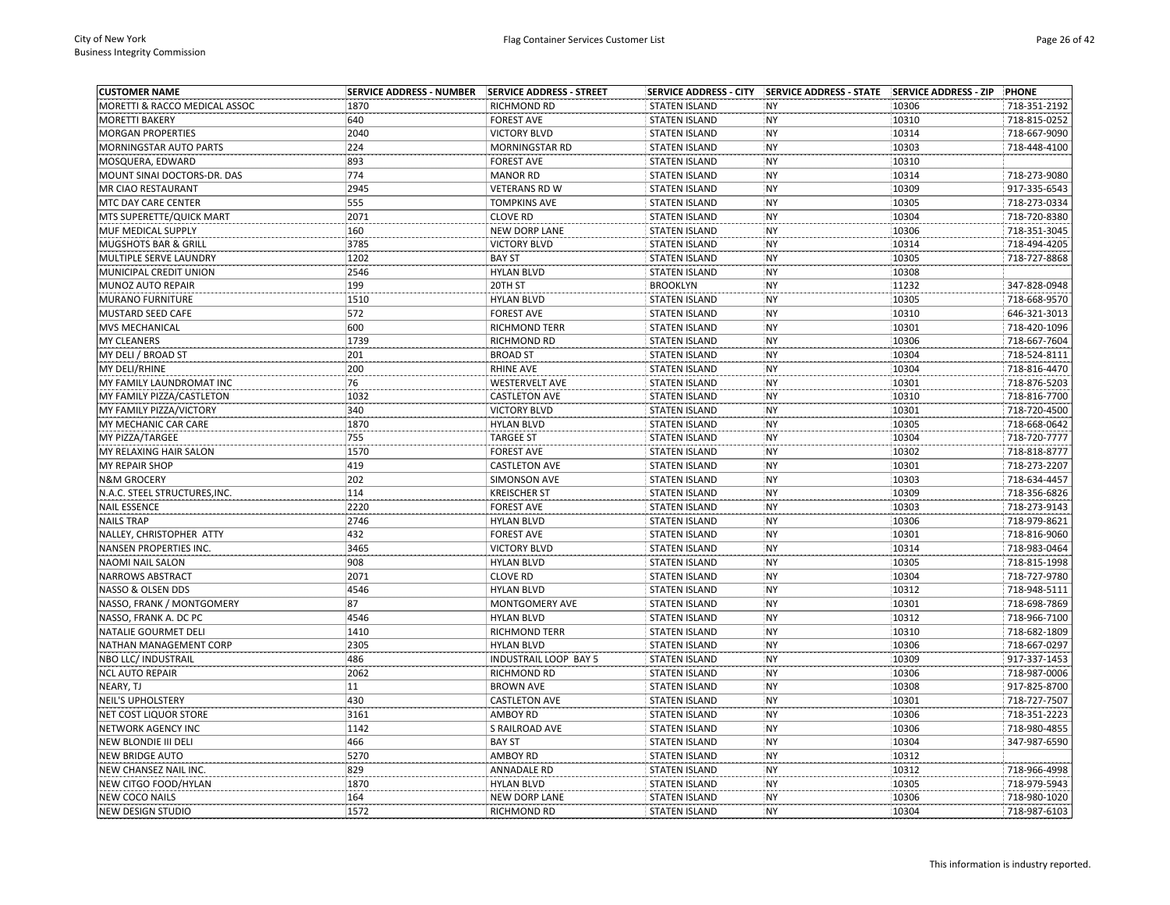| <b>CUSTOMER NAME</b>            | <b>SERVICE ADDRESS - NUMBER</b> | SERVICE ADDRESS - STREET     |                      | SERVICE ADDRESS - CITY SERVICE ADDRESS - STATE SERVICE ADDRESS - ZIP |       | PHONE        |
|---------------------------------|---------------------------------|------------------------------|----------------------|----------------------------------------------------------------------|-------|--------------|
| MORETTI & RACCO MEDICAL ASSOC   | 1870                            | RICHMOND RD                  | <b>STATEN ISLAND</b> | <b>NY</b>                                                            | 10306 | 718-351-2192 |
| <b>MORETTI BAKERY</b>           | 640                             | <b>FOREST AVE</b>            | <b>STATEN ISLAND</b> | <b>NY</b>                                                            | 10310 | 718-815-0252 |
| <b>MORGAN PROPERTIES</b>        | 2040                            | <b>VICTORY BLVD</b>          | <b>STATEN ISLAND</b> | <b>NY</b>                                                            | 10314 | 718-667-9090 |
| MORNINGSTAR AUTO PARTS          | 224                             | MORNINGSTAR RD               | <b>STATEN ISLAND</b> | <b>NY</b>                                                            | 10303 | 718-448-4100 |
| MOSQUERA, EDWARD                | 893                             | <b>FOREST AVE</b>            | <b>STATEN ISLAND</b> | NY                                                                   | 10310 |              |
| MOUNT SINAI DOCTORS-DR. DAS     | 774                             | <b>MANOR RD</b>              | <b>STATEN ISLAND</b> | <b>NY</b>                                                            | 10314 | 718-273-9080 |
| MR CIAO RESTAURANT              | 2945                            | <b>VETERANS RD W</b>         | <b>STATEN ISLAND</b> | <b>NY</b>                                                            | 10309 | 917-335-6543 |
| MTC DAY CARE CENTER             | 555                             | <b>TOMPKINS AVE</b>          | <b>STATEN ISLAND</b> | <b>NY</b>                                                            | 10305 | 718-273-0334 |
| MTS SUPERETTE/QUICK MART        | 2071                            | <b>CLOVE RD</b>              | <b>STATEN ISLAND</b> | <b>NY</b>                                                            | 10304 | 718-720-8380 |
| MUF MEDICAL SUPPLY              | 160                             | NEW DORP LANE                | <b>STATEN ISLAND</b> | <b>NY</b>                                                            | 10306 | 718-351-3045 |
| <b>MUGSHOTS BAR &amp; GRILL</b> | 3785                            | <b>VICTORY BLVD</b>          | <b>STATEN ISLAND</b> | <b>NY</b>                                                            | 10314 | 718-494-4205 |
| MULTIPLE SERVE LAUNDRY          | 1202                            | <b>BAY ST</b>                | <b>STATEN ISLAND</b> | <b>NY</b>                                                            | 10305 | 718-727-8868 |
| MUNICIPAL CREDIT UNION          | 2546                            | <b>HYLAN BLVD</b>            | <b>STATEN ISLAND</b> | <b>NY</b>                                                            | 10308 |              |
| MUNOZ AUTO REPAIR               | 199                             | 20TH ST                      | <b>BROOKLYN</b>      | NY                                                                   | 11232 | 347-828-0948 |
| <b>MURANO FURNITURE</b>         | 1510                            | <b>HYLAN BLVD</b>            | <b>STATEN ISLAND</b> | <b>NY</b>                                                            | 10305 | 718-668-9570 |
| <b>MUSTARD SEED CAFE</b>        | 572                             | <b>FOREST AVE</b>            | <b>STATEN ISLAND</b> | <b>NY</b>                                                            | 10310 | 646-321-3013 |
| MVS MECHANICAL                  | 600                             | <b>RICHMOND TERR</b>         | <b>STATEN ISLAND</b> | <b>NY</b>                                                            | 10301 | 718-420-1096 |
| <b>MY CLEANERS</b>              | 1739                            | <b>RICHMOND RD</b>           | <b>STATEN ISLAND</b> | <b>NY</b>                                                            | 10306 | 718-667-7604 |
| MY DELI / BROAD ST              | 201                             | <b>BROAD ST</b>              | <b>STATEN ISLAND</b> | <b>NY</b>                                                            | 10304 | 718-524-8111 |
| MY DELI/RHINE                   | 200                             | <b>RHINE AVE</b>             | <b>STATEN ISLAND</b> | <b>NY</b>                                                            | 10304 | 718-816-4470 |
| MY FAMILY LAUNDROMAT INC        | 76                              | <b>WESTERVELT AVE</b>        | <b>STATEN ISLAND</b> | <b>NY</b>                                                            | 10301 | 718-876-5203 |
| MY FAMILY PIZZA/CASTLETON       | 1032                            | <b>CASTLETON AVE</b>         | <b>STATEN ISLAND</b> | <b>NY</b>                                                            | 10310 | 718-816-7700 |
| MY FAMILY PIZZA/VICTORY         | 340                             | <b>VICTORY BLVD</b>          | <b>STATEN ISLAND</b> | NY                                                                   | 10301 | 718-720-4500 |
| MY MECHANIC CAR CARE            | 1870                            | <b>HYLAN BLVD</b>            | <b>STATEN ISLAND</b> | <b>NY</b>                                                            | 10305 | 718-668-0642 |
| MY PIZZA/TARGEE                 | 755                             | <b>TARGEE ST</b>             | <b>STATEN ISLAND</b> | <b>NY</b>                                                            | 10304 | 718-720-7777 |
| MY RELAXING HAIR SALON          | 1570                            | <b>FOREST AVE</b>            | <b>STATEN ISLAND</b> | <b>NY</b>                                                            | 10302 | 718-818-8777 |
| MY REPAIR SHOP                  | 419                             | <b>CASTLETON AVE</b>         | <b>STATEN ISLAND</b> | <b>NY</b>                                                            | 10301 | 718-273-2207 |
| <b>N&amp;M GROCERY</b>          | 202                             | SIMONSON AVE                 | <b>STATEN ISLAND</b> | <b>NY</b>                                                            | 10303 | 718-634-4457 |
| N.A.C. STEEL STRUCTURES, INC.   | 114                             | <b>KREISCHER ST</b>          | <b>STATEN ISLAND</b> | <b>NY</b>                                                            | 10309 | 718-356-6826 |
| <b>NAIL ESSENCE</b>             | 2220                            | <b>FOREST AVE</b>            | <b>STATEN ISLAND</b> | <b>NY</b>                                                            | 10303 | 718-273-9143 |
| <b>NAILS TRAP</b>               | 2746                            | <b>HYLAN BLVD</b>            | <b>STATEN ISLAND</b> | <b>NY</b>                                                            | 10306 | 718-979-8621 |
| NALLEY, CHRISTOPHER ATTY        | 432                             | <b>FOREST AVE</b>            | <b>STATEN ISLAND</b> | <b>NY</b>                                                            | 10301 | 718-816-9060 |
| NANSEN PROPERTIES INC.          | 3465                            | <b>VICTORY BLVD</b>          | <b>STATEN ISLAND</b> | <b>NY</b>                                                            | 10314 | 718-983-0464 |
| NAOMI NAIL SALON                | 908                             | <b>HYLAN BLVD</b>            | <b>STATEN ISLAND</b> | <b>NY</b>                                                            | 10305 | 718-815-1998 |
| <b>NARROWS ABSTRACT</b>         | 2071                            | <b>CLOVE RD</b>              | <b>STATEN ISLAND</b> | <b>NY</b>                                                            | 10304 | 718-727-9780 |
| NASSO & OLSEN DDS               | 4546                            | <b>HYLAN BLVD</b>            | <b>STATEN ISLAND</b> | <b>NY</b>                                                            | 10312 | 718-948-5111 |
| NASSO, FRANK / MONTGOMERY       | 87                              | <b>MONTGOMERY AVE</b>        | <b>STATEN ISLAND</b> | <b>NY</b>                                                            | 10301 | 718-698-7869 |
| NASSO, FRANK A. DC PC           | 4546                            | <b>HYLAN BLVD</b>            | <b>STATEN ISLAND</b> | <b>NY</b>                                                            | 10312 | 718-966-7100 |
| NATALIE GOURMET DELI            | 1410                            | RICHMOND TERR                | <b>STATEN ISLAND</b> | <b>NY</b>                                                            | 10310 | 718-682-1809 |
| NATHAN MANAGEMENT CORP          | 2305                            | <b>HYLAN BLVD</b>            | <b>STATEN ISLAND</b> | <b>NY</b>                                                            | 10306 | 718-667-0297 |
| NBO LLC/ INDUSTRAIL             | 486                             | <b>INDUSTRAIL LOOP BAY 5</b> | <b>STATEN ISLAND</b> | <b>NY</b>                                                            | 10309 | 917-337-1453 |
| <b>NCL AUTO REPAIR</b>          | 2062                            | <b>RICHMOND RD</b>           | <b>STATEN ISLAND</b> | <b>NY</b>                                                            | 10306 | 718-987-0006 |
| NEARY, TJ                       | 11                              | <b>BROWN AVE</b>             | <b>STATEN ISLAND</b> | <b>NY</b>                                                            | 10308 | 917-825-8700 |
| <b>NEIL'S UPHOLSTERY</b>        | 430                             | <b>CASTLETON AVE</b>         | <b>STATEN ISLAND</b> | <b>NY</b>                                                            | 10301 | 718-727-7507 |
| NET COST LIQUOR STORE           | 3161                            | <b>AMBOY RD</b>              | <b>STATEN ISLAND</b> | <b>NY</b>                                                            | 10306 | 718-351-2223 |
| <b>NETWORK AGENCY INC</b>       | 1142                            | S RAILROAD AVE               | <b>STATEN ISLAND</b> | <b>NY</b>                                                            | 10306 | 718-980-4855 |
| NEW BLONDIE III DELI            | 466                             | <b>BAY ST</b>                | <b>STATEN ISLAND</b> | <b>NY</b>                                                            | 10304 | 347-987-6590 |
| <b>NEW BRIDGE AUTO</b>          | 5270                            | <b>AMBOY RD</b>              | <b>STATEN ISLAND</b> | <b>NY</b>                                                            | 10312 |              |
| NEW CHANSEZ NAIL INC.           | 829                             | <b>ANNADALE RD</b>           | <b>STATEN ISLAND</b> | <b>NY</b>                                                            | 10312 | 718-966-4998 |
| NEW CITGO FOOD/HYLAN            | 1870                            | <b>HYLAN BLVD</b>            | <b>STATEN ISLAND</b> | <b>NY</b>                                                            | 10305 | 718-979-5943 |
| NEW COCO NAILS                  | 164                             | <b>NEW DORP LANE</b>         | <b>STATEN ISLAND</b> | <b>NY</b>                                                            | 10306 | 718-980-1020 |
| <b>NEW DESIGN STUDIO</b>        | 1572                            | <b>RICHMOND RD</b>           | <b>STATEN ISLAND</b> | <b>NY</b>                                                            | 10304 | 718-987-6103 |
|                                 |                                 |                              |                      |                                                                      |       |              |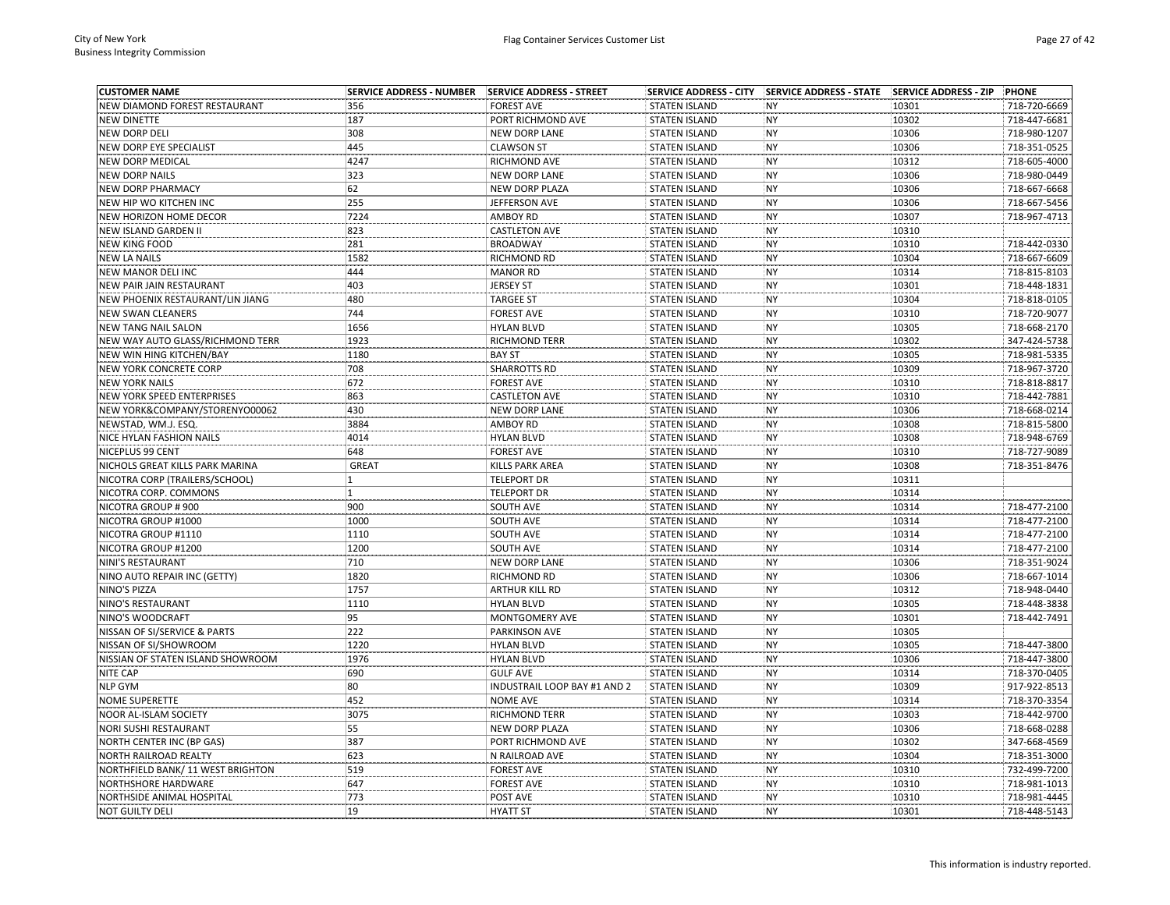| <b>CUSTOMER NAME</b>              | <b>SERVICE ADDRESS - NUMBER</b> | SERVICE ADDRESS - STREET     |                      | SERVICE ADDRESS - CITY SERVICE ADDRESS - STATE SERVICE ADDRESS - ZIP |       | PHONE                        |
|-----------------------------------|---------------------------------|------------------------------|----------------------|----------------------------------------------------------------------|-------|------------------------------|
| NEW DIAMOND FOREST RESTAURANT     | 356                             | <b>FOREST AVE</b>            | <b>STATEN ISLAND</b> | <b>NY</b>                                                            | 10301 | 718-720-6669                 |
| <b>NEW DINETTE</b>                | 187                             | PORT RICHMOND AVE            | <b>STATEN ISLAND</b> | <b>NY</b>                                                            | 10302 | 718-447-6681                 |
| NEW DORP DELI                     | 308                             | NEW DORP LANE                | <b>STATEN ISLAND</b> | <b>NY</b>                                                            | 10306 | 718-980-1207                 |
| NEW DORP EYE SPECIALIST           | 445                             | <b>CLAWSON ST</b>            | <b>STATEN ISLAND</b> | <b>NY</b>                                                            | 10306 | 718-351-0525                 |
| <b>NEW DORP MEDICAL</b>           | 4247                            | RICHMOND AVE                 | <b>STATEN ISLAND</b> | <b>NY</b>                                                            | 10312 | 718-605-4000                 |
| <b>NEW DORP NAILS</b>             | 323                             | <b>NEW DORP LANE</b>         | <b>STATEN ISLAND</b> | <b>NY</b>                                                            | 10306 | 718-980-0449                 |
| <b>NEW DORP PHARMACY</b>          | 62                              | NEW DORP PLAZA               | <b>STATEN ISLAND</b> | <b>NY</b>                                                            | 10306 | 718-667-6668                 |
| NEW HIP WO KITCHEN INC            | 255                             | JEFFERSON AVE                | <b>STATEN ISLAND</b> | <b>NY</b>                                                            | 10306 | 718-667-5456                 |
| NEW HORIZON HOME DECOR            | 7224                            | <b>AMBOY RD</b>              | <b>STATEN ISLAND</b> | <b>NY</b>                                                            | 10307 | 718-967-4713                 |
| NEW ISLAND GARDEN II              | 823                             | <b>CASTLETON AVE</b>         | <b>STATEN ISLAND</b> | <b>NY</b>                                                            | 10310 |                              |
| <b>NEW KING FOOD</b>              | 281                             | <b>BROADWAY</b>              | <b>STATEN ISLAND</b> | <b>NY</b>                                                            | 10310 | 718-442-0330                 |
| <b>NEW LA NAILS</b>               | 1582                            | <b>RICHMOND RD</b>           | <b>STATEN ISLAND</b> | <b>NY</b>                                                            | 10304 | 718-667-6609                 |
| NEW MANOR DELI INC                | 444                             | <b>MANOR RD</b>              | <b>STATEN ISLAND</b> | <b>NY</b>                                                            | 10314 | 718-815-8103                 |
| NEW PAIR JAIN RESTAURANT          | 403                             | <b>JERSEY ST</b>             | <b>STATEN ISLAND</b> | <b>NY</b>                                                            | 10301 | 718-448-1831                 |
| NEW PHOENIX RESTAURANT/LIN JIANG  | 480                             | <b>TARGEE ST</b>             | <b>STATEN ISLAND</b> | <b>NY</b>                                                            | 10304 | 718-818-0105                 |
| <b>NEW SWAN CLEANERS</b>          | 744                             | <b>FOREST AVE</b>            | <b>STATEN ISLAND</b> | <b>NY</b>                                                            | 10310 | 718-720-9077                 |
| <b>NEW TANG NAIL SALON</b>        | 1656                            | <b>HYLAN BLVD</b>            | <b>STATEN ISLAND</b> | <b>NY</b>                                                            | 10305 | 718-668-2170                 |
| NEW WAY AUTO GLASS/RICHMOND TERR  | 1923                            | <b>RICHMOND TERR</b>         | <b>STATEN ISLAND</b> | <b>NY</b>                                                            | 10302 | 347-424-5738                 |
| NEW WIN HING KITCHEN/BAY          | 1180                            | <b>BAY ST</b>                | <b>STATEN ISLAND</b> | <b>NY</b>                                                            | 10305 | 718-981-5335                 |
| NEW YORK CONCRETE CORP            | 708                             | <b>SHARROTTS RD</b>          | <b>STATEN ISLAND</b> | <b>NY</b>                                                            | 10309 | 718-967-3720                 |
| <b>NEW YORK NAILS</b>             | 672                             | <b>FOREST AVE</b>            | <b>STATEN ISLAND</b> | <b>NY</b>                                                            | 10310 | 718-818-8817                 |
| NEW YORK SPEED ENTERPRISES        | 863                             | <b>CASTLETON AVE</b>         | <b>STATEN ISLAND</b> | <b>NY</b>                                                            | 10310 | 718-442-7881                 |
| NEW YORK&COMPANY/STORENYO00062    | 430                             | <b>NEW DORP LANE</b>         | <b>STATEN ISLAND</b> | <b>NY</b>                                                            | 10306 | 718-668-0214                 |
| NEWSTAD, WM.J. ESQ.               | 3884                            | <b>AMBOY RD</b>              | <b>STATEN ISLAND</b> | <b>NY</b>                                                            | 10308 | 718-815-5800                 |
| <b>NICE HYLAN FASHION NAILS</b>   | 4014                            | <b>HYLAN BLVD</b>            | <b>STATEN ISLAND</b> | <b>NY</b>                                                            | 10308 | 718-948-6769                 |
| NICEPLUS 99 CENT                  | 648                             | <b>FOREST AVE</b>            | <b>STATEN ISLAND</b> | <b>NY</b>                                                            | 10310 | 718-727-9089                 |
| NICHOLS GREAT KILLS PARK MARINA   | GREAT                           | <b>KILLS PARK AREA</b>       | <b>STATEN ISLAND</b> | <b>NY</b>                                                            | 10308 | 718-351-8476                 |
| NICOTRA CORP (TRAILERS/SCHOOL)    | 1                               | <b>TELEPORT DR</b>           | <b>STATEN ISLAND</b> | <b>NY</b>                                                            | 10311 |                              |
| NICOTRA CORP. COMMONS             | 1                               | <b>TELEPORT DR</b>           | <b>STATEN ISLAND</b> | <b>NY</b>                                                            | 10314 |                              |
| NICOTRA GROUP #900                | 900                             | SOUTH AVE                    | <b>STATEN ISLAND</b> | <b>NY</b>                                                            | 10314 | 718-477-2100                 |
|                                   | 1000                            |                              |                      |                                                                      |       |                              |
| NICOTRA GROUP #1000               | 1110                            | SOUTH AVE                    | <b>STATEN ISLAND</b> | <b>NY</b><br><b>NY</b>                                               | 10314 | 718-477-2100<br>718-477-2100 |
| NICOTRA GROUP #1110               |                                 | SOUTH AVE                    | <b>STATEN ISLAND</b> |                                                                      | 10314 |                              |
| NICOTRA GROUP #1200               | 1200<br>710                     | SOUTH AVE                    | <b>STATEN ISLAND</b> | <b>NY</b>                                                            | 10314 | 718-477-2100                 |
| NINI'S RESTAURANT                 |                                 | <b>NEW DORP LANE</b>         | <b>STATEN ISLAND</b> | <b>NY</b>                                                            | 10306 | 718-351-9024                 |
| NINO AUTO REPAIR INC (GETTY)      | 1820                            | <b>RICHMOND RD</b>           | <b>STATEN ISLAND</b> | <b>NY</b>                                                            | 10306 | 718-667-1014                 |
| NINO'S PIZZA                      | 1757                            | ARTHUR KILL RD               | <b>STATEN ISLAND</b> | <b>NY</b>                                                            | 10312 | 718-948-0440                 |
| NINO'S RESTAURANT                 | 1110                            | <b>HYLAN BLVD</b>            | <b>STATEN ISLAND</b> | <b>NY</b>                                                            | 10305 | 718-448-3838                 |
| NINO'S WOODCRAFT                  | 95                              | <b>MONTGOMERY AVE</b>        | <b>STATEN ISLAND</b> | <b>NY</b>                                                            | 10301 | 718-442-7491                 |
| NISSAN OF SI/SERVICE & PARTS      | 222                             | PARKINSON AVE                | <b>STATEN ISLAND</b> | <b>NY</b>                                                            | 10305 |                              |
| NISSAN OF SI/SHOWROOM             | 1220                            | <b>HYLAN BLVD</b>            | <b>STATEN ISLAND</b> | <b>NY</b>                                                            | 10305 | 718-447-3800                 |
| NISSIAN OF STATEN ISLAND SHOWROOM | 1976                            | <b>HYLAN BLVD</b>            | <b>STATEN ISLAND</b> | <b>NY</b>                                                            | 10306 | 718-447-3800                 |
| <b>NITE CAP</b>                   | 690                             | <b>GULF AVE</b>              | <b>STATEN ISLAND</b> | <b>NY</b>                                                            | 10314 | 718-370-0405                 |
| <b>NLP GYM</b>                    | 80                              | INDUSTRAIL LOOP BAY #1 AND 2 | <b>STATEN ISLAND</b> | <b>NY</b>                                                            | 10309 | 917-922-8513                 |
| <b>NOME SUPERETTE</b>             | 452                             | <b>NOME AVE</b>              | <b>STATEN ISLAND</b> | <b>NY</b>                                                            | 10314 | 718-370-3354                 |
| NOOR AL-ISLAM SOCIETY             | 3075                            | <b>RICHMOND TERR</b>         | <b>STATEN ISLAND</b> | <b>NY</b>                                                            | 10303 | 718-442-9700                 |
| <b>NORI SUSHI RESTAURANT</b>      | 55                              | <b>NEW DORP PLAZA</b>        | <b>STATEN ISLAND</b> | <b>NY</b>                                                            | 10306 | 718-668-0288                 |
| NORTH CENTER INC (BP GAS)         | 387                             | PORT RICHMOND AVE            | <b>STATEN ISLAND</b> | <b>NY</b>                                                            | 10302 | 347-668-4569                 |
| NORTH RAILROAD REALTY             | 623                             | N RAILROAD AVE               | <b>STATEN ISLAND</b> | <b>NY</b>                                                            | 10304 | 718-351-3000                 |
| NORTHFIELD BANK/ 11 WEST BRIGHTON | 519                             | <b>FOREST AVE</b>            | <b>STATEN ISLAND</b> | <b>NY</b>                                                            | 10310 | 732-499-7200                 |
| NORTHSHORE HARDWARE               | 647                             | <b>FOREST AVE</b>            | <b>STATEN ISLAND</b> | <b>NY</b>                                                            | 10310 | 718-981-1013                 |
| NORTHSIDE ANIMAL HOSPITAL         | 773                             | POST AVE                     | <b>STATEN ISLAND</b> | <b>NY</b>                                                            | 10310 | 718-981-4445                 |
| <b>NOT GUILTY DELI</b>            | 19                              | <b>HYATT ST</b>              | <b>STATEN ISLAND</b> | <b>NY</b>                                                            | 10301 | 718-448-5143                 |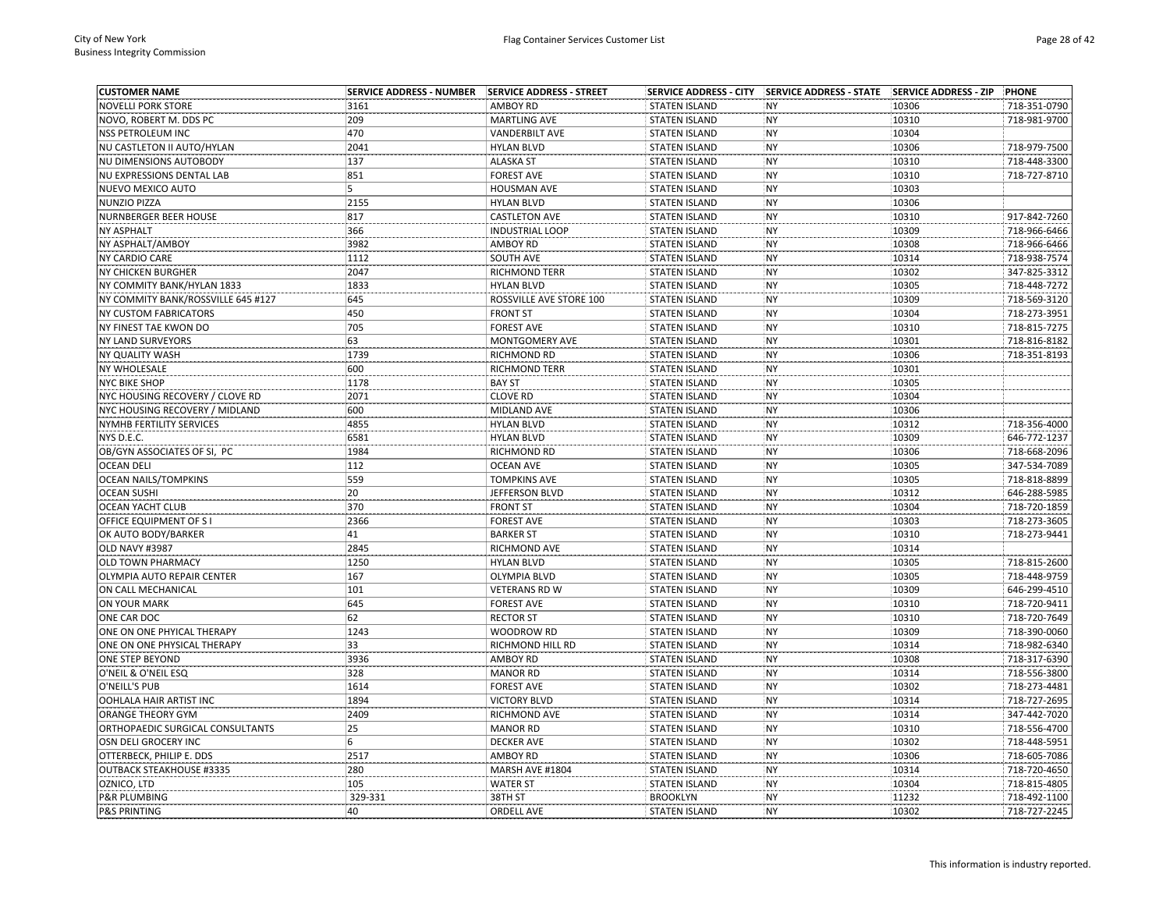| <b>CUSTOMER NAME</b>               | <b>SERVICE ADDRESS - NUMBER</b> | SERVICE ADDRESS - STREET | <b>SERVICE ADDRESS - CITY</b> | <b>SERVICE ADDRESS - STATE</b> | <b>SERVICE ADDRESS - ZIP</b> | PHONE        |
|------------------------------------|---------------------------------|--------------------------|-------------------------------|--------------------------------|------------------------------|--------------|
| <b>NOVELLI PORK STORE</b>          | 3161                            | <b>AMBOY RD</b>          | <b>STATEN ISLAND</b>          | <b>NY</b>                      | 10306                        | 718-351-0790 |
| NOVO, ROBERT M. DDS PC             | 209                             | <b>MARTLING AVE</b>      | <b>STATEN ISLAND</b>          | <b>NY</b>                      | 10310                        | 718-981-9700 |
| NSS PETROLEUM INC                  | 470                             | <b>VANDERBILT AVE</b>    | <b>STATEN ISLAND</b>          | <b>NY</b>                      | 10304                        |              |
| NU CASTLETON II AUTO/HYLAN         | 2041                            | <b>HYLAN BLVD</b>        | <b>STATEN ISLAND</b>          | <b>NY</b>                      | 10306                        | 718-979-7500 |
| NU DIMENSIONS AUTOBODY             | 137                             | <b>ALASKA ST</b>         | <b>STATEN ISLAND</b>          | NY                             | 10310                        | 718-448-3300 |
| NU EXPRESSIONS DENTAL LAB          | 851                             | <b>FOREST AVE</b>        | <b>STATEN ISLAND</b>          | <b>NY</b>                      | 10310                        | 718-727-8710 |
| NUEVO MEXICO AUTO                  | 5                               | <b>HOUSMAN AVE</b>       | <b>STATEN ISLAND</b>          | <b>NY</b>                      | 10303                        |              |
| NUNZIO PIZZA                       | 2155                            | <b>HYLAN BLVD</b>        | <b>STATEN ISLAND</b>          | <b>NY</b>                      | 10306                        |              |
| NURNBERGER BEER HOUSE              | 817                             | <b>CASTLETON AVE</b>     | <b>STATEN ISLAND</b>          | <b>NY</b>                      | 10310                        | 917-842-7260 |
| <b>NY ASPHALT</b>                  | 366                             | <b>INDUSTRIAL LOOP</b>   | <b>STATEN ISLAND</b>          | <b>NY</b>                      | 10309                        | 718-966-6466 |
| NY ASPHALT/AMBOY                   | 3982                            | <b>AMBOY RD</b>          | <b>STATEN ISLAND</b>          | <b>NY</b>                      | 10308                        | 718-966-6466 |
| NY CARDIO CARE                     | 1112                            | SOUTH AVE                | <b>STATEN ISLAND</b>          | <b>NY</b>                      | 10314                        | 718-938-7574 |
| <b>NY CHICKEN BURGHER</b>          | 2047                            | RICHMOND TERR            | <b>STATEN ISLAND</b>          | <b>NY</b>                      | 10302                        | 347-825-3312 |
| NY COMMITY BANK/HYLAN 1833         | 1833                            | <b>HYLAN BLVD</b>        | <b>STATEN ISLAND</b>          | <b>NY</b>                      | 10305                        | 718-448-7272 |
| NY COMMITY BANK/ROSSVILLE 645 #127 | 645                             | ROSSVILLE AVE STORE 100  | <b>STATEN ISLAND</b>          | <b>NY</b>                      | 10309                        | 718-569-3120 |
| <b>NY CUSTOM FABRICATORS</b>       | 450                             | <b>FRONT ST</b>          | <b>STATEN ISLAND</b>          | <b>NY</b>                      | 10304                        | 718-273-3951 |
| NY FINEST TAE KWON DO              | 705                             | <b>FOREST AVE</b>        | <b>STATEN ISLAND</b>          | <b>NY</b>                      | 10310                        | 718-815-7275 |
| NY LAND SURVEYORS                  | 63                              | MONTGOMERY AVE           | <b>STATEN ISLAND</b>          | <b>NY</b>                      | 10301                        | 718-816-8182 |
| NY QUALITY WASH                    | 1739                            | RICHMOND RD              | <b>STATEN ISLAND</b>          | <b>NY</b>                      | 10306                        | 718-351-8193 |
| <b>NY WHOLESALE</b>                | 600                             | <b>RICHMOND TERR</b>     | <b>STATEN ISLAND</b>          | <b>NY</b>                      | 10301                        |              |
| <b>NYC BIKE SHOP</b>               | 1178                            | <b>BAY ST</b>            | <b>STATEN ISLAND</b>          | <b>NY</b>                      | 10305                        |              |
| NYC HOUSING RECOVERY / CLOVE RD    | 2071                            | <b>CLOVE RD</b>          | <b>STATEN ISLAND</b>          | <b>NY</b>                      | 10304                        |              |
| NYC HOUSING RECOVERY / MIDLAND     | 600                             | MIDLAND AVE              | <b>STATEN ISLAND</b>          | NY                             | 10306                        |              |
| NYMHB FERTILITY SERVICES           | 4855                            | <b>HYLAN BLVD</b>        | <b>STATEN ISLAND</b>          | <b>NY</b>                      | 10312                        | 718-356-4000 |
| NYS D.E.C.                         | 6581                            | <b>HYLAN BLVD</b>        | <b>STATEN ISLAND</b>          | <b>NY</b>                      | 10309                        | 646-772-1237 |
| OB/GYN ASSOCIATES OF SI, PC        | 1984                            | RICHMOND RD              | <b>STATEN ISLAND</b>          | <b>NY</b>                      | 10306                        | 718-668-2096 |
| <b>OCEAN DELI</b>                  | 112                             | <b>OCEAN AVE</b>         | <b>STATEN ISLAND</b>          | <b>NY</b>                      | 10305                        | 347-534-7089 |
| <b>OCEAN NAILS/TOMPKINS</b>        | 559                             | <b>TOMPKINS AVE</b>      | <b>STATEN ISLAND</b>          | <b>NY</b>                      | 10305                        | 718-818-8899 |
| <b>OCEAN SUSHI</b>                 | 20                              | JEFFERSON BLVD           | <b>STATEN ISLAND</b>          | <b>NY</b>                      | 10312                        | 646-288-5985 |
| <b>OCEAN YACHT CLUB</b>            | 370                             | <b>FRONT ST</b>          | <b>STATEN ISLAND</b>          | <b>NY</b>                      | 10304                        | 718-720-1859 |
| OFFICE EQUIPMENT OF SI             | 2366                            | <b>FOREST AVE</b>        | <b>STATEN ISLAND</b>          | <b>NY</b>                      | 10303                        | 718-273-3605 |
| OK AUTO BODY/BARKER                | 41                              | <b>BARKER ST</b>         | <b>STATEN ISLAND</b>          | <b>NY</b>                      | 10310                        | 718-273-9441 |
| <b>OLD NAVY #3987</b>              | 2845                            | RICHMOND AVE             | <b>STATEN ISLAND</b>          | <b>NY</b>                      | 10314                        |              |
| <b>OLD TOWN PHARMACY</b>           | 1250                            | <b>HYLAN BLVD</b>        | <b>STATEN ISLAND</b>          | <b>NY</b>                      | 10305                        | 718-815-2600 |
| OLYMPIA AUTO REPAIR CENTER         | 167                             | <b>OLYMPIA BLVD</b>      | <b>STATEN ISLAND</b>          | <b>NY</b>                      | 10305                        | 718-448-9759 |
| ON CALL MECHANICAL                 | 101                             | <b>VETERANS RD W</b>     | <b>STATEN ISLAND</b>          | <b>NY</b>                      | 10309                        | 646-299-4510 |
| ON YOUR MARK                       | 645                             | <b>FOREST AVE</b>        | <b>STATEN ISLAND</b>          | <b>NY</b>                      | 10310                        | 718-720-9411 |
| ONE CAR DOC                        | 62                              | <b>RECTOR ST</b>         | <b>STATEN ISLAND</b>          | <b>NY</b>                      | 10310                        | 718-720-7649 |
| ONE ON ONE PHYICAL THERAPY         | 1243                            | WOODROW RD               | <b>STATEN ISLAND</b>          | <b>NY</b>                      | 10309                        | 718-390-0060 |
| ONE ON ONE PHYSICAL THERAPY        | 33                              | RICHMOND HILL RD         | <b>STATEN ISLAND</b>          | <b>NY</b>                      | 10314                        | 718-982-6340 |
| ONE STEP BEYOND                    | 3936                            | <b>AMBOY RD</b>          | <b>STATEN ISLAND</b>          | <b>NY</b>                      | 10308                        | 718-317-6390 |
| O'NEIL & O'NEIL ESQ                | 328                             | <b>MANOR RD</b>          | <b>STATEN ISLAND</b>          | <b>NY</b>                      | 10314                        | 718-556-3800 |
| O'NEILL'S PUB                      | 1614                            | <b>FOREST AVE</b>        | <b>STATEN ISLAND</b>          | <b>NY</b>                      | 10302                        | 718-273-4481 |
| OOHLALA HAIR ARTIST INC            | 1894                            | <b>VICTORY BLVD</b>      | <b>STATEN ISLAND</b>          | <b>NY</b>                      | 10314                        | 718-727-2695 |
| ORANGE THEORY GYM                  | 2409                            | RICHMOND AVE             | <b>STATEN ISLAND</b>          | <b>NY</b>                      | 10314                        | 347-442-7020 |
| ORTHOPAEDIC SURGICAL CONSULTANTS   | 25                              | <b>MANOR RD</b>          | <b>STATEN ISLAND</b>          | <b>NY</b>                      | 10310                        | 718-556-4700 |
| OSN DELI GROCERY INC               | 6                               | <b>DECKER AVE</b>        | <b>STATEN ISLAND</b>          | <b>NY</b>                      | 10302                        | 718-448-5951 |
| OTTERBECK, PHILIP E. DDS           | 2517                            | AMBOY RD                 | <b>STATEN ISLAND</b>          | <b>NY</b>                      | 10306                        | 718-605-7086 |
| <b>OUTBACK STEAKHOUSE #3335</b>    | 280                             | MARSH AVE #1804          | <b>STATEN ISLAND</b>          | <b>NY</b>                      | 10314                        | 718-720-4650 |
| OZNICO, LTD                        | 105                             | <b>WATER ST</b>          | <b>STATEN ISLAND</b>          | <b>NY</b>                      | 10304                        | 718-815-4805 |
| <b>P&amp;R PLUMBING</b>            | 329-331                         | 38TH ST                  | <b>BROOKLYN</b>               | <b>NY</b>                      | 11232                        | 718-492-1100 |
| <b>P&amp;S PRINTING</b>            | 40                              | <b>ORDELL AVE</b>        | <b>STATEN ISLAND</b>          | <b>NY</b>                      | 10302                        | 718-727-2245 |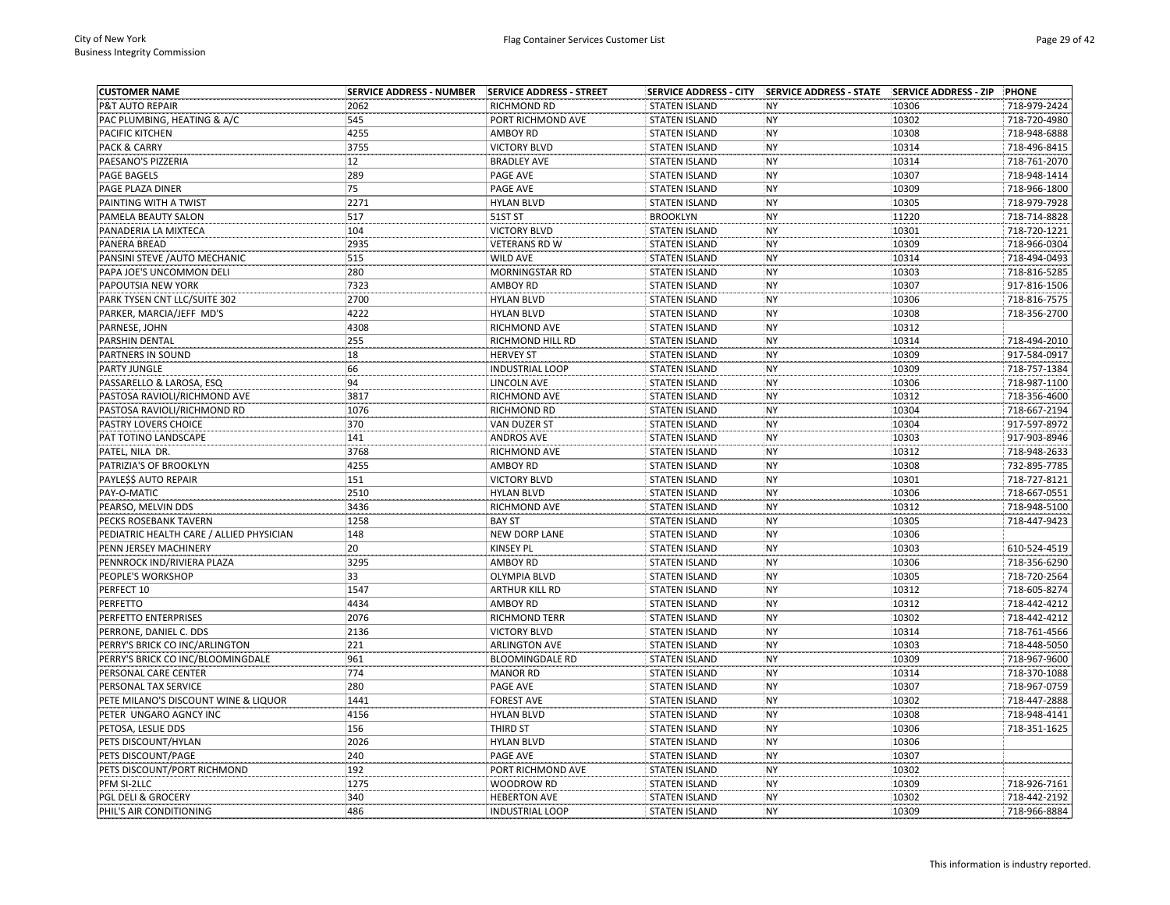| <b>CUSTOMER NAME</b>                     | <b>SERVICE ADDRESS - NUMBER</b> | SERVICE ADDRESS - STREET | <b>SERVICE ADDRESS - CITY</b> | SERVICE ADDRESS - STATE SERVICE ADDRESS - ZIP |       | <b>PHONE</b> |
|------------------------------------------|---------------------------------|--------------------------|-------------------------------|-----------------------------------------------|-------|--------------|
| P&T AUTO REPAIR                          | 2062                            | RICHMOND RD              | <b>STATEN ISLAND</b>          | NY                                            | 10306 | 718-979-2424 |
| PAC PLUMBING, HEATING & A/C              | 545                             | PORT RICHMOND AVE        | <b>STATEN ISLAND</b>          | <b>NY</b>                                     | 10302 | 718-720-4980 |
| PACIFIC KITCHEN                          | 4255                            | <b>AMBOY RD</b>          | <b>STATEN ISLAND</b>          | NY                                            | 10308 | 718-948-6888 |
| PACK & CARRY                             | 3755                            | <b>VICTORY BLVD</b>      | <b>STATEN ISLAND</b>          | NY                                            | 10314 | 718-496-8415 |
| PAESANO'S PIZZERIA                       | 12                              | <b>BRADLEY AVE</b>       | <b>STATEN ISLAND</b>          | NY                                            | 10314 | 718-761-2070 |
| PAGE BAGELS                              | 289                             | PAGE AVE                 | <b>STATEN ISLAND</b>          | <b>NY</b>                                     | 10307 | 718-948-1414 |
| PAGE PLAZA DINER                         | 75                              | PAGE AVE                 | <b>STATEN ISLAND</b>          | NY                                            | 10309 | 718-966-1800 |
| PAINTING WITH A TWIST                    | 2271                            | <b>HYLAN BLVD</b>        | <b>STATEN ISLAND</b>          | NY                                            | 10305 | 718-979-7928 |
| PAMELA BEAUTY SALON                      | 517                             | 51ST ST                  | <b>BROOKLYN</b>               | NY                                            | 11220 | 718-714-8828 |
| PANADERIA LA MIXTECA                     | 104                             | <b>VICTORY BLVD</b>      | <b>STATEN ISLAND</b>          | <b>NY</b>                                     | 10301 | 718-720-1221 |
| PANERA BREAD                             | 2935                            | <b>VETERANS RD W</b>     | <b>STATEN ISLAND</b>          | NY                                            | 10309 | 718-966-0304 |
| PANSINI STEVE / AUTO MECHANIC            | 515                             | WILD AVE                 | <b>STATEN ISLAND</b>          | NY                                            | 10314 | 718-494-0493 |
| PAPA JOE'S UNCOMMON DELI                 | 280                             | MORNINGSTAR RD           | <b>STATEN ISLAND</b>          | <b>NY</b>                                     | 10303 | 718-816-5285 |
| PAPOUTSIA NEW YORK                       | 7323                            | <b>AMBOY RD</b>          | <b>STATEN ISLAND</b>          | NY                                            | 10307 | 917-816-1506 |
| PARK TYSEN CNT LLC/SUITE 302             | 2700                            | <b>HYLAN BLVD</b>        | <b>STATEN ISLAND</b>          | <b>NY</b>                                     | 10306 | 718-816-7575 |
| PARKER, MARCIA/JEFF MD'S                 | 4222                            | <b>HYLAN BLVD</b>        | <b>STATEN ISLAND</b>          | NY                                            | 10308 | 718-356-2700 |
| PARNESE, JOHN                            | 4308                            | RICHMOND AVE             | <b>STATEN ISLAND</b>          | NY                                            | 10312 |              |
| PARSHIN DENTAL                           | 255                             | RICHMOND HILL RD         | <b>STATEN ISLAND</b>          | NY                                            | 10314 | 718-494-2010 |
| PARTNERS IN SOUND                        | 18                              | <b>HERVEY ST</b>         | <b>STATEN ISLAND</b>          | <b>NY</b>                                     | 10309 | 917-584-0917 |
| PARTY JUNGLE                             | 66                              | <b>INDUSTRIAL LOOP</b>   | <b>STATEN ISLAND</b>          | <b>NY</b>                                     | 10309 | 718-757-1384 |
| PASSARELLO & LAROSA, ESQ                 | 94                              | <b>LINCOLN AVE</b>       | <b>STATEN ISLAND</b>          | NY                                            | 10306 | 718-987-1100 |
| PASTOSA RAVIOLI/RICHMOND AVE             | 3817                            | RICHMOND AVE             | <b>STATEN ISLAND</b>          | <b>NY</b>                                     | 10312 | 718-356-4600 |
| PASTOSA RAVIOLI/RICHMOND RD              | 1076                            | RICHMOND RD              | <b>STATEN ISLAND</b>          | NY                                            | 10304 | 718-667-2194 |
| PASTRY LOVERS CHOICE                     | 370                             | VAN DUZER ST             | <b>STATEN ISLAND</b>          | <b>NY</b>                                     | 10304 | 917-597-8972 |
| PAT TOTINO LANDSCAPE                     | 141                             | <b>ANDROS AVE</b>        | <b>STATEN ISLAND</b>          | NY                                            | 10303 | 917-903-8946 |
| PATEL, NILA DR.                          | 3768                            | RICHMOND AVE             | <b>STATEN ISLAND</b>          | NY                                            | 10312 | 718-948-2633 |
| PATRIZIA'S OF BROOKLYN                   | 4255                            | <b>AMBOY RD</b>          | <b>STATEN ISLAND</b>          | NY                                            | 10308 | 732-895-7785 |
| PAYLESS AUTO REPAIR                      | 151                             | <b>VICTORY BLVD</b>      | <b>STATEN ISLAND</b>          | NY                                            | 10301 | 718-727-8121 |
| PAY-O-MATIC                              | 2510                            | <b>HYLAN BLVD</b>        | <b>STATEN ISLAND</b>          | <b>NY</b>                                     | 10306 | 718-667-0551 |
| PEARSO, MELVIN DDS                       | 3436                            | RICHMOND AVE             | <b>STATEN ISLAND</b>          | <b>NY</b>                                     | 10312 | 718-948-5100 |
| PECKS ROSEBANK TAVERN                    | 1258                            | <b>BAY ST</b>            | <b>STATEN ISLAND</b>          | NY                                            | 10305 | 718-447-9423 |
| PEDIATRIC HEALTH CARE / ALLIED PHYSICIAN | 148                             | <b>NEW DORP LANE</b>     | <b>STATEN ISLAND</b>          | <b>NY</b>                                     | 10306 |              |
| PENN JERSEY MACHINERY                    | 20                              | <b>KINSEY PL</b>         | <b>STATEN ISLAND</b>          | NY                                            | 10303 | 610-524-4519 |
| PENNROCK IND/RIVIERA PLAZA               | 3295                            | <b>AMBOY RD</b>          | <b>STATEN ISLAND</b>          | NY                                            | 10306 | 718-356-6290 |
| PEOPLE'S WORKSHOP                        | 33                              | <b>OLYMPIA BLVD</b>      | <b>STATEN ISLAND</b>          | <b>NY</b>                                     | 10305 | 718-720-2564 |
| PERFECT 10                               | 1547                            | <b>ARTHUR KILL RD</b>    | <b>STATEN ISLAND</b>          | NY                                            | 10312 | 718-605-8274 |
| PERFETTO                                 | 4434                            | <b>AMBOY RD</b>          | <b>STATEN ISLAND</b>          | <b>NY</b>                                     | 10312 | 718-442-4212 |
| PERFETTO ENTERPRISES                     | 2076                            | <b>RICHMOND TERR</b>     | <b>STATEN ISLAND</b>          | <b>NY</b>                                     | 10302 | 718-442-4212 |
| PERRONE, DANIEL C. DDS                   | 2136                            | <b>VICTORY BLVD</b>      | <b>STATEN ISLAND</b>          | NY                                            | 10314 | 718-761-4566 |
| PERRY'S BRICK CO INC/ARLINGTON           | 221                             | <b>ARLINGTON AVE</b>     | <b>STATEN ISLAND</b>          | NY                                            | 10303 | 718-448-5050 |
| PERRY'S BRICK CO INC/BLOOMINGDALE        | 961                             | <b>BLOOMINGDALE RD</b>   | <b>STATEN ISLAND</b>          | NY                                            | 10309 | 718-967-9600 |
| PERSONAL CARE CENTER                     | 774                             | <b>MANOR RD</b>          | <b>STATEN ISLAND</b>          | NY                                            | 10314 | 718-370-1088 |
| PERSONAL TAX SERVICE                     | 280                             | PAGE AVE                 | <b>STATEN ISLAND</b>          | NY                                            | 10307 | 718-967-0759 |
| PETE MILANO'S DISCOUNT WINE & LIQUOR     | 1441                            | <b>FOREST AVE</b>        | <b>STATEN ISLAND</b>          | NY                                            | 10302 | 718-447-2888 |
| PETER UNGARO AGNCY INC                   | 4156                            | <b>HYLAN BLVD</b>        | <b>STATEN ISLAND</b>          | NY                                            | 10308 | 718-948-4141 |
| PETOSA, LESLIE DDS                       | 156                             | THIRD ST                 | <b>STATEN ISLAND</b>          | <b>NY</b>                                     | 10306 | 718-351-1625 |
| PETS DISCOUNT/HYLAN                      | 2026                            | <b>HYLAN BLVD</b>        | <b>STATEN ISLAND</b>          | <b>NY</b>                                     | 10306 |              |
| PETS DISCOUNT/PAGE                       | 240                             | PAGE AVE                 | <b>STATEN ISLAND</b>          | NY                                            | 10307 |              |
| PETS DISCOUNT/PORT RICHMOND              | 192                             | PORT RICHMOND AVE        | <b>STATEN ISLAND</b>          | NY                                            | 10302 |              |
| PFM SI-2LLC                              | 1275                            | WOODROW RD               | <b>STATEN ISLAND</b>          | NY                                            | 10309 | 718-926-7161 |
| <b>PGL DELI &amp; GROCERY</b>            | 340                             | <b>HEBERTON AVE</b>      | <b>STATEN ISLAND</b>          | NY                                            | 10302 | 718-442-2192 |
| PHIL'S AIR CONDITIONING                  | 486                             | <b>INDUSTRIAL LOOP</b>   | <b>STATEN ISLAND</b>          | <b>NY</b>                                     | 10309 | 718-966-8884 |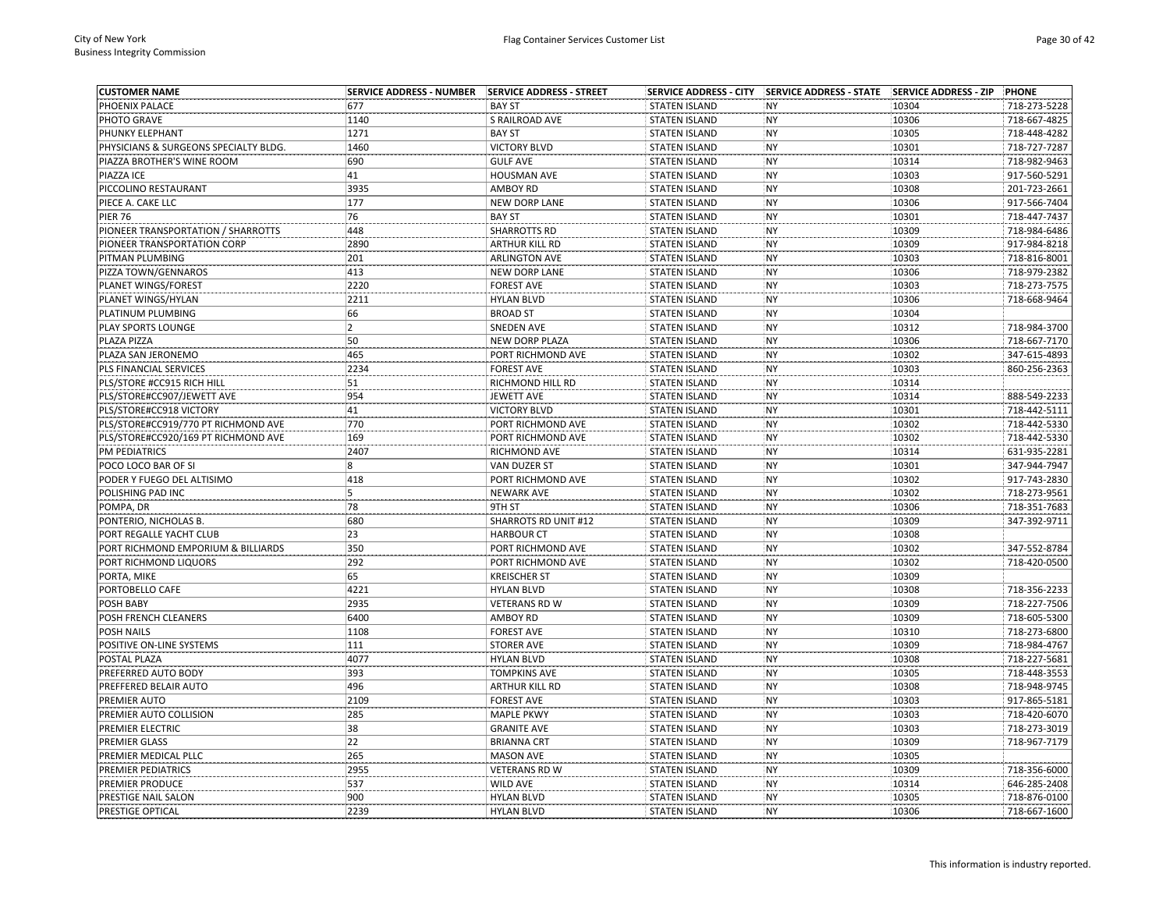| <b>CUSTOMER NAME</b>                  |                |                       |                      | SERVICE ADDRESS - CITY SERVICE ADDRESS - STATE SERVICE ADDRESS - ZIP |       | <b>PHONE</b> |
|---------------------------------------|----------------|-----------------------|----------------------|----------------------------------------------------------------------|-------|--------------|
| PHOENIX PALACE                        | 677            | <b>BAY ST</b>         | <b>STATEN ISLAND</b> | <b>NY</b>                                                            | 10304 | 718-273-5228 |
| PHOTO GRAVE                           | 1140           | S RAILROAD AVE        | <b>STATEN ISLAND</b> | <b>NY</b>                                                            | 10306 | 718-667-4825 |
| PHUNKY ELEPHANT                       | 1271           | <b>BAY ST</b>         | <b>STATEN ISLAND</b> | <b>NY</b>                                                            | 10305 | 718-448-4282 |
| PHYSICIANS & SURGEONS SPECIALTY BLDG. | 1460           | <b>VICTORY BLVD</b>   | <b>STATEN ISLAND</b> | <b>NY</b>                                                            | 10301 | 718-727-7287 |
| PIAZZA BROTHER'S WINE ROOM            | 690            | <b>GULF AVE</b>       | <b>STATEN ISLAND</b> | <b>NY</b>                                                            | 10314 | 718-982-9463 |
| PIAZZA ICE                            | 41             | HOUSMAN AVE           | <b>STATEN ISLAND</b> | <b>NY</b>                                                            | 10303 | 917-560-5291 |
| PICCOLINO RESTAURANT                  | 3935           | <b>AMBOY RD</b>       | <b>STATEN ISLAND</b> | <b>NY</b>                                                            | 10308 | 201-723-2661 |
| PIECE A. CAKE LLC                     | 177            | <b>NEW DORP LANE</b>  | <b>STATEN ISLAND</b> | <b>NY</b>                                                            | 10306 | 917-566-7404 |
| <b>PIER 76</b>                        | 76             | <b>BAY ST</b>         | <b>STATEN ISLAND</b> | <b>NY</b>                                                            | 10301 | 718-447-7437 |
| PIONEER TRANSPORTATION / SHARROTTS    | 448            | <b>SHARROTTS RD</b>   | <b>STATEN ISLAND</b> | <b>NY</b>                                                            | 10309 | 718-984-6486 |
| PIONEER TRANSPORTATION CORP           | 2890           | <b>ARTHUR KILL RD</b> | <b>STATEN ISLAND</b> | <b>NY</b>                                                            | 10309 | 917-984-8218 |
| PITMAN PLUMBING                       | 201            | <b>ARLINGTON AVE</b>  | <b>STATEN ISLAND</b> | <b>NY</b>                                                            | 10303 | 718-816-8001 |
| PIZZA TOWN/GENNAROS                   | 413            | <b>NEW DORP LANE</b>  | <b>STATEN ISLAND</b> | <b>NY</b>                                                            | 10306 | 718-979-2382 |
| PLANET WINGS/FOREST                   | 2220           | <b>FOREST AVE</b>     | <b>STATEN ISLAND</b> | <b>NY</b>                                                            | 10303 | 718-273-7575 |
| PLANET WINGS/HYLAN                    | 2211           | <b>HYLAN BLVD</b>     | <b>STATEN ISLAND</b> | <b>NY</b>                                                            | 10306 | 718-668-9464 |
| PLATINUM PLUMBING                     | 66             | <b>BROAD ST</b>       | <b>STATEN ISLAND</b> | <b>NY</b>                                                            | 10304 |              |
| PLAY SPORTS LOUNGE                    | $\overline{2}$ | <b>SNEDEN AVE</b>     | <b>STATEN ISLAND</b> | <b>NY</b>                                                            | 10312 | 718-984-3700 |
| PLAZA PIZZA                           | 50             | <b>NEW DORP PLAZA</b> | <b>STATEN ISLAND</b> | <b>NY</b>                                                            | 10306 | 718-667-7170 |
| PLAZA SAN JERONEMO                    | 465            | PORT RICHMOND AVE     | <b>STATEN ISLAND</b> | <b>NY</b>                                                            | 10302 | 347-615-4893 |
| PLS FINANCIAL SERVICES                | 2234           | <b>FOREST AVE</b>     | <b>STATEN ISLAND</b> | <b>NY</b>                                                            | 10303 | 860-256-2363 |
| PLS/STORE #CC915 RICH HILL            | 51             | RICHMOND HILL RD      | <b>STATEN ISLAND</b> | <b>NY</b>                                                            | 10314 |              |
| PLS/STORE#CC907/JEWETT AVE            | 954            | JEWETT AVE            | <b>STATEN ISLAND</b> | <b>NY</b>                                                            | 10314 | 888-549-2233 |
| PLS/STORE#CC918 VICTORY               | 41             | <b>VICTORY BLVD</b>   | <b>STATEN ISLAND</b> | <b>NY</b>                                                            | 10301 | 718-442-5111 |
| PLS/STORE#CC919/770 PT RICHMOND AVE   | 770            | PORT RICHMOND AVE     | <b>STATEN ISLAND</b> | <b>NY</b>                                                            | 10302 | 718-442-5330 |
| PLS/STORE#CC920/169 PT RICHMOND AVE   | 169            | PORT RICHMOND AVE     | <b>STATEN ISLAND</b> | <b>NY</b>                                                            | 10302 | 718-442-5330 |
| PM PEDIATRICS                         | 2407           | RICHMOND AVE          | <b>STATEN ISLAND</b> | <b>NY</b>                                                            | 10314 | 631-935-2281 |
| POCO LOCO BAR OF SI                   | 8              | VAN DUZER ST          | <b>STATEN ISLAND</b> | <b>NY</b>                                                            | 10301 | 347-944-7947 |
| PODER Y FUEGO DEL ALTISIMO            | 418            | PORT RICHMOND AVE     | <b>STATEN ISLAND</b> | <b>NY</b>                                                            | 10302 | 917-743-2830 |
| POLISHING PAD INC                     | 5              | <b>NEWARK AVE</b>     | <b>STATEN ISLAND</b> | <b>NY</b>                                                            | 10302 | 718-273-9561 |
| POMPA, DR                             | 78             | 9TH ST                | <b>STATEN ISLAND</b> | <b>NY</b>                                                            | 10306 | 718-351-7683 |
| PONTERIO, NICHOLAS B.                 | 680            | SHARROTS RD UNIT #12  | <b>STATEN ISLAND</b> | <b>NY</b>                                                            | 10309 | 347-392-9711 |
| PORT REGALLE YACHT CLUB               | 23             | <b>HARBOUR CT</b>     | <b>STATEN ISLAND</b> | <b>NY</b>                                                            | 10308 |              |
| PORT RICHMOND EMPORIUM & BILLIARDS    | 350            | PORT RICHMOND AVE     | <b>STATEN ISLAND</b> | <b>NY</b>                                                            | 10302 | 347-552-8784 |
| PORT RICHMOND LIQUORS                 | 292            | PORT RICHMOND AVE     | <b>STATEN ISLAND</b> | <b>NY</b>                                                            | 10302 | 718-420-0500 |
| PORTA, MIKE                           | 65             | <b>KREISCHER ST</b>   | <b>STATEN ISLAND</b> | <b>NY</b>                                                            | 10309 |              |
| PORTOBELLO CAFE                       | 4221           | <b>HYLAN BLVD</b>     | <b>STATEN ISLAND</b> | <b>NY</b>                                                            | 10308 | 718-356-2233 |
|                                       | 2935           |                       |                      | <b>NY</b>                                                            |       | 718-227-7506 |
| POSH BABY                             | 6400           | <b>VETERANS RD W</b>  | <b>STATEN ISLAND</b> |                                                                      | 10309 |              |
| POSH FRENCH CLEANERS                  | 1108           | <b>AMBOY RD</b>       | <b>STATEN ISLAND</b> | <b>NY</b>                                                            | 10309 | 718-605-5300 |
| POSH NAILS                            |                | <b>FOREST AVE</b>     | <b>STATEN ISLAND</b> | <b>NY</b>                                                            | 10310 | 718-273-6800 |
| POSITIVE ON-LINE SYSTEMS              | 111            | <b>STORER AVE</b>     | <b>STATEN ISLAND</b> | <b>NY</b>                                                            | 10309 | 718-984-4767 |
| POSTAL PLAZA                          | 4077           | <b>HYLAN BLVD</b>     | <b>STATEN ISLAND</b> | <b>NY</b>                                                            | 10308 | 718-227-5681 |
| PREFERRED AUTO BODY                   | 393            | <b>TOMPKINS AVE</b>   | <b>STATEN ISLAND</b> | <b>NY</b>                                                            | 10305 | 718-448-3553 |
| PREFFERED BELAIR AUTO                 | 496            | ARTHUR KILL RD        | <b>STATEN ISLAND</b> | <b>NY</b>                                                            | 10308 | 718-948-9745 |
| PREMIER AUTO                          | 2109           | <b>FOREST AVE</b>     | <b>STATEN ISLAND</b> | <b>NY</b>                                                            | 10303 | 917-865-5181 |
| PREMIER AUTO COLLISION                | 285            | <b>MAPLE PKWY</b>     | <b>STATEN ISLAND</b> | <b>NY</b>                                                            | 10303 | 718-420-6070 |
| PREMIER ELECTRIC                      | 38             | <b>GRANITE AVE</b>    | <b>STATEN ISLAND</b> | <b>NY</b>                                                            | 10303 | 718-273-3019 |
| <b>PREMIER GLASS</b>                  | 22             | <b>BRIANNA CRT</b>    | <b>STATEN ISLAND</b> | <b>NY</b>                                                            | 10309 | 718-967-7179 |
| PREMIER MEDICAL PLLC                  | 265            | <b>MASON AVE</b>      | <b>STATEN ISLAND</b> | <b>NY</b>                                                            | 10305 |              |
| PREMIER PEDIATRICS                    | 2955           | <b>VETERANS RD W</b>  | <b>STATEN ISLAND</b> | <b>NY</b>                                                            | 10309 | 718-356-6000 |
| PREMIER PRODUCE                       | 537            | <b>WILD AVE</b>       | <b>STATEN ISLAND</b> | <b>NY</b>                                                            | 10314 | 646-285-2408 |
| PRESTIGE NAIL SALON                   | 900            | <b>HYLAN BLVD</b>     | <b>STATEN ISLAND</b> | <b>NY</b>                                                            | 10305 | 718-876-0100 |
| PRESTIGE OPTICAL                      | 2239           | <b>HYLAN BLVD</b>     | STATEN ISLAND        | <b>NY</b>                                                            | 10306 | 718-667-1600 |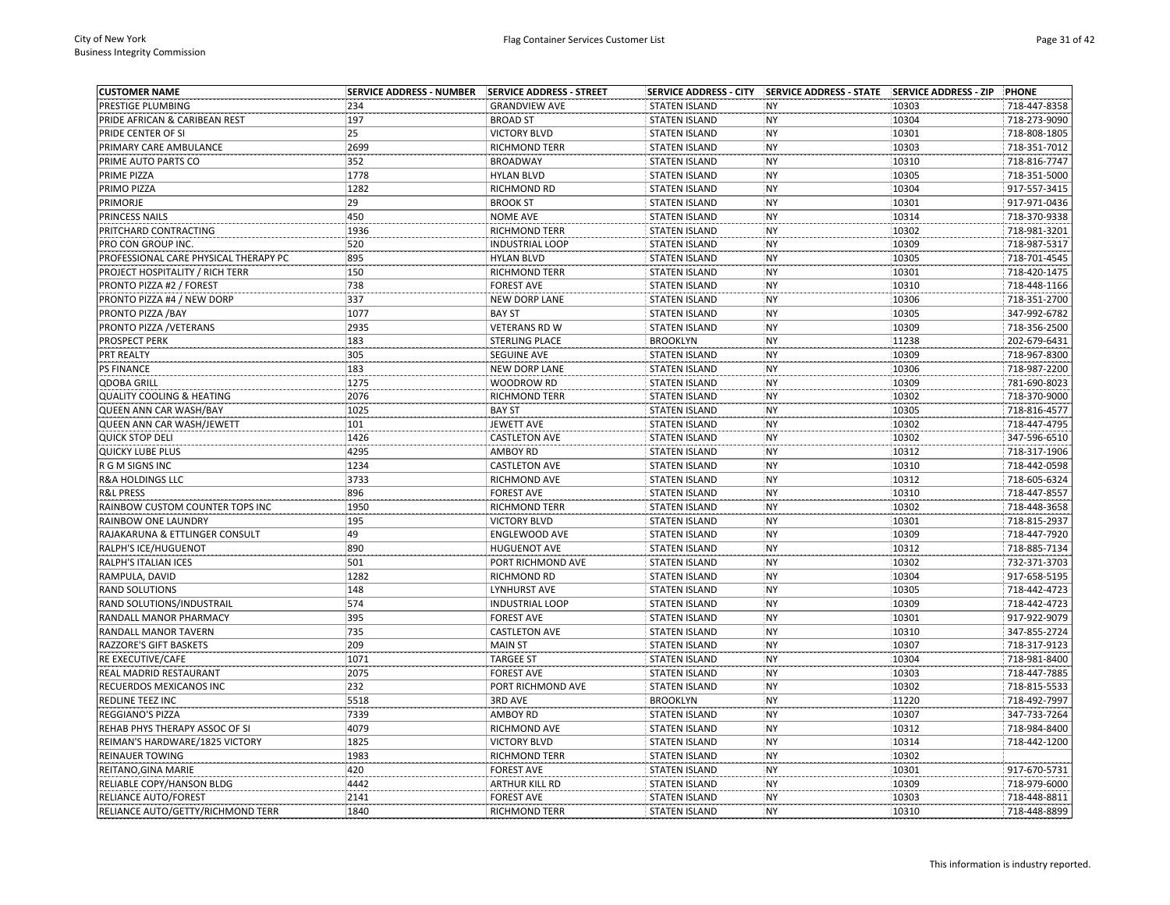| <b>CUSTOMER NAME</b>                     | <b>SERVICE ADDRESS - NUMBER</b> | SERVICE ADDRESS - STREET | <b>SERVICE ADDRESS - CITY</b> | <b>SERVICE ADDRESS - STATE</b> | <b>SERVICE ADDRESS - ZIP</b> | <b>PHONE</b> |
|------------------------------------------|---------------------------------|--------------------------|-------------------------------|--------------------------------|------------------------------|--------------|
| PRESTIGE PLUMBING                        | 234                             | <b>GRANDVIEW AVE</b>     | <b>STATEN ISLAND</b>          | <b>NY</b>                      | 10303                        | 718-447-8358 |
| PRIDE AFRICAN & CARIBEAN REST            | 197                             | <b>BROAD ST</b>          | <b>STATEN ISLAND</b>          | <b>NY</b>                      | 10304                        | 718-273-9090 |
| PRIDE CENTER OF SI                       | 25                              | <b>VICTORY BLVD</b>      | <b>STATEN ISLAND</b>          | <b>NY</b>                      | 10301                        | 718-808-1805 |
| PRIMARY CARE AMBULANCE                   | 2699                            | <b>RICHMOND TERR</b>     | <b>STATEN ISLAND</b>          | <b>NY</b>                      | 10303                        | 718-351-7012 |
| PRIME AUTO PARTS CO                      | 352                             | <b>BROADWAY</b>          | <b>STATEN ISLAND</b>          | NY                             | 10310                        | 718-816-7747 |
| PRIME PIZZA                              | 1778                            | <b>HYLAN BLVD</b>        | <b>STATEN ISLAND</b>          | <b>NY</b>                      | 10305                        | 718-351-5000 |
| PRIMO PIZZA                              | 1282                            | RICHMOND RD              | <b>STATEN ISLAND</b>          | <b>NY</b>                      | 10304                        | 917-557-3415 |
| PRIMORJE                                 | 29                              | <b>BROOK ST</b>          | <b>STATEN ISLAND</b>          | <b>NY</b>                      | 10301                        | 917-971-0436 |
| PRINCESS NAILS                           | 450                             | <b>NOME AVE</b>          | <b>STATEN ISLAND</b>          | <b>NY</b>                      | 10314                        | 718-370-9338 |
| PRITCHARD CONTRACTING                    | 1936                            | <b>RICHMOND TERR</b>     | <b>STATEN ISLAND</b>          | <b>NY</b>                      | 10302                        | 718-981-3201 |
| PRO CON GROUP INC.                       | 520                             | <b>INDUSTRIAL LOOP</b>   | <b>STATEN ISLAND</b>          | <b>NY</b>                      | 10309                        | 718-987-5317 |
| PROFESSIONAL CARE PHYSICAL THERAPY PC    | 895                             | <b>HYLAN BLVD</b>        | <b>STATEN ISLAND</b>          | <b>NY</b>                      | 10305                        | 718-701-4545 |
| PROJECT HOSPITALITY / RICH TERR          | 150                             | <b>RICHMOND TERR</b>     | <b>STATEN ISLAND</b>          | <b>NY</b>                      | 10301                        | 718-420-1475 |
| PRONTO PIZZA #2 / FOREST                 | 738                             | <b>FOREST AVE</b>        | <b>STATEN ISLAND</b>          | NY                             | 10310                        | 718-448-1166 |
| PRONTO PIZZA #4 / NEW DORP               | 337                             | <b>NEW DORP LANE</b>     | <b>STATEN ISLAND</b>          | <b>NY</b>                      | 10306                        | 718-351-2700 |
| PRONTO PIZZA / BAY                       | 1077                            | <b>BAY ST</b>            | <b>STATEN ISLAND</b>          | <b>NY</b>                      | 10305                        | 347-992-6782 |
| PRONTO PIZZA / VETERANS                  | 2935                            | <b>VETERANS RD W</b>     | <b>STATEN ISLAND</b>          | <b>NY</b>                      | 10309                        | 718-356-2500 |
| PROSPECT PERK                            | 183                             | STERLING PLACE           | <b>BROOKLYN</b>               | <b>NY</b>                      | 11238                        | 202-679-6431 |
| PRT REALTY                               | 305                             | SEGUINE AVE              | <b>STATEN ISLAND</b>          | <b>NY</b>                      | 10309                        | 718-967-8300 |
| <b>PS FINANCE</b>                        | 183                             | <b>NEW DORP LANE</b>     | <b>STATEN ISLAND</b>          | <b>NY</b>                      | 10306                        | 718-987-2200 |
| <b>QDOBA GRILL</b>                       | 1275                            | WOODROW RD               | <b>STATEN ISLAND</b>          | <b>NY</b>                      | 10309                        | 781-690-8023 |
| <b>QUALITY COOLING &amp; HEATING</b>     | 2076                            | <b>RICHMOND TERR</b>     | <b>STATEN ISLAND</b>          | <b>NY</b>                      | 10302                        | 718-370-9000 |
| QUEEN ANN CAR WASH/BAY                   | 1025                            | <b>BAY ST</b>            | <b>STATEN ISLAND</b>          | NY                             | 10305                        | 718-816-4577 |
| QUEEN ANN CAR WASH/JEWETT                | 101                             | JEWETT AVE               | <b>STATEN ISLAND</b>          | <b>NY</b>                      | 10302                        | 718-447-4795 |
| <b>QUICK STOP DELI</b>                   | 1426                            | <b>CASTLETON AVE</b>     | <b>STATEN ISLAND</b>          | <b>NY</b>                      | 10302                        | 347-596-6510 |
| <b>QUICKY LUBE PLUS</b>                  | 4295                            | <b>AMBOY RD</b>          | <b>STATEN ISLAND</b>          | <b>NY</b>                      | 10312                        | 718-317-1906 |
| R G M SIGNS INC                          | 1234                            | <b>CASTLETON AVE</b>     | <b>STATEN ISLAND</b>          | <b>NY</b>                      | 10310                        | 718-442-0598 |
| <b>R&amp;A HOLDINGS LLC</b>              | 3733                            | RICHMOND AVE             | <b>STATEN ISLAND</b>          | <b>NY</b>                      | 10312                        | 718-605-6324 |
| <b>R&amp;L PRESS</b>                     | 896                             | <b>FOREST AVE</b>        | <b>STATEN ISLAND</b>          | <b>NY</b>                      | 10310                        | 718-447-8557 |
| RAINBOW CUSTOM COUNTER TOPS INC          | 1950                            | RICHMOND TERR            | <b>STATEN ISLAND</b>          | <b>NY</b>                      | 10302                        | 718-448-3658 |
| RAINBOW ONE LAUNDRY                      | 195                             | <b>VICTORY BLVD</b>      | <b>STATEN ISLAND</b>          | <b>NY</b>                      | 10301                        | 718-815-2937 |
| RAJAKARUNA & ETTLINGER CONSULT           | 49                              | ENGLEWOOD AVE            | <b>STATEN ISLAND</b>          | <b>NY</b>                      | 10309                        | 718-447-7920 |
| RALPH'S ICE/HUGUENOT                     | 890                             | <b>HUGUENOT AVE</b>      | <b>STATEN ISLAND</b>          | <b>NY</b>                      | 10312                        | 718-885-7134 |
| RALPH'S ITALIAN ICES                     | 501                             | PORT RICHMOND AVE        | <b>STATEN ISLAND</b>          | <b>NY</b>                      | 10302                        | 732-371-3703 |
| RAMPULA, DAVID                           | 1282                            | RICHMOND RD              | <b>STATEN ISLAND</b>          | <b>NY</b>                      | 10304                        | 917-658-5195 |
|                                          | 148                             | <b>LYNHURST AVE</b>      | <b>STATEN ISLAND</b>          | <b>NY</b>                      | 10305                        | 718-442-4723 |
| <b>RAND SOLUTIONS</b>                    | 574                             | <b>INDUSTRIAL LOOP</b>   | <b>STATEN ISLAND</b>          | <b>NY</b>                      |                              | 718-442-4723 |
| RAND SOLUTIONS/INDUSTRAIL                |                                 |                          |                               |                                | 10309                        |              |
| RANDALL MANOR PHARMACY                   | 395                             | <b>FOREST AVE</b>        | <b>STATEN ISLAND</b>          | <b>NY</b>                      | 10301                        | 917-922-9079 |
| RANDALL MANOR TAVERN                     | 735                             | <b>CASTLETON AVE</b>     | <b>STATEN ISLAND</b>          | <b>NY</b>                      | 10310                        | 347-855-2724 |
| RAZZORE'S GIFT BASKETS                   | 209                             | <b>MAIN ST</b>           | <b>STATEN ISLAND</b>          | <b>NY</b>                      | 10307                        | 718-317-9123 |
| RE EXECUTIVE/CAFE                        | 1071                            | <b>TARGEE ST</b>         | <b>STATEN ISLAND</b>          | <b>NY</b>                      | 10304                        | 718-981-8400 |
| REAL MADRID RESTAURANT                   | 2075                            | <b>FOREST AVE</b>        | <b>STATEN ISLAND</b>          | <b>NY</b>                      | 10303                        | 718-447-7885 |
| RECUERDOS MEXICANOS INC                  | 232                             | PORT RICHMOND AVE        | <b>STATEN ISLAND</b>          | <b>NY</b>                      | 10302                        | 718-815-5533 |
| REDLINE TEEZ INC                         | 5518                            | 3RD AVE                  | <b>BROOKLYN</b>               | <b>NY</b>                      | 11220                        | 718-492-7997 |
| REGGIANO'S PIZZA                         | 7339                            | <b>AMBOY RD</b>          | <b>STATEN ISLAND</b>          | <b>NY</b>                      | 10307                        | 347-733-7264 |
| REHAB PHYS THERAPY ASSOC OF SI           | 4079                            | RICHMOND AVE             | <b>STATEN ISLAND</b>          | <b>NY</b>                      | 10312                        | 718-984-8400 |
| REIMAN'S HARDWARE/1825 VICTORY           | 1825                            | <b>VICTORY BLVD</b>      | <b>STATEN ISLAND</b>          | <b>NY</b>                      | 10314                        | 718-442-1200 |
| REINAUER TOWING                          | 1983                            | RICHMOND TERR            | <b>STATEN ISLAND</b>          | <b>NY</b>                      | 10302                        |              |
| REITANO, GINA MARIE                      | 420                             | <b>FOREST AVE</b>        | <b>STATEN ISLAND</b>          | <b>NY</b>                      | 10301                        | 917-670-5731 |
| RELIABLE COPY/HANSON BLDG                | 4442                            | ARTHUR KILL RD           | <b>STATEN ISLAND</b>          | <b>NY</b>                      | 10309                        | 718-979-6000 |
| RELIANCE AUTO/FOREST                     | 2141                            | <b>FOREST AVE</b>        | <b>STATEN ISLAND</b>          | <b>NY</b>                      | 10303                        | 718-448-8811 |
| <b>RELIANCE AUTO/GETTY/RICHMOND TERR</b> | 1840                            | <b>RICHMOND TERR</b>     | <b>STATEN ISLAND</b>          | <b>NY</b>                      | 10310                        | 718-448-8899 |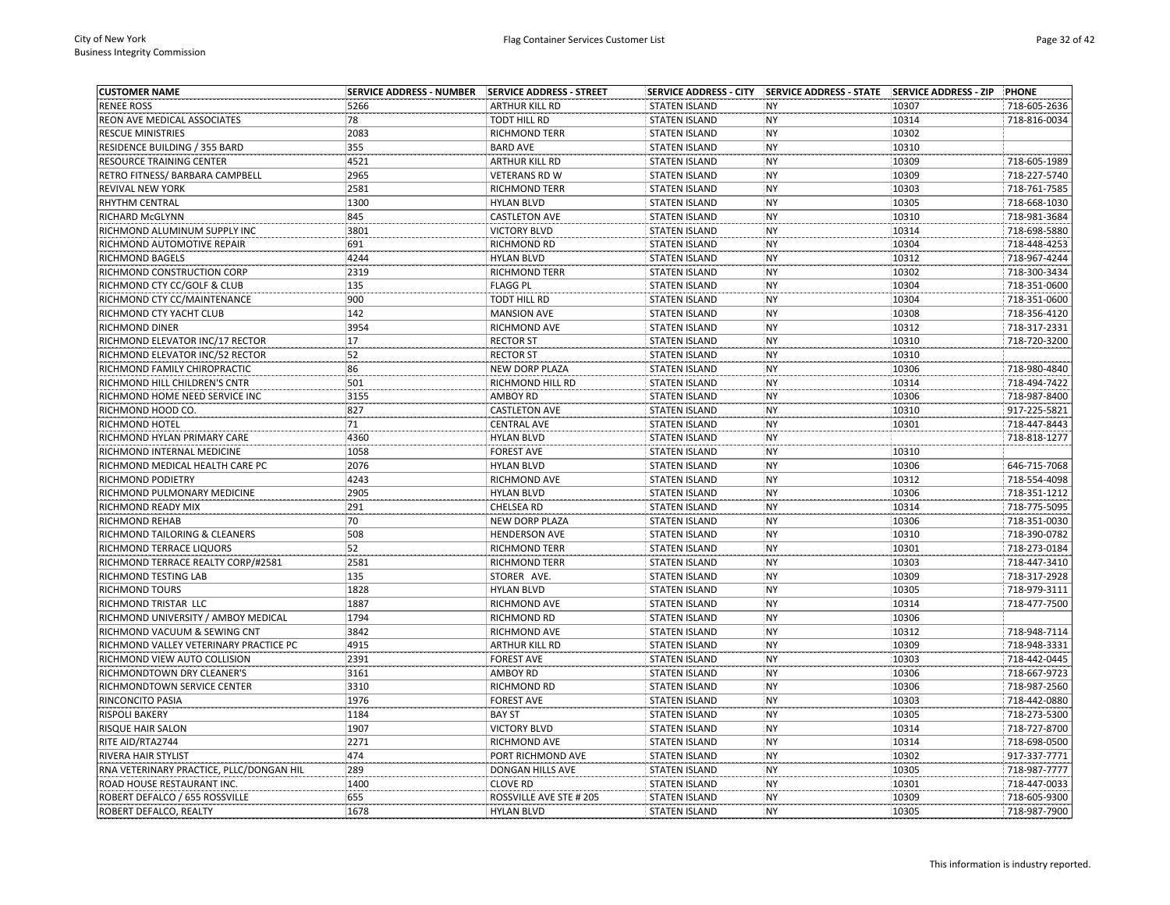| <b>CUSTOMER NAME</b>                      | <b>SERVICE ADDRESS - NUMBER</b> | SERVICE ADDRESS - STREET           |                      | SERVICE ADDRESS - CITY   SERVICE ADDRESS - STATE   SERVICE ADDRESS - ZIP |                | PHONE                        |
|-------------------------------------------|---------------------------------|------------------------------------|----------------------|--------------------------------------------------------------------------|----------------|------------------------------|
| <b>RENEE ROSS</b>                         | 5266                            | <b>ARTHUR KILL RD</b>              | <b>STATEN ISLAND</b> | <b>NY</b>                                                                | 10307          | 718-605-2636                 |
| REON AVE MEDICAL ASSOCIATES               | 78                              | <b>TODT HILL RD</b>                | <b>STATEN ISLAND</b> | <b>NY</b>                                                                | 10314          | 718-816-0034                 |
| <b>RESCUE MINISTRIES</b>                  | 2083                            | <b>RICHMOND TERR</b>               | <b>STATEN ISLAND</b> | <b>NY</b>                                                                | 10302          |                              |
| RESIDENCE BUILDING / 355 BARD             | 355                             | <b>BARD AVE</b>                    | <b>STATEN ISLAND</b> | <b>NY</b>                                                                | 10310          |                              |
| RESOURCE TRAINING CENTER                  | 4521                            | <b>ARTHUR KILL RD</b>              | <b>STATEN ISLAND</b> | <b>NY</b>                                                                | 10309          | 718-605-1989                 |
| RETRO FITNESS/ BARBARA CAMPBELL           | 2965                            | <b>VETERANS RD W</b>               | <b>STATEN ISLAND</b> | <b>NY</b>                                                                | 10309          | 718-227-5740                 |
| REVIVAL NEW YORK                          | 2581                            | <b>RICHMOND TERR</b>               | <b>STATEN ISLAND</b> | <b>NY</b>                                                                | 10303          | 718-761-7585                 |
| RHYTHM CENTRAL                            | 1300                            | <b>HYLAN BLVD</b>                  | <b>STATEN ISLAND</b> | <b>NY</b>                                                                | 10305          | 718-668-1030                 |
| RICHARD McGLYNN                           | 845                             | <b>CASTLETON AVE</b>               | <b>STATEN ISLAND</b> | <b>NY</b>                                                                | 10310          | 718-981-3684                 |
| RICHMOND ALUMINUM SUPPLY INC              | 3801                            | <b>VICTORY BLVD</b>                | <b>STATEN ISLAND</b> | <b>NY</b>                                                                | 10314          | 718-698-5880                 |
| RICHMOND AUTOMOTIVE REPAIR                | 691                             | RICHMOND RD                        | <b>STATEN ISLAND</b> | <b>NY</b>                                                                | 10304          | 718-448-4253                 |
| RICHMOND BAGELS                           | 4244                            | <b>HYLAN BLVD</b>                  | <b>STATEN ISLAND</b> | <b>NY</b>                                                                | 10312          | 718-967-4244                 |
| RICHMOND CONSTRUCTION CORP                | 2319                            | RICHMOND TERR                      | <b>STATEN ISLAND</b> | <b>NY</b>                                                                | 10302          | 718-300-3434                 |
| RICHMOND CTY CC/GOLF & CLUB               | 135                             | <b>FLAGG PL</b>                    | <b>STATEN ISLAND</b> | NY                                                                       | 10304          | 718-351-0600                 |
| RICHMOND CTY CC/MAINTENANCE               | 900                             | TODT HILL RD                       | <b>STATEN ISLAND</b> | <b>NY</b>                                                                | 10304          | 718-351-0600                 |
| RICHMOND CTY YACHT CLUB                   | 142                             | <b>MANSION AVE</b>                 | <b>STATEN ISLAND</b> | <b>NY</b>                                                                | 10308          | 718-356-4120                 |
| RICHMOND DINER                            | 3954                            | RICHMOND AVE                       | <b>STATEN ISLAND</b> | <b>NY</b>                                                                | 10312          | 718-317-2331                 |
| RICHMOND ELEVATOR INC/17 RECTOR           | 17                              | <b>RECTOR ST</b>                   | <b>STATEN ISLAND</b> | <b>NY</b>                                                                | 10310          | 718-720-3200                 |
| RICHMOND ELEVATOR INC/52 RECTOR           | 52                              | <b>RECTOR ST</b>                   | <b>STATEN ISLAND</b> | <b>NY</b>                                                                | 10310          |                              |
| RICHMOND FAMILY CHIROPRACTIC              | 86                              | <b>NEW DORP PLAZA</b>              | <b>STATEN ISLAND</b> | <b>NY</b>                                                                | 10306          | 718-980-4840                 |
| RICHMOND HILL CHILDREN'S CNTR             | 501                             | RICHMOND HILL RD                   | <b>STATEN ISLAND</b> | <b>NY</b>                                                                | 10314          | 718-494-7422                 |
| RICHMOND HOME NEED SERVICE INC            | 3155                            | <b>AMBOY RD</b>                    | <b>STATEN ISLAND</b> | <b>NY</b>                                                                | 10306          | 718-987-8400                 |
| RICHMOND HOOD CO.                         | 827                             | <b>CASTLETON AVE</b>               | <b>STATEN ISLAND</b> | <b>NY</b>                                                                | 10310          | 917-225-5821                 |
| RICHMOND HOTEL                            | 71                              | <b>CENTRAL AVE</b>                 | <b>STATEN ISLAND</b> | <b>NY</b>                                                                | 10301          | 718-447-8443                 |
| RICHMOND HYLAN PRIMARY CARE               | 4360                            | <b>HYLAN BLVD</b>                  | <b>STATEN ISLAND</b> | <b>NY</b>                                                                |                | 718-818-1277                 |
| RICHMOND INTERNAL MEDICINE                | 1058                            | <b>FOREST AVE</b>                  | <b>STATEN ISLAND</b> | <b>NY</b>                                                                | 10310          |                              |
| RICHMOND MEDICAL HEALTH CARE PC           | 2076                            | <b>HYLAN BLVD</b>                  | <b>STATEN ISLAND</b> | <b>NY</b>                                                                | 10306          | 646-715-7068                 |
| RICHMOND PODIETRY                         | 4243                            | RICHMOND AVE                       | <b>STATEN ISLAND</b> | <b>NY</b>                                                                | 10312          | 718-554-4098                 |
| RICHMOND PULMONARY MEDICINE               | 2905                            | <b>HYLAN BLVD</b>                  | <b>STATEN ISLAND</b> | <b>NY</b>                                                                | 10306          | 718-351-1212                 |
| RICHMOND READY MIX                        | 291                             | CHELSEA RD                         | <b>STATEN ISLAND</b> | <b>NY</b>                                                                | 10314          | 718-775-5095                 |
| RICHMOND REHAB                            | 70                              | <b>NEW DORP PLAZA</b>              | <b>STATEN ISLAND</b> | <b>NY</b>                                                                | 10306          | 718-351-0030                 |
| RICHMOND TAILORING & CLEANERS             | 508                             | <b>HENDERSON AVE</b>               | <b>STATEN ISLAND</b> | <b>NY</b>                                                                | 10310          | 718-390-0782                 |
| RICHMOND TERRACE LIQUORS                  | 52                              | <b>RICHMOND TERR</b>               | <b>STATEN ISLAND</b> | <b>NY</b>                                                                | 10301          | 718-273-0184                 |
| RICHMOND TERRACE REALTY CORP/#2581        | 2581                            | <b>RICHMOND TERR</b>               | <b>STATEN ISLAND</b> | <b>NY</b>                                                                | 10303          | 718-447-3410                 |
| RICHMOND TESTING LAB                      | 135                             | STORER AVE.                        | <b>STATEN ISLAND</b> | <b>NY</b>                                                                | 10309          | 718-317-2928                 |
| <b>RICHMOND TOURS</b>                     | 1828                            | <b>HYLAN BLVD</b>                  | <b>STATEN ISLAND</b> | <b>NY</b>                                                                | 10305          | 718-979-3111                 |
| RICHMOND TRISTAR LLC                      | 1887                            | RICHMOND AVE                       | <b>STATEN ISLAND</b> | <b>NY</b>                                                                | 10314          | 718-477-7500                 |
| RICHMOND UNIVERSITY / AMBOY MEDICAL       | 1794                            | <b>RICHMOND RD</b>                 | <b>STATEN ISLAND</b> | <b>NY</b>                                                                | 10306          |                              |
| RICHMOND VACUUM & SEWING CNT              | 3842                            | RICHMOND AVE                       | <b>STATEN ISLAND</b> | <b>NY</b>                                                                | 10312          | 718-948-7114                 |
| RICHMOND VALLEY VETERINARY PRACTICE PC    | 4915                            | <b>ARTHUR KILL RD</b>              | <b>STATEN ISLAND</b> | <b>NY</b>                                                                | 10309          | 718-948-3331                 |
| RICHMOND VIEW AUTO COLLISION              | 2391                            | <b>FOREST AVE</b>                  | <b>STATEN ISLAND</b> | <b>NY</b>                                                                | 10303          | 718-442-0445                 |
| RICHMONDTOWN DRY CLEANER'S                | 3161                            | <b>AMBOY RD</b>                    | <b>STATEN ISLAND</b> | <b>NY</b>                                                                | 10306          | 718-667-9723                 |
| RICHMONDTOWN SERVICE CENTER               | 3310                            | RICHMOND RD                        | <b>STATEN ISLAND</b> | <b>NY</b>                                                                | 10306          | 718-987-2560                 |
|                                           | 1976                            |                                    |                      |                                                                          |                | 718-442-0880                 |
| RINCONCITO PASIA<br><b>RISPOLI BAKERY</b> | 1184                            | <b>FOREST AVE</b><br><b>BAY ST</b> | <b>STATEN ISLAND</b> | <b>NY</b><br><b>NY</b>                                                   | 10303          |                              |
|                                           | 1907                            |                                    | <b>STATEN ISLAND</b> | <b>NY</b>                                                                | 10305<br>10314 | 718-273-5300<br>718-727-8700 |
| RISQUE HAIR SALON                         |                                 | <b>VICTORY BLVD</b>                | <b>STATEN ISLAND</b> |                                                                          |                |                              |
| RITE AID/RTA2744                          | 2271                            | <b>RICHMOND AVE</b>                | <b>STATEN ISLAND</b> | <b>NY</b>                                                                | 10314          | 718-698-0500                 |
| RIVERA HAIR STYLIST                       | 474                             | PORT RICHMOND AVE                  | <b>STATEN ISLAND</b> | <b>NY</b>                                                                | 10302          | 917-337-7771                 |
| RNA VETERINARY PRACTICE, PLLC/DONGAN HIL  | 289                             | <b>DONGAN HILLS AVE</b>            | <b>STATEN ISLAND</b> | <b>NY</b>                                                                | 10305          | 718-987-7777                 |
| ROAD HOUSE RESTAURANT INC.                | 1400                            | <b>CLOVE RD</b>                    | <b>STATEN ISLAND</b> | <b>NY</b>                                                                | 10301          | 718-447-0033                 |
| ROBERT DEFALCO / 655 ROSSVILLE            | 655                             | ROSSVILLE AVE STE # 205            | <b>STATEN ISLAND</b> | <b>NY</b>                                                                | 10309          | 718-605-9300                 |
| ROBERT DEFALCO. REALTY                    | 1678                            | <b>HYLAN BLVD</b>                  | <b>STATEN ISLAND</b> | <b>NY</b>                                                                | 10305          | 718-987-7900                 |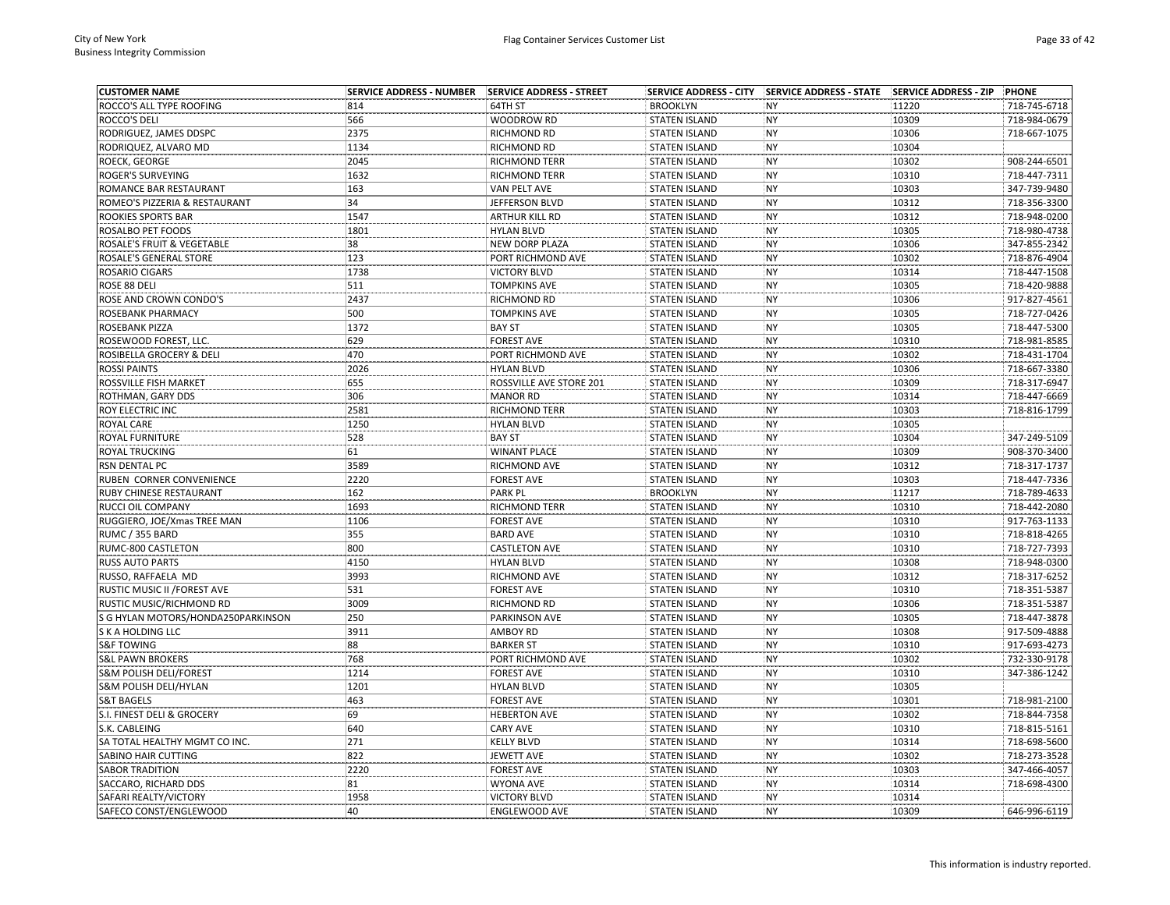| <b>CUSTOMER NAME</b>               | <b>SERVICE ADDRESS - NUMBER</b> | SERVICE ADDRESS - STREET |                      | SERVICE ADDRESS - CITY SERVICE ADDRESS - STATE SERVICE ADDRESS - ZIP |       | PHONE                        |
|------------------------------------|---------------------------------|--------------------------|----------------------|----------------------------------------------------------------------|-------|------------------------------|
| ROCCO'S ALL TYPE ROOFING           | 814                             | 64TH ST                  | <b>BROOKLYN</b>      | <b>NY</b>                                                            | 11220 | 718-745-6718                 |
| ROCCO'S DELI                       | 566                             | WOODROW RD               | <b>STATEN ISLAND</b> | <b>NY</b>                                                            | 10309 | 718-984-0679                 |
| RODRIGUEZ, JAMES DDSPC             | 2375                            | RICHMOND RD              | <b>STATEN ISLAND</b> | <b>NY</b>                                                            | 10306 | 718-667-1075                 |
| RODRIQUEZ, ALVARO MD               | 1134                            | RICHMOND RD              | <b>STATEN ISLAND</b> | <b>NY</b>                                                            | 10304 |                              |
| ROECK, GEORGE                      | 2045                            | RICHMOND TERR            | <b>STATEN ISLAND</b> | <b>NY</b>                                                            | 10302 | 908-244-6501                 |
| ROGER'S SURVEYING                  | 1632                            | <b>RICHMOND TERR</b>     | <b>STATEN ISLAND</b> | <b>NY</b>                                                            | 10310 | 718-447-7311                 |
| ROMANCE BAR RESTAURANT             | 163                             | <b>VAN PELT AVE</b>      | <b>STATEN ISLAND</b> | <b>NY</b>                                                            | 10303 | 347-739-9480                 |
| ROMEO'S PIZZERIA & RESTAURANT      | 34                              | JEFFERSON BLVD           | <b>STATEN ISLAND</b> | <b>NY</b>                                                            | 10312 | 718-356-3300                 |
| ROOKIES SPORTS BAR                 | 1547                            | ARTHUR KILL RD           | <b>STATEN ISLAND</b> | <b>NY</b>                                                            | 10312 | 718-948-0200                 |
| ROSALBO PET FOODS                  | 1801                            | <b>HYLAN BLVD</b>        | <b>STATEN ISLAND</b> | <b>NY</b>                                                            | 10305 | 718-980-4738                 |
| ROSALE'S FRUIT & VEGETABLE         | 38                              | NEW DORP PLAZA           | <b>STATEN ISLAND</b> | <b>NY</b>                                                            | 10306 | 347-855-2342                 |
| ROSALE'S GENERAL STORE             | 123                             | PORT RICHMOND AVE        | <b>STATEN ISLAND</b> | <b>NY</b>                                                            | 10302 | 718-876-4904                 |
| ROSARIO CIGARS                     | 1738                            | <b>VICTORY BLVD</b>      | <b>STATEN ISLAND</b> | <b>NY</b>                                                            | 10314 | 718-447-1508                 |
| ROSE 88 DELI                       | 511                             | <b>TOMPKINS AVE</b>      | <b>STATEN ISLAND</b> | NY                                                                   | 10305 | 718-420-9888                 |
| ROSE AND CROWN CONDO'S             | 2437                            | RICHMOND RD              | <b>STATEN ISLAND</b> | <b>NY</b>                                                            | 10306 | 917-827-4561                 |
| ROSEBANK PHARMACY                  | 500                             | <b>TOMPKINS AVE</b>      | <b>STATEN ISLAND</b> | <b>NY</b>                                                            | 10305 | 718-727-0426                 |
| ROSEBANK PIZZA                     | 1372                            | <b>BAY ST</b>            | <b>STATEN ISLAND</b> | <b>NY</b>                                                            | 10305 | 718-447-5300                 |
| ROSEWOOD FOREST, LLC.              | 629                             | <b>FOREST AVE</b>        | <b>STATEN ISLAND</b> | <b>NY</b>                                                            | 10310 | 718-981-8585                 |
| ROSIBELLA GROCERY & DELI           | 470                             | PORT RICHMOND AVE        | <b>STATEN ISLAND</b> | <b>NY</b>                                                            | 10302 | 718-431-1704                 |
| <b>ROSSI PAINTS</b>                | 2026                            | <b>HYLAN BLVD</b>        | <b>STATEN ISLAND</b> | <b>NY</b>                                                            | 10306 | 718-667-3380                 |
| ROSSVILLE FISH MARKET              | 655                             | ROSSVILLE AVE STORE 201  | <b>STATEN ISLAND</b> | <b>NY</b>                                                            | 10309 | 718-317-6947                 |
| ROTHMAN, GARY DDS                  | 306                             | <b>MANOR RD</b>          | <b>STATEN ISLAND</b> | <b>NY</b>                                                            | 10314 | 718-447-6669                 |
| ROY ELECTRIC INC                   | 2581                            | RICHMOND TERR            | <b>STATEN ISLAND</b> | <b>NY</b>                                                            | 10303 | 718-816-1799                 |
| ROYAL CARE                         | 1250                            | <b>HYLAN BLVD</b>        | <b>STATEN ISLAND</b> | <b>NY</b>                                                            | 10305 |                              |
| ROYAL FURNITURE                    | 528                             | <b>BAY ST</b>            | <b>STATEN ISLAND</b> | <b>NY</b>                                                            | 10304 | 347-249-5109                 |
| ROYAL TRUCKING                     | 61                              | <b>WINANT PLACE</b>      | <b>STATEN ISLAND</b> | <b>NY</b>                                                            | 10309 | 908-370-3400                 |
| RSN DENTAL PC                      | 3589                            | RICHMOND AVE             | <b>STATEN ISLAND</b> | <b>NY</b>                                                            | 10312 | 718-317-1737                 |
| RUBEN CORNER CONVENIENCE           | 2220                            | <b>FOREST AVE</b>        | <b>STATEN ISLAND</b> | <b>NY</b>                                                            | 10303 | 718-447-7336                 |
| RUBY CHINESE RESTAURANT            | 162                             | PARK PL                  | <b>BROOKLYN</b>      | <b>NY</b>                                                            | 11217 | 718-789-4633                 |
| RUCCI OIL COMPANY                  | 1693                            | RICHMOND TERR            | <b>STATEN ISLAND</b> | <b>NY</b>                                                            | 10310 | 718-442-2080                 |
| RUGGIERO, JOE/Xmas TREE MAN        | 1106                            | <b>FOREST AVE</b>        | <b>STATEN ISLAND</b> | <b>NY</b>                                                            | 10310 | 917-763-1133                 |
| RUMC / 355 BARD                    | 355                             | <b>BARD AVE</b>          | <b>STATEN ISLAND</b> | <b>NY</b>                                                            | 10310 | 718-818-4265                 |
| RUMC-800 CASTLETON                 | 800                             | <b>CASTLETON AVE</b>     | <b>STATEN ISLAND</b> | <b>NY</b>                                                            | 10310 | 718-727-7393                 |
|                                    | 4150                            | <b>HYLAN BLVD</b>        | <b>STATEN ISLAND</b> | <b>NY</b>                                                            | 10308 |                              |
| RUSS AUTO PARTS                    | 3993                            | RICHMOND AVE             |                      | <b>NY</b>                                                            | 10312 | 718-948-0300<br>718-317-6252 |
| RUSSO, RAFFAELA MD                 | 531                             | <b>FOREST AVE</b>        | <b>STATEN ISLAND</b> | <b>NY</b>                                                            | 10310 | 718-351-5387                 |
| RUSTIC MUSIC II / FOREST AVE       | 3009                            |                          | <b>STATEN ISLAND</b> | <b>NY</b>                                                            |       | 718-351-5387                 |
| RUSTIC MUSIC/RICHMOND RD           |                                 | RICHMOND RD              | <b>STATEN ISLAND</b> |                                                                      | 10306 |                              |
| S G HYLAN MOTORS/HONDA250PARKINSON | 250                             | PARKINSON AVE            | <b>STATEN ISLAND</b> | <b>NY</b>                                                            | 10305 | 718-447-3878                 |
| S K A HOLDING LLC                  | 3911                            | AMBOY RD                 | <b>STATEN ISLAND</b> | <b>NY</b>                                                            | 10308 | 917-509-4888                 |
| <b>S&amp;F TOWING</b>              | 88                              | <b>BARKER ST</b>         | <b>STATEN ISLAND</b> | <b>NY</b>                                                            | 10310 | 917-693-4273                 |
| <b>S&amp;L PAWN BROKERS</b>        | 768                             | PORT RICHMOND AVE        | <b>STATEN ISLAND</b> | <b>NY</b>                                                            | 10302 | 732-330-9178                 |
| <b>S&amp;M POLISH DELI/FOREST</b>  | 1214                            | <b>FOREST AVE</b>        | <b>STATEN ISLAND</b> | <b>NY</b>                                                            | 10310 | 347-386-1242                 |
| S&M POLISH DELI/HYLAN              | 1201                            | <b>HYLAN BLVD</b>        | <b>STATEN ISLAND</b> | <b>NY</b>                                                            | 10305 |                              |
| <b>S&amp;T BAGELS</b>              | 463                             | <b>FOREST AVE</b>        | <b>STATEN ISLAND</b> | NY                                                                   | 10301 | 718-981-2100                 |
| S.I. FINEST DELI & GROCERY         | 69                              | <b>HEBERTON AVE</b>      | <b>STATEN ISLAND</b> | <b>NY</b>                                                            | 10302 | 718-844-7358                 |
| S.K. CABLEING                      | 640                             | <b>CARY AVE</b>          | <b>STATEN ISLAND</b> | <b>NY</b>                                                            | 10310 | 718-815-5161                 |
| SA TOTAL HEALTHY MGMT CO INC.      | 271                             | <b>KELLY BLVD</b>        | <b>STATEN ISLAND</b> | <b>NY</b>                                                            | 10314 | 718-698-5600                 |
| SABINO HAIR CUTTING                | 822                             | <b>JEWETT AVE</b>        | <b>STATEN ISLAND</b> | <b>NY</b>                                                            | 10302 | 718-273-3528                 |
| <b>SABOR TRADITION</b>             | 2220                            | <b>FOREST AVE</b>        | <b>STATEN ISLAND</b> | <b>NY</b>                                                            | 10303 | 347-466-4057                 |
| SACCARO, RICHARD DDS               | 81                              | <b>WYONA AVE</b>         | <b>STATEN ISLAND</b> | <b>NY</b>                                                            | 10314 | 718-698-4300                 |
| SAFARI REALTY/VICTORY              | 1958                            | <b>VICTORY BLVD</b>      | <b>STATEN ISLAND</b> | <b>NY</b>                                                            | 10314 |                              |
| SAFECO CONST/ENGLEWOOD             | 40                              | <b>ENGLEWOOD AVE</b>     | <b>STATEN ISLAND</b> | <b>NY</b>                                                            | 10309 | 646-996-6119                 |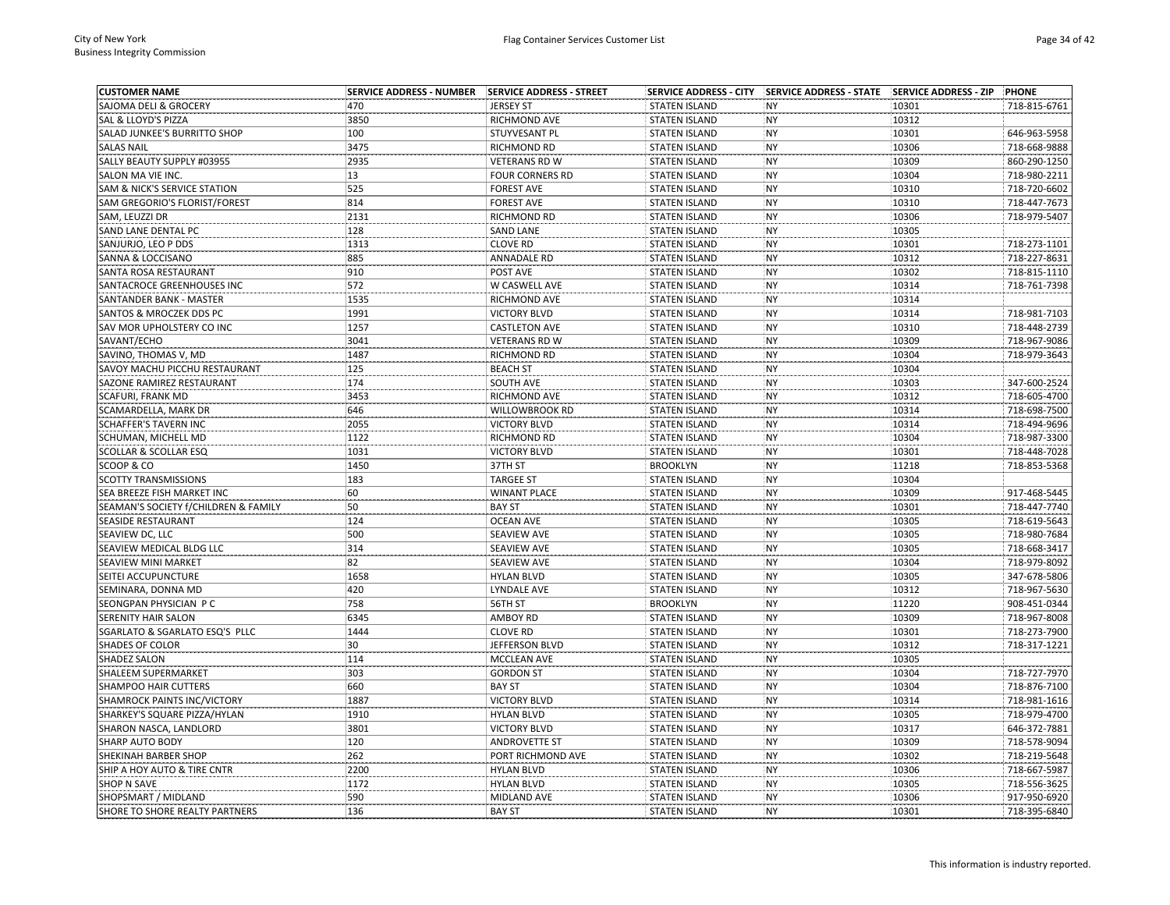| <b>CUSTOMER NAME</b>                 | <b>SERVICE ADDRESS - NUMBER</b> | <b>SERVICE ADDRESS - STREET</b>         | <b>SERVICE ADDRESS - CITY</b> | SERVICE ADDRESS - STATE SERVICE ADDRESS - ZIP |       | PHONE        |
|--------------------------------------|---------------------------------|-----------------------------------------|-------------------------------|-----------------------------------------------|-------|--------------|
| SAJOMA DELI & GROCERY                | 470                             | <b>JERSEY ST</b>                        | <b>STATEN ISLAND</b>          | <b>NY</b>                                     | 10301 | 718-815-6761 |
| SAL & LLOYD'S PIZZA                  | 3850                            | RICHMOND AVE                            | <b>STATEN ISLAND</b>          | <b>NY</b>                                     | 10312 |              |
| SALAD JUNKEE'S BURRITTO SHOP         | 100                             | STUYVESANT PL                           | <b>STATEN ISLAND</b>          | <b>NY</b>                                     | 10301 | 646-963-5958 |
| <b>SALAS NAIL</b>                    | 3475                            | RICHMOND RD                             | <b>STATEN ISLAND</b>          | <b>NY</b>                                     | 10306 | 718-668-9888 |
| SALLY BEAUTY SUPPLY #03955           | 2935                            | <b>VETERANS RD W</b>                    | <b>STATEN ISLAND</b>          | <b>NY</b>                                     | 10309 | 860-290-1250 |
| SALON MA VIE INC.                    | 13                              | <b>FOUR CORNERS RD</b>                  | <b>STATEN ISLAND</b>          | <b>NY</b>                                     | 10304 | 718-980-2211 |
| SAM & NICK'S SERVICE STATION         | 525                             | <b>FOREST AVE</b>                       | <b>STATEN ISLAND</b>          | <b>NY</b>                                     | 10310 | 718-720-6602 |
| SAM GREGORIO'S FLORIST/FOREST        | 814                             | <b>FOREST AVE</b>                       | <b>STATEN ISLAND</b>          | <b>NY</b>                                     | 10310 | 718-447-7673 |
| SAM, LEUZZI DR                       | 2131                            | RICHMOND RD                             | <b>STATEN ISLAND</b>          | <b>NY</b>                                     | 10306 | 718-979-5407 |
| SAND LANE DENTAL PC                  | 128                             | <b>SAND LANE</b>                        | <b>STATEN ISLAND</b>          | <b>NY</b>                                     | 10305 |              |
| SANJURJO, LEO P DDS                  | 1313                            | <b>CLOVE RD</b>                         | <b>STATEN ISLAND</b>          | <b>NY</b>                                     | 10301 | 718-273-1101 |
| SANNA & LOCCISANO                    | 885                             | ANNADALE RD                             | <b>STATEN ISLAND</b>          | <b>NY</b>                                     | 10312 | 718-227-8631 |
| SANTA ROSA RESTAURANT                | 910                             | POST AVE                                | <b>STATEN ISLAND</b>          | <b>NY</b>                                     | 10302 | 718-815-1110 |
| SANTACROCE GREENHOUSES INC           | 572                             | W CASWELL AVE                           | <b>STATEN ISLAND</b>          | <b>NY</b>                                     | 10314 | 718-761-7398 |
| SANTANDER BANK - MASTER              | 1535                            | RICHMOND AVE                            | <b>STATEN ISLAND</b>          | <b>NY</b>                                     | 10314 |              |
| SANTOS & MROCZEK DDS PC              | 1991                            | <b>VICTORY BLVD</b>                     | <b>STATEN ISLAND</b>          | <b>NY</b>                                     | 10314 | 718-981-7103 |
| SAV MOR UPHOLSTERY CO INC            | 1257                            | <b>CASTLETON AVE</b>                    | <b>STATEN ISLAND</b>          | <b>NY</b>                                     | 10310 | 718-448-2739 |
| SAVANT/ECHO                          | 3041                            | <b>VETERANS RD W</b>                    | <b>STATEN ISLAND</b>          | <b>NY</b>                                     | 10309 | 718-967-9086 |
| SAVINO, THOMAS V, MD                 | 1487                            | <b>RICHMOND RD</b>                      | <b>STATEN ISLAND</b>          | <b>NY</b>                                     | 10304 | 718-979-3643 |
| SAVOY MACHU PICCHU RESTAURANT        | 125                             | <b>BEACH ST</b>                         | <b>STATEN ISLAND</b>          | <b>NY</b>                                     | 10304 |              |
| SAZONE RAMIREZ RESTAURANT            | 174                             | SOUTH AVE                               | <b>STATEN ISLAND</b>          | <b>NY</b>                                     | 10303 | 347-600-2524 |
| SCAFURI, FRANK MD                    | 3453                            | RICHMOND AVE                            | <b>STATEN ISLAND</b>          | <b>NY</b>                                     | 10312 | 718-605-4700 |
| SCAMARDELLA, MARK DR                 | 646                             | <b>WILLOWBROOK RD</b>                   | <b>STATEN ISLAND</b>          | <b>NY</b>                                     | 10314 | 718-698-7500 |
| SCHAFFER'S TAVERN INC                | 2055                            | <b>VICTORY BLVD</b>                     | <b>STATEN ISLAND</b>          | <b>NY</b>                                     | 10314 | 718-494-9696 |
| SCHUMAN, MICHELL MD                  | 1122                            | RICHMOND RD                             | <b>STATEN ISLAND</b>          | <b>NY</b>                                     | 10304 | 718-987-3300 |
| SCOLLAR & SCOLLAR ESQ                | 1031                            | <b>VICTORY BLVD</b>                     | <b>STATEN ISLAND</b>          | <b>NY</b>                                     | 10301 | 718-448-7028 |
| SCOOP & CO                           | 1450                            | 37TH ST                                 | <b>BROOKLYN</b>               | <b>NY</b>                                     | 11218 | 718-853-5368 |
| <b>SCOTTY TRANSMISSIONS</b>          | 183                             | <b>TARGEE ST</b>                        | <b>STATEN ISLAND</b>          | <b>NY</b>                                     | 10304 |              |
| SEA BREEZE FISH MARKET INC           | 60                              | <b>WINANT PLACE</b>                     | <b>STATEN ISLAND</b>          | <b>NY</b>                                     | 10309 | 917-468-5445 |
| SEAMAN'S SOCIETY f/CHILDREN & FAMILY | 50                              | <b>BAY ST</b>                           | <b>STATEN ISLAND</b>          | <b>NY</b>                                     | 10301 | 718-447-7740 |
| SEASIDE RESTAURANT                   | 124                             | <b>OCEAN AVE</b>                        | <b>STATEN ISLAND</b>          | <b>NY</b>                                     | 10305 | 718-619-5643 |
| SEAVIEW DC, LLC                      | 500                             | SEAVIEW AVE                             | <b>STATEN ISLAND</b>          | NY                                            | 10305 | 718-980-7684 |
| SEAVIEW MEDICAL BLDG LLC             | 314                             | SEAVIEW AVE                             | <b>STATEN ISLAND</b>          | <b>NY</b>                                     | 10305 | 718-668-3417 |
|                                      | 82                              | <b>SEAVIEW AVE</b>                      | <b>STATEN ISLAND</b>          | <b>NY</b>                                     | 10304 | 718-979-8092 |
| SEAVIEW MINI MARKET                  | 1658                            |                                         |                               |                                               | 10305 | 347-678-5806 |
| SEITEI ACCUPUNCTURE                  | 420                             | <b>HYLAN BLVD</b><br><b>LYNDALE AVE</b> | <b>STATEN ISLAND</b>          | <b>NY</b><br><b>NY</b>                        | 10312 | 718-967-5630 |
| SEMINARA, DONNA MD                   | 758                             |                                         | <b>STATEN ISLAND</b>          | <b>NY</b>                                     | 11220 | 908-451-0344 |
| SEONGPAN PHYSICIAN P C               |                                 | 56TH ST                                 | <b>BROOKLYN</b>               |                                               |       |              |
| SERENITY HAIR SALON                  | 6345                            | AMBOY RD                                | <b>STATEN ISLAND</b>          | <b>NY</b>                                     | 10309 | 718-967-8008 |
| SGARLATO & SGARLATO ESQ'S PLLC       | 1444                            | <b>CLOVE RD</b>                         | <b>STATEN ISLAND</b>          | <b>NY</b>                                     | 10301 | 718-273-7900 |
| SHADES OF COLOR                      | 30                              | JEFFERSON BLVD                          | <b>STATEN ISLAND</b>          | <b>NY</b>                                     | 10312 | 718-317-1221 |
| SHADEZ SALON                         | 114                             | MCCLEAN AVE                             | <b>STATEN ISLAND</b>          | <b>NY</b>                                     | 10305 |              |
| SHALEEM SUPERMARKET                  | 303                             | <b>GORDON ST</b>                        | <b>STATEN ISLAND</b>          | <b>NY</b>                                     | 10304 | 718-727-7970 |
| SHAMPOO HAIR CUTTERS                 | 660                             | <b>BAY ST</b>                           | <b>STATEN ISLAND</b>          | <b>NY</b>                                     | 10304 | 718-876-7100 |
| SHAMROCK PAINTS INC/VICTORY          | 1887                            | <b>VICTORY BLVD</b>                     | <b>STATEN ISLAND</b>          | <b>NY</b>                                     | 10314 | 718-981-1616 |
| SHARKEY'S SQUARE PIZZA/HYLAN         | 1910                            | <b>HYLAN BLVD</b>                       | <b>STATEN ISLAND</b>          | <b>NY</b>                                     | 10305 | 718-979-4700 |
| SHARON NASCA, LANDLORD               | 3801                            | <b>VICTORY BLVD</b>                     | <b>STATEN ISLAND</b>          | <b>NY</b>                                     | 10317 | 646-372-7881 |
| SHARP AUTO BODY                      | 120                             | <b>ANDROVETTE ST</b>                    | <b>STATEN ISLAND</b>          | <b>NY</b>                                     | 10309 | 718-578-9094 |
| SHEKINAH BARBER SHOP                 | 262                             | PORT RICHMOND AVE                       | <b>STATEN ISLAND</b>          | <b>NY</b>                                     | 10302 | 718-219-5648 |
| SHIP A HOY AUTO & TIRE CNTR          | 2200                            | <b>HYLAN BLVD</b>                       | <b>STATEN ISLAND</b>          | <b>NY</b>                                     | 10306 | 718-667-5987 |
| <b>SHOP N SAVE</b>                   | 1172                            | <b>HYLAN BLVD</b>                       | <b>STATEN ISLAND</b>          | <b>NY</b>                                     | 10305 | 718-556-3625 |
| SHOPSMART / MIDLAND                  | 590                             | <b>MIDLAND AVE</b>                      | <b>STATEN ISLAND</b>          | <b>NY</b>                                     | 10306 | 917-950-6920 |
| SHORE TO SHORE REALTY PARTNERS       | 136                             | <b>BAY ST</b>                           | <b>STATEN ISLAND</b>          | <b>NY</b>                                     | 10301 | 718-395-6840 |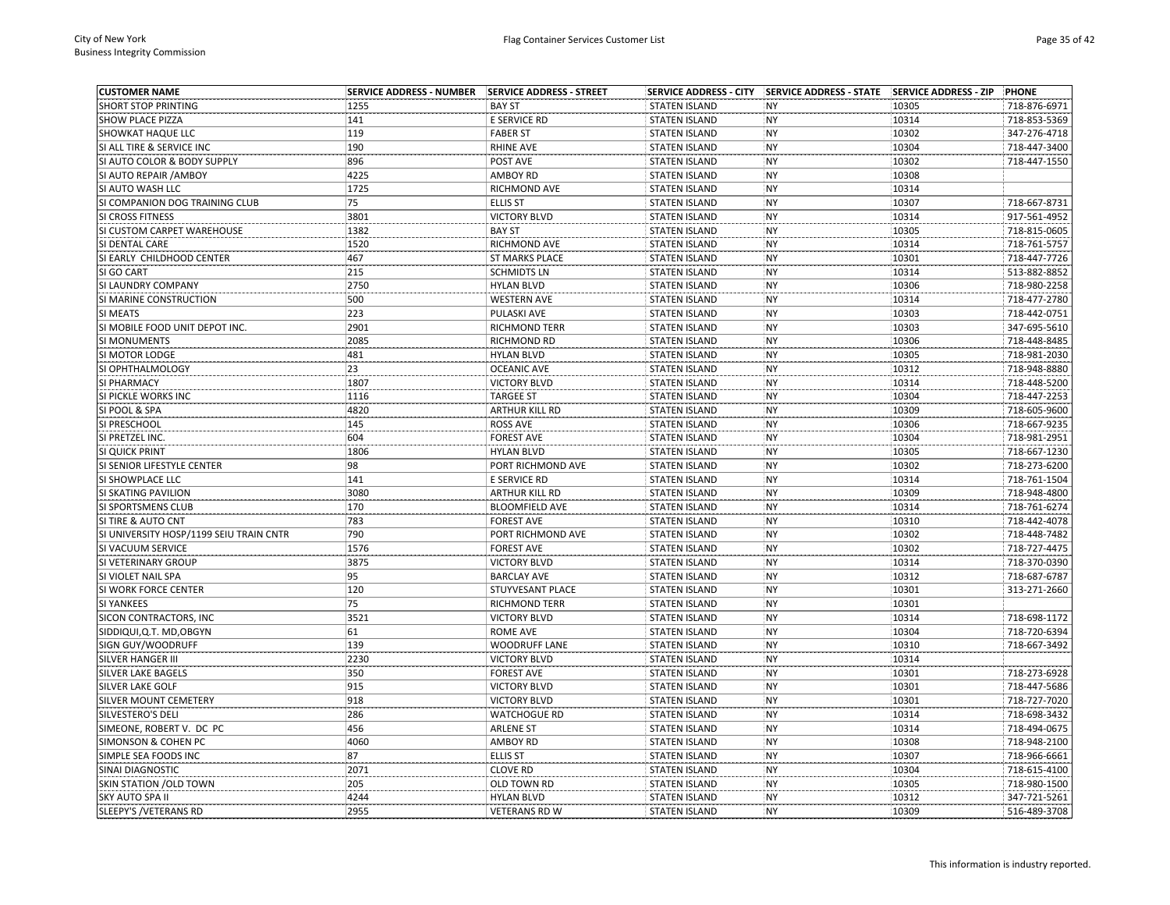| <b>CUSTOMER NAME</b>                    |      |                       |                      | SERVICE ADDRESS - CITY SERVICE ADDRESS - STATE SERVICE ADDRESS - ZIP |       | PHONE        |
|-----------------------------------------|------|-----------------------|----------------------|----------------------------------------------------------------------|-------|--------------|
| <b>SHORT STOP PRINTING</b>              | 1255 | <b>BAY ST</b>         | <b>STATEN ISLAND</b> | <b>NY</b>                                                            | 10305 | 718-876-6971 |
| SHOW PLACE PIZZA                        | 141  | E SERVICE RD          | <b>STATEN ISLAND</b> | <b>NY</b>                                                            | 10314 | 718-853-5369 |
| SHOWKAT HAQUE LLC                       | 119  | <b>FABER ST</b>       | <b>STATEN ISLAND</b> | <b>NY</b>                                                            | 10302 | 347-276-4718 |
| SI ALL TIRE & SERVICE INC               | 190  | <b>RHINE AVE</b>      | <b>STATEN ISLAND</b> | <b>NY</b>                                                            | 10304 | 718-447-3400 |
| SI AUTO COLOR & BODY SUPPLY             | 896  | POST AVE              | <b>STATEN ISLAND</b> | <b>NY</b>                                                            | 10302 | 718-447-1550 |
| SI AUTO REPAIR / AMBOY                  | 4225 | <b>AMBOY RD</b>       | <b>STATEN ISLAND</b> | <b>NY</b>                                                            | 10308 |              |
| SI AUTO WASH LLC                        | 1725 | RICHMOND AVE          | <b>STATEN ISLAND</b> | <b>NY</b>                                                            | 10314 |              |
| SI COMPANION DOG TRAINING CLUB          | 75   | <b>ELLIS ST</b>       | <b>STATEN ISLAND</b> | <b>NY</b>                                                            | 10307 | 718-667-8731 |
| <b>SI CROSS FITNESS</b>                 | 3801 | <b>VICTORY BLVD</b>   | <b>STATEN ISLAND</b> | <b>NY</b>                                                            | 10314 | 917-561-4952 |
| SI CUSTOM CARPET WAREHOUSE              | 1382 | <b>BAY ST</b>         | <b>STATEN ISLAND</b> | <b>NY</b>                                                            | 10305 | 718-815-0605 |
| SI DENTAL CARE                          | 1520 | RICHMOND AVE          | <b>STATEN ISLAND</b> | <b>NY</b>                                                            | 10314 | 718-761-5757 |
| SI EARLY CHILDHOOD CENTER               | 467  | <b>ST MARKS PLACE</b> | <b>STATEN ISLAND</b> | <b>NY</b>                                                            | 10301 | 718-447-7726 |
| SI GO CART                              | 215  | <b>SCHMIDTS LN</b>    | <b>STATEN ISLAND</b> | <b>NY</b>                                                            | 10314 | 513-882-8852 |
| SI LAUNDRY COMPANY                      | 2750 | <b>HYLAN BLVD</b>     | <b>STATEN ISLAND</b> | <b>NY</b>                                                            | 10306 | 718-980-2258 |
| SI MARINE CONSTRUCTION                  | 500  | <b>WESTERN AVE</b>    | <b>STATEN ISLAND</b> | <b>NY</b>                                                            | 10314 | 718-477-2780 |
| SI MEATS                                | 223  | PULASKI AVE           | <b>STATEN ISLAND</b> | <b>NY</b>                                                            | 10303 | 718-442-0751 |
| SI MOBILE FOOD UNIT DEPOT INC.          | 2901 | RICHMOND TERR         | <b>STATEN ISLAND</b> | <b>NY</b>                                                            | 10303 | 347-695-5610 |
| SI MONUMENTS                            | 2085 | <b>RICHMOND RD</b>    | <b>STATEN ISLAND</b> | <b>NY</b>                                                            | 10306 | 718-448-8485 |
| SI MOTOR LODGE                          | 481  | <b>HYLAN BLVD</b>     | <b>STATEN ISLAND</b> | <b>NY</b>                                                            | 10305 | 718-981-2030 |
| SI OPHTHALMOLOGY                        | 23   | <b>OCEANIC AVE</b>    | <b>STATEN ISLAND</b> | <b>NY</b>                                                            | 10312 | 718-948-8880 |
| SI PHARMACY                             | 1807 | <b>VICTORY BLVD</b>   | <b>STATEN ISLAND</b> | <b>NY</b>                                                            | 10314 | 718-448-5200 |
| SI PICKLE WORKS INC                     | 1116 | <b>TARGEE ST</b>      | <b>STATEN ISLAND</b> | <b>NY</b>                                                            | 10304 | 718-447-2253 |
| SI POOL & SPA                           | 4820 | <b>ARTHUR KILL RD</b> | <b>STATEN ISLAND</b> | <b>NY</b>                                                            | 10309 | 718-605-9600 |
| SI PRESCHOOL                            | 145  | <b>ROSS AVE</b>       | <b>STATEN ISLAND</b> | <b>NY</b>                                                            | 10306 | 718-667-9235 |
| SI PRETZEL INC.                         | 604  | <b>FOREST AVE</b>     | <b>STATEN ISLAND</b> | <b>NY</b>                                                            | 10304 | 718-981-2951 |
| SI QUICK PRINT                          | 1806 | <b>HYLAN BLVD</b>     | <b>STATEN ISLAND</b> | <b>NY</b>                                                            | 10305 | 718-667-1230 |
| SI SENIOR LIFESTYLE CENTER              | 98   | PORT RICHMOND AVE     | <b>STATEN ISLAND</b> | <b>NY</b>                                                            | 10302 | 718-273-6200 |
| SI SHOWPLACE LLC                        | 141  | E SERVICE RD          | <b>STATEN ISLAND</b> | <b>NY</b>                                                            | 10314 | 718-761-1504 |
| SI SKATING PAVILION                     | 3080 | <b>ARTHUR KILL RD</b> | <b>STATEN ISLAND</b> | <b>NY</b>                                                            | 10309 | 718-948-4800 |
| SI SPORTSMENS CLUB                      | 170  | <b>BLOOMFIELD AVE</b> | <b>STATEN ISLAND</b> | <b>NY</b>                                                            | 10314 | 718-761-6274 |
| SI TIRE & AUTO CNT                      | 783  | <b>FOREST AVE</b>     | <b>STATEN ISLAND</b> | <b>NY</b>                                                            | 10310 | 718-442-4078 |
| SI UNIVERSITY HOSP/1199 SEIU TRAIN CNTR | 790  | PORT RICHMOND AVE     | <b>STATEN ISLAND</b> | <b>NY</b>                                                            | 10302 | 718-448-7482 |
| SI VACUUM SERVICE                       | 1576 | <b>FOREST AVE</b>     | <b>STATEN ISLAND</b> | <b>NY</b>                                                            | 10302 | 718-727-4475 |
| SI VETERINARY GROUP                     | 3875 | <b>VICTORY BLVD</b>   | <b>STATEN ISLAND</b> | <b>NY</b>                                                            | 10314 | 718-370-0390 |
| SI VIOLET NAIL SPA                      | 95   | <b>BARCLAY AVE</b>    | <b>STATEN ISLAND</b> | <b>NY</b>                                                            | 10312 | 718-687-6787 |
| SI WORK FORCE CENTER                    | 120  | STUYVESANT PLACE      | <b>STATEN ISLAND</b> | <b>NY</b>                                                            | 10301 | 313-271-2660 |
| <b>SI YANKEES</b>                       | 75   | <b>RICHMOND TERR</b>  | <b>STATEN ISLAND</b> | <b>NY</b>                                                            | 10301 |              |
| SICON CONTRACTORS, INC                  | 3521 | <b>VICTORY BLVD</b>   | <b>STATEN ISLAND</b> | <b>NY</b>                                                            | 10314 | 718-698-1172 |
| SIDDIQUI, Q.T. MD, OBGYN                | 61   | <b>ROME AVE</b>       | <b>STATEN ISLAND</b> | <b>NY</b>                                                            | 10304 | 718-720-6394 |
| SIGN GUY/WOODRUFF                       | 139  | <b>WOODRUFF LANE</b>  | <b>STATEN ISLAND</b> | <b>NY</b>                                                            | 10310 | 718-667-3492 |
| <b>SILVER HANGER III</b>                | 2230 | <b>VICTORY BLVD</b>   | <b>STATEN ISLAND</b> | <b>NY</b>                                                            | 10314 |              |
| <b>SILVER LAKE BAGELS</b>               | 350  | <b>FOREST AVE</b>     | <b>STATEN ISLAND</b> | <b>NY</b>                                                            | 10301 | 718-273-6928 |
| <b>SILVER LAKE GOLF</b>                 | 915  | <b>VICTORY BLVD</b>   | <b>STATEN ISLAND</b> | <b>NY</b>                                                            | 10301 | 718-447-5686 |
| SILVER MOUNT CEMETERY                   | 918  | <b>VICTORY BLVD</b>   | <b>STATEN ISLAND</b> | NY                                                                   | 10301 | 718-727-7020 |
| SILVESTERO'S DELI                       | 286  | <b>WATCHOGUE RD</b>   | <b>STATEN ISLAND</b> | <b>NY</b>                                                            | 10314 | 718-698-3432 |
| SIMEONE, ROBERT V. DC PC                | 456  | <b>ARLENE ST</b>      | <b>STATEN ISLAND</b> | <b>NY</b>                                                            | 10314 | 718-494-0675 |
| <b>SIMONSON &amp; COHEN PC</b>          | 4060 | <b>AMBOY RD</b>       | <b>STATEN ISLAND</b> | <b>NY</b>                                                            | 10308 | 718-948-2100 |
| SIMPLE SEA FOODS INC                    | 87   | <b>ELLIS ST</b>       | <b>STATEN ISLAND</b> | <b>NY</b>                                                            | 10307 | 718-966-6661 |
| SINAI DIAGNOSTIC                        | 2071 | <b>CLOVE RD</b>       | <b>STATEN ISLAND</b> | <b>NY</b>                                                            | 10304 | 718-615-4100 |
| SKIN STATION / OLD TOWN                 | 205  | OLD TOWN RD           | <b>STATEN ISLAND</b> | <b>NY</b>                                                            | 10305 | 718-980-1500 |
| SKY AUTO SPA II                         | 4244 | <b>HYLAN BLVD</b>     | <b>STATEN ISLAND</b> | <b>NY</b>                                                            | 10312 | 347-721-5261 |
| <b>SLEEPY'S /VETERANS RD</b>            | 2955 | <b>VETERANS RD W</b>  | <b>STATEN ISLAND</b> | <b>NY</b>                                                            | 10309 | 516-489-3708 |
|                                         |      |                       |                      |                                                                      |       |              |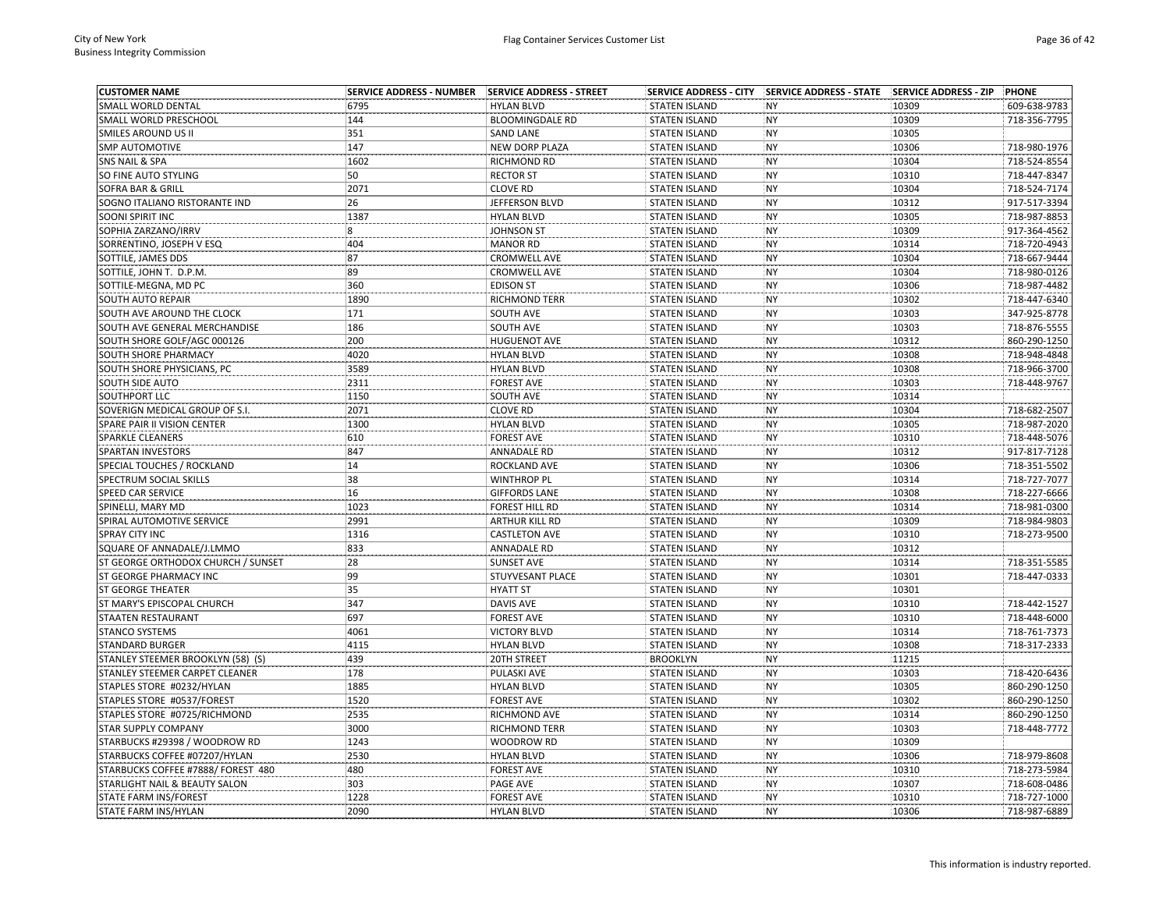| <b>CUSTOMER NAME</b>                                    | <b>SERVICE ADDRESS - NUMBER</b> | SERVICE ADDRESS - STREET | <b>SERVICE ADDRESS - CITY</b> | SERVICE ADDRESS - STATE SERVICE ADDRESS - ZIP |       | PHONE        |
|---------------------------------------------------------|---------------------------------|--------------------------|-------------------------------|-----------------------------------------------|-------|--------------|
| SMALL WORLD DENTAL                                      | 6795                            | <b>HYLAN BLVD</b>        | <b>STATEN ISLAND</b>          | <b>NY</b>                                     | 10309 | 609-638-9783 |
| SMALL WORLD PRESCHOOL                                   | 144                             | <b>BLOOMINGDALE RD</b>   | <b>STATEN ISLAND</b>          | <b>NY</b>                                     | 10309 | 718-356-7795 |
| SMILES AROUND US II                                     | 351                             | <b>SAND LANE</b>         | <b>STATEN ISLAND</b>          | <b>NY</b>                                     | 10305 |              |
| SMP AUTOMOTIVE                                          | 147                             | NEW DORP PLAZA           | <b>STATEN ISLAND</b>          | <b>NY</b>                                     | 10306 | 718-980-1976 |
| SNS NAIL & SPA                                          | 1602                            | RICHMOND RD              | <b>STATEN ISLAND</b>          | <b>NY</b>                                     | 10304 | 718-524-8554 |
| SO FINE AUTO STYLING                                    | 50                              | <b>RECTOR ST</b>         | <b>STATEN ISLAND</b>          | <b>NY</b>                                     | 10310 | 718-447-8347 |
| SOFRA BAR & GRILL                                       | 2071                            | <b>CLOVE RD</b>          | <b>STATEN ISLAND</b>          | <b>NY</b>                                     | 10304 | 718-524-7174 |
| SOGNO ITALIANO RISTORANTE IND                           | 26                              | JEFFERSON BLVD           | <b>STATEN ISLAND</b>          | <b>NY</b>                                     | 10312 | 917-517-3394 |
| SOONI SPIRIT INC                                        | 1387                            | <b>HYLAN BLVD</b>        | <b>STATEN ISLAND</b>          | <b>NY</b>                                     | 10305 | 718-987-8853 |
| SOPHIA ZARZANO/IRRV                                     | 8                               | <b>JOHNSON ST</b>        | <b>STATEN ISLAND</b>          | <b>NY</b>                                     | 10309 | 917-364-4562 |
| SORRENTINO, JOSEPH V ESQ                                | 404                             | <b>MANOR RD</b>          | <b>STATEN ISLAND</b>          | <b>NY</b>                                     | 10314 | 718-720-4943 |
| SOTTILE, JAMES DDS                                      | 87                              | <b>CROMWELL AVE</b>      | <b>STATEN ISLAND</b>          | <b>NY</b>                                     | 10304 | 718-667-9444 |
| SOTTILE, JOHN T. D.P.M.                                 | 89                              | <b>CROMWELL AVE</b>      | <b>STATEN ISLAND</b>          | <b>NY</b>                                     | 10304 | 718-980-0126 |
| SOTTILE-MEGNA, MD PC                                    | 360                             | <b>EDISON ST</b>         | <b>STATEN ISLAND</b>          | <b>NY</b>                                     | 10306 | 718-987-4482 |
| SOUTH AUTO REPAIR                                       | 1890                            | RICHMOND TERR            | <b>STATEN ISLAND</b>          | <b>NY</b>                                     | 10302 | 718-447-6340 |
| SOUTH AVE AROUND THE CLOCK                              | 171                             | SOUTH AVE                | <b>STATEN ISLAND</b>          | <b>NY</b>                                     | 10303 | 347-925-8778 |
| SOUTH AVE GENERAL MERCHANDISE                           | 186                             | SOUTH AVE                | <b>STATEN ISLAND</b>          | <b>NY</b>                                     | 10303 | 718-876-5555 |
| SOUTH SHORE GOLF/AGC 000126                             | 200                             | <b>HUGUENOT AVE</b>      | <b>STATEN ISLAND</b>          | <b>NY</b>                                     | 10312 | 860-290-1250 |
| SOUTH SHORE PHARMACY                                    | 4020                            | <b>HYLAN BLVD</b>        | <b>STATEN ISLAND</b>          | <b>NY</b>                                     | 10308 | 718-948-4848 |
| SOUTH SHORE PHYSICIANS, PC                              | 3589                            | <b>HYLAN BLVD</b>        | <b>STATEN ISLAND</b>          | <b>NY</b>                                     | 10308 | 718-966-3700 |
| SOUTH SIDE AUTO                                         | 2311                            | <b>FOREST AVE</b>        | <b>STATEN ISLAND</b>          | <b>NY</b>                                     | 10303 | 718-448-9767 |
| SOUTHPORT LLC                                           | 1150                            | SOUTH AVE                | <b>STATEN ISLAND</b>          | <b>NY</b>                                     | 10314 |              |
| SOVERIGN MEDICAL GROUP OF S.I.                          | 2071                            | <b>CLOVE RD</b>          | <b>STATEN ISLAND</b>          | <b>NY</b>                                     | 10304 | 718-682-2507 |
| SPARE PAIR II VISION CENTER                             | 1300                            | <b>HYLAN BLVD</b>        | <b>STATEN ISLAND</b>          | <b>NY</b>                                     | 10305 | 718-987-2020 |
| <b>SPARKLE CLEANERS</b>                                 | 610                             | <b>FOREST AVE</b>        | <b>STATEN ISLAND</b>          | <b>NY</b>                                     | 10310 | 718-448-5076 |
| SPARTAN INVESTORS                                       | 847                             | <b>ANNADALE RD</b>       | <b>STATEN ISLAND</b>          | NY                                            | 10312 | 917-817-7128 |
| SPECIAL TOUCHES / ROCKLAND                              | 14                              | ROCKLAND AVE             | <b>STATEN ISLAND</b>          | <b>NY</b>                                     | 10306 | 718-351-5502 |
| SPECTRUM SOCIAL SKILLS                                  | 38                              | <b>WINTHROP PL</b>       | <b>STATEN ISLAND</b>          | <b>NY</b>                                     | 10314 | 718-727-7077 |
| SPEED CAR SERVICE                                       | 16                              | <b>GIFFORDS LANE</b>     | <b>STATEN ISLAND</b>          | <b>NY</b>                                     | 10308 | 718-227-6666 |
| SPINELLI, MARY MD                                       | 1023                            | <b>FOREST HILL RD</b>    | <b>STATEN ISLAND</b>          | <b>NY</b>                                     | 10314 | 718-981-0300 |
| SPIRAL AUTOMOTIVE SERVICE                               | 2991                            | <b>ARTHUR KILL RD</b>    | <b>STATEN ISLAND</b>          | <b>NY</b>                                     | 10309 | 718-984-9803 |
| SPRAY CITY INC                                          | 1316                            | <b>CASTLETON AVE</b>     | <b>STATEN ISLAND</b>          | <b>NY</b>                                     | 10310 | 718-273-9500 |
| SQUARE OF ANNADALE/J.LMMO                               | 833                             | <b>ANNADALE RD</b>       | <b>STATEN ISLAND</b>          | <b>NY</b>                                     | 10312 |              |
| ST GEORGE ORTHODOX CHURCH / SUNSET                      | 28                              | <b>SUNSET AVE</b>        | <b>STATEN ISLAND</b>          | <b>NY</b>                                     | 10314 | 718-351-5585 |
| ST GEORGE PHARMACY INC                                  | 99                              | STUYVESANT PLACE         | <b>STATEN ISLAND</b>          | <b>NY</b>                                     | 10301 | 718-447-0333 |
| <b>ST GEORGE THEATER</b>                                | 35                              | <b>HYATT ST</b>          | <b>STATEN ISLAND</b>          | <b>NY</b>                                     | 10301 |              |
| ST MARY'S EPISCOPAL CHURCH                              | 347                             | <b>DAVIS AVE</b>         | <b>STATEN ISLAND</b>          | <b>NY</b>                                     | 10310 | 718-442-1527 |
| STAATEN RESTAURANT                                      | 697                             | <b>FOREST AVE</b>        | <b>STATEN ISLAND</b>          | <b>NY</b>                                     | 10310 | 718-448-6000 |
| <b>STANCO SYSTEMS</b>                                   | 4061                            | <b>VICTORY BLVD</b>      | <b>STATEN ISLAND</b>          | <b>NY</b>                                     | 10314 | 718-761-7373 |
| <b>STANDARD BURGER</b>                                  | 4115                            | <b>HYLAN BLVD</b>        | <b>STATEN ISLAND</b>          | <b>NY</b>                                     | 10308 | 718-317-2333 |
| STANLEY STEEMER BROOKLYN (58) (S)                       | 439                             | 20TH STREET              | <b>BROOKLYN</b>               | <b>NY</b>                                     | 11215 |              |
| STANLEY STEEMER CARPET CLEANER                          | 178                             | PULASKI AVE              | <b>STATEN ISLAND</b>          | <b>NY</b>                                     | 10303 | 718-420-6436 |
|                                                         | 1885                            | <b>HYLAN BLVD</b>        | <b>STATEN ISLAND</b>          | <b>NY</b>                                     | 10305 | 860-290-1250 |
| STAPLES STORE #0232/HYLAN<br>STAPLES STORE #0537/FOREST | 1520                            | <b>FOREST AVE</b>        | <b>STATEN ISLAND</b>          | <b>NY</b>                                     | 10302 | 860-290-1250 |
| STAPLES STORE #0725/RICHMOND                            | 2535                            | RICHMOND AVE             | <b>STATEN ISLAND</b>          | <b>NY</b>                                     | 10314 | 860-290-1250 |
|                                                         | 3000                            |                          |                               | <b>NY</b>                                     | 10303 | 718-448-7772 |
| STAR SUPPLY COMPANY                                     |                                 | <b>RICHMOND TERR</b>     | <b>STATEN ISLAND</b>          |                                               |       |              |
| STARBUCKS #29398 / WOODROW RD                           | 1243                            | <b>WOODROW RD</b>        | <b>STATEN ISLAND</b>          | <b>NY</b>                                     | 10309 |              |
| STARBUCKS COFFEE #07207/HYLAN                           | 2530                            | <b>HYLAN BLVD</b>        | <b>STATEN ISLAND</b>          | <b>NY</b>                                     | 10306 | 718-979-8608 |
| STARBUCKS COFFEE #7888/ FOREST 480                      | 480                             | <b>FOREST AVE</b>        | <b>STATEN ISLAND</b>          | <b>NY</b>                                     | 10310 | 718-273-5984 |
| STARLIGHT NAIL & BEAUTY SALON                           | 303                             | PAGE AVE                 | <b>STATEN ISLAND</b>          | <b>NY</b>                                     | 10307 | 718-608-0486 |
| STATE FARM INS/FOREST                                   | 1228                            | <b>FOREST AVE</b>        | <b>STATEN ISLAND</b>          | <b>NY</b><br><b>NY</b>                        | 10310 | 718-727-1000 |
| <b>STATE FARM INS/HYLAN</b>                             | 2090                            | <b>HYLAN BLVD</b>        | <b>STATEN ISLAND</b>          |                                               | 10306 | 718-987-6889 |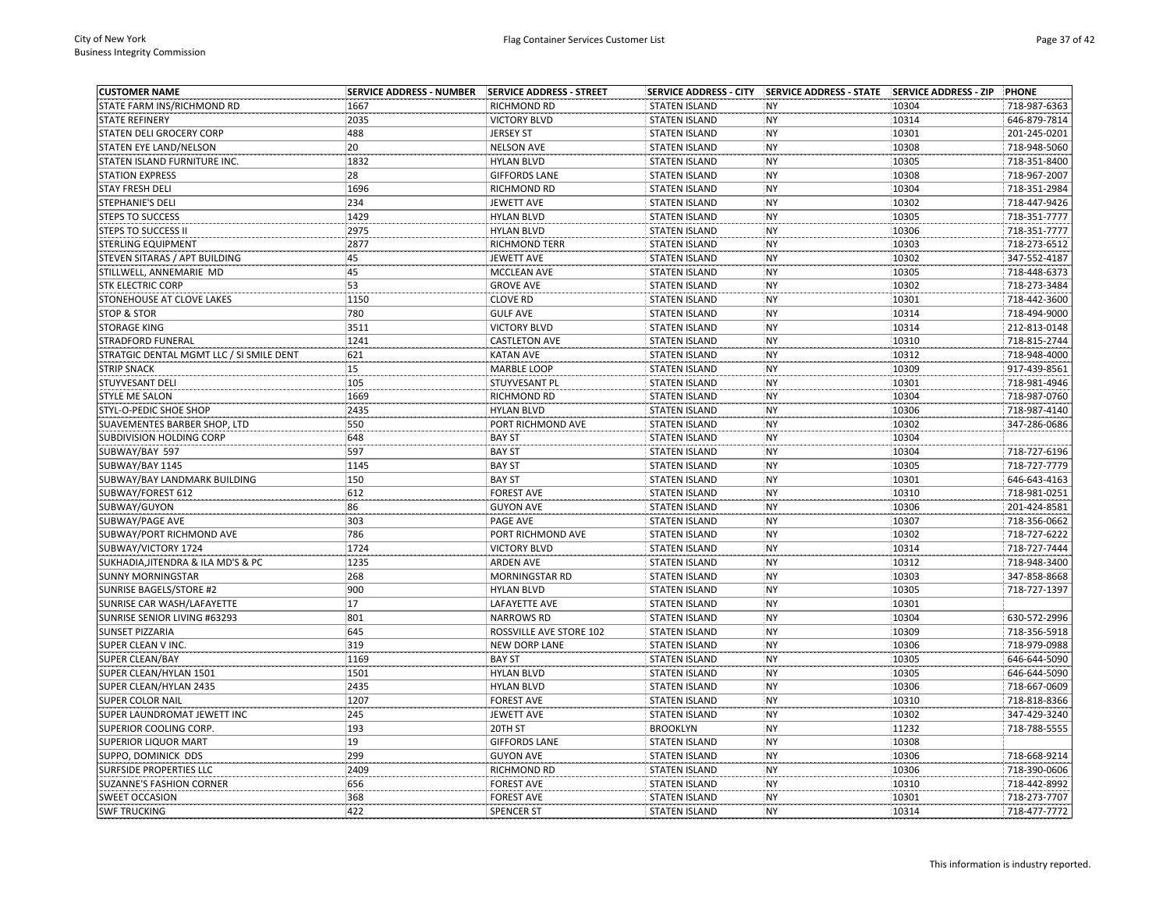| <b>CUSTOMER NAME</b>                     | <b>SERVICE ADDRESS - NUMBER</b> | SERVICE ADDRESS - STREET |                      | SERVICE ADDRESS - CITY SERVICE ADDRESS - STATE | <b>SERVICE ADDRESS - ZIP</b> | <b>PHONE</b> |
|------------------------------------------|---------------------------------|--------------------------|----------------------|------------------------------------------------|------------------------------|--------------|
| STATE FARM INS/RICHMOND RD               | 1667                            | <b>RICHMOND RD</b>       | <b>STATEN ISLAND</b> | <b>NY</b>                                      | 10304                        | 718-987-6363 |
| <b>STATE REFINERY</b>                    | 2035                            | <b>VICTORY BLVD</b>      | <b>STATEN ISLAND</b> | <b>NY</b>                                      | 10314                        | 646-879-7814 |
| STATEN DELI GROCERY CORP                 | 488                             | <b>JERSEY ST</b>         | <b>STATEN ISLAND</b> | <b>NY</b>                                      | 10301                        | 201-245-0201 |
| STATEN EYE LAND/NELSON                   | 20                              | <b>NELSON AVE</b>        | <b>STATEN ISLAND</b> | <b>NY</b>                                      | 10308                        | 718-948-5060 |
| STATEN ISLAND FURNITURE INC.             | 1832                            | <b>HYLAN BLVD</b>        | <b>STATEN ISLAND</b> | <b>NY</b>                                      | 10305                        | 718-351-8400 |
| <b>STATION EXPRESS</b>                   | 28                              | <b>GIFFORDS LANE</b>     | <b>STATEN ISLAND</b> | <b>NY</b>                                      | 10308                        | 718-967-2007 |
| <b>STAY FRESH DELI</b>                   | 1696                            | <b>RICHMOND RD</b>       | <b>STATEN ISLAND</b> | <b>NY</b>                                      | 10304                        | 718-351-2984 |
| <b>STEPHANIE'S DELI</b>                  | 234                             | <b>JEWETT AVE</b>        | <b>STATEN ISLAND</b> | <b>NY</b>                                      | 10302                        | 718-447-9426 |
| <b>STEPS TO SUCCESS</b>                  | 1429                            | <b>HYLAN BLVD</b>        | <b>STATEN ISLAND</b> | <b>NY</b>                                      | 10305                        | 718-351-7777 |
| <b>STEPS TO SUCCESS II</b>               | 2975                            | <b>HYLAN BLVD</b>        | <b>STATEN ISLAND</b> | <b>NY</b>                                      | 10306                        | 718-351-7777 |
| <b>STERLING EQUIPMENT</b>                | 2877                            | <b>RICHMOND TERR</b>     | <b>STATEN ISLAND</b> | <b>NY</b>                                      | 10303                        | 718-273-6512 |
| STEVEN SITARAS / APT BUILDING            | 45                              | <b>JEWETT AVE</b>        | <b>STATEN ISLAND</b> | <b>NY</b>                                      | 10302                        | 347-552-4187 |
| STILLWELL, ANNEMARIE MD                  | 45                              | MCCLEAN AVE              | <b>STATEN ISLAND</b> | <b>NY</b>                                      | 10305                        | 718-448-6373 |
| <b>STK ELECTRIC CORP</b>                 | 53                              | <b>GROVE AVE</b>         | <b>STATEN ISLAND</b> | <b>NY</b>                                      | 10302                        | 718-273-3484 |
| STONEHOUSE AT CLOVE LAKES                | 1150                            | <b>CLOVE RD</b>          | <b>STATEN ISLAND</b> | <b>NY</b>                                      | 10301                        | 718-442-3600 |
| <b>STOP &amp; STOR</b>                   | 780                             | <b>GULF AVE</b>          | <b>STATEN ISLAND</b> | NY                                             | 10314                        | 718-494-9000 |
| <b>STORAGE KING</b>                      | 3511                            | <b>VICTORY BLVD</b>      | <b>STATEN ISLAND</b> | <b>NY</b>                                      | 10314                        | 212-813-0148 |
| STRADFORD FUNERAL                        | 1241                            | <b>CASTLETON AVE</b>     | <b>STATEN ISLAND</b> | <b>NY</b>                                      | 10310                        | 718-815-2744 |
| STRATGIC DENTAL MGMT LLC / SI SMILE DENT | 621                             | <b>KATAN AVE</b>         | <b>STATEN ISLAND</b> | <b>NY</b>                                      | 10312                        | 718-948-4000 |
| <b>STRIP SNACK</b>                       | 15                              | <b>MARBLE LOOP</b>       | <b>STATEN ISLAND</b> | <b>NY</b>                                      | 10309                        | 917-439-8561 |
| STUYVESANT DELI                          | 105                             | STUYVESANT PL            | <b>STATEN ISLAND</b> | <b>NY</b>                                      | 10301                        | 718-981-4946 |
| <b>STYLE ME SALON</b>                    | 1669                            | RICHMOND RD              | <b>STATEN ISLAND</b> | <b>NY</b>                                      | 10304                        | 718-987-0760 |
| STYL-O-PEDIC SHOE SHOP                   | 2435                            | <b>HYLAN BLVD</b>        | <b>STATEN ISLAND</b> | <b>NY</b>                                      | 10306                        | 718-987-4140 |
| SUAVEMENTES BARBER SHOP, LTD             | 550                             | PORT RICHMOND AVE        | <b>STATEN ISLAND</b> | <b>NY</b>                                      | 10302                        | 347-286-0686 |
| SUBDIVISION HOLDING CORP                 | 648                             | <b>BAY ST</b>            | <b>STATEN ISLAND</b> | NY                                             | 10304                        |              |
| SUBWAY/BAY 597                           | 597                             | <b>BAY ST</b>            | <b>STATEN ISLAND</b> | <b>NY</b>                                      | 10304                        | 718-727-6196 |
| SUBWAY/BAY 1145                          | 1145                            | <b>BAY ST</b>            | <b>STATEN ISLAND</b> | <b>NY</b>                                      | 10305                        | 718-727-7779 |
| SUBWAY/BAY LANDMARK BUILDING             | 150                             | <b>BAY ST</b>            | <b>STATEN ISLAND</b> | <b>NY</b>                                      | 10301                        | 646-643-4163 |
| SUBWAY/FOREST 612                        | 612                             | <b>FOREST AVE</b>        | <b>STATEN ISLAND</b> | <b>NY</b>                                      | 10310                        | 718-981-0251 |
| SUBWAY/GUYON                             | 86                              | <b>GUYON AVE</b>         | <b>STATEN ISLAND</b> | <b>NY</b>                                      | 10306                        | 201-424-8581 |
| SUBWAY/PAGE AVE                          | 303                             | PAGE AVE                 | <b>STATEN ISLAND</b> | <b>NY</b>                                      | 10307                        | 718-356-0662 |
| SUBWAY/PORT RICHMOND AVE                 | 786                             | PORT RICHMOND AVE        | <b>STATEN ISLAND</b> | <b>NY</b>                                      | 10302                        | 718-727-6222 |
| SUBWAY/VICTORY 1724                      | 1724                            | <b>VICTORY BLVD</b>      | <b>STATEN ISLAND</b> | <b>NY</b>                                      | 10314                        | 718-727-7444 |
| SUKHADIA, JITENDRA & ILA MD'S & PC       | 1235                            | <b>ARDEN AVE</b>         | <b>STATEN ISLAND</b> | NY                                             | 10312                        | 718-948-3400 |
| <b>SUNNY MORNINGSTAR</b>                 | 268                             | <b>MORNINGSTAR RD</b>    | <b>STATEN ISLAND</b> | <b>NY</b>                                      | 10303                        | 347-858-8668 |
| <b>SUNRISE BAGELS/STORE #2</b>           | 900                             | <b>HYLAN BLVD</b>        | <b>STATEN ISLAND</b> | NY                                             | 10305                        | 718-727-1397 |
| SUNRISE CAR WASH/LAFAYETTE               | 17                              | LAFAYETTE AVE            | <b>STATEN ISLAND</b> | <b>NY</b>                                      | 10301                        |              |
| SUNRISE SENIOR LIVING #63293             | 801                             | <b>NARROWS RD</b>        | <b>STATEN ISLAND</b> | <b>NY</b>                                      | 10304                        | 630-572-2996 |
| <b>SUNSET PIZZARIA</b>                   | 645                             | ROSSVILLE AVE STORE 102  | <b>STATEN ISLAND</b> | <b>NY</b>                                      | 10309                        | 718-356-5918 |
| SUPER CLEAN V INC.                       | 319                             | NEW DORP LANE            | <b>STATEN ISLAND</b> | <b>NY</b>                                      | 10306                        | 718-979-0988 |
| <b>SUPER CLEAN/BAY</b>                   | 1169                            | <b>BAY ST</b>            | <b>STATEN ISLAND</b> | NY                                             | 10305                        | 646-644-5090 |
| SUPER CLEAN/HYLAN 1501                   | 1501                            | <b>HYLAN BLVD</b>        | <b>STATEN ISLAND</b> | <b>NY</b>                                      | 10305                        | 646-644-5090 |
| SUPER CLEAN/HYLAN 2435                   | 2435                            | <b>HYLAN BLVD</b>        | <b>STATEN ISLAND</b> | NY                                             | 10306                        | 718-667-0609 |
| <b>SUPER COLOR NAIL</b>                  | 1207                            | <b>FOREST AVE</b>        | <b>STATEN ISLAND</b> | <b>NY</b>                                      | 10310                        | 718-818-8366 |
| SUPER LAUNDROMAT JEWETT INC              | 245                             | <b>JEWETT AVE</b>        | <b>STATEN ISLAND</b> | <b>NY</b>                                      | 10302                        | 347-429-3240 |
| SUPERIOR COOLING CORP.                   | 193                             | 20TH ST                  | <b>BROOKLYN</b>      | NY                                             | 11232                        | 718-788-5555 |
| <b>SUPERIOR LIQUOR MART</b>              | 19                              | <b>GIFFORDS LANE</b>     | <b>STATEN ISLAND</b> | <b>NY</b>                                      | 10308                        |              |
| SUPPO, DOMINICK DDS                      | 299                             | <b>GUYON AVE</b>         | <b>STATEN ISLAND</b> | <b>NY</b>                                      | 10306                        | 718-668-9214 |
| <b>SURFSIDE PROPERTIES LLC</b>           | 2409                            | RICHMOND RD              | <b>STATEN ISLAND</b> | NY                                             | 10306                        | 718-390-0606 |
| SUZANNE'S FASHION CORNER                 | 656                             | <b>FOREST AVE</b>        | <b>STATEN ISLAND</b> | <b>NY</b>                                      | 10310                        | 718-442-8992 |
| <b>SWEET OCCASION</b>                    | 368                             | <b>FOREST AVE</b>        | <b>STATEN ISLAND</b> | <b>NY</b>                                      | 10301                        | 718-273-7707 |
| <b>SWF TRUCKING</b>                      | 422                             | <b>SPENCER ST</b>        | <b>STATEN ISLAND</b> | <b>NY</b>                                      | 10314                        | 718-477-7772 |
|                                          |                                 |                          |                      |                                                |                              |              |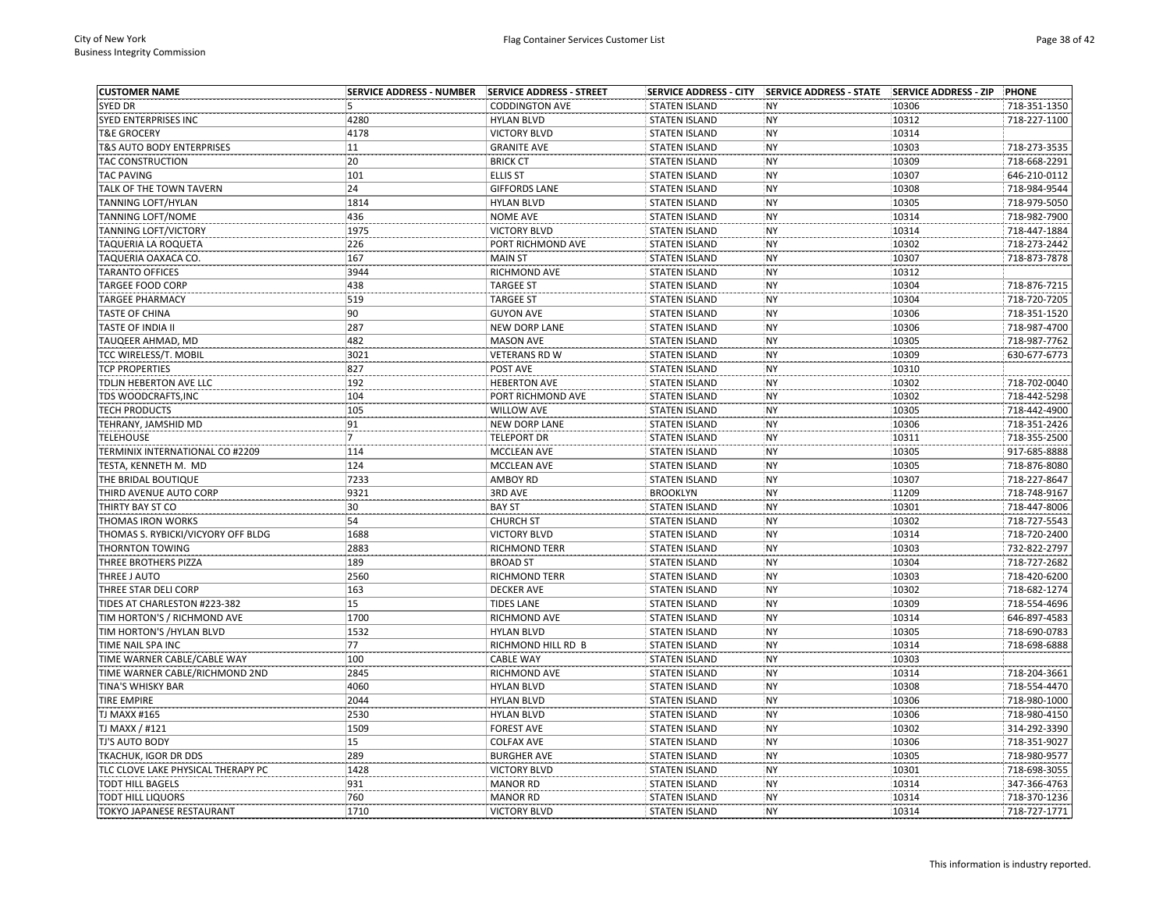| <b>CUSTOMER NAME</b>               | <b>SERVICE ADDRESS - NUMBER</b> | SERVICE ADDRESS - STREET          |                      |           |       | PHONE        |
|------------------------------------|---------------------------------|-----------------------------------|----------------------|-----------|-------|--------------|
| <b>SYED DR</b>                     | 5                               | <b>CODDINGTON AVE</b>             | <b>STATEN ISLAND</b> | <b>NY</b> | 10306 | 718-351-1350 |
| SYED ENTERPRISES INC               | 4280                            | <b>HYLAN BLVD</b>                 | <b>STATEN ISLAND</b> | <b>NY</b> | 10312 | 718-227-1100 |
| <b>T&amp;E GROCERY</b>             | 4178                            | <b>VICTORY BLVD</b>               | <b>STATEN ISLAND</b> | <b>NY</b> | 10314 |              |
| T&S AUTO BODY ENTERPRISES          | 11                              | <b>GRANITE AVE</b>                | <b>STATEN ISLAND</b> | <b>NY</b> | 10303 | 718-273-3535 |
| <b>TAC CONSTRUCTION</b>            | 20                              | <b>BRICK CT</b>                   | <b>STATEN ISLAND</b> | <b>NY</b> | 10309 | 718-668-2291 |
| <b>TAC PAVING</b>                  | 101                             | <b>ELLIS ST</b>                   | <b>STATEN ISLAND</b> | <b>NY</b> | 10307 | 646-210-0112 |
| TALK OF THE TOWN TAVERN            | 24                              | <b>GIFFORDS LANE</b>              | <b>STATEN ISLAND</b> | <b>NY</b> | 10308 | 718-984-9544 |
| TANNING LOFT/HYLAN                 | 1814                            | <b>HYLAN BLVD</b>                 | <b>STATEN ISLAND</b> | <b>NY</b> | 10305 | 718-979-5050 |
| TANNING LOFT/NOME                  | 436                             | <b>NOME AVE</b>                   | <b>STATEN ISLAND</b> | <b>NY</b> | 10314 | 718-982-7900 |
| TANNING LOFT/VICTORY               | 1975                            | <b>VICTORY BLVD</b>               | <b>STATEN ISLAND</b> | <b>NY</b> | 10314 | 718-447-1884 |
| TAQUERIA LA ROQUETA                | 226                             | PORT RICHMOND AVE                 | <b>STATEN ISLAND</b> | <b>NY</b> | 10302 | 718-273-2442 |
| TAQUERIA OAXACA CO.                | 167                             | <b>MAIN ST</b>                    | <b>STATEN ISLAND</b> | <b>NY</b> | 10307 | 718-873-7878 |
| <b>TARANTO OFFICES</b>             | 3944                            | RICHMOND AVE                      | <b>STATEN ISLAND</b> | <b>NY</b> | 10312 |              |
| TARGEE FOOD CORP                   | 438                             | <b>TARGEE ST</b>                  | <b>STATEN ISLAND</b> | <b>NY</b> | 10304 | 718-876-7215 |
| <b>TARGEE PHARMACY</b>             | 519                             | <b>TARGEE ST</b>                  | <b>STATEN ISLAND</b> | <b>NY</b> | 10304 | 718-720-7205 |
| TASTE OF CHINA                     | 90                              | <b>GUYON AVE</b>                  | <b>STATEN ISLAND</b> | <b>NY</b> | 10306 | 718-351-1520 |
| TASTE OF INDIA II                  | 287                             | <b>NEW DORP LANE</b>              | <b>STATEN ISLAND</b> | <b>NY</b> | 10306 | 718-987-4700 |
| TAUQEER AHMAD, MD                  | 482                             | <b>MASON AVE</b>                  | <b>STATEN ISLAND</b> | <b>NY</b> | 10305 | 718-987-7762 |
| TCC WIRELESS/T. MOBIL              | 3021                            | <b>VETERANS RD W</b>              | <b>STATEN ISLAND</b> | <b>NY</b> | 10309 | 630-677-6773 |
| <b>TCP PROPERTIES</b>              | 827                             | POST AVE                          | <b>STATEN ISLAND</b> | <b>NY</b> | 10310 |              |
| TDLJN HEBERTON AVE LLC             | 192                             | <b>HEBERTON AVE</b>               | <b>STATEN ISLAND</b> | <b>NY</b> | 10302 | 718-702-0040 |
| TDS WOODCRAFTS,INC                 | 104                             | PORT RICHMOND AVE                 | <b>STATEN ISLAND</b> | <b>NY</b> | 10302 | 718-442-5298 |
| <b>TECH PRODUCTS</b>               | 105                             | <b>WILLOW AVE</b>                 | <b>STATEN ISLAND</b> | <b>NY</b> | 10305 | 718-442-4900 |
| TEHRANY, JAMSHID MD                | 91                              | <b>NEW DORP LANE</b>              | <b>STATEN ISLAND</b> | <b>NY</b> | 10306 | 718-351-2426 |
| <b>TELEHOUSE</b>                   | 17                              | <b>TELEPORT DR</b>                | <b>STATEN ISLAND</b> | <b>NY</b> | 10311 | 718-355-2500 |
| TERMINIX INTERNATIONAL CO #2209    | 114                             | MCCLEAN AVE                       | <b>STATEN ISLAND</b> | <b>NY</b> | 10305 | 917-685-8888 |
| TESTA, KENNETH M. MD               | 124                             | <b>MCCLEAN AVE</b>                | <b>STATEN ISLAND</b> | <b>NY</b> | 10305 | 718-876-8080 |
| THE BRIDAL BOUTIQUE                | 7233                            | <b>AMBOY RD</b>                   | <b>STATEN ISLAND</b> | <b>NY</b> | 10307 | 718-227-8647 |
| THIRD AVENUE AUTO CORP             | 9321                            | 3RD AVE                           | <b>BROOKLYN</b>      | <b>NY</b> | 11209 | 718-748-9167 |
| THIRTY BAY ST CO                   | 30                              | <b>BAY ST</b>                     | <b>STATEN ISLAND</b> | <b>NY</b> | 10301 | 718-447-8006 |
| THOMAS IRON WORKS                  | 54                              | <b>CHURCH ST</b>                  | <b>STATEN ISLAND</b> | <b>NY</b> | 10302 | 718-727-5543 |
| THOMAS S. RYBICKI/VICYORY OFF BLDG | 1688                            | <b>VICTORY BLVD</b>               | <b>STATEN ISLAND</b> | <b>NY</b> | 10314 | 718-720-2400 |
| THORNTON TOWING                    | 2883                            | <b>RICHMOND TERR</b>              | <b>STATEN ISLAND</b> | <b>NY</b> | 10303 | 732-822-2797 |
| THREE BROTHERS PIZZA               | 189                             | <b>BROAD ST</b>                   | <b>STATEN ISLAND</b> | <b>NY</b> | 10304 | 718-727-2682 |
| THREE J AUTO                       | 2560                            | <b>RICHMOND TERR</b>              | <b>STATEN ISLAND</b> | <b>NY</b> | 10303 | 718-420-6200 |
| THREE STAR DELI CORP               | 163                             | <b>DECKER AVE</b>                 | <b>STATEN ISLAND</b> | <b>NY</b> | 10302 | 718-682-1274 |
| TIDES AT CHARLESTON #223-382       | 15                              |                                   |                      | <b>NY</b> | 10309 | 718-554-4696 |
|                                    | 1700                            | <b>TIDES LANE</b><br>RICHMOND AVE | <b>STATEN ISLAND</b> | <b>NY</b> | 10314 | 646-897-4583 |
| TIM HORTON'S / RICHMOND AVE        | 1532                            |                                   | <b>STATEN ISLAND</b> | <b>NY</b> | 10305 | 718-690-0783 |
| TIM HORTON'S /HYLAN BLVD           |                                 | <b>HYLAN BLVD</b>                 | <b>STATEN ISLAND</b> |           |       |              |
| TIME NAIL SPA INC                  | 77                              | RICHMOND HILL RD B                | <b>STATEN ISLAND</b> | <b>NY</b> | 10314 | 718-698-6888 |
| TIME WARNER CABLE/CABLE WAY        | 100                             | <b>CABLE WAY</b>                  | <b>STATEN ISLAND</b> | <b>NY</b> | 10303 |              |
| TIME WARNER CABLE/RICHMOND 2ND     | 2845                            | RICHMOND AVE                      | <b>STATEN ISLAND</b> | <b>NY</b> | 10314 | 718-204-3661 |
| TINA'S WHISKY BAR                  | 4060                            | <b>HYLAN BLVD</b>                 | <b>STATEN ISLAND</b> | <b>NY</b> | 10308 | 718-554-4470 |
| TIRE EMPIRE                        | 2044                            | <b>HYLAN BLVD</b>                 | <b>STATEN ISLAND</b> | <b>NY</b> | 10306 | 718-980-1000 |
| TJ MAXX #165                       | 2530                            | <b>HYLAN BLVD</b>                 | <b>STATEN ISLAND</b> | <b>NY</b> | 10306 | 718-980-4150 |
| TJ MAXX / #121                     | 1509                            | <b>FOREST AVE</b>                 | <b>STATEN ISLAND</b> | <b>NY</b> | 10302 | 314-292-3390 |
| TJ'S AUTO BODY                     | 15                              | <b>COLFAX AVE</b>                 | <b>STATEN ISLAND</b> | <b>NY</b> | 10306 | 718-351-9027 |
| TKACHUK, IGOR DR DDS               | 289                             | <b>BURGHER AVE</b>                | <b>STATEN ISLAND</b> | <b>NY</b> | 10305 | 718-980-9577 |
| TLC CLOVE LAKE PHYSICAL THERAPY PC | 1428                            | <b>VICTORY BLVD</b>               | <b>STATEN ISLAND</b> | <b>NY</b> | 10301 | 718-698-3055 |
| TODT HILL BAGELS                   | 931                             | <b>MANOR RD</b>                   | <b>STATEN ISLAND</b> | <b>NY</b> | 10314 | 347-366-4763 |
| <b>TODT HILL LIQUORS</b>           | 760                             | <b>MANOR RD</b>                   | <b>STATEN ISLAND</b> | <b>NY</b> | 10314 | 718-370-1236 |
| <b>TOKYO JAPANESE RESTAURANT</b>   | 1710                            | <b>VICTORY BLVD</b>               | <b>STATEN ISLAND</b> | <b>NY</b> | 10314 | 718-727-1771 |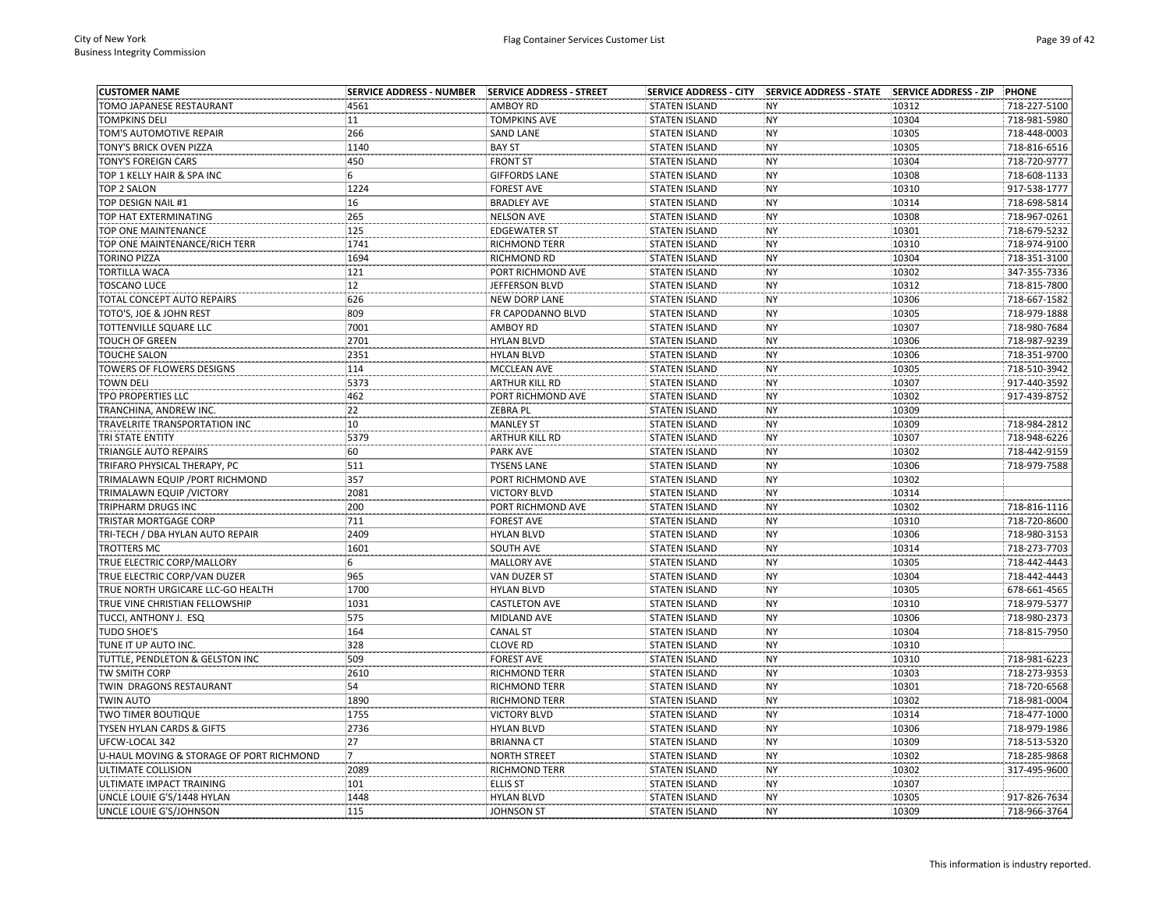| <b>CUSTOMER NAME</b>                     | <b>SERVICE ADDRESS - NUMBER</b> | SERVICE ADDRESS - STREET | <b>SERVICE ADDRESS - CITY</b> | SERVICE ADDRESS - STATE SERVICE ADDRESS - ZIP |       | PHONE        |
|------------------------------------------|---------------------------------|--------------------------|-------------------------------|-----------------------------------------------|-------|--------------|
| TOMO JAPANESE RESTAURANT                 | 4561                            | <b>AMBOY RD</b>          | <b>STATEN ISLAND</b>          | <b>NY</b>                                     | 10312 | 718-227-5100 |
| <b>TOMPKINS DELI</b>                     | 11                              | <b>TOMPKINS AVE</b>      | <b>STATEN ISLAND</b>          | <b>NY</b>                                     | 10304 | 718-981-5980 |
| TOM'S AUTOMOTIVE REPAIR                  | 266                             | <b>SAND LANE</b>         | <b>STATEN ISLAND</b>          | <b>NY</b>                                     | 10305 | 718-448-0003 |
| TONY'S BRICK OVEN PIZZA                  | 1140                            | <b>BAY ST</b>            | <b>STATEN ISLAND</b>          | <b>NY</b>                                     | 10305 | 718-816-6516 |
| TONY'S FOREIGN CARS                      | 450                             | <b>FRONT ST</b>          | <b>STATEN ISLAND</b>          | NY                                            | 10304 | 718-720-9777 |
| TOP 1 KELLY HAIR & SPA INC               | 6                               | <b>GIFFORDS LANE</b>     | <b>STATEN ISLAND</b>          | <b>NY</b>                                     | 10308 | 718-608-1133 |
| <b>TOP 2 SALON</b>                       | 1224                            | <b>FOREST AVE</b>        | <b>STATEN ISLAND</b>          | <b>NY</b>                                     | 10310 | 917-538-1777 |
| TOP DESIGN NAIL #1                       | 16                              | <b>BRADLEY AVE</b>       | <b>STATEN ISLAND</b>          | NY                                            | 10314 | 718-698-5814 |
| TOP HAT EXTERMINATING                    | 265                             | <b>NELSON AVE</b>        | <b>STATEN ISLAND</b>          | NY                                            | 10308 | 718-967-0261 |
| TOP ONE MAINTENANCE                      | 125                             | <b>EDGEWATER ST</b>      | <b>STATEN ISLAND</b>          | <b>NY</b>                                     | 10301 | 718-679-5232 |
| TOP ONE MAINTENANCE/RICH TERR            | 1741                            | <b>RICHMOND TERR</b>     | <b>STATEN ISLAND</b>          | <b>NY</b>                                     | 10310 | 718-974-9100 |
| <b>TORINO PIZZA</b>                      | 1694                            | <b>RICHMOND RD</b>       | <b>STATEN ISLAND</b>          | <b>NY</b>                                     | 10304 | 718-351-3100 |
| <b>TORTILLA WACA</b>                     | 121                             | PORT RICHMOND AVE        | <b>STATEN ISLAND</b>          | NY                                            | 10302 | 347-355-7336 |
| <b>TOSCANO LUCE</b>                      | 12                              | JEFFERSON BLVD           | <b>STATEN ISLAND</b>          | NY                                            | 10312 | 718-815-7800 |
| TOTAL CONCEPT AUTO REPAIRS               | 626                             | <b>NEW DORP LANE</b>     | <b>STATEN ISLAND</b>          | <b>NY</b>                                     | 10306 | 718-667-1582 |
| TOTO'S, JOE & JOHN REST                  | 809                             | FR CAPODANNO BLVD        | <b>STATEN ISLAND</b>          | <b>NY</b>                                     | 10305 | 718-979-1888 |
| TOTTENVILLE SQUARE LLC                   | 7001                            | AMBOY RD                 | <b>STATEN ISLAND</b>          | <b>NY</b>                                     | 10307 | 718-980-7684 |
| <b>TOUCH OF GREEN</b>                    | 2701                            | <b>HYLAN BLVD</b>        | <b>STATEN ISLAND</b>          | <b>NY</b>                                     | 10306 | 718-987-9239 |
| <b>TOUCHE SALON</b>                      | 2351                            | <b>HYLAN BLVD</b>        | <b>STATEN ISLAND</b>          | <b>NY</b>                                     | 10306 | 718-351-9700 |
| TOWERS OF FLOWERS DESIGNS                | 114                             | MCCLEAN AVE              | <b>STATEN ISLAND</b>          | <b>NY</b>                                     | 10305 | 718-510-3942 |
| <b>TOWN DELI</b>                         | 5373                            | <b>ARTHUR KILL RD</b>    | <b>STATEN ISLAND</b>          | <b>NY</b>                                     | 10307 | 917-440-3592 |
| TPO PROPERTIES LLC                       | 462                             | PORT RICHMOND AVE        | <b>STATEN ISLAND</b>          | <b>NY</b>                                     | 10302 | 917-439-8752 |
| TRANCHINA, ANDREW INC.                   | 22                              | ZEBRA PL                 | <b>STATEN ISLAND</b>          | <b>NY</b>                                     | 10309 |              |
|                                          | 10                              | <b>MANLEY ST</b>         | <b>STATEN ISLAND</b>          | <b>NY</b>                                     | 10309 | 718-984-2812 |
| TRAVELRITE TRANSPORTATION INC            |                                 |                          |                               | <b>NY</b>                                     |       |              |
| TRI STATE ENTITY                         | 5379                            | <b>ARTHUR KILL RD</b>    | <b>STATEN ISLAND</b>          |                                               | 10307 | 718-948-6226 |
| TRIANGLE AUTO REPAIRS                    | 60                              | PARK AVE                 | <b>STATEN ISLAND</b>          | <b>NY</b>                                     | 10302 | 718-442-9159 |
| TRIFARO PHYSICAL THERAPY, PC             | 511                             | <b>TYSENS LANE</b>       | <b>STATEN ISLAND</b>          | <b>NY</b>                                     | 10306 | 718-979-7588 |
| TRIMALAWN EQUIP / PORT RICHMOND          | 357                             | PORT RICHMOND AVE        | <b>STATEN ISLAND</b>          | <b>NY</b>                                     | 10302 |              |
| TRIMALAWN EQUIP / VICTORY                | 2081                            | <b>VICTORY BLVD</b>      | <b>STATEN ISLAND</b>          | <b>NY</b>                                     | 10314 |              |
| TRIPHARM DRUGS INC                       | 200                             | PORT RICHMOND AVE        | <b>STATEN ISLAND</b>          | NY                                            | 10302 | 718-816-1116 |
| TRISTAR MORTGAGE CORP                    | 711                             | <b>FOREST AVE</b>        | <b>STATEN ISLAND</b>          | NY                                            | 10310 | 718-720-8600 |
| TRI-TECH / DBA HYLAN AUTO REPAIR         | 2409                            | <b>HYLAN BLVD</b>        | <b>STATEN ISLAND</b>          | <b>NY</b>                                     | 10306 | 718-980-3153 |
| TROTTERS MC                              | 1601                            | SOUTH AVE                | <b>STATEN ISLAND</b>          | NY                                            | 10314 | 718-273-7703 |
| TRUE ELECTRIC CORP/MALLORY               | 6                               | <b>MALLORY AVE</b>       | <b>STATEN ISLAND</b>          | <b>NY</b>                                     | 10305 | 718-442-4443 |
| TRUE ELECTRIC CORP/VAN DUZER             | 965                             | VAN DUZER ST             | <b>STATEN ISLAND</b>          | <b>NY</b>                                     | 10304 | 718-442-4443 |
| TRUE NORTH URGICARE LLC-GO HEALTH        | 1700                            | <b>HYLAN BLVD</b>        | <b>STATEN ISLAND</b>          | <b>NY</b>                                     | 10305 | 678-661-4565 |
| TRUE VINE CHRISTIAN FELLOWSHIP           | 1031                            | <b>CASTLETON AVE</b>     | <b>STATEN ISLAND</b>          | NY                                            | 10310 | 718-979-5377 |
| TUCCI, ANTHONY J. ESQ                    | 575                             | MIDLAND AVE              | <b>STATEN ISLAND</b>          | <b>NY</b>                                     | 10306 | 718-980-2373 |
| <b>TUDO SHOE'S</b>                       | 164                             | <b>CANAL ST</b>          | <b>STATEN ISLAND</b>          | <b>NY</b>                                     | 10304 | 718-815-7950 |
| TUNE IT UP AUTO INC.                     | 328                             | <b>CLOVE RD</b>          | <b>STATEN ISLAND</b>          | <b>NY</b>                                     | 10310 |              |
| TUTTLE, PENDLETON & GELSTON INC          | 509                             | <b>FOREST AVE</b>        | <b>STATEN ISLAND</b>          | <b>NY</b>                                     | 10310 | 718-981-6223 |
| TW SMITH CORP                            | 2610                            | RICHMOND TERR            | <b>STATEN ISLAND</b>          | <b>NY</b>                                     | 10303 | 718-273-9353 |
| TWIN DRAGONS RESTAURANT                  | 54                              | RICHMOND TERR            | <b>STATEN ISLAND</b>          | <b>NY</b>                                     | 10301 | 718-720-6568 |
| TWIN AUTO                                | 1890                            | <b>RICHMOND TERR</b>     | <b>STATEN ISLAND</b>          | <b>NY</b>                                     | 10302 | 718-981-0004 |
| TWO TIMER BOUTIQUE                       | 1755                            | <b>VICTORY BLVD</b>      | <b>STATEN ISLAND</b>          | <b>NY</b>                                     | 10314 | 718-477-1000 |
| TYSEN HYLAN CARDS & GIFTS                | 2736                            | <b>HYLAN BLVD</b>        | <b>STATEN ISLAND</b>          | <b>NY</b>                                     | 10306 | 718-979-1986 |
| UFCW-LOCAL 342                           | 27                              | <b>BRIANNA CT</b>        | <b>STATEN ISLAND</b>          | <b>NY</b>                                     | 10309 | 718-513-5320 |
| U-HAUL MOVING & STORAGE OF PORT RICHMOND | 7                               | <b>NORTH STREET</b>      | <b>STATEN ISLAND</b>          | <b>NY</b>                                     | 10302 | 718-285-9868 |
| ULTIMATE COLLISION                       | 2089                            | <b>RICHMOND TERR</b>     | <b>STATEN ISLAND</b>          | NY                                            | 10302 | 317-495-9600 |
| ULTIMATE IMPACT TRAINING                 | 101                             | <b>ELLIS ST</b>          | <b>STATEN ISLAND</b>          | <b>NY</b>                                     | 10307 |              |
| UNCLE LOUIE G'S/1448 HYLAN               | 1448                            | <b>HYLAN BLVD</b>        | <b>STATEN ISLAND</b>          | <b>NY</b>                                     | 10305 | 917-826-7634 |
| UNCLE LOUIE G'S/JOHNSON                  | 115                             | <b>JOHNSON ST</b>        | <b>STATEN ISLAND</b>          | <b>NY</b>                                     | 10309 | 718-966-3764 |
|                                          |                                 |                          |                               |                                               |       |              |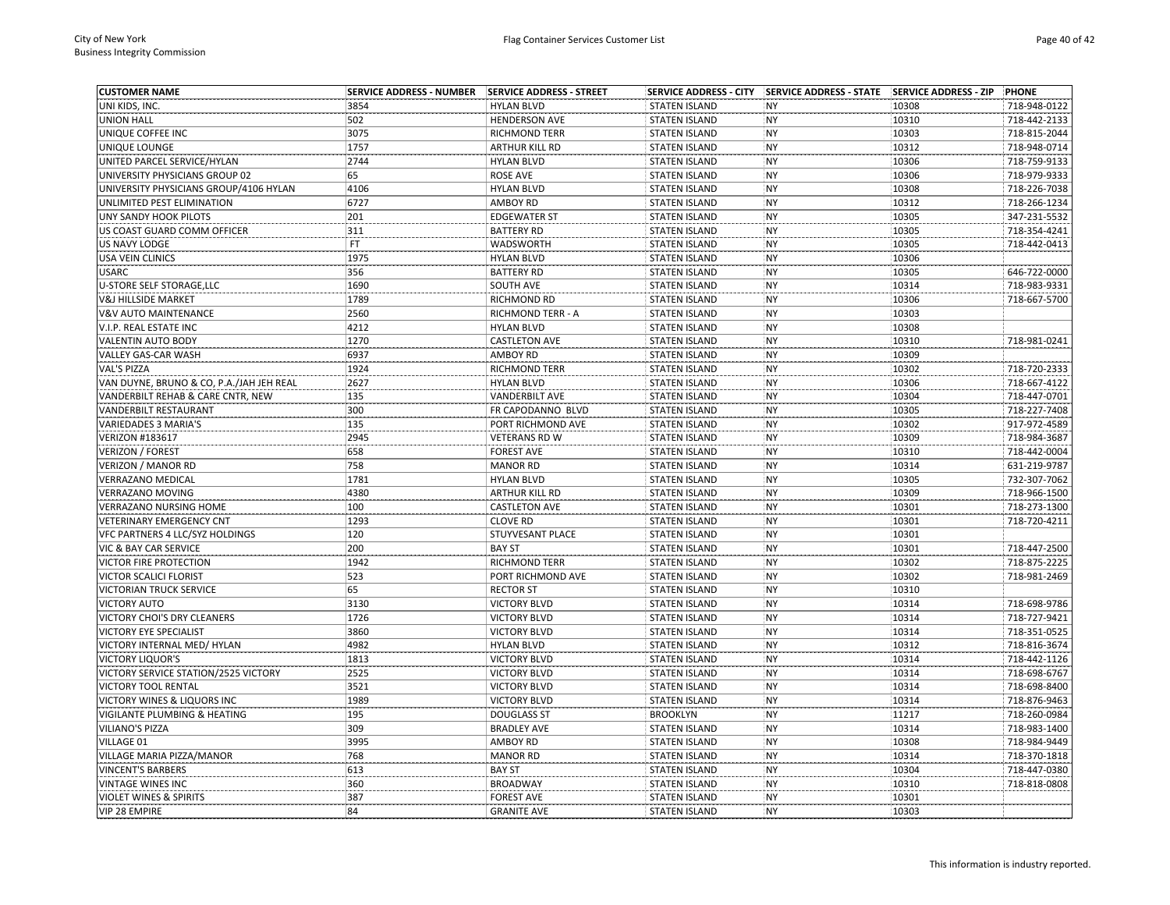| <b>CUSTOMER NAME</b>                     |      |                       |                      |           |       | PHONE        |
|------------------------------------------|------|-----------------------|----------------------|-----------|-------|--------------|
| UNI KIDS, INC.                           | 3854 | <b>HYLAN BLVD</b>     | <b>STATEN ISLAND</b> | <b>NY</b> | 10308 | 718-948-0122 |
| <b>UNION HALL</b>                        | 502  | <b>HENDERSON AVE</b>  | <b>STATEN ISLAND</b> | NY        | 10310 | 718-442-2133 |
| UNIQUE COFFEE INC                        | 3075 | <b>RICHMOND TERR</b>  | <b>STATEN ISLAND</b> | NY        | 10303 | 718-815-2044 |
| UNIQUE LOUNGE                            | 1757 | ARTHUR KILL RD        | <b>STATEN ISLAND</b> | NY        | 10312 | 718-948-0714 |
| UNITED PARCEL SERVICE/HYLAN              | 2744 | <b>HYLAN BLVD</b>     | <b>STATEN ISLAND</b> | NY        | 10306 | 718-759-9133 |
| UNIVERSITY PHYSICIANS GROUP 02           | 65   | <b>ROSE AVE</b>       | <b>STATEN ISLAND</b> | NY        | 10306 | 718-979-9333 |
| UNIVERSITY PHYSICIANS GROUP/4106 HYLAN   | 4106 | <b>HYLAN BLVD</b>     | <b>STATEN ISLAND</b> | NY        | 10308 | 718-226-7038 |
| UNLIMITED PEST ELIMINATION               | 6727 | <b>AMBOY RD</b>       | <b>STATEN ISLAND</b> | <b>NY</b> | 10312 | 718-266-1234 |
| <b>UNY SANDY HOOK PILOTS</b>             | 201  | <b>EDGEWATER ST</b>   | <b>STATEN ISLAND</b> | <b>NY</b> | 10305 | 347-231-5532 |
| US COAST GUARD COMM OFFICER              | 311  | <b>BATTERY RD</b>     | <b>STATEN ISLAND</b> | NY        | 10305 | 718-354-4241 |
| US NAVY LODGE                            | FT   | WADSWORTH             | <b>STATEN ISLAND</b> | <b>NY</b> | 10305 | 718-442-0413 |
| <b>USA VEIN CLINICS</b>                  | 1975 | <b>HYLAN BLVD</b>     | <b>STATEN ISLAND</b> | <b>NY</b> | 10306 |              |
| <b>USARC</b>                             | 356  | <b>BATTERY RD</b>     | <b>STATEN ISLAND</b> | NY        | 10305 | 646-722-0000 |
| U-STORE SELF STORAGE, LLC                | 1690 | SOUTH AVE             | <b>STATEN ISLAND</b> | NY        | 10314 | 718-983-9331 |
| <b>V&amp;J HILLSIDE MARKET</b>           | 1789 | RICHMOND RD           | <b>STATEN ISLAND</b> | <b>NY</b> | 10306 | 718-667-5700 |
| <b>V&amp;V AUTO MAINTENANCE</b>          | 2560 | RICHMOND TERR - A     | <b>STATEN ISLAND</b> | NY        | 10303 |              |
| V.I.P. REAL ESTATE INC                   | 4212 | <b>HYLAN BLVD</b>     | <b>STATEN ISLAND</b> | NY        | 10308 |              |
| <b>VALENTIN AUTO BODY</b>                | 1270 | <b>CASTLETON AVE</b>  | <b>STATEN ISLAND</b> | NY        | 10310 | 718-981-0241 |
| VALLEY GAS-CAR WASH                      | 6937 | <b>AMBOY RD</b>       | <b>STATEN ISLAND</b> | NY        | 10309 |              |
| VAL'S PIZZA                              | 1924 | RICHMOND TERR         | <b>STATEN ISLAND</b> | <b>NY</b> | 10302 | 718-720-2333 |
| VAN DUYNE, BRUNO & CO, P.A./JAH JEH REAL | 2627 | <b>HYLAN BLVD</b>     | <b>STATEN ISLAND</b> | NY        | 10306 | 718-667-4122 |
| VANDERBILT REHAB & CARE CNTR, NEW        | 135  | <b>VANDERBILT AVE</b> | <b>STATEN ISLAND</b> | NY        | 10304 | 718-447-0701 |
| VANDERBILT RESTAURANT                    | 300  | FR CAPODANNO BLVD     | <b>STATEN ISLAND</b> | NY        | 10305 | 718-227-7408 |
| <b>VARIEDADES 3 MARIA'S</b>              | 135  | PORT RICHMOND AVE     | <b>STATEN ISLAND</b> | <b>NY</b> | 10302 | 917-972-4589 |
| <b>VERIZON #183617</b>                   | 2945 | <b>VETERANS RD W</b>  | <b>STATEN ISLAND</b> | NY        | 10309 | 718-984-3687 |
| <b>VERIZON / FOREST</b>                  | 658  | <b>FOREST AVE</b>     | <b>STATEN ISLAND</b> | NY        | 10310 | 718-442-0004 |
|                                          | 758  |                       |                      | NY        | 10314 |              |
| <b>VERIZON / MANOR RD</b>                |      | <b>MANOR RD</b>       | <b>STATEN ISLAND</b> | NY        |       | 631-219-9787 |
| VERRAZANO MEDICAL                        | 1781 | <b>HYLAN BLVD</b>     | <b>STATEN ISLAND</b> |           | 10305 | 732-307-7062 |
| <b>VERRAZANO MOVING</b>                  | 4380 | ARTHUR KILL RD        | <b>STATEN ISLAND</b> | <b>NY</b> | 10309 | 718-966-1500 |
| <b>VERRAZANO NURSING HOME</b>            | 100  | <b>CASTLETON AVE</b>  | <b>STATEN ISLAND</b> | NY        | 10301 | 718-273-1300 |
| VETERINARY EMERGENCY CNT                 | 1293 | <b>CLOVE RD</b>       | <b>STATEN ISLAND</b> | <b>NY</b> | 10301 | 718-720-4211 |
| VFC PARTNERS 4 LLC/SYZ HOLDINGS          | 120  | STUYVESANT PLACE      | <b>STATEN ISLAND</b> | NY        | 10301 |              |
| VIC & BAY CAR SERVICE                    | 200  | <b>BAY ST</b>         | <b>STATEN ISLAND</b> | NY        | 10301 | 718-447-2500 |
| VICTOR FIRE PROTECTION                   | 1942 | RICHMOND TERR         | <b>STATEN ISLAND</b> | NY        | 10302 | 718-875-2225 |
| VICTOR SCALICI FLORIST                   | 523  | PORT RICHMOND AVE     | <b>STATEN ISLAND</b> | NY        | 10302 | 718-981-2469 |
| <b>VICTORIAN TRUCK SERVICE</b>           | 65   | <b>RECTOR ST</b>      | <b>STATEN ISLAND</b> | NY        | 10310 |              |
| <b>VICTORY AUTO</b>                      | 3130 | <b>VICTORY BLVD</b>   | <b>STATEN ISLAND</b> | <b>NY</b> | 10314 | 718-698-9786 |
| VICTORY CHOI'S DRY CLEANERS              | 1726 | <b>VICTORY BLVD</b>   | <b>STATEN ISLAND</b> | <b>NY</b> | 10314 | 718-727-9421 |
| VICTORY EYE SPECIALIST                   | 3860 | <b>VICTORY BLVD</b>   | <b>STATEN ISLAND</b> | NY        | 10314 | 718-351-0525 |
| VICTORY INTERNAL MED/ HYLAN              | 4982 | <b>HYLAN BLVD</b>     | <b>STATEN ISLAND</b> | NY        | 10312 | 718-816-3674 |
| <b>VICTORY LIQUOR'S</b>                  | 1813 | <b>VICTORY BLVD</b>   | <b>STATEN ISLAND</b> | NY        | 10314 | 718-442-1126 |
| VICTORY SERVICE STATION/2525 VICTORY     | 2525 | <b>VICTORY BLVD</b>   | <b>STATEN ISLAND</b> | NY        | 10314 | 718-698-6767 |
| VICTORY TOOL RENTAL                      | 3521 | <b>VICTORY BLVD</b>   | <b>STATEN ISLAND</b> | NY        | 10314 | 718-698-8400 |
| VICTORY WINES & LIQUORS INC              | 1989 | <b>VICTORY BLVD</b>   | <b>STATEN ISLAND</b> | NY        | 10314 | 718-876-9463 |
| VIGILANTE PLUMBING & HEATING             | 195  | <b>DOUGLASS ST</b>    | <b>BROOKLYN</b>      | NY        | 11217 | 718-260-0984 |
| <b>VILIANO'S PIZZA</b>                   | 309  | <b>BRADLEY AVE</b>    | <b>STATEN ISLAND</b> | NY        | 10314 | 718-983-1400 |
| VILLAGE 01                               | 3995 | AMBOY RD              | <b>STATEN ISLAND</b> | <b>NY</b> | 10308 | 718-984-9449 |
| VILLAGE MARIA PIZZA/MANOR                | 768  | <b>MANOR RD</b>       | <b>STATEN ISLAND</b> | NY        | 10314 | 718-370-1818 |
| <b>VINCENT'S BARBERS</b>                 | 613  | <b>BAY ST</b>         | <b>STATEN ISLAND</b> | NY        | 10304 | 718-447-0380 |
| <b>VINTAGE WINES INC</b>                 | 360  | <b>BROADWAY</b>       | <b>STATEN ISLAND</b> | NY        | 10310 | 718-818-0808 |
| <b>VIOLET WINES &amp; SPIRITS</b>        | 387  | <b>FOREST AVE</b>     | <b>STATEN ISLAND</b> | NY        | 10301 |              |
| <b>VIP 28 EMPIRE</b>                     | 84   | <b>GRANITE AVE</b>    | <b>STATEN ISLAND</b> | <b>NY</b> | 10303 |              |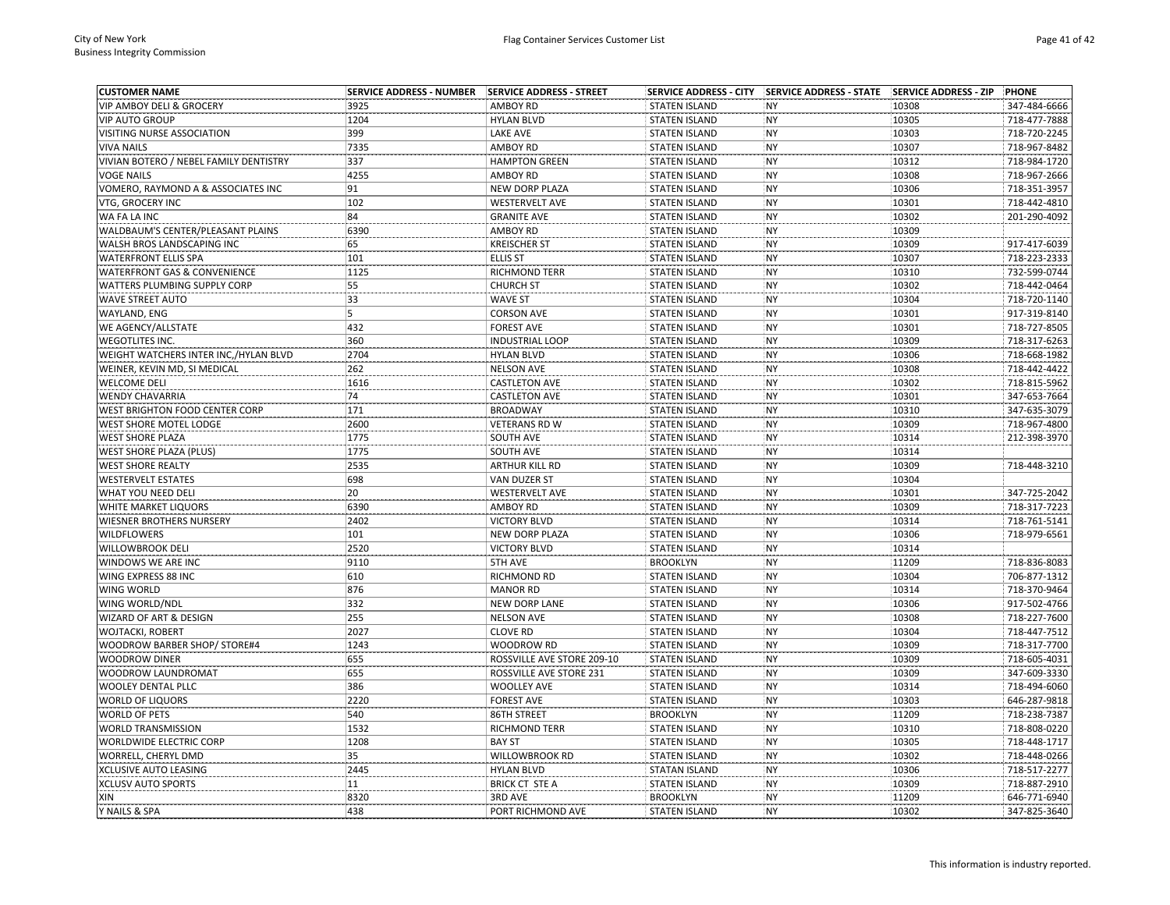| <b>CUSTOMER NAME</b>                    | <b>SERVICE ADDRESS - NUMBER</b> | SERVICE ADDRESS - STREET   |                      | SERVICE ADDRESS - CITY SERVICE ADDRESS - STATE SERVICE ADDRESS - ZIP |       | PHONE        |
|-----------------------------------------|---------------------------------|----------------------------|----------------------|----------------------------------------------------------------------|-------|--------------|
| <b>VIP AMBOY DELI &amp; GROCERY</b>     | 3925                            | <b>AMBOY RD</b>            | <b>STATEN ISLAND</b> | <b>NY</b>                                                            | 10308 | 347-484-6666 |
| <b>VIP AUTO GROUP</b>                   | 1204                            | <b>HYLAN BLVD</b>          | <b>STATEN ISLAND</b> | <b>NY</b>                                                            | 10305 | 718-477-7888 |
| VISITING NURSE ASSOCIATION              | 399                             | LAKE AVE                   | <b>STATEN ISLAND</b> | <b>NY</b>                                                            | 10303 | 718-720-2245 |
| <b>VIVA NAILS</b>                       | 7335                            | <b>AMBOY RD</b>            | <b>STATEN ISLAND</b> | <b>NY</b>                                                            | 10307 | 718-967-8482 |
| VIVIAN BOTERO / NEBEL FAMILY DENTISTRY  | 337                             | <b>HAMPTON GREEN</b>       | <b>STATEN ISLAND</b> | <b>NY</b>                                                            | 10312 | 718-984-1720 |
| <b>VOGE NAILS</b>                       | 4255                            | <b>AMBOY RD</b>            | <b>STATEN ISLAND</b> | <b>NY</b>                                                            | 10308 | 718-967-2666 |
| VOMERO, RAYMOND A & ASSOCIATES INC      | 91                              | NEW DORP PLAZA             | <b>STATEN ISLAND</b> | <b>NY</b>                                                            | 10306 | 718-351-3957 |
| VTG, GROCERY INC                        | 102                             | <b>WESTERVELT AVE</b>      | <b>STATEN ISLAND</b> | <b>NY</b>                                                            | 10301 | 718-442-4810 |
| WA FA LA INC                            | 84                              | <b>GRANITE AVE</b>         | <b>STATEN ISLAND</b> | <b>NY</b>                                                            | 10302 | 201-290-4092 |
| WALDBAUM'S CENTER/PLEASANT PLAINS       | 6390                            | AMBOY RD                   | <b>STATEN ISLAND</b> | <b>NY</b>                                                            | 10309 |              |
| WALSH BROS LANDSCAPING INC              | 65                              | <b>KREISCHER ST</b>        | <b>STATEN ISLAND</b> | <b>NY</b>                                                            | 10309 | 917-417-6039 |
| <b>WATERFRONT ELLIS SPA</b>             | 101                             | <b>ELLIS ST</b>            | <b>STATEN ISLAND</b> | <b>NY</b>                                                            | 10307 | 718-223-2333 |
| <b>WATERFRONT GAS &amp; CONVENIENCE</b> | 1125                            | RICHMOND TERR              | <b>STATEN ISLAND</b> | <b>NY</b>                                                            | 10310 | 732-599-0744 |
| WATTERS PLUMBING SUPPLY CORP            | 55                              | <b>CHURCH ST</b>           | <b>STATEN ISLAND</b> | NY                                                                   | 10302 | 718-442-0464 |
| <b>WAVE STREET AUTO</b>                 | 33                              | <b>WAVE ST</b>             | <b>STATEN ISLAND</b> | <b>NY</b>                                                            | 10304 | 718-720-1140 |
| WAYLAND, ENG                            | 5                               | <b>CORSON AVE</b>          | <b>STATEN ISLAND</b> | <b>NY</b>                                                            | 10301 | 917-319-8140 |
| WE AGENCY/ALLSTATE                      | 432                             | <b>FOREST AVE</b>          | <b>STATEN ISLAND</b> | <b>NY</b>                                                            | 10301 | 718-727-8505 |
| <b>WEGOTLITES INC.</b>                  | 360                             | <b>INDUSTRIAL LOOP</b>     | <b>STATEN ISLAND</b> | <b>NY</b>                                                            | 10309 | 718-317-6263 |
| WEIGHT WATCHERS INTER INC,/HYLAN BLVD   | 2704                            | <b>HYLAN BLVD</b>          | <b>STATEN ISLAND</b> | <b>NY</b>                                                            | 10306 | 718-668-1982 |
| WEINER, KEVIN MD, SI MEDICAL            | 262                             | <b>NELSON AVE</b>          | <b>STATEN ISLAND</b> | <b>NY</b>                                                            | 10308 | 718-442-4422 |
| WELCOME DELI                            | 1616                            | <b>CASTLETON AVE</b>       | <b>STATEN ISLAND</b> | <b>NY</b>                                                            | 10302 | 718-815-5962 |
| <b>WENDY CHAVARRIA</b>                  | 74                              | <b>CASTLETON AVE</b>       | <b>STATEN ISLAND</b> | <b>NY</b>                                                            | 10301 | 347-653-7664 |
| WEST BRIGHTON FOOD CENTER CORP          | 171                             | <b>BROADWAY</b>            | <b>STATEN ISLAND</b> | <b>NY</b>                                                            | 10310 | 347-635-3079 |
| WEST SHORE MOTEL LODGE                  | 2600                            | <b>VETERANS RD W</b>       | <b>STATEN ISLAND</b> | <b>NY</b>                                                            | 10309 | 718-967-4800 |
| <b>WEST SHORE PLAZA</b>                 | 1775                            | SOUTH AVE                  | <b>STATEN ISLAND</b> | <b>NY</b>                                                            | 10314 | 212-398-3970 |
| WEST SHORE PLAZA (PLUS)                 | 1775                            | SOUTH AVE                  | <b>STATEN ISLAND</b> | <b>NY</b>                                                            | 10314 |              |
| WEST SHORE REALTY                       | 2535                            | ARTHUR KILL RD             | <b>STATEN ISLAND</b> | NY                                                                   | 10309 | 718-448-3210 |
| <b>WESTERVELT ESTATES</b>               | 698                             | VAN DUZER ST               | <b>STATEN ISLAND</b> | <b>NY</b>                                                            | 10304 |              |
| WHAT YOU NEED DELI                      | 20                              | <b>WESTERVELT AVE</b>      | <b>STATEN ISLAND</b> | <b>NY</b>                                                            | 10301 | 347-725-2042 |
| <b>WHITE MARKET LIQUORS</b>             | 6390                            | AMBOY RD                   | <b>STATEN ISLAND</b> | <b>NY</b>                                                            | 10309 | 718-317-7223 |
| <b>WIESNER BROTHERS NURSERY</b>         | 2402                            | <b>VICTORY BLVD</b>        | <b>STATEN ISLAND</b> | <b>NY</b>                                                            | 10314 | 718-761-5141 |
| <b>WILDFLOWERS</b>                      | 101                             | <b>NEW DORP PLAZA</b>      | <b>STATEN ISLAND</b> | <b>NY</b>                                                            | 10306 | 718-979-6561 |
| WILLOWBROOK DELI                        | 2520                            | <b>VICTORY BLVD</b>        | <b>STATEN ISLAND</b> | <b>NY</b>                                                            | 10314 |              |
| WINDOWS WE ARE INC                      | 9110                            | 5TH AVE                    | <b>BROOKLYN</b>      | <b>NY</b>                                                            | 11209 | 718-836-8083 |
| WING EXPRESS 88 INC                     | 610                             | RICHMOND RD                | <b>STATEN ISLAND</b> | <b>NY</b>                                                            | 10304 | 706-877-1312 |
| WING WORLD                              | 876                             | <b>MANOR RD</b>            | <b>STATEN ISLAND</b> | <b>NY</b>                                                            | 10314 | 718-370-9464 |
| WING WORLD/NDL                          | 332                             | <b>NEW DORP LANE</b>       | <b>STATEN ISLAND</b> | <b>NY</b>                                                            | 10306 | 917-502-4766 |
| WIZARD OF ART & DESIGN                  | 255                             | <b>NELSON AVE</b>          | <b>STATEN ISLAND</b> | <b>NY</b>                                                            | 10308 | 718-227-7600 |
| WOJTACKI, ROBERT                        | 2027                            | <b>CLOVE RD</b>            | <b>STATEN ISLAND</b> | <b>NY</b>                                                            | 10304 | 718-447-7512 |
| WOODROW BARBER SHOP/ STORE#4            | 1243                            | <b>WOODROW RD</b>          | <b>STATEN ISLAND</b> | <b>NY</b>                                                            | 10309 | 718-317-7700 |
| <b>WOODROW DINER</b>                    | 655                             | ROSSVILLE AVE STORE 209-10 | <b>STATEN ISLAND</b> | <b>NY</b>                                                            | 10309 | 718-605-4031 |
| WOODROW LAUNDROMAT                      | 655                             | ROSSVILLE AVE STORE 231    | <b>STATEN ISLAND</b> | <b>NY</b>                                                            | 10309 | 347-609-3330 |
| <b>WOOLEY DENTAL PLLC</b>               | 386                             | <b>WOOLLEY AVE</b>         | <b>STATEN ISLAND</b> | <b>NY</b>                                                            | 10314 | 718-494-6060 |
| <b>WORLD OF LIQUORS</b>                 | 2220                            | <b>FOREST AVE</b>          | <b>STATEN ISLAND</b> | NY                                                                   | 10303 | 646-287-9818 |
| <b>WORLD OF PETS</b>                    | 540                             | 86TH STREET                | <b>BROOKLYN</b>      | <b>NY</b>                                                            | 11209 | 718-238-7387 |
| <b>WORLD TRANSMISSION</b>               | 1532                            | RICHMOND TERR              | <b>STATEN ISLAND</b> | <b>NY</b>                                                            | 10310 | 718-808-0220 |
| WORLDWIDE ELECTRIC CORP                 | 1208                            | <b>BAY ST</b>              | <b>STATEN ISLAND</b> | <b>NY</b>                                                            | 10305 | 718-448-1717 |
| WORRELL, CHERYL DMD                     | 35                              | WILLOWBROOK RD             | <b>STATEN ISLAND</b> | <b>NY</b>                                                            | 10302 | 718-448-0266 |
| XCLUSIVE AUTO LEASING                   | 2445                            | <b>HYLAN BLVD</b>          | <b>STATAN ISLAND</b> | <b>NY</b>                                                            | 10306 | 718-517-2277 |
| <b>XCLUSV AUTO SPORTS</b>               | 11                              | <b>BRICK CT STE A</b>      | <b>STATEN ISLAND</b> | <b>NY</b>                                                            | 10309 | 718-887-2910 |
| XIN                                     | 8320                            | 3RD AVE                    | <b>BROOKLYN</b>      | <b>NY</b>                                                            | 11209 | 646-771-6940 |
| Y NAILS & SPA                           | 438                             | PORT RICHMOND AVE          | <b>STATEN ISLAND</b> | <b>NY</b>                                                            | 10302 | 347-825-3640 |